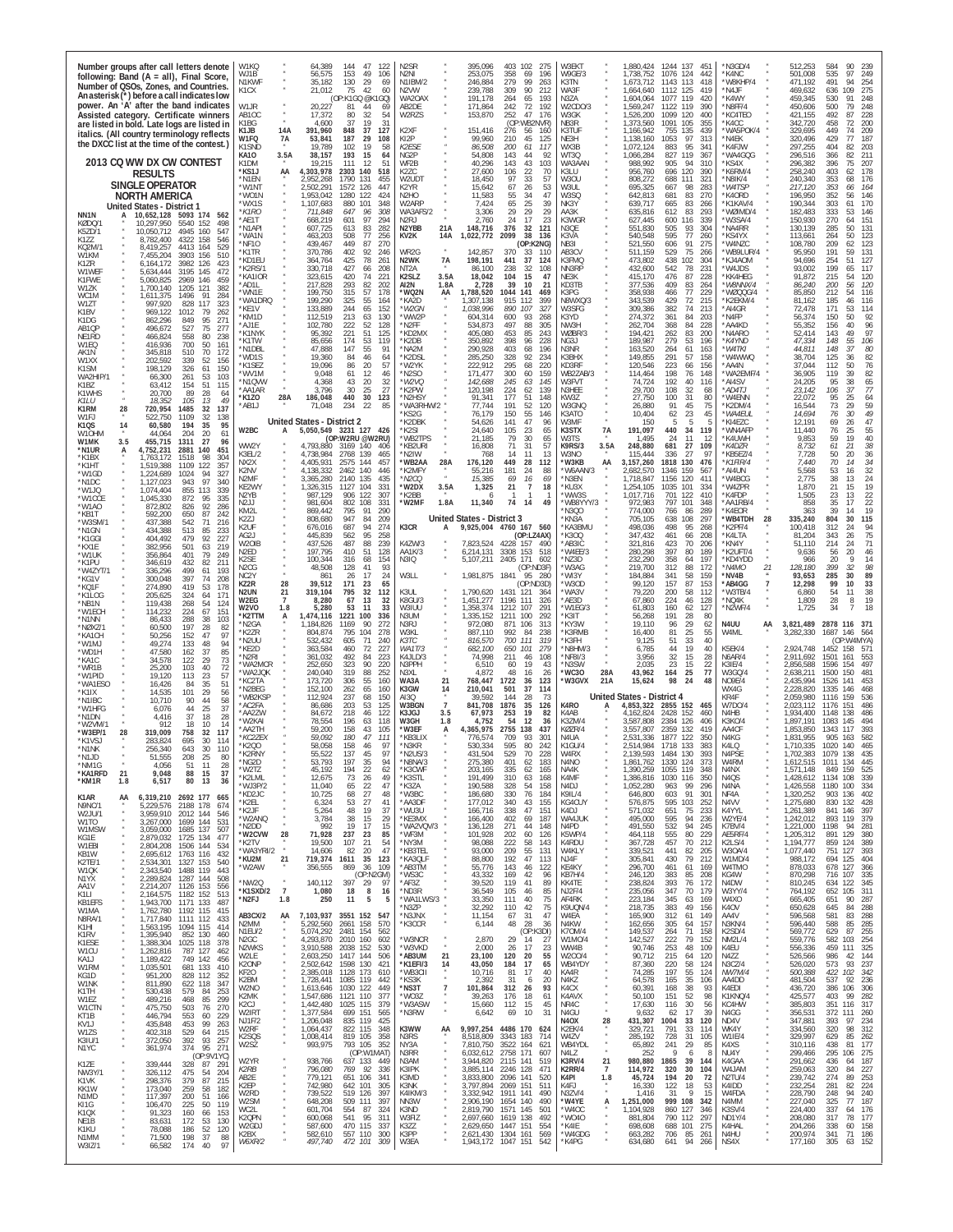| Number groups after call letters denote<br>following: Band (A = all), Final Score<br>Number of QSOs, Zones, and Countries.<br>An asterisk (*) before a call indicates low<br>power. An 'A' after the band indicates<br>Assisted category. Certificate winners | W1KQ<br>WJ1B<br>N1KWF<br>K1CX<br>W1JR<br>AB1OC<br>K1BG      | 64.389<br>144<br>47<br>-122<br>56,575<br>153<br>49<br>106<br>35,182<br>130<br>29<br>69<br>21,012<br>75<br>42<br>60<br>(OP:K1GQ @K<br>GQ)<br>20,227<br>44<br>81<br>69<br>17,372<br>80<br>32<br>54<br>4,600<br>37<br>19<br>31 | N2SR<br>N2NI<br>N1IBM/2<br>N <sub>2</sub> VW<br>WA20AX<br>AB2DE<br>W2RZS  | 403<br>395,096<br>102<br>275<br>253,075<br>358<br>69<br>196<br>99<br>246,884<br>279<br>263<br>239,788<br>309<br>90<br>212<br>65<br>193<br>191.178<br>264<br>171,864<br>242<br>72<br>192<br>153,870<br>252<br>47<br>176<br>(OP:<br>WB2NVR) | W3EKT<br>W9GE/3<br>K3TN<br>WA3F<br>N3ZA<br>W2CDO/3<br>W3GK<br>NB3R | 1.880.424<br>1244<br>137<br>45<br>1,738,752<br>1076 124<br>442<br>1,673,712<br>1143<br>113<br>418<br>1,664,640<br>1112<br>125<br>419<br>119<br>1.604.064<br>1077<br>420<br>1,569,247<br>1122 119<br>390<br>1,526,200<br>1099<br>120<br>400<br>1,373,560<br>1091<br>105<br>355 | N3GD/4<br>*K4NC<br>'W8KHP/4<br>*N4JF<br>*K4WY<br>N8FF/4<br>KC4TEO<br>K4CC | 512.253<br>584<br>۹N<br>239<br>501,008<br>535<br>97<br>249<br>471,192<br>491<br>94<br>254<br>469,632<br>636<br>109<br>275<br>459,345<br>248<br>530<br>91<br>450,606<br>500<br>79<br>248<br>421,155<br>492<br>87<br>228<br>342,720<br>458<br>72<br>200 |
|---------------------------------------------------------------------------------------------------------------------------------------------------------------------------------------------------------------------------------------------------------------|-------------------------------------------------------------|-----------------------------------------------------------------------------------------------------------------------------------------------------------------------------------------------------------------------------|---------------------------------------------------------------------------|-------------------------------------------------------------------------------------------------------------------------------------------------------------------------------------------------------------------------------------------|--------------------------------------------------------------------|-------------------------------------------------------------------------------------------------------------------------------------------------------------------------------------------------------------------------------------------------------------------------------|---------------------------------------------------------------------------|-------------------------------------------------------------------------------------------------------------------------------------------------------------------------------------------------------------------------------------------------------|
| are listed in bold. Late logs are listed in<br>italics. (All country terminology reflects<br>the DXCC list at the time of the contest.)                                                                                                                       | 14A<br>K1.JB<br>W1FQ<br>7A<br>K1SND                         | 391,960<br>848<br>37<br>127<br>53,841<br>187<br>29<br>108<br>19.789<br>102<br>58<br>19                                                                                                                                      | K <sub>2</sub> XF<br>KI2P<br>K2ESE                                        | 151,416<br>276<br>56<br>160<br>99,960<br>45<br>125<br>210<br>86,508<br>200<br>61<br>117                                                                                                                                                   | K3TUI<br>NE3H<br>WX3B                                              | 135<br>1,166,942<br>755<br>439<br>1,138,160<br>1053<br>97<br>313<br>95<br>1.072.124<br>883<br>341                                                                                                                                                                             | WA5POK/4<br>*N4EK<br>K4FJW                                                | 329,695<br>74<br>209<br>449<br>320,496<br>429<br>77<br>187<br>297,255<br>404<br>203<br>82                                                                                                                                                             |
| 2013 CQ WW DX CW CONTEST<br>Results                                                                                                                                                                                                                           | KA10<br>3.5A<br>K1DM<br>*KS1J<br>AA                         | 38,157<br>193<br>15<br>64<br>111<br>12<br>19.215<br>-51<br>4,303,978<br>2303 140<br>518                                                                                                                                     | NG2P<br>WF2B<br>K2ZC                                                      | 54,808<br>143<br>44<br>92<br>43<br>40.296<br>143<br>103<br>27,600<br>106<br>22<br>70                                                                                                                                                      | WT3Q<br>WA3AAN<br>K3LU                                             | 827<br>119<br>367<br>1.066.284<br>988.992<br>905<br>94<br>310<br>696<br>120<br>956.760<br>390                                                                                                                                                                                 | *WA4GQG<br>KS4X*<br>K6RM/4                                                | 296,516<br>366<br>211<br>82<br>207<br>296,382<br>396<br>75<br>258,240<br>403<br>178<br>62                                                                                                                                                             |
| <b>SINGLE OPERATOR</b><br><b>NORTH AMERICA</b>                                                                                                                                                                                                                | *N1EN<br>*W1N1<br>*WO1N                                     | 1790<br>131<br>2.952.268<br>455<br>2.502.291<br>1572<br>126<br>447<br>1,953,042<br>1280<br>122<br>424                                                                                                                       | W2UDT<br>K2YR<br>N2HO                                                     | 97<br>33<br>18.450<br>57<br>67<br>26<br>15.642<br>53<br>55<br>11,583<br>34<br>47                                                                                                                                                          | W3OU<br>W3UL<br>W3SQ                                               | 808,272<br>688<br>111<br>321<br>283<br>695,325<br>667<br>98<br>642,813<br>681<br>83<br>270                                                                                                                                                                                    | N8IK/4<br>*W4TSP<br>*K4ORD                                                | 240,340<br>353<br>176<br>68<br>217,120<br>353<br>66<br>164<br>196,950<br>352<br>146<br>56                                                                                                                                                             |
| <b>United States - District 1</b><br>NN <sub>1</sub> N<br>10,652,128<br>5093 174<br>562<br>KØDQ/1<br>10,297,950<br>5540 152<br>498                                                                                                                            | *WX1S<br>*K1RO<br>*AE1T<br>*N1API                           | 1,107,683<br>880<br>101<br>348<br>711,848<br>647<br>96<br>308<br>97<br>601<br>294<br>668,219<br>607,725<br>613<br>83<br>282                                                                                                 | W2ARP<br>WA3AFS/2<br>N <sub>2</sub> RJ<br>N2YBB<br>21A                    | 65<br>25<br>39<br>7,424<br>29<br>29<br>29<br>3,306<br>24<br>17<br>23<br>2.760<br>148,716<br>376<br>32<br>121                                                                                                                              | NK3Y<br>AA3K<br>K3WGR<br>N3QE                                      | 639,717<br>665<br>83<br>266<br>635,816<br>612<br>83<br>293<br>627.445<br>600<br>116<br>339<br>551,830<br>505<br>93<br>304                                                                                                                                                     | K1KAV/4<br>WØIMD/4<br>*W3SA/4<br>NA4RR*                                   | 170<br>190,344<br>303<br>61<br>182,483<br>333<br>53<br>146<br>151<br>150,930<br>270<br>64<br>130,139<br>285<br>50<br>131                                                                                                                              |
| K5ZD/1<br>10.050.712<br>4945 160<br>547<br>K1ZZ<br>4322<br>158<br>8.782.400<br>546<br>KO2M/<br>8 419 257<br>4413 164<br>529                                                                                                                                   | *WA1N<br>*NF1O<br>*K1TR                                     | 463,203<br>508<br>77<br>256<br>449<br>439,467<br>87<br>270<br>402<br>92<br>370,786<br>246                                                                                                                                   | KV2K<br>14A<br>WR2G                                                       | 1,022,772<br>2099<br>38<br>136<br>(OP:K2NG)<br>142.857<br>370<br>33<br>-110                                                                                                                                                               | K3VA<br>NB3I<br>AB3CV                                              | 595<br>77<br>540,548<br>260<br>521,550<br>606<br>91<br>275<br>75<br>529<br>511.159<br>266                                                                                                                                                                                     | 'KS4YX<br>'W4NZC<br>*WB9LUR/4                                             | 113,661<br>264<br>50<br>123<br>108,780<br>209<br>62<br>123<br>191<br>95,950<br>131<br>59                                                                                                                                                              |
| W1KM<br>7,455,204<br>3903 156<br>510<br>K17R<br>6,164,172<br>3982 126<br>423<br>W1WEF<br>5,634,444<br>3195<br>145<br>472                                                                                                                                      | *KD1EU<br>K2RS/1<br>*KA1IOR                                 | 364,764<br>425<br>78<br>261<br>330,718<br>427<br>208<br>66<br>323,615<br>420<br>74<br>221                                                                                                                                   | N2WK<br>7A<br>NT <sub>2</sub> A<br>K <sub>2</sub> SL <sub>Z</sub><br>3.5A | 198,191<br>441<br>37<br>124<br>86,100<br>238<br>108<br>-32<br>18,042<br>104<br>15<br>47                                                                                                                                                   | K3FMQ<br>NN3RP<br>NE3K                                             | 438<br>102<br>304<br>473,802<br>432,600<br>542<br>78<br>231<br>415,170<br>476<br>87<br>228                                                                                                                                                                                    | *KJ4AOM<br>'W4JDS<br>*KK4HEG                                              | 94,696<br>254<br>127<br>51<br>93.002<br>199<br>117<br>65<br>91,872<br>215<br>120<br>54                                                                                                                                                                |
| K1FWF<br>5,060,825<br>2969 146<br>459<br>1,700,140<br>W1ZK<br>1205<br>121<br>382<br>WC1M<br>611,375<br>1496<br>91<br>284                                                                                                                                      | *AD1I<br>*WN1E<br>'WA1DRQ                                   | 293<br>82<br>217,828<br>202<br>199,750<br>315<br>57<br>178<br>55<br>199.290<br>164                                                                                                                                          | AI2N<br>1.8A<br>*WQ2N<br>AA<br>KA2D                                       | 2,728<br>39<br>10<br>21<br>1,788,520<br>1044<br>141<br>469<br>915<br>399<br>.307.138<br>112                                                                                                                                               | KD3TB<br>K3PG<br>N8WXQ/3                                           | 377.536<br>409<br>83<br>264<br>358,938<br>466<br>77<br>229<br>429<br>72<br>343.539<br>215                                                                                                                                                                                     | *W8NNX/4<br>WØQQG/4<br>K2EKM/4                                            | 120<br>86,240<br>200<br>56<br>85,850<br>212<br>116<br>54<br>46<br>81.162<br>185<br>116                                                                                                                                                                |
| W1ZT<br>997.920<br>828<br>117<br>323<br>K1BV<br>969,122<br>1012<br>79<br>262<br>95<br>K1DG<br>862,296<br>849<br>271                                                                                                                                           | *KE1V<br>*KM1D<br>*AJ1E                                     | $\frac{325}{244}$<br>65<br>133.889<br>152<br>213<br>112,519<br>63<br>130<br>102,780<br>222<br>52<br>128                                                                                                                     | *W2GN<br>*WW2P<br>'N2FF                                                   | 327<br>1,038,996<br>890<br>107<br>604,314<br>600<br>93<br>268<br>534,873<br>497<br>88<br>305                                                                                                                                              | W3SFG<br>K3YD<br>NW3H                                              | 74<br>213<br>309,386<br>382<br>274,372<br>361<br>84<br>203<br>84<br>262,704<br>368<br>228                                                                                                                                                                                     | *AI4GR<br>*N4FP<br>AA4KD*                                                 | 72,478<br>171<br>53<br>114<br>56,374<br>150<br>50<br>92<br>96<br>55,352<br>156<br>40                                                                                                                                                                  |
| 527<br>AB1QP<br>496,672<br>75<br>277<br>558<br>80<br>238<br>NE1RD<br>466,824<br>W1EQ<br>416,936<br>700<br>50<br>161<br>AK1N<br>172                                                                                                                            | *K1NYK<br>*K1TW<br>*N1DBL                                   | 221<br>95,392<br>51<br>125<br>174<br>53<br>85,656<br>119<br>47,888<br>147<br>55<br>91                                                                                                                                       | KD2MX<br>*K2DB<br>'NA2M                                                   | 405,080<br>453<br>85<br>243<br>398<br>228<br>350,892<br>96<br>290,928<br>403<br>68<br>196                                                                                                                                                 | WØBR/3<br>NG3J<br>N3NR                                             | 262<br>194,421<br>83<br>200<br>279<br>189,987<br>53<br>196<br>163,520<br>264<br>61<br>163                                                                                                                                                                                     | 'N4ARO<br>*K4YND<br>*W4TKI                                                | 97<br>52,414<br>143<br>49<br>55<br>106<br>47.334<br>148<br>80<br>44,811<br>148<br>37                                                                                                                                                                  |
| 345,818<br>510<br>70<br>339<br>52<br>W1XX<br>202.592<br>156<br>198,129<br>K <sub>1</sub> SM<br>326<br>61<br>150<br>WA2HIP/1<br>103<br>66.300<br>261<br>53                                                                                                     | *WD1S<br>*K1SEZ<br>'WV1M                                    | 84<br>19,360<br>46<br>64<br>19,096<br>86<br>20<br>57<br>12<br>9,048<br>61<br>46                                                                                                                                             | *K2DSL<br>'W2YK<br>N2SO                                                   | 285,250<br>328<br>92<br>234<br>222,912<br>295<br>68<br>220<br>159<br>171.477<br>300<br>60                                                                                                                                                 | K3BHX<br>KD3RF<br>WB2ZAB/3                                         | 291<br>158<br>149,855<br>57<br>120,546<br>223<br>66<br>156<br>198<br>76<br>148<br>114,464                                                                                                                                                                                     | 'W4WWQ<br>AA4N<br>WA2EMF/4                                                | 82<br>38,704<br>125<br>36<br>37,044<br>112<br>50<br>$\frac{76}{82}$<br>119<br>39<br>36,905                                                                                                                                                            |
| 63,412<br>154<br>51<br>115<br>K1B7<br>K1WHS<br>20,700<br>89<br>28<br>64<br>K11 I J<br>18.352<br>105<br>13<br>49                                                                                                                                               | *N1QVW<br>*AA1AR<br>*K1ZO<br>28A                            | 4,368<br>43<br>20<br>32<br>3.796<br>25<br>27<br>30<br>186,048<br>440<br>30<br>123                                                                                                                                           | *W2VQ<br>*K2PW<br>'N2HSY                                                  | 142,688<br>245<br>145<br>63<br>120,198<br>224<br>139<br>62<br>91,341<br>177<br>51<br>148                                                                                                                                                  | W3FVT<br>N3HEE<br>KW3Z                                             | 74,724<br>192<br>40<br>116<br>32<br>29,700<br>108<br>68<br>27,750<br>100<br>31<br>80                                                                                                                                                                                          | *AI4SV<br>*AD4TJ<br>'W4ENN                                                | 24,205<br>95<br>38<br>65<br>77<br>106<br>23,142<br>37<br>22,072<br>95<br>25<br>64                                                                                                                                                                     |
| K1RM<br>28<br>720,954<br>1485<br>32<br>137<br>32<br>W1FJ<br>522,750<br>1109<br>138<br>14<br>35<br>95<br><b>K10S</b><br>60.580<br>194                                                                                                                          | *AB1J                                                       | 234<br>71,048<br>22<br>85<br>United States - District 2                                                                                                                                                                     | WA3RHW/2<br>'KS2G<br>K2DBK                                                | 77.744<br>52<br>191<br>120<br>76,179<br>150<br>55<br>146<br>47<br>141<br>96<br>54.626                                                                                                                                                     | W3GNQ<br>K3ATO<br>W3MF                                             | 91<br>45<br>26,880<br>75<br>10,404<br>62<br>23<br>45<br>5<br>150                                                                                                                                                                                                              | K2DM/4<br>*WA4EUL<br>KI4EZC                                               | 59<br>73<br>16,544<br>29<br>14,694<br>76<br>30<br>49<br>$\substack{47 \\ 55}$<br>12.191<br>69<br>26                                                                                                                                                   |
| W10HM<br>44,064<br>204<br>20<br>61<br>3.5<br>W1MK<br>455,715<br>1311<br>27<br>96<br>*N1UR<br>4,752,231<br>2881<br>140<br>451<br>A                                                                                                                             | W2BC<br>WW2Y<br>K3EL/2                                      | 3231 127 426<br>5,050,549<br>(OP:W2RU @W2RU)<br>4.793.880<br>3169 140<br>406<br>4,738,984<br>2768<br>139<br>465                                                                                                             | 'K2SI<br>'WB2TPS<br>'KB2URI<br>'N2IW                                      | 23<br>24,640<br>105<br>65<br>79<br>30<br>21,185<br>65<br>31<br>57<br>16,808<br>71<br>768<br>14<br>11<br>13                                                                                                                                | 7A<br>K3STX<br>W3TS<br>3.5A<br>K9RS/3<br>W3NO                      | 34<br>191,097<br>440<br>119<br>11<br>1,495<br>24<br>12<br>248,880<br>681<br>109<br>27<br>115,444<br>336<br>27<br>97                                                                                                                                                           | *WN4AFP<br>*K4UWH<br>*K4DZR<br>KB5EZ/4                                    | 76<br>11.440<br>25<br>40<br>9,853<br>59<br>19<br>$38\,$<br>8,732<br>61<br>21<br>36<br>7,728<br>50<br>20                                                                                                                                               |
| *K1BX<br>1,763,172<br>1518<br>98<br>304<br>*K1HT<br>1,519,388<br>1109<br>122<br>357<br>*W1GD<br>1,224,689<br>1024<br>94<br>327                                                                                                                                | NX2X<br>K2NV<br>N2MF                                        | 4.405.931<br>2575 144<br>457<br>4,138,332<br>2462<br>140<br>446<br>3,365,280<br>2140 135<br>435                                                                                                                             | 'WB2AA<br>28A<br>K2MFY<br>*N2CQ                                           | 176,120<br>449<br>28<br>112<br>55,216<br>181<br>24<br>88<br>15,385<br>69<br>16<br>69                                                                                                                                                      | *W3KB<br>AA<br>'W6AAN/3<br>'N3EN                                   | 1818<br>130<br>476<br>3,157,260<br>2,682,570<br>1346<br>159<br>567<br>1.718.847<br>1156<br>120<br>411                                                                                                                                                                         | *K1FIR/4<br>AI4UN*<br>'W4BCG                                              | 34<br>70<br>7.440<br>14<br>32<br>5,568<br>53<br>16<br>24<br>2.775<br>38<br>13                                                                                                                                                                         |
| *N1DC<br>1,127,023<br>943<br>97<br>340<br>*W1.IO<br>1.074.404<br>855<br>113<br>339<br>*W1CCE<br>1,045,330<br>872<br>95<br>335                                                                                                                                 | KE2WY<br>N2YB<br>N2JJ                                       | 1,326,315<br>1127<br>104<br>331<br>906<br>122<br>987.129<br>307<br>981,604<br>802<br>108<br>331                                                                                                                             | 'W2DX<br>3.5A<br>*K2BB<br>*W2MF<br>1.8A                                   | 1,325<br>21<br>$\overline{7}$<br>18<br>11,340<br>74<br>14<br>49                                                                                                                                                                           | 'KU3X<br>WW3S<br>WB8YYY/3                                          | 1,254,105<br>1035<br>101<br>334<br>1,017,716<br>701<br>122<br>410<br>972,983<br>797<br>101<br>348                                                                                                                                                                             | W4ZPR<br>*K4FDP<br>*AA1RB/4                                               | 21<br>19<br>1,870<br>15<br>$22\,$<br>23<br>13<br>1.505<br>858<br>35<br>17<br>22                                                                                                                                                                       |
| *W1AO<br>872,802<br>92<br>286<br>826<br>*KB1T<br>592,200<br>650<br>87<br>242<br>*W3SM/<br>542<br>71<br>437.388<br>216<br>*N1GN<br>434,388<br>513<br>85<br>233                                                                                                 | KM2I<br>K2ZJ<br>K2UF                                        | 795<br>91<br>869.442<br>290<br>808,680<br>947<br>84<br>209<br>687<br>676,016<br>94<br>274                                                                                                                                   | K3CR<br>А                                                                 | United States - District 3<br>9,925,004 4760 167 560                                                                                                                                                                                      | N300<br>KN3A<br>KA3BMU                                             | 774,000<br>289<br>766<br>-86<br>705,105<br>638<br>108<br>297<br>498<br>498,036<br>95<br>268                                                                                                                                                                                   | K4FOR<br>'WB4TDH<br>28<br>K2PF/4                                          | 19<br>363<br>39<br>14<br>335,240<br>804<br>30<br>115<br>94<br>100,418<br>312<br>-24                                                                                                                                                                   |
| 92<br>227<br>*K1GGI<br>404,492<br>479<br>382,956<br>501<br>63<br>219<br>*KX1E<br>*W1UK<br>356,864<br>401<br>79<br>249                                                                                                                                         | AG2J<br>W2OIE<br>N2ED                                       | 445,839<br>562<br>95<br>258<br>239<br>437,526<br>487<br>88<br>51<br>197.795<br>410<br>128                                                                                                                                   | K4ZW/3<br>AA1K/3                                                          | (OP:LZ4AX)<br>7.823.524<br>490<br>4228<br>157<br>6,214,131<br>3308<br>153<br>518                                                                                                                                                          | 'K300<br>AB3IC<br>'W4EE/3                                          | 347,432<br>461<br>208<br>66<br>70<br>206<br>321.816<br>423<br>397<br>80<br>189<br>280,298                                                                                                                                                                                     | *K4LTA<br>'KN4Y<br>K2UFT/4                                                | 81,204<br>343<br>75<br>26<br>214<br>71<br>51.110<br>24<br>46<br>9,636<br>56<br>20                                                                                                                                                                     |
| 82<br>*K1PU<br>346,619<br>432<br>211<br>*W4ZYT/<br>336,296<br>499<br>61<br>193<br>397<br>208<br>*KG1V<br>300.048<br>74                                                                                                                                        | K2SE<br>N2CG<br>NC <sub>2</sub> Y<br>28                     | 100,344<br>316<br>68<br>154<br>48,508<br>93<br>128<br>41<br>861<br>26<br>17<br>24<br>171<br>23                                                                                                                              | N3IQ<br>W3LL                                                              | 5,107,211<br>2405<br>171<br>602<br>(OP:ND3F<br>1,981,875<br>1841<br>95<br>280<br>(OP:ND3D)                                                                                                                                                | 'NZ3D<br>'W3AG<br>'WI3Y                                            | 197<br>232,290<br>358<br>64<br>88<br>219,700<br>312<br>172<br>184,884<br>341<br>58<br>159<br>87<br>157<br>99.120                                                                                                                                                              | *KD4YDD<br>*N4MO<br>21<br>'NV4B                                           | 966<br>20<br>9<br>14<br>98<br>128,180<br>399<br>32<br>285<br>89<br>93,653<br>30<br>33<br>99<br>10                                                                                                                                                     |
| *KQ1F<br>274,890<br>419<br>53<br>178<br>*K1LOG<br>205,625<br>324<br>64<br>171<br>*NB1N<br>119,438<br>268<br>54<br>124                                                                                                                                         | KZ2R<br>N2UN<br>21<br>W2EG<br>$\overline{7}$<br>W2VO<br>1.8 | 39,512<br>65<br>319,104<br>795<br>32<br>112<br>8,280<br>67<br>13<br>32<br>5,280<br>53<br>11<br>33                                                                                                                           | K3UL<br>K8GU/3<br>W3IUU                                                   | 1,790,620<br>1431 121<br>364<br>1,451,277<br>1196<br>111<br>326<br>,358,374<br>1212<br>107<br>291                                                                                                                                         | 'W3OD<br>WA3V<br>`AE3D<br>W1EG/3                                   | 153<br>79,220<br>200<br>58<br>112<br>67,860<br>224<br>46<br>128<br>61,803<br>160<br>62<br>127                                                                                                                                                                                 | *AB4GG<br>W3TB/4<br>*NQ4K<br>N2WF/4                                       | 12,298<br>6,860<br>54<br>38<br>11<br>19<br>1.809<br>28<br>8<br>18<br>1,725<br>34<br>$\overline{7}$                                                                                                                                                    |
| 67<br>*W1FCH<br>114.232<br>224<br>151<br>288<br>38<br>103<br>*N1NN<br>86.433<br>197<br>60.500<br>28<br>82<br>*NØX7/'<br>*KA1CF<br>50,256<br>152<br>47<br>97                                                                                                   | *K2TTM<br>A<br>*N2GA<br>*K27R                               | 1221<br>1,474,116<br>100<br>336<br>1,184,826<br>1169<br>90<br>272<br>795<br>804,874<br>104<br>278                                                                                                                           | N3UM<br>N3RJ<br>W3KL                                                      | 292<br>1,335,152<br>1211<br>100<br>972,080<br>106<br>871<br>313<br>887,110<br>992<br>84<br>238                                                                                                                                            | K3IT<br>'KY3W<br>K3RMB                                             | 28<br>191<br>80<br>56.268<br>19,110<br>96<br>29<br>62<br>81<br>25<br>55<br>16,400                                                                                                                                                                                             | N4UU<br>AA<br>W4ML                                                        | 3,821,489<br>2878 116 371<br>3,282,330<br>1687 146<br>564                                                                                                                                                                                             |
| 133<br>48<br>*W1MJ<br>49,274<br>94<br>*WD1H<br>47,580<br>37<br>85<br>162<br>122<br>29<br>73<br>34,578<br>*KA1C                                                                                                                                                | *N2UU<br>*KF2D<br>*N2RI                                     | 532,432<br>605<br>71<br>240<br>460<br>72<br>363.584<br>227<br>361,032<br>492<br>84<br>223                                                                                                                                   | КЗТС<br>WA1T/3<br>K4JLD/3                                                 | 816,570<br>700<br>111<br>319<br>682,100<br>650<br>101<br>279<br>74,998<br>108<br>211<br>46                                                                                                                                                | 'K3FH<br>N8HM/3<br>NF8I/3                                          | 9,125<br>51<br>33<br>40<br>44<br>19<br>6,785<br>40<br>3,956<br>32<br>15<br>28                                                                                                                                                                                                 | K5EK/4<br><b>N6AR/4</b>                                                   | (OP:W4MYA`<br>2,924,748<br>1452 158<br>571<br>2,911,692<br>1501<br>161<br>553                                                                                                                                                                         |
| 103<br>40<br>72<br>*WR1B<br>25.200<br>*W1PID<br>19,120<br>113<br>23<br>57<br>35<br>51<br>*WA1ESO<br>16,426<br>84                                                                                                                                              | *WA2MCR<br>*WA2JQK<br>*KC2TA<br>*N2BEG                      | 323<br>319<br>90<br>220<br>252.650<br>88<br>252<br>240.040<br>173,720<br>306<br>55<br>160<br>152,100<br>262<br>65<br>160                                                                                                    | N3PPH<br>N3XL<br>WA3A<br>21<br>K3GW<br>14                                 | 6,510<br>19<br>60<br>43<br>4,872<br>48<br>16<br>26<br>768,447<br>1722<br>36<br>123<br>210,041<br>501<br>37<br>114                                                                                                                         | N3SW<br>28A<br>NC30*<br>*W3GVX<br>21A                              | 23<br>2.035<br>$\frac{15}{25}$<br>$\frac{22}{77}$<br>164<br>43,962<br>15,624<br>98<br>24<br>48                                                                                                                                                                                | K3IE/4<br>W3GQ/4<br>NO9E/4<br>WX4G                                        | 2,856,588<br>497<br>1596<br>154<br>2,638,211<br>1500<br>150<br>481<br>2,435,994<br>1526<br>141<br>453<br>2,228,820<br>1335<br>146<br>468                                                                                                              |
| 101<br>14,535<br>29<br>56<br>*K1IX<br>58<br>90<br>44<br>*N1IBC<br>10.710<br>*W1HFG<br>6,076<br>44<br>25<br>37                                                                                                                                                 | *WB2KSF<br>*AC2FA<br>*AA2ZW                                 | 237<br>112,924<br>68<br>150<br>203<br>86,686<br>53<br>125<br>84,672<br>218<br>46<br>122                                                                                                                                     | AI3Q<br>W3BGN<br>$\overline{7}$<br>K3JGJ<br>3.5                           | 39,592<br>144<br>28<br>73<br>841,708<br>1876<br>126<br>35<br>67,973<br>253<br>19<br>82                                                                                                                                                    | K4RO<br>K4AB                                                       | <b>United States - District 4</b><br>2855 152<br>4,853,322<br>465<br>2428<br>152<br>460<br>4.162.824                                                                                                                                                                          | KR4F<br>W7D0/4<br>N4HB                                                    | 2,059,980<br>1116<br>159<br>536<br>2.023.112<br>1176<br>151<br>486<br>1,934,400<br>1148<br>486<br>138                                                                                                                                                 |
| 37<br>28<br>*N1DN<br>4,416<br>18<br>'W2VM/<br>18<br>10<br>14<br>912<br>319,009<br>758<br>*W3FP/1<br>28<br>32<br>117<br>695<br>30<br>*K1VS.<br>283.824<br>114                                                                                                  | *W2KAI<br>*AA2TH<br>*KC2ZEX                                 | 78.554<br>196<br>63<br>118<br>158<br>59,200<br>43<br>105<br>180<br>47<br>59.092<br>111                                                                                                                                      | W3GH<br>1.8<br>*W3EF<br>А<br>*KB3LIX                                      | 4,752<br>54<br>12<br>36<br>2755<br>4,365,975<br>138<br>437<br>776.574<br>709<br>93<br>30'                                                                                                                                                 | K3ZM/4<br>KØZR/4<br>N4UA                                           | 3.587.808<br>2384<br>126<br>406<br>2359<br>3.557.807<br>132<br>419<br>1877 122<br>2.531.336<br>350                                                                                                                                                                            | K3KO/4<br>AA4CF<br>N4KG                                                   | 1.897.191<br>1083<br>145<br>494<br>1,853,850<br>1343<br>117<br>393<br>1.831.955<br>905<br>582<br>163                                                                                                                                                  |
| *N1NK<br>643<br>30<br>256,340<br>110<br>'N1JD<br>208<br>25<br>CCC. I C<br>ซเ<br>*NM1G<br>51<br>11<br>28<br>4,056                                                                                                                                              | *K2Q0<br>*K2RNY<br>*NG2D                                    | 58,058<br>158<br>46<br>97<br>97<br>55,522<br>137<br>45<br>53.793<br>197<br>35<br>94                                                                                                                                         | *N3KR<br>*N2US/3<br>'N8NA/3                                               | 595<br>80<br>242<br>530.334<br>529<br>70<br>431,504<br>228<br>275,380<br>401<br>62<br>183                                                                                                                                                 | K1GU/4<br>W4RX<br>N4NO                                             | 2.514.984<br>1718 133<br>383<br>2,139,593<br>393<br>1484 130<br>1330 124<br>1,861,762<br>373                                                                                                                                                                                  | K4LQ<br>N4PSE<br>W4RM                                                     | 1,710,335<br>1020<br>140<br>465<br>1,702,383<br>435<br>1079<br>138<br>1,612,515<br>1011<br>134<br>445                                                                                                                                                 |
| *KA1RFD<br>21<br>9,048<br>88<br>15<br>37<br>80<br>36<br>*KM1R<br>1.8<br>6,517<br>13                                                                                                                                                                           | *W2TZ<br>*K2LML<br>*WJ3P/2                                  | 194<br>22<br>45,192<br>62<br>12,675<br>73<br>26<br>49<br>11,040<br>65<br>47<br>$\frac{22}{27}$                                                                                                                              | *K3CWF<br>*K3STL<br>*K37A                                                 | 203,165<br>335<br>62<br>165<br>191,499<br>63<br>168<br>310<br>190,588<br>$\frac{54}{1}$<br>158<br>328                                                                                                                                     | NA4K<br>K4MF<br>N4DJ                                               | 1,390,259<br>1055 119<br>348<br>1,386,816<br>1030 116<br>350<br>1,052,280<br>99<br>91<br>296<br>963                                                                                                                                                                           | N4NX<br>N <sub>4</sub> O <sub>S</sub><br>N4NA                             | 1,571,148<br>849<br>159<br>525<br>1,428,612<br>1134<br>108<br>339<br>1,426,558<br>1180<br>100<br>334                                                                                                                                                  |
| K1AR<br>6,319,210 2692 177<br>AA<br>665<br>5,229,576 2188 178<br>N9NC/1<br>674<br>3,959,910 2012 144<br>W2JU/1<br>546                                                                                                                                         | *KD2JC<br>*K2EL<br>*K2JF<br>*W2ANQ                          | 10,725<br>68<br>48<br>27<br>6,324<br>53<br>41<br>48<br>37<br>5,264<br>19<br>3,784<br>38<br>15<br>29                                                                                                                         | *W3BC<br>*AA3DF<br>*WU3U<br>*KE3MX                                        | 76<br>186,680<br>330<br>184<br>177,012<br>340<br>43<br>155<br>166,716<br>338<br>47<br>151<br>166,400<br>402<br>69<br>187                                                                                                                  | K9IL/4<br>KG4CUY<br>K4DJ<br>WA4JUK                                 | 603<br>301<br>646,800<br>576,875<br>103<br>595<br>252<br>571,032<br>651<br>75<br>233<br>94<br>495,000<br>595<br>236                                                                                                                                                           | NF4A<br>N4VV<br>K4YYL<br>W2YE/4                                           | 1,320,252<br>903<br>136<br>402<br>1,275,680<br>830 132<br>428<br>1,261,389<br>841<br>146<br>-397<br>1,242,012<br>893<br>119<br>379                                                                                                                    |
| 3,267,000 1699 144<br>W1TO<br>531<br>3.059.000 1685 137<br>W1MSW<br>507<br>2,879,032<br>477<br>KG1E<br>1725 134<br>W1EBI<br>2,804,208<br>1506 144<br>534                                                                                                      | *N2DD<br>28<br>*W2CVW<br>*K2TV                              | 992<br>19<br>17<br>15<br>71,928<br>237<br>23<br>85<br>19,500<br>54<br>107<br>21                                                                                                                                             | *WA2VQV/3<br>*WF3M<br>*NY3M                                               | 271<br>44<br>136,128<br>148<br>101,928<br>202<br>60<br>126<br>222<br>58<br>98,088<br>143                                                                                                                                                  | N4PD<br>K5WP/4<br>K4RDU                                            | 532<br>94<br>491,550<br>245<br>464,118<br>555<br>80<br>229<br>457<br>70<br>367,728<br>212                                                                                                                                                                                     | K7BV/4<br>AE5RF/4<br>K2LS/4                                               | 1,221,000<br>1198<br>94<br>281<br>1,205,312<br>891 129<br>380<br>1,194,777<br>859 124<br>389                                                                                                                                                          |
| 2,695,612 1763 116<br>KB1W<br>432<br>K2TE/1<br>2,534,301<br>1327 153<br>540<br>2,343,540 1488 119<br>W1QK<br>443                                                                                                                                              | *WA3YRI/2<br>21<br>*KU2M<br>*W2AW                           | 47<br>14,606<br>82<br>20<br>35<br>719,374<br>123<br>1611<br>356,555<br>869<br>36<br>109                                                                                                                                     | *KB3TEL<br>*KA3QLF<br>*AB3TM                                              | 93,000<br>55<br>209<br>131<br>47<br>113<br>192<br>88,800<br>55,776<br>143<br>46<br>122                                                                                                                                                    | W4KLY<br>NJ4F<br>KE4KY                                             | 339,521<br>441<br>82<br>205<br>79<br>305,841<br>212<br>430<br>296,700<br>461<br>61<br>169                                                                                                                                                                                     | W30A/4<br>W1MD/4<br>W4TMO                                                 | 1.077.440<br>751<br>127<br>393<br>988,172<br>694<br>125<br>404<br>878,033<br>678 127<br>366                                                                                                                                                           |
| N1YX<br>2,289,824<br>1287 144<br>508<br>AA1V<br>2,214,207 1126 153<br>556<br>K1LI<br>2,164,575<br>1182 152<br>513                                                                                                                                             | *NW2Q<br>$\overline{7}$<br>*K1SXD/2                         | (OP:N2GM)<br>397 29<br>140,112<br>97<br>1,080<br>18<br>8<br>16                                                                                                                                                              | *WS3C<br>*AF3Z<br>*ND3R<br>*WA1LWS/3                                      | 43,332<br>42<br>96<br>169<br>39,520<br>119<br>41<br>89<br>36,549<br>105<br>46<br>85                                                                                                                                                       | KB7H/4<br>KK4TE<br>NJ2F/4                                          | 246,120<br>383<br>85<br>208<br>238,824<br>393<br>76<br>172<br>235,056<br>347<br>70<br>179                                                                                                                                                                                     | KG4W<br>N4DW<br>W3YY/4                                                    | 870,298<br>716 107<br>335<br>810,245<br>634<br>122<br>345<br>764,192<br>311<br>652<br>105                                                                                                                                                             |
| 1,943,700<br>1171 133<br>KB1EFS<br>487<br>1,762,780<br>W1MA<br>1192 115<br>415<br>1,717,840 1111 112<br>N8RA/1<br>433                                                                                                                                         | *N2FJ<br>1.8<br>AB3CX/2<br>AA<br>N2MM                       | 250<br>11<br>5<br>5<br>7,103,937<br>3551 152<br>547<br>5,292,560<br>2661 158<br>570                                                                                                                                         | N3ZP<br>*N3JNX<br>*K3CCR                                                  | 33,350<br>111<br>40<br>75<br>75<br>32,292<br>42<br>110<br>31<br>47<br>11,154<br>67<br>28<br>6,144<br>48<br>36                                                                                                                             | AF4RK<br>K9UQN/4<br>W4EA<br>N4KW                                   | 223,184<br>345<br>63<br>169<br>49<br>218,735<br>156<br>383<br>165,900<br>312<br>61<br>149<br>162,656<br>157<br>305<br>64                                                                                                                                                      | W4XO<br>K4OV<br>AA4V<br>N3KN/4                                            | 665,405<br>651<br>90<br>287<br>650,628<br>645<br>288<br>84<br>596,568<br>288<br>581<br>83<br>596,440<br>588<br>85<br>285                                                                                                                              |
| 1,563,195 1094 115<br>K1HI<br>414<br>1,395,940<br>K1RV<br>852 130<br>460<br>1,388,304<br>K1ESE<br>1025 118<br>378<br>1,262,816<br>W1CU<br>787 127<br>462                                                                                                      | N1EU/2<br>N2GC<br>N2WKS                                     | 5,074,292<br>2481 154<br>562<br>4,293,870<br>2010 160<br>602<br>3,910,588<br>2038 152<br>530                                                                                                                                | 'W3NCR<br>*W3VKD                                                          | (OP:K3DI)<br>2,870<br>29<br>14<br>27<br>2,000<br>26<br>17<br>23                                                                                                                                                                           | K70M/4<br>W1MO/4<br>WW4B                                           | 264<br>158<br>149,537<br>71<br>222<br>142,527<br>79<br>152<br>253<br>48<br>109<br>90,746                                                                                                                                                                                      | K2SD/4<br><b>NM2L/4</b><br>K4EU                                           | 569,772<br>255<br>629<br>87<br>559,776<br>582<br>103<br>254<br>556,336<br>325<br>459<br>111                                                                                                                                                           |
| 1,189,422<br>KA1J<br>749 142<br>456<br>W1RM<br>1,035,501<br>681<br>133<br>410<br>951,200<br>KG1D<br>828 112<br>352                                                                                                                                            | W2LE<br>K2ONP<br>KF20                                       | 2,603,250<br>1417 144<br>506<br>2,502,642<br>1598 130<br>421<br>2,385,018<br>1128 173<br>610                                                                                                                                | *AB3UM<br>21<br>*K1EFI/3<br>14<br>*WB3CII                                 | 23,100<br>120<br>20<br>55<br>65<br>43,050<br>184<br>17<br>10,716<br>40<br>81<br>17                                                                                                                                                        | W200/4<br>WB4YDY<br>KA4R                                           | 90,712<br>215<br>64<br>120<br>58<br>87,360<br>220<br>124<br>197<br>55<br>124<br>74,285                                                                                                                                                                                        | N4ZZ<br>N3CZ/4<br>NW7M/4                                                  | 526,566<br>986<br>42<br>144<br>526,020<br>93<br>237<br>573<br>500,388<br>422<br>102<br>342                                                                                                                                                            |
| W1NK<br>811,890<br>622 118<br>347<br>530,438<br>K1TH<br>579<br>253<br>-84<br>W1EZ<br>489,216<br>468<br>85<br>299                                                                                                                                              | K2BM<br>W2NO<br>K2MK                                        | 1,728,441<br>1085 119<br>442<br>1,613,646<br>1030 122<br>449<br>1,547,686<br>1121 110<br>377                                                                                                                                | *KS3K<br>$\overline{7}$<br>*NS3T<br>*WO3Z                                 | 20<br>2.392<br>-31<br>-6<br>101,864<br>312<br>26<br>93<br>176<br>18<br>39,263<br>61                                                                                                                                                       | N4KZ<br>K4CX<br>K4AVX                                              | 35<br>165<br>106<br>64.578<br>60,391<br>168<br>38<br>93<br>52<br>98<br>50,100<br>151                                                                                                                                                                                          | AA4DD<br>K4EDI<br>K1KNQ/4                                                 | 481,504<br>236<br>537<br>92<br>436,720<br>386<br>306<br>106<br>425,577<br>403<br>99<br>282                                                                                                                                                            |
| W1CTN<br>475,750<br>503<br>76<br>270<br>KT1B<br>446,794<br>553<br>229<br>60<br>435,848<br>453<br>99<br>263<br>KV1J                                                                                                                                            | K <sub>2</sub> CJ<br>W2IRT<br>NJ1F/2<br>W2RF                | 1,442,480<br>1025 115<br>379<br>1,377,584<br>699 151<br>565<br>1,206,048<br>835 119<br>425<br>1,064,437<br>822 115<br>348                                                                                                   | *W3ASW<br>*N3RW<br>K3WW<br>AA                                             | 15,660<br>112<br>15<br>45<br>69<br>10<br>31<br>6,642<br>4486 170<br>9,997,254<br>624                                                                                                                                                      | NR4C<br>N <sub>4GU</sub><br>N4OX<br>28<br>K2EK/4                   | 17,630<br>116<br>30<br>56<br>39<br>17<br>9,632<br>62<br>431,307<br>1004<br>33<br>120<br>329.721<br>791<br>114                                                                                                                                                                 | KC4HW<br>N4GG<br>ND4V<br>WK4Y                                             | 385,803<br>351<br>116<br>317<br>356,531<br>372<br>260<br>111<br>347,881<br>393<br>97<br>234<br>320<br>98<br>312                                                                                                                                       |
| 402,318<br>529<br>64<br>215<br>W1ZS<br>372,050<br>93<br>K3IU/1<br>392<br>257<br>95<br>361,974<br>374<br>271<br>N1YC<br>(OP:9V1YC)                                                                                                                             | K2SQS<br>W2SZ                                               | 1,008,414<br>819 105<br>358<br>993,975<br>793 105<br>352<br>(OP:W1MAT)                                                                                                                                                      | N3RS<br>NY3A<br>$\boldsymbol{\theta}$<br>N3RR                             | 8,518,809<br>3343<br>183<br>714<br>7,810,750<br>3522<br>164<br>621<br>6,032,612<br>2758 171<br>607                                                                                                                                        | W4ZV<br>WB4YDL<br>N4LZ                                             | $\frac{33}{31}$<br>728<br>285,192<br>105<br>29<br>85<br>65,892<br>241<br>Q<br>252<br>6<br>-8                                                                                                                                                                                  | W1IE/4<br>K4XS<br>NU4Y                                                    | 334,560<br>329,997<br>629<br>262<br>85<br>310,116<br>438<br>81<br>177<br>299,466<br>295 106<br>275                                                                                                                                                    |
| K1ZE<br>339,444<br>328<br>87<br>291<br>326,112<br>NW3Y/1<br>475<br>54<br>204<br>298,376<br>379<br>87<br>215<br>K <sub>1</sub> VK                                                                                                                              | W2YR<br>K2RB<br>AB2E                                        | 938,766<br>637 133 449<br>769 92<br>796,080<br>336<br>779,121<br>651 106<br>341                                                                                                                                             | N3AM<br>K3IPK<br>K3MD                                                     | 3,944,820<br>2115 141<br>519<br>471<br>3,885,114<br>2246 128<br>3,833,800<br>2096 141<br>520                                                                                                                                              | 21<br>K3RV/4<br>K2RR/4<br>$\overline{7}$<br>K4PI<br>1.8            | 980,880<br>1865<br>39<br>144<br>30<br>104<br>114,972<br>320<br>45,724<br>194<br>20<br>72                                                                                                                                                                                      | K4GAA<br>W4JAM<br><b>N2TU/4</b>                                           | 291,662<br>436<br>64<br>187<br>259,063<br>320<br>227<br>84<br>239,742<br>274<br>89<br>253                                                                                                                                                             |
| KK1W<br>173,040<br>259<br>58<br>182<br>117,397<br>200<br>N1MD<br>51<br>166<br>KI1G<br>106,470<br>225<br>50<br>119                                                                                                                                             | K2EP<br>W2RD<br>W2SM                                        | 742,980<br>642 101<br>305<br>739,522<br>519<br>126<br>397<br>509 111<br>397<br>648,208                                                                                                                                      | K3NK<br>K4IKM/3<br>NN3W                                                   | 3,797,894<br>2069 151<br>511<br>3,332,942<br>1911<br>141<br>490<br>2,906,190<br>1654 140<br>490                                                                                                                                           | K4FJ<br>N3ZV/4<br>*W4YE<br>А                                       | 16,330<br>122<br>18<br>53<br>1,416<br>31<br>9<br>15<br>1,251,000<br>999 108<br>342                                                                                                                                                                                            | K4IDD<br>W4FDA<br>N4MM                                                    | 224<br>232,254<br>281<br>82<br>228,790<br>248<br>94<br>240<br>227,040<br>325<br>77<br>187                                                                                                                                                             |
| K1QX<br>160<br>91,323<br>66<br>153<br>NE1B<br>83,631<br>172<br>53<br>130<br>52<br>K1KU<br>78,088<br>186<br>120                                                                                                                                                | WC2L<br>K2QPN<br>W2GDJ                                      | 601,704<br>554<br>87<br>324<br>600,068<br>541<br>95<br>311<br>587,600<br>470<br>115<br>337                                                                                                                                  | K3ND<br>W3FIZ<br>K3ZZ                                                     | 2,819,790<br>1571 145<br>501<br>492<br>2,697,660<br>1619 138<br>2,629,650<br>1447<br>151<br>554                                                                                                                                           | *W4OC<br>*W040<br>*K4IE                                            | 1,104,928<br>860 127<br>346<br>790 112<br>297<br>881,804<br>698,608<br>688 101<br>275                                                                                                                                                                                         | K3SV/4<br>ND1Y/4<br>K4HAL                                                 | 224,400<br>337<br>176<br>64<br>317<br>208,080<br>78<br>177<br>204,266<br>338<br>158<br>60                                                                                                                                                             |
| N1MM<br>71,500<br>198<br>37<br>88<br>W3IZ/1<br>66,582<br>174<br>40<br>97                                                                                                                                                                                      | K2BX<br><b>W6XR/2</b>                                       | 557 110<br>300<br>582,610<br>497,740<br>472 101 309                                                                                                                                                                         | K3PP<br>W3EA                                                              | 2,621,430<br>1304 161 569<br>1,943,172 1047 151 542                                                                                                                                                                                       | *W4GDG<br>*K4PG                                                    | 706 85<br>663,282<br>261<br>634,680<br>641<br>94<br>266                                                                                                                                                                                                                       | N4HU<br>NS4X                                                              | 200,974<br>341<br>71 186<br>177,160<br>305<br>63 152                                                                                                                                                                                                  |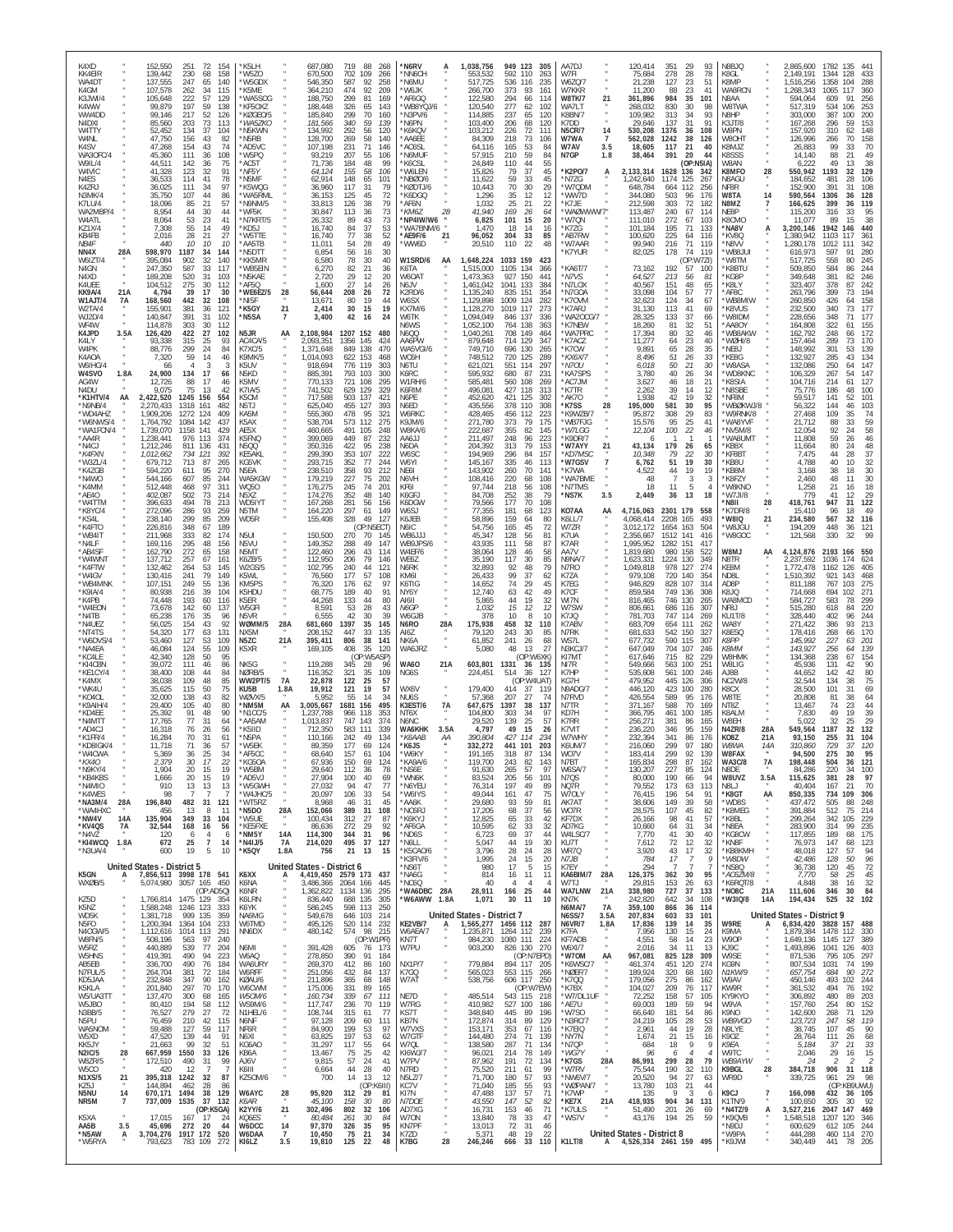| K4XD<br>KK4EIR<br>WA4DT<br>K4GM<br>K3JWI/4            | 152,550<br>139,442<br>137,555<br>107,578<br>105,648   | 251<br>72<br>230<br>68<br>247<br>65<br>262<br>34<br>222<br>57         | 154<br>K5LH<br>158<br>W5ZO<br>140<br>'W5GDX<br>115<br>'K5MF<br>129     | 'WA5SOG                              | 687,080<br>670,500<br>546,350<br>364,210<br>188,750 | 719<br>88<br>268<br>702<br>109<br>266<br>587<br>92<br>258<br>474<br>92<br>209<br>299<br>81<br>169 | *N6RV<br>'NN6CH<br>*N6MU<br>W <sub>6</sub> JK<br>AF6GQ | 1,038,756<br>A<br>553,532<br>517,725<br>266,700<br>122,580    | 949<br>123<br>592<br>110<br>536<br>116<br>373<br>93<br>294<br>66       | 305<br>263<br>235<br>161<br>114 | AA7DJ<br>W7FI<br>W6ZQ/7<br>W7KKR<br><b>W8TK/7</b><br>21                               | 120,414<br>75,684<br>21,238<br>11,200<br>361,896                         | 351<br>29<br>28<br>278<br>127<br>23<br>23<br>88<br>984<br>35          | 93<br>78<br>51<br>41<br>101              | N8BJQ<br>K8GL<br>K8MP<br>WA8RCN<br>N8AA       |                   | 2,865,600<br>2,149,191<br>1,516,256<br>1,268,343<br>594,064                    | 1782<br>1344<br>1358<br>1065<br>609 | 135<br>44 <sup>°</sup><br>128<br>433<br>288<br>104<br>360<br>117<br>256<br>91 |
|-------------------------------------------------------|-------------------------------------------------------|-----------------------------------------------------------------------|------------------------------------------------------------------------|--------------------------------------|-----------------------------------------------------|---------------------------------------------------------------------------------------------------|--------------------------------------------------------|---------------------------------------------------------------|------------------------------------------------------------------------|---------------------------------|---------------------------------------------------------------------------------------|--------------------------------------------------------------------------|-----------------------------------------------------------------------|------------------------------------------|-----------------------------------------------|-------------------|--------------------------------------------------------------------------------|-------------------------------------|-------------------------------------------------------------------------------|
| K4WW<br>WW4DD<br>N4DXI<br>W4TTY                       | 99,879<br>99,146<br>85,560<br>52.452                  | 197<br>59<br>217<br>52<br>203<br>73<br>134<br>37                      | 138<br>126<br>113<br>104                                               | KF50X7<br>KØGEO/5<br>WA57KC<br>N5KWN | 188,448<br>185,840<br>181,566<br>134.992            | 326<br>65<br>143<br>299<br>70<br>160<br>$\frac{340}{292}$<br>59<br>139<br>56<br>120               | WB8YQJ/6<br>N3PV/6<br>N6PN<br>'K6KQV                   | 120,540<br>114,885<br>103,400<br>103,212                      | 277<br>62<br>237<br>65<br>206<br>68<br>226<br>72                       | 102<br>120<br>120<br>111        | WA7LT<br>K8BN/7<br>K7DD<br><b>N5CR/7</b><br>14                                        | 268.032<br>109,982<br>29.646<br>530,208                                  | 830<br>30<br>34<br>313<br>31<br>137<br>36<br>1376                     | 98<br>93<br>91<br>108                    | W8TWA<br>N8HP<br>K3JT/8<br>W8PN               |                   | 517,319<br>303,000<br>167,268<br>157,920                                       | 534<br>387<br>296<br>310            | 253<br>106<br>200<br>100<br>153<br>59<br>62<br>148                            |
| W4NL<br>K4SV<br>WA3OFC/4<br>W9IL/4                    | 47,750<br>47,268<br>45,360<br>44,511                  | 156<br>43<br>154<br>43<br>111<br>36<br>142<br>36                      | 82<br>'N5RB<br>AD5VC*<br>74<br>108<br>'W5PQ<br>75<br>'AC5T             |                                      | 128,700<br>107,198<br>93,219<br>71,736              | 269<br>58<br>140<br>231<br>71<br>146<br>207<br>55<br>106<br>48<br>184<br>99                       | AA6EE<br>'AC6SL<br>'N6MUF<br>'K6CSL                    | 84,309<br>64,116<br>57,915<br>24,849                          | 218<br>73<br>165<br>53<br>59<br>210<br>44<br>110                       | 106<br>84<br>84<br>55           | $\overline{7}$<br>W7WA<br>W7AV<br>3.5<br>N7GP                                         | 562,028<br>18,605<br>38,464                                              | 1242<br>38<br>117<br>21<br>20<br>391                                  | 126<br>40<br>44<br>(OP:N5IA)             | W80HT<br>K8MJZ<br>K8SSS<br>W8AN               |                   | 126,996<br>26,883<br>14,140<br>6,222                                           | 266<br>99<br>88<br>49               | 70<br>158<br>70<br>33<br>21<br>49<br>38<br>13                                 |
| W4VIC<br>N4ES<br>K4ZRJ<br>N3MK/4                      | 41,328<br>36,533<br>36,025<br>35,750                  | 123<br>32<br>114<br>41<br>111<br>34<br>107<br>44                      | 91<br>*NF5Y<br>78<br>'N5MF<br>97<br>86                                 | K5WQG<br>'WA5RML                     | 64,124<br>62,914<br>36,960<br>36,153                | 155<br>58<br>106<br>148<br>65<br>101<br>117<br>31<br>79<br>45<br>72<br>125                        | W6LEN<br>NBØ0/6<br>KØDTJ/6<br>'K6DGQ                   | 15,826<br>11,622<br>10,443<br>1,296                           | 37<br>79<br>59<br>33<br>30<br>70<br>35<br>12                           | 45<br>45<br>29<br>12            | *K2PO/7<br>А<br>'N7ZG<br>'W7QDM<br>'WW7D                                              | 2,133,314<br>1,242,640<br>648,784<br>344,080                             | 1628<br>136<br>1174<br>125<br>664<br>112<br>503<br>96                 | 342<br>267<br>256<br>176                 | K8MFO<br>N8AGU<br>NF8R<br>W8TA                | 28<br>14          | 550,942<br>184,652<br>152,900<br>590,564                                       | 1193<br>481<br>391<br>1306          | 32<br>129<br>28<br>106<br>108<br>31<br>128<br>36                              |
| K7LU/4<br>WA2MBP/4<br>W4ATL<br>KZ1X/4                 | 18,096<br>8,954<br>8,064<br>7,308                     | 85<br>21<br>44<br>30<br>53<br>23<br>55<br>14                          | 57<br>44<br>'WF5K<br>41<br>49<br>'KD5J                                 | N9NM/5<br>'N7KRT/5                   | 33,813<br>30,847<br>26,332<br>16,740                | 126<br>38<br>79<br>73<br>113<br>36<br>89<br>43<br>73<br>37<br>53<br>84                            | AF6N*<br>*KM67<br>NP4IW/W6*<br>WA7BNM/6                | 1,032<br>41.940<br>28<br>6,825<br>1,470                       | 25<br>21<br>169<br>26<br>101<br>15<br>18<br>14                         | 22<br>64<br>20<br>16            | *K7JE<br>'WAØWWW/7"<br>*W7QN<br>'K7ZG                                                 | 212,598<br>113,487<br>111,010<br>101,184                                 | 303<br>72<br>240<br>67<br>272<br>67<br>195<br>71                      | 182<br>114<br>103<br>133                 | N8MZ<br>NF8P<br>K8CMO<br>*NA8V                |                   | 166,625<br>115,200<br>11,077<br>3,200,146                                      | 399<br>316<br>89<br>1942            | 119<br>36<br>95<br>33<br>15<br>38<br>440<br>146                               |
| KB4FB<br>NB <sub>4</sub> F<br>NN4X<br>28A<br>W6IZT/4  | 2,016<br>440<br>598,970<br>395,084                    | 28<br>21<br>10<br>10<br>1187<br>34<br>902<br>32                       | 27<br>'W5TTE<br>10<br>AA5TR'<br>144<br>'N5DTT<br>140<br>'KK5MR         |                                      | 16,740<br>11,011<br>6,854<br>6,580                  | 77<br>38<br>52<br>28<br>49<br>54<br>30<br>56<br>16<br>78<br>30<br>40                              | *AE9F/6<br>'WW6D<br>W1SRD/6                            | 21<br>96,052<br>20,510<br>1,648,224<br>AA                     | 304<br>33<br>22<br>110<br>1033 159                                     | 85<br>48<br>423                 | *AB7RW<br>'W7AAR<br>'K7YUR                                                            | 100,620<br>99.940<br>82,025                                              | 225<br>64<br>71<br>216<br>178<br>74<br>(OP:W7ZI)                      | 116<br>119<br>119                        | KV8Q<br>N8VV<br>WB8JUI<br>'W8TM               |                   | 1,380,942<br>1,280,178<br>616,973<br>517,725                                   | 1103<br>1012<br>597<br>558          | 361<br>117<br>342<br>111<br>280<br>91<br>80<br>245                            |
| N4GN<br>N4XD<br>K4UEE<br>KK9A/4<br>21A                | 247,350<br>189,208<br>104,512<br>4,794                | 587<br>33<br>520<br>31<br>275<br>30<br>39<br>17                       | 117<br>'WB5EIN<br>103<br>'N5KAE<br>112<br>AF50'<br>30                  | 28<br>WE6EZ/5                        | 6,270<br>2,720<br>1,600<br>56,644                   | 21<br>82<br>36<br>29<br>12<br>20<br>27<br>14<br>26<br>208<br>26<br>72                             | K6TA<br>W6OAT<br>N6JV<br>K2RD/6                        | ,515,000<br>1,473,363<br>1,461,042<br>1,135,240               | 1105<br>134<br>927<br>150<br>1041<br>133<br>835<br>151                 | 366<br>441<br>384<br>354        | 'KA6T/7<br>*N7VS<br>`N7LOX<br>'N7GOA                                                  | 73,162<br>64,527<br>40,567<br>33,098                                     | 192<br>57<br>213<br>56<br>151<br>48<br>57<br>104                      | 100<br>81<br>65<br>77                    | K8BTU<br>KG8P<br>K8LY<br>AF8C                 |                   | 509,850<br>349,648<br>323,407<br>263,796                                       | 584<br>381<br>378<br>399            | 244<br>86<br>82<br>246<br>242<br>87<br>73<br>194                              |
| W1AJT/4<br>7A<br>W2TA/4<br>WJ2D/4<br>WF4W             | 168,560<br>155,901<br>140,847<br>114,878              | 442<br>32<br>381<br>36<br>391<br>31<br>303<br>30                      | 108<br>*NI5F<br>121<br>*K5GY<br>N5SA*<br>102<br>112                    | 21<br>$\overline{7}$                 | 13,671<br>2,414<br>3,400                            | 80<br>19<br>44<br>30<br>15<br>19<br>42<br>24<br>16                                                | W6SX<br>KX7M/6<br>W6TK<br>N6WS                         | ,129,898<br>,128,270<br>1,094,049<br>1,052,100                | 124<br>1009<br>117<br>1019<br>846 137<br>138<br>764                    | 282<br>273<br>336<br>363        | 'K70VM<br>'K7ARJ<br>'WA2OCG/7<br>*K7NEW                                               | 32,623<br>31,130<br>28,325<br>18,260                                     | 124<br>34<br>113<br>41<br>37<br>133<br>81<br>32                       | 67<br>69<br>66<br>51                     | WB8MIW<br>K8VUS<br>W8IDM<br>AA8OY             |                   | 260,850<br>232,500<br>228,656<br>164,808                                       | 426<br>340<br>348<br>322            | 158<br>64<br>177<br>73<br>71<br>177<br>155                                    |
| K4JPD<br>3.5A<br>K4LY<br>W4PK<br>K4AOA                | 126,420<br>93,338<br>88,776<br>7,320                  | 422<br>27<br>315<br>25<br>299<br>24<br>59<br>14                       | N5JR<br>102<br>93<br>AC4CA/5<br>84<br>K7XC/5<br>46<br>K9MK/5           | AA                                   | 2,108,984<br>2,093,351<br>1,371,648<br>1,014,093    | 1207 152<br>480<br>1356<br>145<br>424<br>849<br>138<br>470<br>622<br>153<br>468                   | N6QQ<br>AA6PW<br>WA5VGI/6<br>WC6H                      | ,040,261<br>879,648<br>749,710<br>748,512                     | 708<br>149<br>714<br>129<br>696 130<br>720<br>125                      | 464<br>347<br>265<br>289        | 'WA7PRC<br>*K7ACZ<br>'K7CW<br>*KX6X/7                                                 | 17,394<br>11,277<br>9,891<br>8,496                                       | 80<br>32<br>23<br>64<br>28<br>65<br>51<br>26                          | 46<br>40<br>35<br>33                     | WB8AKW<br>WØHI/8<br>'NE8J<br>KE8G             |                   | 162,792<br>157,464<br>148,992<br>132,927                                       | 248<br>289<br>301<br>285            | 172<br>66<br>170<br>73<br>139<br>53<br>134<br>43                              |
| W6IHG/4<br>1.8A<br>W4SVO<br>AG4W<br>N4DU              | 66<br>24,900<br>12,726<br>9,075                       | 134<br>17<br>88<br>17<br>75<br>13                                     | K5UV<br>3<br>66<br>N5KD<br>K5MV<br>46<br>K7IA/5<br>42                  |                                      | 918,694<br>885,391<br>770,133<br>741,502            | 776<br>119<br>303<br>793<br>103<br>300<br>721<br>108<br>295<br>629<br>129<br>329                  | N6TU<br>K6RC<br>W1RH/6<br>K6RIM                        | 621,021<br>595,932<br>585,481<br>496,081                      | 551<br>114<br>87<br>680<br>560<br>108<br>427<br>118                    | 297<br>231<br>269<br>313        | *N7OU<br>KA7SPS<br>AC7JM<br>*K7TR                                                     | 6,018<br>3,780<br>3,627<br>2,262                                         | $\frac{27}{26}$<br>50<br>40<br>46<br>18<br>39<br>14                   | 30<br>34<br>21<br>12                     | W8ASA<br>'WD8KNC<br>K8SIA<br>'N8SBE           |                   | 132,086<br>106,329<br>104,716<br>75,776                                        | 250<br>267<br>214<br>186            | 147<br>64<br>147<br>54<br>61<br>127<br>48<br>100                              |
| *K1HTV/4<br>AA<br>*N9NB/4<br>*WD4AHZ<br>*W6NWS/4      | 2,422,520<br>2,270,433<br>1,909,206<br>1,764,792      | 1245<br>156<br>1318<br>161<br>1272<br>124<br>1084<br>142              | 554<br>K5CM<br>482<br>N5TJ<br>409<br>KA5M<br>K5AX<br>437               |                                      | 717,588<br>625,040<br>555,360<br>538,704            | 503<br>137<br>421<br>455<br>127<br>393<br>478<br>95<br>321<br>573<br>112<br>275                   | N6PE<br>N6ED<br>W6RKC<br>K9JM/6                        | 452,620<br>435,556<br>428,465<br>271,780                      | 421<br>125<br>378<br>110<br>456 112<br>373<br>79                       | 302<br>308<br>223               | AK70<br>*K7SS<br>28<br>*K9WZB/7<br>'WB7FJG                                            | 1,938<br>195,000<br>95,872<br>15,576                                     | 42<br>19<br>581<br>30<br>308<br>29<br>25<br>95                        | 32<br>95<br>83<br>41                     | NF8M<br>WBØKWJ/8<br>W9RNK/8<br>WA8YVF         |                   | 59,517<br>56,322<br>27,468<br>21,712                                           | 141<br>144<br>109<br>88             | 52<br>101<br>103<br>46<br>35<br>74<br>33                                      |
| *WA1FCN/4<br>*AA4R<br>*N4CJ<br>*K4FXN                 | 1,739,070<br>1,238,441<br>1,212,246                   | 1158<br>141<br>976 113<br>811<br>136<br>734<br>121                    | AE5X<br>429<br>K5FNO<br>374<br><b>N5QQ</b><br>431<br>392<br>KE5AKL     |                                      | 460,665<br>399,069<br>350,316<br>299,390            | 491<br>105<br>248<br>449<br>87<br>232<br>422<br>95<br>238<br>353<br>107<br>222                    | W8KA/6<br>LLAAA<br>N6DA<br>W6SC                        | 222,687<br>211,497<br>204,392<br>194,969                      | 355<br>82<br>248<br>96<br>313<br>79<br>296<br>84                       | 175<br>145<br>223<br>153<br>157 | *W7LGG<br>*K9DR/7<br>*W7AYY<br>21<br>*KD7MSC                                          | 12,104<br>-6<br>43,134<br>10,348                                         | 22<br>100<br>179<br>26<br>79<br>22                                    | 46<br>65<br>30                           | NV5M/8<br>'WA8UMT<br>KB8X<br>KF8BT            |                   | 12,054<br>11,808<br>11,664<br>7,475                                            | 92<br>59<br>80<br>44                | $\frac{59}{58}$<br>24<br>26<br>46<br>24<br>48<br>37<br>28                     |
| *W3ZL/4<br>*K4ZGB<br>*N4WO<br>*K4MM                   | 1,012,662<br>679,712<br>594,220<br>544,166<br>512.448 | 713<br>87<br>611<br>95<br>607<br>85<br>97<br>468                      | 265<br>KG5VK<br>270<br>N5EA<br>WA5KGW<br>244<br>311<br>W050            |                                      | 293,715<br>238,510<br>179,219                       | 352<br>77<br>244<br>358<br>93<br>212<br>227<br>75<br>202<br>74<br>201                             | W6YI<br>NE6I<br>N6VH<br>KF6I                           | 145,167<br>143,902<br>108,416<br>97.744                       | 335<br>46<br>260<br>70<br>220<br>68                                    | 113<br>141<br>108               | $\overline{7}$<br>*W7GSV<br>'K7WA<br>*WA7BME<br>*N7TMS                                | 6,762<br>4.522<br>48<br>18                                               | 19<br>51<br>44<br>19<br>3<br>11<br>-5                                 | 30<br>19                                 | KB8U<br>KB8M<br>K8FZY<br>W8KNO                |                   | 4,788<br>3.168<br>2.460                                                        | 40<br>38<br>48                      | 10<br>32<br>30<br>18<br>30<br>11                                              |
| *AE4O<br>*W4TTM<br>*K8YC/4<br>*KS4L                   | 402,087<br>396,633<br>272,096<br>238,140              | 502<br>73<br>494<br>78<br>286<br>93<br>299<br>85                      | 214<br>N5XZ<br>213<br>WD5IYT<br>259<br>N5TM<br>209<br>WD5R             |                                      | 176,275<br>174,276<br>167,268<br>164,220            | $\frac{245}{352}$<br>48<br>140<br>281<br>56<br>156<br>297<br>61<br>149<br>328<br>49<br>127        | K6GFJ<br>K6DGW<br>W6SJ<br>K6JEB                        | 84,708<br>79,566<br>77,355<br>58,896                          | 218<br>56<br>252<br>38<br>177<br>70<br>181<br>68<br>159<br>64          | 108<br>79<br>108<br>123<br>80   | *NS7K<br>3.5<br>KO7AA<br>AA<br>K6LL/7                                                 | 2,449<br>4,716,063<br>4,068,414                                          | 13<br>36<br>2301 179<br>2208<br>165                                   | 18<br>558<br>493                         | 'W7JI/8<br>'N8II<br>K7DR/8<br><b>OI8W</b>     | 28<br>21          | 1,258<br>779<br>418,761<br>15,410<br>234,580                                   | $^{21}_{41}$<br>947<br>96<br>567    | $\frac{18}{29}$<br>16<br>12<br>31<br>122<br>49<br>18<br>32<br>116             |
| *K4FTO<br>*WB4IT<br>*N4LF<br>*AB4SF                   | 226,816<br>211,968<br>169,116<br>162,790              | 348<br>67<br>333<br>82<br>295<br>272<br>48<br>65                      | 189<br>174<br>N5UI<br>156<br>N5VU<br>158<br>N5MT                       |                                      | 155,408<br>150,500<br>149,352<br>122,460            | (OP:N5ECT)<br>270<br>70<br>145<br>49<br>288<br>147<br>296<br>43<br>114                            | N6IC<br>WB6JJJ<br>WB9JPS/6<br>W4EF/6                   | 54,756<br>45,347<br>43,935<br>38,064                          | 165<br>45<br>128<br>56<br>58<br>111<br>128<br>46                       | 72<br>81<br>87<br>58            | W7ZR<br>K7UA<br>K7AR<br>AA7V                                                          | 3,012,172<br>2,356,667<br>1,995,952<br>1,819,680                         | 1654<br>163<br>1512<br>141<br>151<br>1282<br>158<br>980               | 504<br>416<br>417<br>522                 | 'W8JGU<br>'W8GOC<br>LM8W                      | AA                | 194,209<br>121,568<br>4,124,876                                                | 448<br>330<br>2193                  | 121<br>36<br>32<br>166                                                        |
| *W4WNT<br>*K4FTW<br>*W4GV<br>*WB4MNK                  | 137,712<br>132,462<br>130,416<br>107,151              | 257<br>67<br>264<br>53<br>79<br>241<br>249<br>55                      | K6ZB/5<br>161<br>W2GS/5<br>145<br>149<br>K5WL<br>136<br>KM5PS          |                                      | 112,950<br>102,795<br>76,560<br>76,320              | 206<br>79<br>146<br>44<br>240<br>121<br>177<br>57<br>108<br>176<br>97<br>62                       | WE6Z<br>N6RK<br>KM6I<br>K6TIG                          | 35,190<br>32,893<br>26,433<br>14,652                          | 117<br>30<br>92<br>48<br>99<br>37<br>74<br>29                          | 85<br>79<br>62<br>45            | N9NA/7<br>N7RO<br>K7ZA<br>K7EG                                                        | 1,623,331<br>1,049,818<br>979,108<br>946,829                             | 1224<br>130<br>127<br>978<br>720<br>140<br>828<br>107                 | 349<br>274<br>354<br>314                 | N8TR<br>KE8M<br>ND8L<br>AD8P                  |                   | 2,237,592<br>1,772,478<br>1,510,392<br>811,188                                 | 1036<br>1162<br>921<br>767          | 174<br>624<br>126<br>468<br>143<br>103<br>275                                 |
| *K9IA/4<br>*K4PB<br>*W4EON<br>*N4TB                   | 80.938<br>74,448<br>73,678<br>65,238                  | 216<br>39<br>193<br>60<br>60<br>142<br>176<br>35                      | 104<br>K5HDI<br>116<br>K5ER<br>W5GF<br>137<br>96<br>N5VR               |                                      | 68,775<br>44,268<br>8,591<br>6,555                  | 189<br>40<br>91<br>133<br>44<br>80<br>53<br>28<br>43<br>30<br>42<br>-39                           | NY6Y<br>AI6II<br>N6GF<br>W6GJB                         | 12,740<br>5,865<br>1,032<br>378                               | 63<br>42<br>44<br>19<br>15<br>12<br>8<br>10                            | 49<br>32<br>12<br>10            | K7CF<br>WI7N<br>W7SW<br>K7JQ                                                          | 859,584<br>816,465<br>806,661<br>781,703                                 | 749<br>136<br>746<br>130<br>686<br>116<br>747<br>114                  | 308<br>265<br>307<br>269                 | K8JQ<br>WA8MCD<br>NF8J<br>KU1T/8              |                   | 714,668<br>584,727<br>515,280<br>328,440                                       | 694<br>583<br>618<br>402            | 271<br>102<br>299<br>78<br>220<br>84<br>244<br>96                             |
| *N4UEZ<br>*NT4TS<br>*W6DVS/4                          | 56,025<br>54,320<br>53,460                            | 154<br>43<br>177<br>63<br>127<br>53<br>55<br>124                      | 92<br>WØMM/5<br>131<br>NX5M<br>109<br>N5ZC<br>109                      | 28A<br>21A                           | 681,660<br>208,152<br>395,411                       | 1397<br>35<br>145<br>447<br>33<br>135<br>806<br>38<br>141                                         | N6RO<br>AI6Z<br>NK6A<br>WA6JRZ                         | 28A<br>175,938<br>79,120<br>61,852                            | 458<br>32<br>243<br>30<br>241<br>26<br>48<br>13                        | 110<br>85<br>68<br>27           | K7ABV<br>N7RK<br>WS7L                                                                 | 683,709<br>681,633<br>677,732                                            | 654<br>111<br>542<br>150<br>590<br>115<br>704<br>107                  | 262<br>327<br>307                        | WA8Y<br>K8ESQ<br><b>K8PP</b><br><b>K8MM</b>   |                   | 271,422<br>178,416<br>145,992<br>143,927                                       | 386<br>268<br>227<br>256            | 213<br>93<br>66<br>170<br>201<br>63<br>139<br>64                              |
| *NA4EA<br>*KC4LE<br>*KI4CBN<br>*KE1CY/4<br>*K4MX      | 46,084<br>42,340<br>39,072<br>38,400<br>38,038        | 128<br>50<br>111<br>46<br>108<br>44<br>109<br>48                      | K5XR<br>95<br>NK5G<br>86<br>84<br>NØRB/5<br>85                         | <b>7A</b><br><b>WW2PT/5</b>          | 169,105<br>119,288<br>116,352<br>22,878             | 408<br>35<br>120<br>(OP:W5ASP)<br>345<br>28<br>96<br>321<br>35<br>109<br>122<br>25<br>57          | <b>WA60</b><br>NG6S                                    | 5,080<br>21A<br>603,801<br>224,451                            | (OP:W6XK)<br>1331<br>36<br>514<br>(OP:W4UAT)                           | 135<br>127                      | N3KCJ/7<br>KI7MT<br>NI7R<br>K7HP<br>KG7H                                              | 647,049<br>617,646<br>549,666<br>535,608<br>479,952                      | 715<br>82<br>100<br>563<br>561<br>100<br>445<br>126                   | 246<br>229<br>$25^{\circ}$<br>246<br>306 | W8HMK<br>W8LIG<br>AJ8B<br><b>NC2W/8</b>       |                   | 134,368<br>45,936<br>44,652<br>32.544                                          | 238<br>131<br>142<br>134            | 67<br>154<br>90<br>42<br>42<br>80<br>75<br>38                                 |
| *WK4U<br>*KO4OL<br>*K9AIH/4<br>*KD4EE                 | 35,625<br>32,000<br>29,400<br>25,392                  | 115<br>50<br>138<br>43<br>105<br>40<br>91<br>48                       | 75<br>KU5B<br>WØVX/5<br>82<br>80<br>NM5M*<br>90<br>'N1CC/5             | 1.8A<br>AA                           | 19,912<br>5,952<br>3,005,667<br>1,237,788           | 121<br>19<br>57<br>55<br>14<br>-34<br>1681<br>156<br>495<br>966<br>118<br>353                     | WX6V<br>NU <sub>6</sub> S<br>K3EST/6<br>NT6X           | 179,400<br>57,368<br>7A<br>647,675<br>104.800                 | 414<br>37<br>207<br>27<br>1397<br>38<br>303<br>34                      | 119<br>74<br>137<br>97          | N9ADG/7<br>N7RVD<br>N7TR<br>KD7H                                                      | 446,120<br>426,554<br>371,167<br>366,795                                 | 423<br>100<br>589<br>95<br>588<br>70<br>461<br>100                    | 280<br>176<br>169<br>185                 | K8CX<br>W8TE<br>NT8Z<br>K8ALM                 |                   | 28,500<br>20,808<br>13,467<br>7,830                                            | 101<br>81<br>74<br>49               | 31<br>69<br>38<br>64<br>23<br>44<br>19<br>39                                  |
| *N4MTT<br>*AD4CJ<br>*K1FR/4<br>*KD8IGK/4              | 17,765<br>16.318<br>16,284<br>11,718                  | 77<br>31<br>$\frac{76}{1}$<br>26<br>70<br>31<br>71<br>36              | AA5AM*<br>64<br>56<br>'K5IID<br>61<br>'N5PA<br>57<br>*W5EK             |                                      | 1,013,837<br>712.350<br>110,166<br>89,359           | 747<br>143<br>374<br>583<br>111<br>339<br>242<br>49<br>134<br>177<br>69<br>124                    | N6NC<br>WA6KHK<br>*К6ААВ<br>*K6JS                      | 29,520<br>3.5A<br>4,797<br>АA<br>390,804<br>332,272           | 139<br>25<br>15<br>49<br>427<br>114<br>441 101                         | 57<br>26<br>234<br>203          | K7RR<br>K7VIT<br>W7WHY<br>K6UM/7                                                      | 256,271<br>236,220<br>232,394<br>216,060                                 | 381<br>86<br>95<br>346<br>341<br>86<br>299<br>97                      | 165<br>159<br>176<br>180                 | W8EH<br>N4ZR/8<br>KO8Z<br>W8WA                | 28A<br>21A<br>14A | 5,022<br>549,564<br>93.150<br>310,860                                          | 32<br>1187<br>255<br>729            | 29<br>25<br>$\frac{32}{1}$<br>132<br>31<br>104<br>37<br>120                   |
| *W4CWA<br>*KX40<br>*N9KY/4<br>*KB4KBS                 | 5,369<br>2,379<br>1,904<br>1.666                      | 36<br>25<br>30<br>17<br>20<br>15<br>20<br>15                          | 34<br>*AF5CC<br>KG50A<br>22<br>19<br>'W5BM<br>19<br>*AD5VJ             |                                      | 68,640<br>67,936<br>29,640<br>27,904                | 157<br>61<br>104<br>150<br>69<br>124<br>112<br>36<br>78<br>100<br>40<br>69                        | *W6KY<br>KA9A/6<br>*NS6E<br>*WN6K                      | 191,165<br>119,700<br>91,630<br>83,524                        | 318<br>87<br>243<br>82<br>57<br>265<br>205<br>56                       | 134<br>143<br>97<br>101         | WO7V<br>N7BT<br>W6SA/7<br>N7QS                                                        | 183,414<br>165.834<br>130,207<br>80,000                                  | 92<br>299<br>298<br>87<br>227<br>85<br>190<br>66                      | 139<br>162<br>124<br>94                  | W8FAX<br><b>WA3C/8</b><br>N8DE<br>W8UVZ       | 7A<br>3.5A        | 94,500<br>198,448<br>84,286<br>115,625                                         | 275<br>504<br>220<br>381            | 30<br>95<br>121<br>36<br>34<br>100<br>28<br>97                                |
| *N4MIO<br>*K4WES<br>*NA3M/4<br>28A<br>*WA4HXC         | 910<br>98<br>196,840<br>456                           | 13<br>13<br>482<br>31<br>13<br>8                                      | 13<br>121<br>*WT5RZ<br>*N5DO<br>-11                                    | *W5GWH<br>'W4JHC/5<br>28A            | 27,032<br>20,097<br>8,968<br>152,066                | 94<br>47<br>77<br>106<br>33<br>54<br>31<br>45<br>46<br>389<br>31<br>108                           | *N6YEU<br>*W6IYS<br>*AA6K<br>*NC6RJ                    | 76,314<br>49,044<br>29,680<br>17,205                          | 197<br>49<br>161<br>47<br>93<br>59<br>37<br>68                         | 89<br>75<br>81<br>56            | NQ7R<br>W70LY<br>AK7AT<br>W07R                                                        | 79,552<br>76,415<br>38,606<br>28,575                                     | 173<br>63<br>196<br>54<br>149<br>39<br>107<br>45                      | 113<br>ò.<br>58<br>82                    | N8LJ<br>*K8GT<br>*WD8S<br>*K8MEG              | AA<br>$\alpha$    | 40,404<br>850,335<br>437,472<br>391,884                                        | 167<br>734<br>505<br>512            | 70<br>-21<br>109<br>306<br>88<br>248<br>75<br>214                             |
| *NW4V<br>14A<br>*KV4QS<br>7A<br>*N4V7<br>*KI4WCQ 1.8A | 135.904<br>32,544<br>120<br>672                       | 349<br>33<br>168<br>16<br>- 6<br>-4<br>25<br>$\overline{7}$           | 104<br>*W5UF<br>56<br>*KE5FXE<br>*NM5Y<br>-6<br>*N4IJ/5<br>14          | 14A<br>7A                            | 100,434<br>86,636<br>114,300<br>214,020             | 312<br>27<br>87<br>272<br>29<br>92<br>344<br>31<br>96<br>495<br>37<br>127                         | <b>K6KYJ</b><br>*AF6GA<br>ND6S*<br>*N6LL               | 12,825<br>10,595<br>6,723<br>5,047                            | 33<br>65<br>62<br>33<br>37<br>69<br>44<br>19                           | 42<br>32<br>44<br>30            | KF7DX<br>AD7KG<br>W4LSC/7<br>KU7T                                                     | 26.166<br>10,660<br>7.770<br>7,612                                       | 98<br>41<br>64<br>31<br>30<br>41<br>72<br>12                          | 57<br>34<br>40<br>32                     | *K8BI<br>*N8EA<br>*KG8CW<br>*KN8F             |                   | 299,264<br>283,900<br>117,855<br>76,973                                        | 342<br>314<br>189<br>147            | 229<br>105<br>99<br>235<br>175<br>68<br>123<br>68                             |
| *N3UA/4<br>K5GN<br>А                                  | 600<br>United States - District 5                     | 19<br>5<br>7,856,513 3998 178 541                                     | 10<br>*K5QY<br>K6XX                                                    | 1.8A<br>A                            | 756<br>United States - District 6                   | 21<br>15<br>13<br>4,419,450 2579 173 437                                                          | *K5CAO/6<br>'K3FIV/6<br>*NS6T<br>*NA6G                 | 3,796<br>1.995<br>980<br>814                                  | 28<br>24<br>24<br>15<br>17<br>5<br>16<br>-11                           | 28<br>20<br>15<br>11            | WR70<br>N7JB<br>K7EY<br>28A<br>KA6BIM/7                                               | 3,920<br>784<br>294<br>126,375                                           | 17<br>43<br>17<br>-7<br>$\overline{7}$<br>$\overline{7}$<br>30<br>362 | 32<br>q<br>$\overline{7}$<br>95          | <b>KB8KMH</b><br>*W8DW<br>NS80*<br>*AC6ZM/8   |                   | 48,018<br>42,486<br>36,738<br>7,770                                            | 127<br>128<br>120<br>58             | 94<br>57<br>96<br>50<br>72<br>45<br>45<br>25                                  |
| WXØB/5<br>KZ5D<br>K5NZ                                | 1,588,248                                             | 5,074,980 3057 165 450<br>(OP:AD5Q)<br>1.766.814 1475 129<br>1246 123 | K6NA<br>K6NR<br>354<br>K6LRN<br>333<br>K6YK                            |                                      | 3,486,366<br>1,362,822<br>836,440<br>586,245        | 2064 166<br>445<br>1134 136<br>295<br>688 135<br>305<br>598 113<br>-250                           | *NC6Q<br>*WA6DBC 28A<br>*W6AWW 1.8A                    | 40<br>28,911<br>1,071                                         | $\overline{4}$<br>$\overline{4}$<br>25<br>166<br>30<br>11              | $\overline{4}$<br>44<br>10      | W7TJ<br>21A<br><b>WA7LNW</b><br>KN7K<br>7A<br><b>N6MA/7</b>                           | 29,815<br>338,980<br>242,820<br>359,100                                  | 153<br>26<br>727<br>37<br>642<br>34<br>866<br>36                      | 63<br>133<br>108<br>114                  | K6RQT/8<br>*NO8C<br>*W3IQ/8                   | 21A<br>14A        | 4,848<br>111,606<br>194,434                                                    | 38<br>346<br>525                    | 32<br>16<br>84<br>30<br>32<br>102                                             |
| WD5K<br>N5FO<br>N40GW/5<br>W8FN/5                     | ,381,718<br>1,200,394<br>508,196                      | 999<br>135<br>1364 104<br>1,112,616 1014 113<br>563<br>- 97           | 359<br>NA6MG<br>233<br>W6TMD<br>291<br>NN6DX<br>240                    | $\alpha$                             | 549,678<br>495,126<br>480,142                       | 646 103<br>214<br>232<br>520 114<br>574 98<br>215<br>(OP:W1PR)                                    | KE2VB/7<br>W6AEA/7<br>KN7T                             | <b>United States - District 7</b><br>A<br>,235,871<br>984,230 | 1,565,277 1456 112 287<br>1264 112<br>-239<br>1080 111 224             |                                 | <b>N6SS/7</b><br>3.5A<br><b>N6VR/7</b><br>1.8A<br>K7FA<br>$\scriptstyle{N}$<br>KF7ADB | 207,834<br>17,836<br>7,956<br>4,551                                      | 603<br>33<br>139<br>14<br>130<br>15<br>58<br>-14                      | 101<br>-35<br>24<br>-23                  | W9RE<br>K9MA<br>W9OP                          | А                 | United States - District 9<br>6,834,420 3828 157 488<br>1,879,384<br>1.649.136 | 1478 112<br>1145 127 389            | 330                                                                           |
| W5RZ<br>W5HNS<br>AB5EB<br><b>N7FUL/5</b>              | 440,889<br>419,391<br>336,700<br>264,704              | 539<br>77<br>490<br>94<br>490<br>76<br>381<br>72                      | 204<br>N6MI<br>223<br>W6AQ<br>184<br>WA6URY<br>W6RFF<br>184            |                                      | 391,428<br>278,850<br>269,370<br>251,056            | 605<br>76 173<br>390<br>91<br>184<br>412<br>160<br>86<br>137<br>432<br>84                         | W7PU<br>NX1P/7<br>K7GQ                                 | 903,200<br>779,884<br>$\cdot$<br>565,023                      | 826 130 270<br>(OP:N7EPD)<br>894 117 205<br>553 115 266<br>606 117 250 |                                 | W6XI/7<br>*W70M<br>AA<br>*K6WSC/7<br>NØEF/7                                           | 2,016<br>967,081<br>461,374<br>189,924                                   | 34<br>11<br>825 128<br>451<br>120<br>320<br>-68                       | 13<br>309<br>274<br>160                  | KJ9C<br>W9SE<br>KG9N<br>N1KW/9                |                   | 1,493,896<br>871,536<br>807,534<br>657,754                                     | 1041<br>795<br>1031<br>684          | 126<br>403<br>297<br>105<br>74<br>199<br>272<br>90                            |
| KD5JAA<br>K5KLA<br>W5/UA3TT<br>W5JBO                  | 232,848<br>201,840<br>137,470<br>80,410               | 347<br>90<br>70<br>297<br>300<br>-68<br>194<br>58                     | 162<br>KØAU/6<br>170<br>W6CWM<br>165<br>W50M/6<br>112<br><b>WS9M/6</b> |                                      | 211,896<br>175,006<br>160,734<br>117,747            | 365<br>68<br>148<br>331<br>89<br>165<br>339<br>67<br>111<br>236<br>70<br>119                      | W7AT<br>NE7D<br>W7RG                                   | 538,756<br>485,514<br>410,982                                 | (OP:W7EW)<br>543 115 218<br>527 100                                    | 186                             | *K7QQ<br>*K7BX<br>*W7/DL1UF<br>*AE7U                                                  | 179,056<br>104,027<br>72,252<br>69,003                                   | 275<br>86<br>209<br>76<br>158<br>57<br>189<br>59                      | 162<br>117<br>105<br>94                  | W9AV<br>KW9R<br>KY9KYO<br>W9VA                |                   | 450,146<br>361,532<br>306,892<br>157,760                                       | 493<br>494<br>480<br>254            | 244<br>102<br>192<br>76<br>203<br>89<br>80<br>152                             |
| N3BB/5<br>N5PU<br>WA5NOM<br>W5XD                      | 76,527<br>76,459<br>59,488<br>47,520                  | 279<br>27<br>210<br>42<br>127<br>59<br>139<br>44                      | -72<br>N1HEL/6<br>115<br>N6NF<br>117<br>NF6R<br>91<br>N6XI             |                                      | 108,744<br>97,128<br>84,900<br>63,825               | 315<br>61<br>-77<br>209<br>60<br>111<br>199<br>53<br>-97<br>197<br>53<br>62                       | KS7T<br>KB7N<br>W7VXS<br>W7GTF                         | 348,840<br>172,874<br>153,171<br>144,480                      | 445<br>-89<br>314<br>89<br>353<br>67<br>274<br>71                      | 196<br>129<br>116<br>139        | *W7SO<br>*N3RC/7<br>*K7EIQ<br>*NY7N                                                   | 66,640<br>24,219<br>2,961<br>1,674                                       | 54<br>181<br>28<br>105<br>19<br>44<br>21<br>15                        | 86<br>53<br>28<br>16                     | K <sub>9</sub> NO<br>WB9VGO<br>N9LYE<br>K90Z  |                   | 142,600<br>123,723<br>38,745<br>28,764                                         | 268<br>247<br>107<br>111            | 129<br>71<br>119<br>58<br>90<br>45<br>26<br>68                                |
| KK5JY<br><b>N2IC/5</b><br>28<br><b>W87R/5</b><br>W5CO | 21,663<br>667,959<br>172,510<br>420                   | 99<br>-32<br>1550<br>33<br>490<br>-31<br>12<br>$\overline{7}$         | -51<br>KG6A0<br>126<br>KB6A<br>99<br>A J6V<br>K6III<br>7               |                                      | 31,297<br>13,467<br>9,815<br>6,664                  | 117<br>55<br>64<br>75<br>25<br>42<br>57<br>24<br>41<br>44<br>28<br>40                             | W70L<br>KI6WJ/7<br>W7PV<br>N7RD                        | 138,580<br>96,021<br>87,962<br>75,520                         | 287<br>71<br>134<br>214<br>78<br>191<br>72<br>211<br>61                | 149<br>134<br>99                | $_{\rm \star}$<br>*N7QP<br>*WG7Y<br>28A<br>*K7GS<br>*W7RV                             | 684<br>96<br>86,991<br>75,544                                            | 18<br>9<br>$\overline{4}$<br>6<br>299<br>28<br>190<br>32              | 9<br>$\mathcal{A}$<br>79<br>110          | K9EA<br>W9TC<br>WB9AYW<br>K9BGL               | 28                | 5.184<br>2,046<br>-24<br>384,718                                               | 37<br>29<br>2<br>906                | 21<br>33<br>16<br>15<br>2<br>-2<br>31 118                                     |
| 21<br>N1XS/5<br>KZ5J<br>N5NU<br>14<br>NR5M<br>7       | 395,318 1242<br>144,894<br>670,171<br>737,009         | 32<br>28<br>462<br>1494<br>38<br>37<br>1535                           | 87<br>KZ50M/6<br>-86<br>129<br>W6AYC<br>132<br>K6AR                    | $^{28}$                              | 700<br>95,920<br>45,100                             | 14<br>13<br>12<br>(OP:K6III)<br>312<br>29<br>81<br>158<br>30<br>80                                | N5LZ/7<br>KC7V<br>KI7N<br><i>N7DOE</i>                 | 71,700<br>71,040<br>47,488<br>43,550                          | 180<br>57<br>185<br>55<br>57<br>137<br>52<br>147                       | 93<br>93<br>71<br>82            | *NW6V/7<br>$\scriptstyle{N}$<br>*WØPAN/7<br>K7WP<br>21A<br>*KE7X                      | 20.520<br>13,780<br>135<br>418,935                                       | 27<br>94<br>103<br>21<br>-9<br>-3<br>904<br>34                        | -63<br>44<br>6<br>131                    | WR9D<br>K9CJ<br>K1TN/9                        | 7                 | 339,725<br>166,098<br>100,650                                                  | 961<br>432<br>305                   | 29<br>98<br>(OP:KB9UWU)<br>36 105<br>92<br>30                                 |
| K5XA<br>3.5<br>AA5B<br>*N5AW<br>А<br>*W5RYA           | 17,015<br>45,696<br>793,623                           | (OP:K5GA)<br>167<br>-17<br>272<br>20<br>3,704,276 1917 172<br>783 109 | K2YY/6<br>24<br>KQ6ES<br>44<br>W6DCC<br>520<br>W6DAA<br>272<br>KI6LZ   | 21<br>14<br>$\overline{7}$<br>3.5    | 302,496<br>80,484<br>97,370<br>10,450<br>19,810     | 802<br>32<br>106<br>261<br>-30<br>84<br>326<br>35<br>95<br>21<br>75<br>34<br>125<br>22<br>48      | AD7XG<br>W70N<br>KN7PF<br>K7ZD<br>K7BG                 | 16,731<br>13,840<br>13,013<br>5,371<br>28<br>246,246          | 153<br>46<br>78<br>-33<br>72<br>31<br>48<br>19<br>666<br>33            | 71<br>47<br>46<br>22<br>110     | *K7ULS<br>*WS7V<br><b>K1LT/8</b><br>A                                                 | 51,490<br>43,176<br>United States - District 8<br>4,526,334 2461 159 495 | 201<br>26<br>194<br>25                                                | 69<br>59                                 | *N4TZ/9<br>*K9QVB<br>*N9DJ<br>*W9PA<br>*K9JWI | А                 | 3,527,216<br>1,548,518<br>600,629<br>444,288<br>340,449                        | 2047 147 469                        | 1207 120 346<br>612 105 244<br>460 114 270<br>441 78 205                      |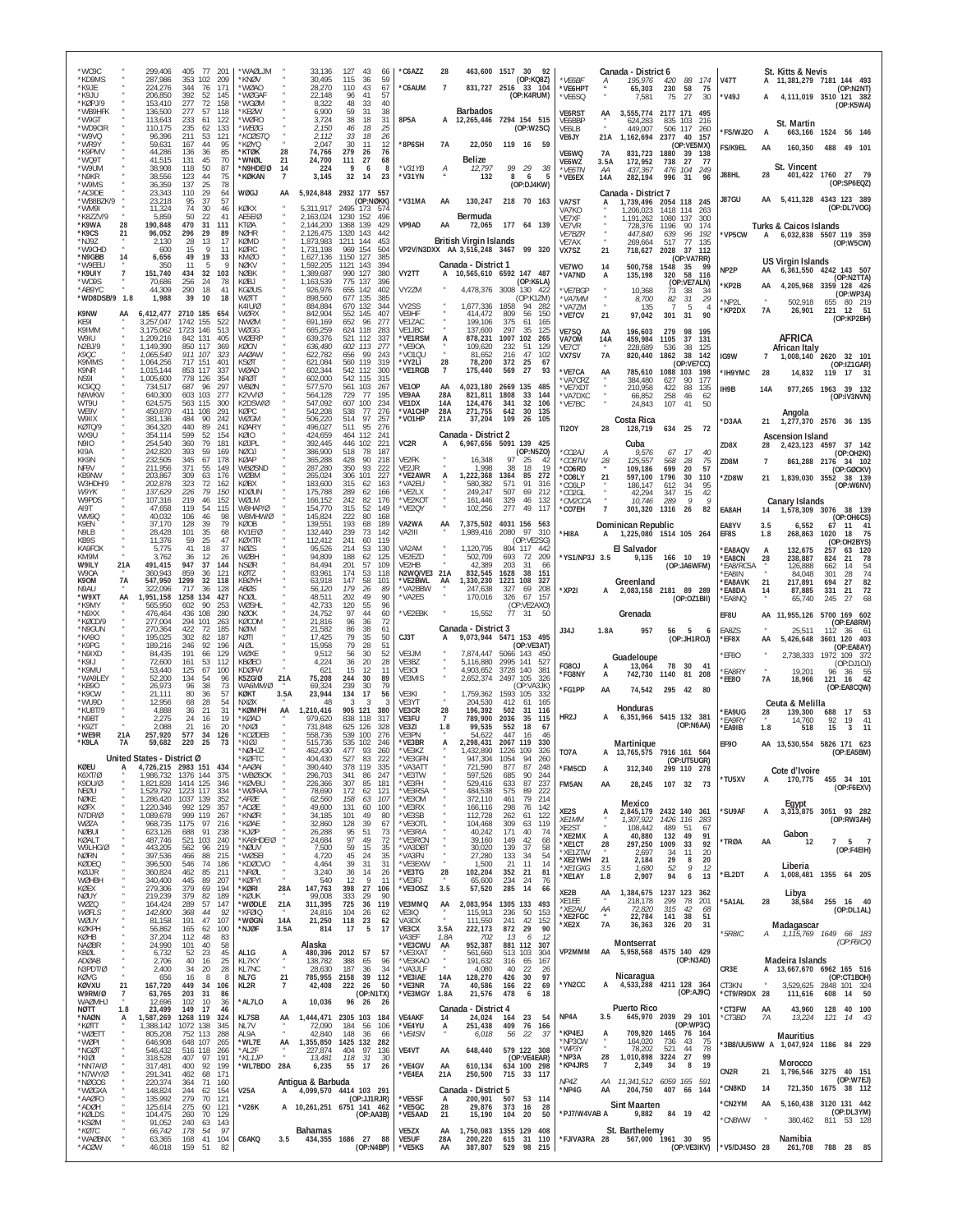| *WC9C<br>*KD9MS<br>*K9JE                                                       | 299,406<br>287,986<br>224,276                             | 405<br>353 102<br>344                          | 77<br>201<br>-209<br>76<br>171                   | <b>NUJORV</b> *<br>*KNØV<br>WØAO              |                     | 33,136<br>30.495<br>28,270                       | 127<br>115<br>110                            | 43<br>66<br>59<br>36<br>43<br>67                  | *C6AZZ<br>*C6AUM                       | 28<br>$\overline{7}$         | 831,727 2516                                                  | 463,600 1517 30                                    | - 92<br>(OP:KQ8Z)<br>33 104 | *VE6BF<br>*VE6HPT                               | $\overline{A}$          | Canada - District 6<br>195,976<br>65,303             | 88<br>420<br>230<br>58                                   | 174<br>75                       | <b>V47T</b>                           |                | St. Kitts & Nevis<br>A 11,381,279 7181 144 493                         |                                                  | (OP:N2NT)                            |
|--------------------------------------------------------------------------------|-----------------------------------------------------------|------------------------------------------------|--------------------------------------------------|-----------------------------------------------|---------------------|--------------------------------------------------|----------------------------------------------|---------------------------------------------------|----------------------------------------|------------------------------|---------------------------------------------------------------|----------------------------------------------------|-----------------------------|-------------------------------------------------|-------------------------|------------------------------------------------------|----------------------------------------------------------|---------------------------------|---------------------------------------|----------------|------------------------------------------------------------------------|--------------------------------------------------|--------------------------------------|
| *K9JU<br>*KØPJ/9<br>*WB9HFK                                                    | 206.850<br>153,410<br>136,500                             | 392<br>277<br>277                              | 52<br>145<br>72<br>158<br>57<br>118              | `WØGAF<br>*WGØM<br>*KEØW                      |                     | 22.148<br>8,322<br>6,900                         | 96<br>48<br>59                               | 57<br>41<br>33<br>40<br>-31<br>38                 |                                        |                              | <b>Barbados</b>                                               | (OP:K4RUM)                                         |                             | *VE6SQ<br><b>VE6RST</b>                         | AA                      | 7,581<br>3.555.774                                   | 75<br>27<br>2177 171 495                                 | 30                              | *V49J                                 | A              | 4,111,019 3510 121 382                                                 |                                                  | (OP:K5WA)                            |
| *W9GT<br>*WD9CIR<br>*W9VQ<br>*WR9Y                                             | 113,643<br>110.175<br>96.396<br>59,631                    | 233<br>235<br>211<br>167                       | 61<br>122<br>62<br>133<br>53<br>121<br>44<br>95  | 'WØRO<br>'WEØG<br>*KCØSTO<br><b>KØYO</b>      |                     | 3,724<br>2.150<br>2,112<br>2.047                 | 38<br>46<br>33<br>30                         | 18<br>31<br>25<br>18<br>26<br>18<br>11<br>12      | 8P5A<br>*8P6SH                         | <b>7A</b>                    | A 12,265,446 7294 154 515<br>22,050                           | 119 16 59                                          | (OP:W2SC)                   | VE6BBP<br>VE6LB<br>VE6JY                        | 21A                     | 624.283<br>449,007<br>1,162,694                      | 835 103<br>506<br>117<br>2377 40<br>(OP:VE5MX)           | 216<br>260<br>157               | *FS/WJ20<br>FS/K9EL                   | A<br>AA        | St. Martin<br>663,166 1524 56 146<br>160,350                           | 488 49 101                                       |                                      |
| *K9PMV<br>*WQ9T<br>*W9UM<br>*N9KR                                              | 44.286<br>41,515<br>38,908<br>38.556                      | 136<br>131<br>118<br>123                       | 36<br>85<br>45<br>70<br>50<br>87<br>44           | *KTØK<br>*WNØL<br>*N9HDE/Ø<br>*KØKAN          | 28<br>21<br>14<br>7 | 74,766<br>24,700<br>224<br>3,145                 | 279<br>111<br>- 9<br>32                      | 26<br>76<br>27<br>68<br>6<br>8<br>23<br>-14       | *V31YB<br>*V31YN                       | А                            | Belize<br>12,797<br>132                                       | 99<br>29<br>8<br>6                                 | 38<br>5                     | <b>VF6WO</b><br>VE6WZ<br>*VE6TN                 | <b>7A</b><br>3.5A<br>АA | 831.723<br>172,952<br>437,367                        | 1880<br>-39<br>738<br>27<br>476 104                      | 138<br>77<br>249                | J88HL                                 | 28             | St. Vincent<br>401,422 1760 27 79                                      |                                                  |                                      |
| *W9MS<br>*AC9DE<br>*WB8BZK/9                                                   | 36,359<br>23,343<br>23,218                                | 137<br>110<br>95<br>-37                        | $\frac{75}{78}$<br>-25<br>29<br>64<br>57         | WØGJ                                          | AA                  | 5,924,848 2932 177                               |                                              | 557<br>(OP:NØKK)                                  | 'V31MA                                 | AA                           | 130,247                                                       | (OP:DJ4KW)<br>218 70 163                           |                             | *VE6EX<br>VA7ST                                 | 14A                     | 282,194<br>Canada - District 7<br>1,739,496 2054 118 | 996<br>31                                                | 96<br>245                       | J87GU                                 | AA             | 5,411,328 4343 123 389                                                 |                                                  | (OP:SP6EQZ)                          |
| IPMW*<br>*K8ZZV/9<br>*K9WA<br>28                                               | 11,324<br>5,859<br>190,848                                | 74<br>50<br>470                                | 30<br>46<br>22<br>41<br>31<br>111                | KØKX<br>AE5E/Ø<br>KTØA                        |                     | 5,311,917<br>2,163,024<br>2,144,200              | 2495 173<br>1230 152<br>1368 139<br>1320 143 | 574<br>496<br>429                                 | VP9AD                                  | AA                           | Bermuda<br>72.065                                             | 177 64 139                                         |                             | VA7KO<br>VE7XF<br>VE7VR                         |                         | 1,206,023<br>1,191,262<br>728.376                    | 1418 114<br>1080<br>137<br>1196<br>90                    | 263<br>300<br>174               |                                       |                | <b>Turks &amp; Caicos Islands</b>                                      |                                                  | (OP:DL7VOG)                          |
| *K9CS<br>21<br>*NJ9Z<br>*W9CHD<br>*N9GBB<br>14                                 | 96,052<br>2,130<br>600<br>6,656                           | 296<br>28<br>15<br>49                          | 29<br>89<br>13<br>17<br>11<br>19<br>33           | <b>NØHR</b><br>KØMD<br>KØRC<br>KMØC           |                     | 2.126.475<br>1,873,983<br>1.731.198<br>1,627,136 | 1211<br>969<br>1150 127                      | 442<br>144<br>453<br>154<br>504<br>385            |                                        |                              | <b>British Virgin Islands</b><br>VP2V/N3DXX AA 3,516,248 3467 |                                                    | 99 320                      | <b>VE7BZR</b><br>VE7AX<br>VX7SZ                 | 21                      | 447,840<br>269,664<br>718,627                        | 639<br>96<br>517<br>77<br>2028<br>37                     | 192<br>135<br>112<br>(OP:VA7RR) | 'VP5CW                                | A              | 6,032,838 5507 119 359                                                 |                                                  | (OP:W5CW)                            |
| *W9FFL<br>*K9UIY<br>*WO9S                                                      | 350<br>151,740<br>70,686                                  | 11<br>434<br>256                               | 9<br>-5<br>32<br>103<br>78<br>-24                | <b>NØKV</b><br><b>NØBK</b><br>KØB I           |                     | 1,592,205<br>1,389,687<br>1,163,539              | 1121 143<br>990 127<br>775 137               | 394<br>380<br>396                                 | VY2TT                                  |                              | Canada - District 1<br>10,565,610 6592 147 487                |                                                    | (OP:K6LA)                   | VE7WO<br>*VA7ND                                 | 14<br>A                 | 500,758<br>135,198                                   | 1548<br>-35<br>320<br>58<br>(OP:VE7ALN)                  | 99<br>116                       | NP <sub>2</sub> P<br>*KP2B            | AA<br>AA       | US Virgin Islands<br>6, 361, 550 4242 143 507<br>4,205,968             | 3359 128 426                                     | (OP:N2TTA)                           |
| *AB9YC<br>*WD8DSB/9 1.8<br>K9NW<br>AA                                          | 44,309<br>1,988<br>6,412,477 2710 185                     | 290<br>39                                      | 18<br>41<br>10<br>18<br>654                      | <b>KGØUS</b><br><b>WØTT</b><br>K41U/Ø<br>WØRX |                     | 926,976<br>898.560<br>884,884<br>842,904         | 655<br>677 135<br>670 132<br>552 145         | 142<br>402<br>385<br>344<br>407                   | VY2ZM<br>VY2SS<br>VF9HF                |                              | 4,478,376<br>1,677,336 1858<br>414,472                        | 3008 130 422<br>94<br>809<br>56                    | (OP:K17M)<br>282<br>150     | 'VE7BGF<br>*VA7MM<br>*VA7ZM<br>*VE7CV           | 21                      | 10,368<br>8,700<br>135<br>97,042                     | 73<br>38<br>82<br>31<br>$\overline{7}$<br>5<br>301<br>31 | -34<br>29<br>4<br>90            | NP2L<br>*KP2DX                        | 7A             | 502,918<br>26,901                                                      | 655<br>221                                       | (OP:WP3A)<br>80 219<br>51<br>12      |
| KE91<br>K9IMM<br>W9IU                                                          | 3,257,047<br>3,175,062<br>1.209.216                       | 1742 155<br>1723<br>146<br>842 131             | 522<br>513<br>405                                | NWØM<br>WØGG<br>WØERF                         |                     | 691,169<br>665,259<br>639,376                    | 652<br>624 118<br>521                        | 96<br>277<br>283<br>-112<br>-337                  | VE1ZAC<br>VE1JBC<br>'VE1RSM            | А                            | 199,106<br>137,600<br>878,231                                 | 375<br>61<br>297<br>35<br>1007<br>102              | 165<br>125<br>265           | VE7SQ<br>VA70M                                  | AA<br>14A               | 196,603<br>459,984                                   | 279<br>98<br>1105<br>37                                  | 195<br>131                      |                                       |                | AFRICA                                                                 |                                                  | (OP:KP2BH)                           |
| N2BJ/9<br><i>K90C</i><br>K9MMS<br>K9NR                                         | 1,149,390<br>1,065,540<br>1,064,256<br>1.015.144          | 850 117<br>911 107<br>717<br>151<br>853 117    | 369<br>323<br>401<br>337                         | <b>KØCN</b><br>AAØAW<br>KSØT<br>WØAF.         |                     | 636,480<br>622,782<br>621,084<br>602.344         | 602 113<br>656<br>560<br>542 112             | 277<br>99<br>243<br>119<br>319<br>300             | *VE9OA<br>*VO1QU<br>*VY2LI<br>*VE1RGB  | 28<br>$\overline{7}$         | 109,620<br>81,652<br>78,200<br>175,440                        | 232<br>51<br>47<br>216<br>372<br>25<br>27<br>569   | 129<br>102<br>67<br>93      | VE7CT<br>VX7SV<br>*VE7CA                        | <b>7A</b><br>AA         | 228,689<br>820,440<br>785,610                        | 536<br>38<br>1862<br>38<br>1088<br>103                   | 125<br>142<br>(OP:VE7CC)<br>198 | IG9W                                  | $\overline{7}$ | African Italy<br>1,008,140                                             | 2620 32 101                                      | (OP:IZ1GAR)                          |
| NS9I<br><b>KC900</b><br>N9WKW                                                  | 1,005,600<br>734,517<br>640,300                           | 778 126<br>687<br>603<br>103                   | 354<br>297<br>96<br>277                          | NRØT<br>WBØN<br>K2VV/Ø                        |                     | 602,000<br>577,570<br>564,128                    | 542 115<br>561 103<br>729                    | 315<br>267<br>77<br>195                           | VE1OP<br>VE9AA                         | AA<br>28A                    | 4,023,180<br>821,811                                          | 2669 135<br>1808<br>33                             | 485<br>144                  | VA7CRZ<br>*VE7XDT<br>*VA7DXC                    |                         | 384,480<br>210,958<br>66,852                         | 627<br>90<br>422<br>88<br>258<br>46                      | 177<br>135<br>62                | <b>IH9YMC</b><br>IH9B                 | 28<br>14A      | 14,832<br>977,265 1963 39 132                                          | 119 17 31                                        | (OP:IV3NVN)                          |
| WT9U<br>WE9V<br>W9IIX<br>KØTO/9                                                | 624,575<br>450,870<br>381.136                             | 563 115<br>411 108<br>484<br>440               | 300<br>291<br>90<br>242<br>89<br>$24^{\circ}$    | K2DSW/0<br>KØPC<br>WØGM<br>KØAR)              |                     | 547,092<br>542,208<br>506,220                    | 607<br>538<br>514<br>511                     | 100<br>234<br>77<br>276<br>97<br>257<br>95<br>276 | VE1DX<br><b>*VA1CHP</b><br>*VO1HP      | 14A<br>28A<br>21A            | 124,476<br>271,755<br>37,204                                  | 341<br>32<br>642<br>30<br>109                      | 106<br>135<br>26 105        | *VE7BC                                          |                         | 24,843<br>Costa Rica                                 | 107<br>41                                                | 50                              | <b>D3AA</b>                           | 21             | Angola<br>1,277,370 2576 36 135                                        |                                                  |                                      |
| WX9U<br><b>N9IO</b><br>KI9A                                                    | 364,320<br>354,114<br>254.540<br>242,820                  | 599<br>360<br>393                              | 52<br>154<br>79<br>181<br>59<br>169              | KØIO<br>KØJPL<br>NØOJ                         |                     | 496,027<br>424,659<br>392.445<br>386,900         | 464<br>446 102<br>518                        | 112<br>241<br>221<br>78<br>187                    | VC2R                                   | A                            | Canada - District 2<br>6,967,656 5091 139 425                 |                                                    | (OP:N5ZO)                   | <b>TI2OY</b><br>*CO2AJ                          | 28                      | 128,719<br>Cuba<br>9,576                             | 634 25<br>67<br>17                                       | 72<br>40                        | <b>7D8X</b>                           | 28             | <b>Ascension Island</b><br>2,423,123 4597 37 142                       |                                                  | (OP:OH2KI)                           |
| KK9N<br>NF9V<br>KB9NW                                                          | 232,505<br>211,956<br>203,867                             | 345<br>371<br>309                              | 67<br>178<br>55<br>149<br>63<br>176              | KØAP<br>WBØSND<br>WØBM                        |                     | 365,288<br>287,280<br>265,024                    | 428<br>350<br>306                            | 90<br>218<br>93<br>222<br>101<br>227              | VE2FK<br>VE2JR<br>*VE2AWR              |                              | 16,348<br>1.998<br>1,222,368                                  | 97<br>25<br>38<br>18<br>1364<br>85                 | 42<br>19<br>272             | *CO8TW<br>*CO6RD<br>*CO8LY                      | 28<br>21                | 125,557<br>109.186<br>597,100                        | 568<br>28<br>699<br>-20<br>1796<br>30                    | 75<br>57<br>110                 | ZD8M<br>*ZD8W                         | 7<br>21        | 861,288 2176<br>1,839,030 3552                                         |                                                  | 34 102<br>(OP:GØCKV)<br>38 139       |
| W3HDH/9<br>W9YK<br>W9PDS<br>AI9T                                               | 202,878<br>137,629<br>107,316<br>47.658                   | 323<br>226<br>219<br>119                       | 72<br>162<br>79<br>150<br>46<br>152<br>54<br>115 | KØBX<br>KDØUN<br>WØLM<br>W8HAP/Ø              |                     | 183,600<br>175,788<br>166,152<br>154,770         | 315<br>289<br>242<br>315                     | 62<br>163<br>62<br>166<br>82<br>176<br>52<br>149  | *VA2EU<br>'VF2I X<br>*VE2KOT<br>'VE2QY |                              | 580,382<br>249.247<br>161.446<br>102,256                      | 571<br>91<br>507<br>69<br>329<br>46<br>277<br>49   | 316<br>212<br>132<br>117    | *CO6LP<br>CO2GL*<br>*CM2CCA<br>*CO7EH           |                         | 186,147<br>42,294<br>10,746<br>301,320               | 612<br>34<br>347<br>15<br>289<br>9<br>1316<br>26         | 95<br>42<br>Q<br>82             | EA8AH                                 | 14             | <b>Canary Islands</b><br>1,578,309 3076                                |                                                  | (OP:W6NV)<br>38 139                  |
| WM9Q<br>K9FN<br>N9LB                                                           | 40,032<br>37.170<br>28.428                                | 106<br>128<br>101                              | 46<br>98<br>39<br>79<br>35<br>68                 | W8MHW/Ø<br>KØOB<br>KV1E/Ø                     |                     | 145,824<br>139,551<br>132,440                    | 222<br>193<br>239                            | 80<br>168<br>189<br>68<br>73<br>142               | VA2WA<br>VA2III                        | AA                           | 7,375,502<br>1,989,416                                        | 4031 156<br>2080<br>97                             | 563<br>310                  | *HI8A                                           |                         | Dominican Republic<br>1,225,080 1514 105 264         |                                                          |                                 | EA8YV<br>EF8S                         | 3.5<br>1.8     | 6,552<br>268,863                                                       | 67<br>1020                                       | (OP:OH6CS)<br>41<br>11<br>75<br>18   |
| KB9S<br>KA9FOX<br>KM9M<br>W9ILY<br>21A                                         | 11,376<br>5.775<br>3,762<br>491,415                       | 59<br>41<br>36<br>947                          | 25<br>47<br>18<br>37<br>12<br>26<br>37<br>144    | KØXTR<br><b>NØZS</b><br>WØBH<br>NSØR          |                     | 112.412<br>95,526<br>94,809<br>84.494            | 241<br>214<br>188<br>201                     | 119<br>60<br>53<br>130<br>62<br>125<br>57<br>109  | VA2AM<br>VE2EZD<br>VE2HB               |                              | 1,120,795<br>502,709<br>42.389                                | (OP:VE2SG)<br>804 117<br>693<br>72<br>203<br>31    | 442<br>209<br>66            | *YS1/NP3J 3.5                                   |                         | <b>El Salvador</b><br>9,135                          | 166 10                                                   | - 19                            | <b>EA8AQV</b><br>*EA8CN<br>FA8/RC5A   | A<br>28        | 132,675<br>238,887                                                     | 257<br>824<br>21                                 | (OP:OH2BYS)<br>63<br>- 120<br>78     |
| W90A<br>7A<br>K90M<br>N9AU                                                     | 360,943<br>547.950<br>322,096                             | 859<br>1299<br>717                             | 36<br>121<br>32<br>118<br>36<br>128              | KØTZ<br><b>KBØYH</b><br>ABØS                  |                     | 83,961<br>63.918<br>56,120                       | 174<br>147<br>179                            | 53<br>118<br>58<br>101<br>26<br>89                | N2WQ/VE3 21A<br>*VE2BWL<br>*VA2BBW     | AA                           | 832,545<br>1,330,230<br>247,638                               | 1628<br>38<br>1221<br>108<br>327<br>69             | 151<br>327<br>208           | *XP2I                                           | A                       | Greenland<br>2,083,158 2181 89 289                   | (OP:JA6WFM)                                              |                                 | 'EA8IN<br><b>EA8AVK</b><br>*EA8DA     | 21<br>14       | 126,888<br>84,048<br>217,891<br>87,885                                 | 662<br>14<br>301<br>28<br>27<br>694<br>331<br>21 | 54<br>74<br>$\frac{82}{72}$          |
| *W9XT<br>AA<br>*K9MY<br>*N9XX<br>*KØCD/9                                       | 1,951,158<br>565,950<br>476,464<br>277,004                | 1258<br>134<br>602<br>108<br>436<br>294<br>101 | 427<br>90<br>253<br>280<br>263                   | NOØL<br>WØSHL<br>NØOK<br>KØCOM                |                     | 48,511<br>42,733<br>24,752<br>21,816             | 202<br>120<br>97<br>96                       | 90<br>49<br>55<br>96<br>44<br>60<br>36<br>72      | *VA2ES<br>*VE2EBK                      |                              | 170,016<br>15,552                                             | 326<br>(OP:VE2AXO)<br>77.31                        | 67 157<br>-50               |                                                 |                         | Grenada                                              |                                                          | (OP:OZ1BII)                     | *EA8NQ<br>EF8U                        |                | 65,740<br>AA 11,955,126                                                | 245<br>27<br>5700 169 602                        | 68                                   |
| *N9GUN<br>*KA90<br>*K9PG                                                       | 270.364<br>195.025<br>189,216                             | 422<br>302<br>246                              | 185<br>-72<br>82<br>187<br>92<br>196             | <b>NØIM</b><br>KØTI<br>AIØI                   |                     | 21,582<br>17,425<br>15,958                       | 86<br>79<br>79                               | 38<br>61<br>35<br>50<br>28<br>51                  | CJ3T                                   |                              | Canada - District 3<br>9,073,944                              | 5471 153 495                                       | (OP:VE3AT)                  | <b>J34J</b>                                     | 1.8A                    | 957                                                  | 56<br>$-5$<br>(OP:JH1ROJ)                                |                                 | EA8ZS<br>*EF8X                        | ΑА             | 25.511<br>5,426,648                                                    | 112<br>3601 120 403                              | (OP:EA8RM)<br>36<br>61<br>(OP:EA8AY) |
| *N9IXD<br>$*$ K9LI<br>*K9MU                                                    | 84.435<br>72,600<br>53,440                                | 191<br>161<br>125<br>-67                       | 129<br>66<br>53<br>112<br>100                    | WØXE<br>KBØFO<br>KDØFW                        |                     | 9,512<br>4,224<br>621                            | 56<br>36<br>15                               | 30<br>52<br>20<br>28<br>12<br>11                  | VE3JM<br>VE3BZ<br>VE3OI                |                              | 7,874,447<br>5,116,880<br>4,903,652                           | 5066 143<br>2995<br>141<br>3728<br>140             | 450<br>527<br>381           | <b>FG80J</b><br>*FG8NY                          | A                       | Guadeloupe<br>13,064<br>742,730 1140                 | 78<br>30<br>81                                           | 41<br>208                       | EF80<br><b>EA8RY</b>                  |                | 2,738,333<br>19,201                                                    | 1972 109 372                                     | (OP:DJ10J)<br>96 36 55               |
| *WA9LEY<br>*KB90<br>*K9CW<br>*WU9D                                             | 52,200<br>26,973<br>21,111<br>12.956                      | 134<br>54<br>96<br>80<br>68                    | 96<br>-38<br>73<br>36<br>57<br>-28<br>54         | K5ZG/Ø<br>WA6MM/Ø<br>KØKT<br>NXØX             | 21A<br>3.5A         | 75,208<br>69,324<br>23,944<br>48                 | 244<br>239<br>134                            | 30<br>89<br>30<br>79<br>17<br>56<br>-3<br>-3      | VE3MIS<br>VE3KI<br>VE3YT               |                              | 2,652,374<br>1,759,362<br>204,530                             | 2497 105<br>(OP:VA3JK)<br>1593<br>105<br>412<br>61 | 326<br>-332<br>165          | *FG1PP                                          | AA                      |                                                      | 74,542 295 42                                            | -80                             | 'EE8O                                 | 7А             | 18,966<br>Ceuta & Melilla                                              | 121                                              | 42<br>16<br>(OP:EA8CQW)              |
| *KU8T/9<br>*N9BT<br>*K9ZT                                                      | 4,888<br>2,275<br>2,088                                   | 36<br>24<br>21                                 | 21<br>31<br>16<br>19<br>16<br>20                 | *KØMPH<br>*KØAD<br>*NXØ                       | AA                  | 1,210,416<br>979,620<br>731,848                  | 905 121<br>838 118<br>625                    | 380<br>317<br>126<br>328                          | VE3CR<br>VE3FU<br>VE3ZI                | 28<br>$\overline{7}$<br>1.8  | 196,392<br>789,900<br>99,535                                  | 502<br>31<br>2036<br>35<br>552<br>18               | 116<br>115<br>67            | HR <sub>2</sub> J                               |                         | Honduras<br>6,351,966 5415 132 381                   |                                                          | (OP:NAAA)                       | *EA9UG<br>'EA9RY<br>*EA9IB            | 28<br>1.8      | 139,300<br>14,760<br>518                                               | 17<br>688<br>92<br>15                            | 53<br>19<br>41<br>11<br>3            |
| *WF9R<br>21A<br>*K9LA<br><b>7A</b>                                             | 257,920<br>59,682<br>United States - District Ø           | 577<br>220                                     | 34<br>126<br>25<br>73                            | *KCØDFB<br>*KIØJ<br>*NØHJ7<br>KØFTC           |                     | 558.736<br>515,736<br>462,430<br>404.430         | 539 100<br>535 102<br>477<br>527             | 276<br>246<br>93<br>260<br>83<br>222              | VF3PN<br>*VE3BR<br>*VF3K7<br>VE3GFN    | A                            | 54.622<br>2,298,431<br>1.432.890<br>947.304                   | 447<br>16<br>2067 119<br>1226 109<br>1054          | 46<br>330<br>326<br>260     | TO7A                                            | A                       | Martinique<br>13,765,575 7916 161 564                |                                                          |                                 | <b>EF90</b>                           |                | AA 13,530,554 5826 171 623                                             |                                                  | (OP:EA5BM)                           |
| KØEU<br>A<br>K6XT/Ø<br>K9DU/Ø                                                  | 4,726,215 2983 151 434<br>1,986,732 1376 144<br>1,821,828 | 1414 125                                       | 375<br>346                                       | *AAØAI<br>*WBØSOK<br>*KØVBU                   |                     | 390,440<br>296,703<br>226,366                    | 378 119<br>341<br>307                        | 335<br>86<br>247<br>181<br>85                     | *VA3ATT<br>*VE3TW<br>*VF3FH            |                              | 721,590<br>597,526<br>529,416                                 | 877<br>87<br>685<br>90<br>87<br>633<br>575         | 248<br>244<br>237           | *FM5CD<br>FM5AN                                 | A<br>AA                 | 312,340<br>28,245                                    | op:Ut5ugr<br>299 110 278<br>107 32 73                    |                                 | 'TU5XV                                | А              | Cote d'Ivoire<br>170,775                                               | 455 34 101                                       | (OP:F6EXV)                           |
| NEØU<br>NØKE<br>KØFX<br>N7DR/Ø                                                 | 1,529,792<br>1,286,420<br>1,220,346<br>1,089,678          | 1223 117<br>1037 139<br>992 129<br>999 119     | 334<br>352<br>357<br>267                         | *WØRAA<br>*AFØE<br>*ACØE<br>*KNØR             |                     | 78,690<br>62,560<br>49,600<br>34,185             | 172<br>158<br>131<br>101                     | 62<br>121<br>107<br>63<br>100<br>60<br>49<br>80   | *VE3RSA<br>*VE3OM<br>*VE3RX<br>*VE3SB  |                              | 484,538<br>372,110<br>166,116<br>112,728                      | 89<br>79<br>461<br>298<br>76<br>262<br>61          | 222<br>214<br>142<br>122    | XE2S                                            | А                       | Mexico<br>2,845,179                                  | 2432 140 361                                             |                                 | 'SU9AF                                | А              | Egypt<br>3, 313, 875 3051 93 282                                       |                                                  |                                      |
| WØZA<br><b>NØBUI</b><br>KØALT                                                  | 968,735 1175<br>623,126<br>487,746                        | 97<br>688<br>521 103                           | 216<br>91<br>238<br>240                          | *KØAE<br>*KJØP<br>*KA8HDE/Ø                   |                     | 32,860<br>26,288<br>24,684                       | 128<br>95<br>97                              | 39<br>67<br>51<br>73<br>49<br>72                  | *VE3OTL<br>*VE3RIA<br>*VE3RCN          |                              | 104,468<br>40,242<br>39,160                                   | 63<br>309<br>171<br>40<br>149<br>42                | 119<br>74<br>68             | XE1MM<br>XF <sub>2</sub> ST<br>*XE2MX<br>*XE1CT | 28                      | 1,307,922<br>108,442<br>40,880<br>297,250            | 1426 116<br>489<br>-51<br>132<br>49<br>1009<br>33        | 283<br>-67<br>91<br>92          | <b>TRØA</b>                           | AA             | Gabon<br>12                                                            | 7                                                | (OP:RW3AH)<br>5 7                    |
| W9LHG/Ø<br>NØRN<br>KØDEQ<br>KØJJR                                              | 443,205<br>397,536<br>396,500<br>360,824                  | 562<br>466<br>546<br>462                       | 96<br>219<br>88<br>215<br>74<br>186<br>85<br>211 | *NØUV<br>*WØSEI<br>*KDØCVO<br>*NRØI           |                     | 7,500<br>4,720<br>4,464<br>3,240                 | 59<br>45<br>39<br>36                         | 15<br>35<br>24<br>35<br>31<br>31<br>14<br>26      | *VA3DBT<br>*VA3FN<br>*VE3EXW<br>*VE3TG | 28                           | 30,020<br>27,280<br>1,500<br>102,204                          | 37<br>139<br>133<br>34<br>21<br>11<br>352<br>21    | 58<br>54<br>14<br>81        | *XE1ZTW<br>*XE2YWH<br>*XE1GXG                   | 21<br>3.5               | 2,697<br>2,184<br>1,680                              | 34<br>11<br>29<br>8<br>52<br>9                           | 20<br>20<br>12                  |                                       |                | Liberia                                                                |                                                  | (OP:F4EIH)                           |
| WØHBH<br>KØFX<br><b>NØUY</b>                                                   | 340,400<br>279,306<br>219,239                             | 445<br>379<br>379                              | 89<br>207<br>69<br>194<br>82<br>189              | *KØFYI<br>*KØRI<br>*KØUK                      | 28A                 | 540<br>147,763<br>99,008                         | 12<br>398<br>333                             | 9<br>11<br>27<br>106<br>29<br>90                  | *VE3FJ<br>*VE3OSZ                      | 3.5                          | 65,600<br>57,520                                              | 234<br>24<br>285<br>14                             | 76<br>66                    | *XE1AY<br>XE2B                                  | 1.8<br>AA               | 2,907<br>1,384,675 1237 123<br>218,178               | 94<br>6<br>299<br>78                                     | 13<br>362                       | *EL2DT                                | А              | 1,008,481 1355 64 205<br>Libya                                         |                                                  |                                      |
| <b>WØZQ</b><br>WØFLS<br>WØUY<br>KØKPH                                          | 164,424<br>142,800<br>81,158                              | 289<br>368<br>191                              | 57<br>147<br>44<br>92<br>47<br>107               | *WØDLE<br>*KFØIQ<br>*WØGN                     | 21A<br>14A<br>3.5A  | 311,395<br>24,816<br>21,250                      | 725<br>104<br>118                            | 36<br>119<br>26<br>62<br>23<br>62<br>5<br>17      | VE3MMQ<br>VE3IQ<br>VA3DX               | AA<br>$\overline{u}$<br>3.5A | 2,083,954 1305 133<br>115,913<br>111,550<br>222,173           | 236<br>50<br>42<br>241<br>872 29                   | 493<br>153<br>152<br>90     | XE1EE<br>*XE2AU<br>*XE2FGC<br>*XE2X             | AA<br><b>7A</b>         | 72,820<br>22,784<br>36,363                           | 315<br>42<br>141<br>38<br>326<br>20                      | 201<br>68<br>51<br>31           | '5A1AL                                | 28             | 38,584<br>Madagascar                                                   | 255 16 40                                        | (OP:DL1AL)                           |
| KØHB<br><b>NAØBR</b><br>KBØL                                                   | 56,862<br>37,204<br>24,990<br>6,732                       | 165<br>112<br>101<br>52                        | 62<br>100<br>48<br>83<br>40<br>58<br>23<br>45    | *NJØF<br>AL1G                                 | A                   | 814<br>Alaska<br>480,396 2012 57                 | 17                                           | 57                                                | VE3CX<br>VA3EF<br>*VE3CWU<br>*VE3XAT   | 1.8A<br>AA                   | 702<br>952,387<br>561,660                                     | 13<br>6<br>881 112<br>513 103                      | 12<br>307<br>304            | VP2MMM                                          | AA                      | Montserrat<br>5,958,568 4575 140 429                 |                                                          |                                 | $*$ 5 $R8IC$                          | Α              | 1,115,769 1649 66 183                                                  |                                                  | (OP:FOICX)                           |
| ADØAB<br>N3PDT/Ø<br>KØVG                                                       | 2,706<br>2,400<br>656                                     | 40<br>34<br>16                                 | 16<br>25<br>20<br>28<br>8<br>-8                  | KL7KY<br>KL7NC<br>NL7G                        | 21                  | 138,782<br>28,630<br>785,955 2158                | 388<br>187                                   | 65<br>96<br>36<br>34<br>39<br>112                 | *VE3KAO<br>*VA3JLF<br>*VE3IAE          | 14A                          | 191,632<br>4,080<br>128,270                                   | 316<br>65<br>40<br>22<br>426<br>30                 | 167<br>26<br>97             | *YN2CC                                          | A                       | Nicaragua<br>4,533,288 4211 128 364                  |                                                          | (OP: N3AD)                      | CR3E                                  |                | Madeira Islands<br>A 13,667,670 6962 165 516<br>3,529,625 2848 101 324 |                                                  | (OP:CT1BOH)                          |
| KØVXU<br>21<br>W9RM/Ø<br>$\overline{7}$<br><b>WAØMHJ</b><br><b>NØTT</b><br>1.8 | 167,720<br>63,765<br>12,696<br>23,499                     | 449<br>203<br>102<br>149<br>17                 | 34<br>106<br>31<br>86<br>10<br>36<br>46          | KL2R<br>*AL7LO                                | 7<br>А              | 42,408<br>10,036                                 | 222                                          | 26<br>50<br>(OP:N1TX)<br>96 26 26                 | *VE3NR<br>*VE3MGY                      | 7A<br>1.8A                   | 40,586<br>21,576<br>Canada - District 4                       | 166<br>22<br>478<br>6                              | 69<br>18                    |                                                 |                         | <b>Puerto Rico</b>                                   |                                                          | (OP:AJ9C)                       | CT3KN<br>*CT9/R9DX 28<br><b>CT3FW</b> | AA             | 111,616<br>43,960                                                      | 608 14 50<br>128                                 | 40 100                               |
| *NAØN<br>А<br>*KØTT<br>*WØETT                                                  | 1,587,269<br>1,388,142<br>805,208                         | 1268 119<br>1072 138<br>752<br>113             | 324<br>345<br>288                                | KL7SB<br><b>NI 7V</b><br>AL9A                 | AA                  | 1,444,471 2305 103<br>72,090<br>42,840           | 184<br>148                                   | 184<br>56<br>106<br>36<br>66                      | <b>VE4AKF</b><br>*VE4YU<br>*VE4SN      | 14<br>А                      | 24,024<br>251,438<br>6,018                                    | 164 23<br>409<br>56<br>22                          | 54<br>76 166<br>37          | NP4A<br>*KP4EJ                                  | 3.5<br>А                |                                                      | 645,970 2039 29 101<br>709,920 1465 76 164               | (OP:WP3C)                       | *CT3BD                                | 7A             | 13,224<br><b>Mauritius</b>                                             | 121                                              | 14 43                                |
| *WØPI<br>*NGØT<br>*KIØI<br>*NN7A/Ø                                             | 646,908<br>546,432<br>318,528<br>317,481                  | 648 107<br>516 118<br>407<br>400               | 265<br>-266<br>97<br>191<br>92<br>199            | *WL7E<br>*AL2F<br>*KL1JP<br>*WL7BDO           | AA<br>28A           | 1,355,850<br>227,874<br>13,481<br>6,235          | 1425 132<br>404<br>118<br>55                 | 282<br>97<br>136<br>31<br>30<br>17<br>26          | VE4VT<br>*VE4GV                        | AA<br>AA                     | 648,440<br>610,134                                            | 579 122 308<br>(OP:VE4EAR)<br>634 100 298          |                             | *NP3CW<br>*WP3Y<br>*NP3A<br>*KP4JRS             | 28<br>$\overline{7}$    | 164,020<br>78,202<br>1,010,898<br>2,349              | 736<br>43<br>521<br>44<br>3224<br>27<br>34<br>8          | 75<br>78<br>99<br>19            |                                       |                | '3B8/UU5WW A 1,047,924 1186 84 229<br><b>Morocco</b>                   |                                                  |                                      |
| *N7WY/Ø<br>*NØGOS<br>*WØGXA                                                    | 291,341<br>220,374<br>148,824                             | 462<br>364<br>244                              | 68<br>171<br>160<br>71<br>62<br>154              | <b>V25A</b>                                   | A                   | Antigua & Barbuda<br>4,099,570 4414 103 291      |                                              |                                                   | *VE4EA                                 | 21A                          | 250,500<br>Canada - District 5                                | 715 33 117                                         |                             | NP4Z<br>*NP4G                                   | ΑA<br>AA                | 11,341,512 6059 165 591<br>204,750                   | 407 66                                                   | - 144                           | CN <sub>2</sub> R<br><b>'CN8KD</b>    | 21<br>14       | 1,796,546<br>721,350 1675 38 112                                       | 3275 40 151                                      | (OP:W7EJ)                            |
| *AAØFO<br>*ADØH<br>*KØLDS<br>*KSØM                                             | 135,992<br>125,614<br>104,475<br>91,052                   | 279<br>275<br>260<br>240                       | 70<br>121<br>60<br>121<br>70<br>129<br>63<br>143 | *V26K                                         |                     | 10,261,251 6751 141 462                          |                                              | (OP:JJ1RJR)<br>(OP:AA3B)                          | *VE5SF<br>*VE5GC<br>*VE5AAD            | A<br>28<br>21                | 200,901<br>29,876<br>15,190                                   | 507 53 114<br>373<br>16<br>20<br>104               | 28<br>50                    | *PJ7/W4VAB A                                    |                         | Sint Maarten<br>9,882                                | 84 19                                                    | 42                              | <b>'CN2YM</b><br><b>'CN8WW</b>        | AA             | 5, 160, 438 3120 131 442<br>380,462                                    | 811 53 128                                       | (OP:DL3YM)                           |
| *KØTC<br>*WAØBNX<br>*ACØW                                                      | 66,742<br>63,365<br>46,018                                | 178<br>168<br>159 51                           | 97<br>54<br>41<br>104<br>82                      | C6AKQ                                         | 3.5                 | <b>Bahamas</b><br>434,355 1686 27 88             |                                              | (OP: N4BP)                                        | <b>VF57X</b><br><b>VE5UF</b><br>*VE5KS | AA<br>28A<br>AA              | 1,750,083 1355 129 408<br>200,220<br>387,807                  | 615 31<br>529 98 215                               | 110                         | *FJ/VA3RA 28                                    |                         | St. Barthelemy<br>567,000 1961 30 95                 |                                                          | (OP:VE3IKV)                     | *V5/DJ4S0 28                          |                | Namibia<br>261,708                                                     | 788 28 85                                        |                                      |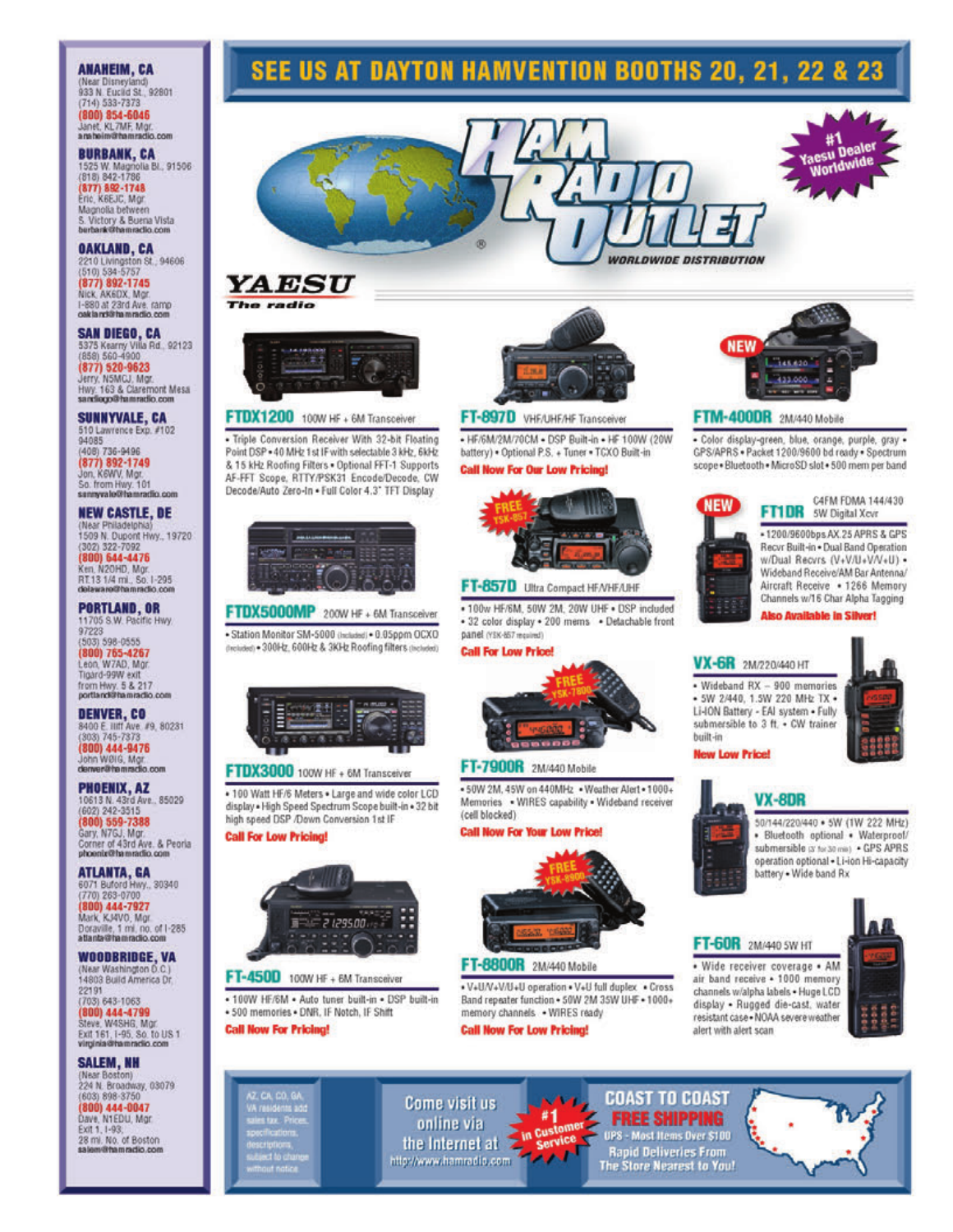### **ANAHEIM, CA**

(Near Disneyland)<br>933 N. Eucild St., 92801  $(714) 533 - 7373$ (800) 854-6046 Janet, KL7MF, Mgr.<br>anaheim@hamradio.com

**BURBANK, CA** 1525 W. Magnolia Bl., 91506  $(818) 842 - 1786$ (877) 892-1748 Eric, K6EJC, Mgr Magnolia between S. Victory & Buena Vista<br>burbank@hamradio.com

**OAKLAND, CA** 2210 Livingston St., 94606<br>(510) 534-5757 (877) 892-1745 Nick AK6DX Mor I-880 at 23rd Ave. ramp gak la midi ha mradio com

**SAN DIEGO, CA**<br>5375 Kearny Villa Rd., 92123<br>(858) 560-4900 (877) 520-9623 Jerry, N5MGJ, Mgr. Hwy. 163 & Claremont Mesa

### **SUNNYVALE, CA** 510 Lawrence Exp. #102 (408) 736-9496 (877) 892-1749<br>Jon. K6WV, Mor. So. from Hwy. 101<br>sunnyvalo@hamradio.com

**NEW CASTLE, DE** Philadelphia 1509 N. Dupont Hwy., 19720 (302) 322-7092 (800) 644-4476<br>Ken. N20HD, Mar. RT.13 1/4 mi., So. I-295 delaware@hamradio.com

PORTLAND, OR<br>11705 S.W. Pacific Hwy 97223 (503) 598-0555 (800) 765-4267 Leon, W7AD, Mar. Tigard-99W exit from Hwy. 5 & 217<br>portland@hamradio.com

**DENVER, CO** 8400 E. IIIff Ave. #9, 80231<br>(303) 745-7373 800) 444-9476 John WBIG, Mgr.<br>denver@hamraclio.com

**PHOENIX, AZ** 10613 N. 43rd Ave., 85029<br>(602) 242-3515 (800) 559-7388 Gary, N7GJ, Mgr. Corner of 43rd Ave. & Peoria

ATLANTA, GA<br>6071 Buford Hwy., 30340 (770) 263-0700 (800) 444-7927 Mark, KJ4VO, Mgr. Doraville, 1 mi. no. of I-285 atlanta@hamradio.com

**WOODBRIDGE, VA** (Near Washington D.C.) 14803 Build America Dr. 22191  $(703) 643 - 1063$ 

(800) 444-4799<br>Steve, W4SHG, Mgr. Exit 161, 1-95, So, to US 1

**SALEM, NH** (Near Boston)<br>224 N. Broadway, 03079 (603) 898-3750 (800) 444-0047 Dave, N1EDU, Mor. Exit 1, 1-93, 28 mi. No. of Boston

### **SEE US AT DAYTON HAMVENTION BOOTHS 20, 21, 22 & 23**







### FTDX1200 100W HF + 6M Transceiver

- Triple Conversion Receiver With 32-bit Floating Point DSP . 40 MHz 1 st IF with selectable 3 kHz, 6kHz & 15 kHz Roofing Filters . Optional FFT-1 Supports AF-FFT Scope, RTTY/PSK31 Encode/Decode, CW Decode/Auto Zero-In . Full Color 4.3" TFT Display



### FTDX5000MP 200W HF + 6M Transceiver

· Station Monitor SM-5000 (Included) · 0.05ppm OCXO (Included) . 300Hz, 600Hz & 3KHz Roofing filters (Included)



### FTDX3000 100W HF + 6M Transceiver

. 100 Watt HF/6 Meters . Large and wide color LCD display . High Speed Spectrum Scope built-in . 32 bit high speed DSP /Down Conversion 1st IF

**Call For Low Pricing!** 



### FT-450D 100W HF + 6M Transceiver

· 100W HF/6M · Auto tuner built-in · DSP built-in · 500 memories · DNR. IF Notch, IF Shift

**Call Now For Pricing!** 





### FT-897D VHF/UHF/HF Transceiver

- HF/6M/2M/70CM - DSP Built-in - HF 100W (20W battery) . Optional P.S. + Tuner . TCXO Built-in **Call Now For Our Low Pricing!** 



### FT-857D Ultra Compact HF/VHF/UHF

. 100w HF/6M, 50W 2M, 20W UHF . DSP included - 32 color display - 200 mems - Detachable front panel (VSK-857 moulmd)

### **Call For Low Price!**



### FT-7900R 2M/440 Mobile

. 50W 2M, 45W on 440MHz . Weather Alert . 1000+ Memories . WIRES capability . Wideband receiver (cell blocked)

### **Call Now For Your Low Price!**



### FT-8800R 2M/440 Mobile

. V+U/V+V/U+U operation . V+U full duplex . Cross Band repeater function . 50W 2M 35W UHF . 1000+ memory channels . WIRES ready

#1

Service

J محمه

**Cus in** 

### **Call Now For Low Pricing!**

Come visit us

online via

the Internet at

http://www.hamradia.com

# **VX-6R** 2M/220/440 HT

· 5W 2/440, 1.5W 220 MHz TX · Li-ION Battery - EAI system . Fully submersible to 3 ft. • CW trainer

VX-8DR



### FT-60R 2M/440 SW HT

· Wide receiver coverage · AM air band receive . 1000 memory channels w/alpha labels . Huge LCD display . Rugged die-cast, water resistant case . NOAA severe weather alert with alert scan





**COAST TO COAST** 

**FREE SHIPPING** 

UPS - Most Items Over \$100

**Rapid Deliveries From<br>The Store Nearest to You!** 

# **NEW**

### FTM-400DR 2M/440 Mobile

· Color display-green, blue, orange, purple, gray · GPS/APRS . Packet 1200/9600 bd ready . Spectrum scope . Bluetooth . MicroSD slot . 500 mem per band



### C4FM FDMA 144/430 FT1DR 5W Digital Xevr

-1200/9600bps AX.25 APRS & GPS Recvr Built-in . Dual Band Operation w/Dual Recvrs (V+V/U+V/V+U) -Wideband Receive/AM Bar Antenna/ Aircraft Receive . 1266 Memory Channels w/16 Char Alpha Tagging

50/144/220/440 . 5W (1W 222 MHz)

· Bluetooth optional · Waterproof/

submersible or tor 30 min) . GPS APRS operation optional . Li-ion Hi-capacity

battery . Wide band Rx

**Also Available in Silver!** 

# · Wideband RX - 900 memories

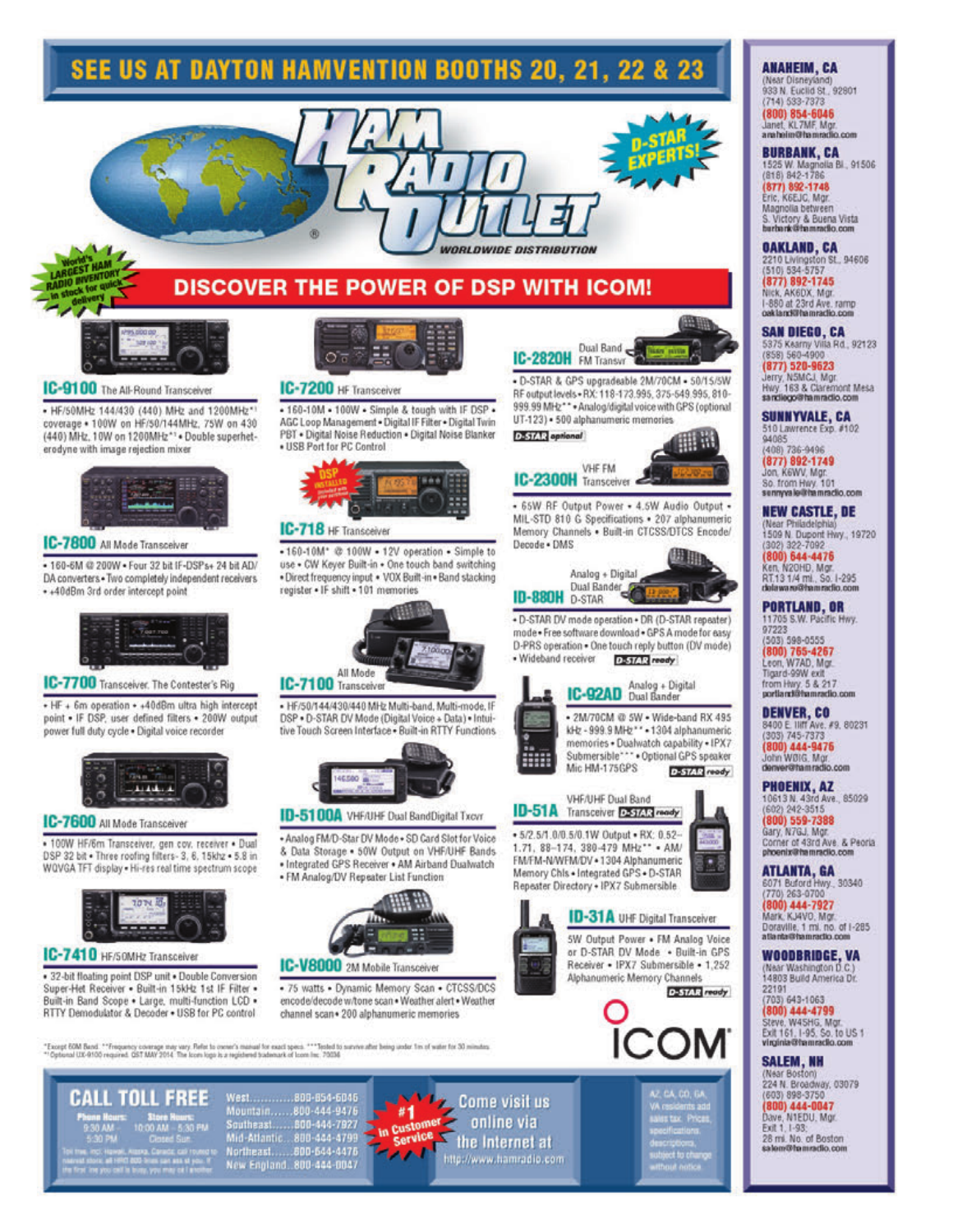### **SEE US AT DAYTON HAMVENTION BOOTHS 20, 21, 22 & 23**



### **DISCOVER THE POWER OF DSP WITH ICOM!**



### **IC-9100** The All-Round Transceiver

. HF/50MHz 144/430 (440) MHz and 1200MHz\*1 coverage . 100W on HF/50/144MHz, 75W on 430 (440) MHz, 10W on 1200MHz\*1 . Double superheterodyne with image rejection mixer



### IC-7800 All Mode Transceiver

- 160-6M @ 200W . Four 32 bit IF-DSPs+ 24 bit AD/ DA converters . Two completely independent receivers + +40dBm 3rd order intercept point



### IC-7700 Transceiver. The Contester's Rig

+ HF + 6m operation + +40dBm ultra high intercept point . IF DSP, user defined filters . 200W output power full duty cycle . Digital voice recorder



### IC-7600 All Mode Transceiver

· 100W HF/6m Transceiver, gen cov. receiver · Dual DSP 32 bit . Three roofing filters- 3, 6, 15khz . 5.8 in WQVGA TFT display . Hi-res real time spectrum scope



### IC-7410 HF/50MHz Transceiver

· 32-bit floating point DSP unit · Double Conversion Super-Het Receiver . Built-in 15kHz 1st IF Filter . Built-in Band Scope . Large, multi-function LCD . RTTY Demodulator & Decoder . USB for PC control



### **IC-7200** HF Transceiver

. 160-10M . 100W . Simple & tough with IF DSP . AGC Loop Management . Digital IF Filter . Digital Twin PBT . Digital Noise Reduction . Digital Noise Blanker . USB Port for PC Control



### IC-718 HF Transceiver

.160-10M\* @ 100W - 12V operation - Simple to use . CW Keyer Built-in . One touch band switching . Direct frequency input . VOX Built-in . Band stacking register . IF shift . 101 memories



. HF/50/144/430/440 MHz Multi-band, Multi-mode. IF DSP . D-STAR DV Mode (Digital Voice + Data) . Intuitive Touch Screen Interface . Built-in RTTY Functions.



### **ID-5100A** VHF/UHF Dual BandDigital Txovr

. Analog FM/D-Star DV Mode . SD Card Slot for Voice & Data Storage . 50W Output on VHF/UHF Bands . Integrated GPS Receiver . AM Airband Dualwatch

. FM Analog/DV Repeater List Function



### IC-V8000 2M Mobile Transceiver

· 75 watts · Dynamic Memory Scan · CTCSS/DCS encode/decode w/tone scan . Weather alert . Weather channel scan . 200 alphanumeric memories

"Except 60M Band ."Threpartoy coverage may vary. Refer to overer's manual for exact specs. ""Tested to survive after being under fin of water for 30 minutes.<br>""Optional UX-8100 required: QST MAY 2014. The loom logo is a re

**CALL TOLL FREE** 

West.............800-854-6046 Northeast......800-644-4476<br>New England...800-444-0047





. D-STAR & GPS upgradeable 2M/70CM - 50/15/5W RF output levels . RX: 118-173.995, 375-549.995, 810-999.99 MHz \*\*\* Analog/digital voice with GPS (optional UT-123) · 500 alphanumeric memories

DaST/T2 aprional HH 11



- 65W RF Output Power - 4.5W Audio Output -MIL-STD 810 G Specifications . 207 alphanumeric Memory Channels . Built-in CTCSS/DTCS Encode/ Decode . DMS



+ D-STAR DV mode operation + DR (D-STAR repeater) mode . Free software download . GPS A mode for easy D-PRS operation . One touch reply button (DV mode) D-51/12 ready

· 2M/70CM @ 5W · Wide-band RX 495 kHz - 999.9 MHz \*\* - 1304 alphanumeric memories . Dualwatch capability . IPX7 Submersible\*\*\* . Optional GPS speaker Mic HM-175GPS D-STAR ready



+5/2.5/1.0/0.5/0.1W Output . RX: 0.52-1.71, 88-174, 380-479 MHz\*\* . AM/ FM/FM-N/WFM/DV . 1304 Alphanumeric Memory Chis . Integrated GPS . D-STAR Repeater Directory . IPX7 Submersible



5W Output Power . FM Analog Voice or D-STAR DV Mode . Built-in GPS Receiver . IPX7 Submersible . 1,252 Alphanumeric Memory Channels



## CA, CO, GA tax Price

### **ANAHEIM, CA**

(Near Disneyland)<br>933 N. Euclid St., 92801 (714) 533-7373 (800) 854-6046<br>Janet, KL7MF, Mgr.<br>anaheim@hamradio.com

### **BURBANK, CA** 525 W. Magnolla Bl., 91506

(818) 842-1786 877) 892-1748 Eric, K6EJC, Mgr. Magnolia between<br>S. Victory & Buena Vista<br>burbank@hamradio.com

**OAKLAND, CA**<br>2210 Livingston St., 94606

(510) 534-5757 (877) 892-1745 Nick, AK6DX, Mgr. I-880 at 23rd Ave. ramp

**SAN DIEGO, CA** 5375 Kearny Villa Rd., 92123 (877) 520-9623<br>Jerry, N5MCJ, Mgr

Hwy, 163 & Claremont Mesa<br>sandiego@hamradio.com

**SUNNYVALE, CA** 510 Lawrence Exp. #102 94085<br>(408) 736-9496

(877) 892-1749<br>Jon, Kewy, Mgr. So. from Hwy. 101<br>sennyvale@hamradio.com

**NEW CASTLE, DE** (Near Philadelphia)<br>1509 N. Dupont Hwy., 19720 (302) 322-7092<br>(800) 644-4476<br>Ken, N20HD, Mgr.<br>RT.13 1/4 ml., So. I-295<br>delaware@hammclio.com

**PORTLAND, OR** 1705 S.W. Pacific Hwy. 97223 503) 598-0555 (800) 765-4267<br>Leon, W7AD, Mor Tigard-99W exit

from Hwy. 5 & 217<br>portland@hamradio.com **DENVER, CO** 8400 E. IIIIT Ave. #9, 80231 800) 444-9476

John WØIG, Mgr.<br>denver@hamradio.com PHOENIX, AZ

10613 N. 43rd Ave., 85029<br>(602) 242-3515 800) 559-7388 Gary, N7GJ, Mgr.<br>Corner of 43rd Ave. & Peoria phoenix@hamradio.com

ATLANTA, GA 6071 Buford Hwy., 30340 770) 263-0700

(800) 444-7927<br>Mark, KJ4VO, Mor. Doraville, 1 ml. no. of I-285<br>atlanta@hamradio.com

**WOODBRIDGE, VA** (Near Washington D.C.)<br>14803 Build America Dr. 22191

703) 643-1063 (800) 444-4799<br>Steve, W4SHG, Mgr.<br>Exit 161, 1-95, So. to US 1<br>Virginia@hamracilo.com

### **SALEM, NH**

(Near Boston)<br>224 N. Broadway, 03079 (603) 898-3750<br><mark>(800) 444-0047</mark> Dave, N1EDU, Mgr. Exit 1, 1-93; 28 mi. No. of Boston n@famradio.com



· Wideband receiver **IC-92AD** Analog + Digital





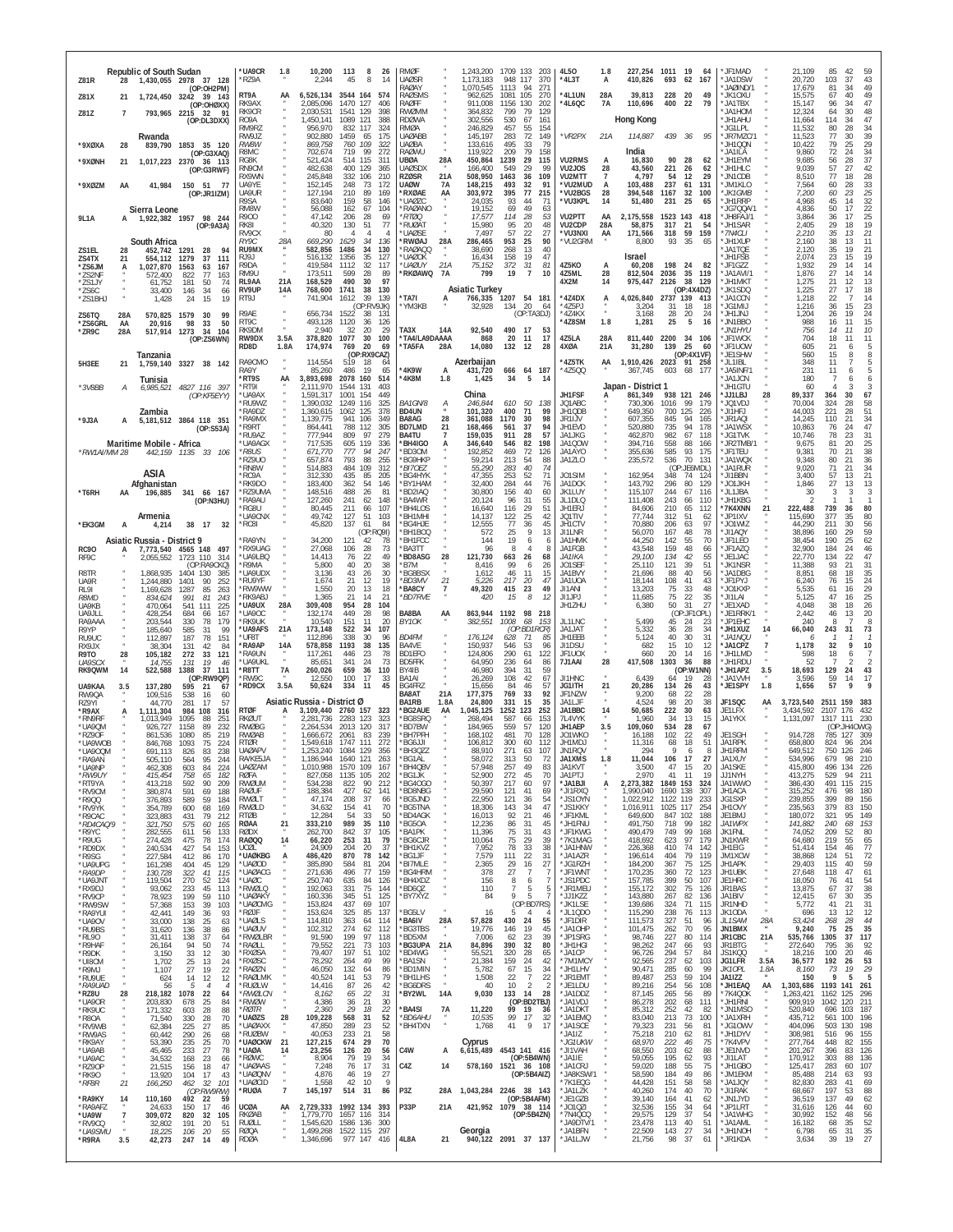| <b>Republic of South Sudan</b><br>1,430,055 2978 37 128<br>Z81R<br>28                                                                                 | <b>UA9CR</b><br>1.8<br>*RZ9A                                      | 10,200<br>113<br>8<br>45<br>8<br>2.244                                                   | 26<br><b>RMØF</b><br><b>UAØSR</b><br>14<br>RAØAY                   | 1,243,200<br>1,173,183<br>1,070,545                | 1709 133<br>203<br>948<br>117<br>370<br>1113<br>94                                      | 4L50<br>*4L3T                     | 1.8<br>A      | 410,826                             | 227,254 1011 19<br>- 64<br>693<br>62<br>167                | * JF1MAD<br>*JA1DSW<br>* JAØIND/1               |                          | 21.109<br>20,720                         | 85<br>42<br>59<br>103<br>37<br>43<br>49<br>34                                                 |
|-------------------------------------------------------------------------------------------------------------------------------------------------------|-------------------------------------------------------------------|------------------------------------------------------------------------------------------|--------------------------------------------------------------------|----------------------------------------------------|-----------------------------------------------------------------------------------------|-----------------------------------|---------------|-------------------------------------|------------------------------------------------------------|-------------------------------------------------|--------------------------|------------------------------------------|-----------------------------------------------------------------------------------------------|
| (OP:OH2PM)<br>Z81X<br>1,724,450 3242<br>39 143<br>21<br>(OP:OHØXX)                                                                                    | RT9A<br>RK9AX<br>RK9CR                                            | 6,526,134<br>3544 164<br>2.085.096<br>1470 127<br>2,030,531<br>1541<br>129               | <b>RAØSMS</b><br>574<br><b>RAØFF</b><br>406<br>398<br><b>RWØMM</b> | 962,625<br>911.008<br>364,832                      | 271<br>1081<br>105<br>270<br>1156 130<br>202<br>799<br>79<br>129                        | *4L1UN<br>*4L6QC                  | 28A<br>7A     | 39,813<br>110,696                   | 228<br>20<br>400<br>22<br>79                               | 49<br>*JK10XU<br>*JA1TBX<br>*JA1HOM             |                          | 17,679<br>15,575<br>15,147<br>12,324     | 81<br>49<br>67<br>40<br>47<br>96<br>-34<br>48<br>64<br>30                                     |
| Z81Z<br>793,965 2215 32<br>$\overline{7}$<br>- 91<br>(OP:DL3DXX)<br>Rwanda                                                                            | R <sub>09</sub> A<br>RM9RZ<br>RW9JZ                               | 1089 121<br>1,450,141<br>956,970<br>832 117<br>902,880<br>1459<br>65                     | <b>RDØWA</b><br>388<br>324<br>RMØA<br>175<br><b>UAØABB</b>         | 302.556<br>246,829<br>145,197                      | 530<br>67<br>161<br>55<br>457<br>154<br>72<br>149<br>283                                | *VR2PX                            | 21A           | <b>Hong Kong</b><br>114,887         | 439 36<br>95                                               | UHALT*<br>*JG1LPL<br>*JR7MZC/                   |                          | 11,664<br>11,532<br>11,523               | 47<br>114<br>34<br>34<br>80<br>28<br>77<br>30                                                 |
| *9XØXA<br>28<br>839,790<br>1853<br>35 120<br>(OP:G3XAQ)                                                                                               | RW8W<br>R8MC                                                      | 109<br>869,758<br>760<br>719<br>702,674<br>99                                            | 322<br>UAØBA<br><b>RAØWU</b><br>272                                | 133,616<br>119,922                                 | 79<br>495<br>33<br>79<br>158<br>209                                                     |                                   |               | India                               |                                                            | *JH1QQN<br>*JA1ILA                              |                          | 10,422<br>9,860                          | $\begin{array}{c} 39 \\ 29 \end{array}$<br>79<br>25<br>34<br>72<br>24<br>37                   |
| *9XØNH<br>21<br>1,017,223 2370 36 113<br>(OP:G3RWF)                                                                                                   | RG8K<br>RN9CM<br>RX9WN                                            | 521,424<br>514 115<br>482,638<br>400<br>129<br>245,848<br>332 106                        | <b>UBØA</b><br>311<br>365<br><b>UAØSDX</b><br>210<br><b>RZØSR</b>  | 28A<br>450,864<br>166,400<br>508,950<br>21A        | 29<br>115<br>1239<br>549<br>29<br>99<br>1463<br>109<br>36                               | <b>VU2RMS</b><br>VU2JOS<br>VU2MTT | 28<br>7       | 16,830<br>43,560<br>4.797           | 90<br>28<br>62<br>221<br>26<br>62<br>54<br>12              | *JH1EYM<br>*JH1HLC<br>*JN1CDB<br>29             |                          | 9,685<br>9,039<br>8,510                  | 56<br>28<br>57<br>42<br>27<br>28<br>77<br>18                                                  |
| *9XØZM<br>150 51 77<br>41,984<br>AA<br>(OP:JR1IZM)                                                                                                    | UA9YE<br>UA9UR<br>R9SA                                            | 152,145<br>248<br>73<br>210<br>127,194<br>89<br>83,640<br>159<br>58                      | <b>UAØW</b><br>172<br>*RXØAF<br>169<br>146<br><b>UAØZC</b>         | 148,215<br>7A<br>303,972<br>AA<br>24,035           | 493<br>32<br>91<br>77<br>395<br>215<br>93<br>44<br>71                                   | *VU2MUD<br>*VU2BGS<br>*VU3KPL     | A<br>28<br>14 | 103,488<br>394,548<br>51,480        | 237<br>61<br>131<br>32<br>1167<br>100<br>231<br>25<br>65   | *JM1KLO<br>*JK1GMB<br>*JH1RRP                   |                          | 7.564<br>7,200<br>4,968                  | 33<br>60<br>28<br>$rac{25}{32}$<br>60<br>23<br>45<br>14                                       |
| Sierra Leone<br>1,922,382 1957 98 244<br>9L1A<br>А<br>(OP:9A3A)                                                                                       | RM8W<br>R900<br>RK81                                              | 56,088<br>162<br>67<br>47,142<br>206<br>28<br>130<br>40,320<br>51                        | <b>RAØANO</b><br>104<br>69<br>*RT00<br>77<br>*RUØAT                | 19,152<br>17,577<br>15,980                         | 49<br>69<br>63<br>114<br>28<br>53<br>20<br>48<br>95                                     | VU2PTT<br>VU2CDP                  | AA<br>28A     | 2,175,558<br>58,875                 | 1523 143<br>418<br>317<br>21<br>54                         | *JG7QQA/1<br>*JH8FAJ/1<br>*JH1SAR               |                          | 4.836<br>3.864<br>2,405                  | 22<br>50<br>17<br>36<br>25<br>17<br>19<br>29<br>18                                            |
| South Africa<br>ZS1EL<br>452,742 1291<br>28<br>28                                                                                                     | RV9CX<br>RY9C<br>28A<br>RU9MX                                     | 80<br>$\overline{4}$<br>$\overline{4}$<br>669.290<br>1629<br>34<br>582,856<br>1486<br>34 | <b>UAØSE</b><br><b>RWØAJ</b><br>136<br>RAØAQQ<br>130               | 7,497<br>28A<br>286,465<br>38,690                  | 57<br>22<br>27<br>25<br>90<br>953<br>40<br>268<br>13                                    | *VU3NXI<br>*VU2GRM                | AA            | 171,566<br>8,800                    | 318<br>59<br>159<br>93<br>35<br>65                         | *7N4CLI<br>*JH1XUP<br>*JA1TQE                   |                          | 2,210<br>2.160<br>2,120                  | 21<br>35<br>13<br>11<br>38<br>13<br>21<br>35<br>19                                            |
| ZS4TX<br>554,112 1279<br>111<br>21<br>-37<br>*ZS6JM<br>1,027,870<br>1563<br>63<br>167<br>A<br>*ZS2NF<br>572.400<br>822<br>-77<br>163                  | RJ9J<br>R9DA<br>RM9U                                              | 516,132<br>1356<br>35<br>1112<br>32<br>419,584<br>173,511<br>599<br>28                   | 127<br>'UAØOK<br>*UAØUY<br>117<br>*RKØAWQ<br>89                    | 16,434<br>21A<br>75,152<br>799<br>7A               | 19<br>47<br>158<br>81<br>372<br>31<br>$\overline{7}$<br>10<br>19                        | 4Z5KO<br>4Z5ML                    | A<br>28       | Israel<br>60,208<br>812,504         | 198<br>-24<br>82<br>35<br>2036<br>119                      | *JH1FSB<br>*JF1GZZ<br>*JA1AVI/1                 |                          | 2,074<br>1,932<br>1,876                  | 23<br>15<br>19<br>29<br>14<br>14<br>27<br>14<br>14                                            |
| *ZS1JY<br>61,752<br>181<br>50<br>74<br>*ZS6C<br>146<br>34<br>33,400<br>66<br>*ZS1BHJ<br>15<br>1,428<br>24<br>19                                       | 21A<br>RL9AA<br>RV9UP<br>14A<br>RT9J                              | 490<br>168,529<br>30<br>768,600<br>1741<br>38<br>741,904<br>39<br>1612                   | 97<br>130<br>*TA7I<br>139                                          | <b>Asiatic Turkey</b><br>766,335<br>A              | 1207<br>54 181                                                                          | 4X2M<br>*4Z4DX                    | 14<br>А       | 975,447<br>4,026,840                | 38<br>2126<br>129<br>(OP:4X4DZ)<br>2737 139<br>413         | *JH1MKT<br>*JK1SDQ<br>*JA1CCN                   |                          | 1,275<br>1,225<br>1,218                  | 21<br>13<br>12<br>27<br>17<br>18<br>14<br>22                                                  |
| ZS6TQ<br>28A<br>570,825<br>1579<br>30<br>99<br>*ZS6GRL<br>20,916<br>98<br>33<br>50<br>AA                                                              | R9AE<br>RT9C                                                      | (OP:RV9JK)<br>656,734<br>38<br>1522<br>493,128<br>1120<br>36                             | *ҮМЗКВ<br>131<br>126                                               | 32,928                                             | 20<br>134<br>64<br>(OP:TA3DJ)                                                           | *4Z5PJ<br>*4Z4KX<br>*4Z8SM        | $\mu$<br>1.8  | 3,204<br>3,168<br>1,281             | 18<br>31<br>-18<br>24<br>28<br>20<br>25<br>5               | *JG1MIJ<br>LNLIHL*<br>*JN1BBO<br>16             |                          | 1,216<br>1,204<br>988                    | 23<br>36<br>15<br>24<br>26<br>19<br>15<br>16<br>11                                            |
| *ZR9C<br>28A<br>517,914<br>1273<br>34<br>104<br>(OP:ZS6WN)                                                                                            | RK9DM<br>RW9DX<br>3.5A<br>RD8D<br>1.8A                            | 2,940<br>32<br>20<br>378,820<br>1077<br>30<br>174,974<br>769<br>20                       | 29<br>TA3X<br>100<br>*TA4/LA9DAAAA<br>*TA5FA<br>69                 | 92,540<br>14A<br>868<br>14,080<br>28A              | 17<br>490<br>-53<br>20<br>11<br>17<br>132<br>12<br>28                                   | 4Z5LA<br>4XØA                     | 28A<br>21A    | 811,440<br>31,280                   | 2200<br>34<br>106<br>139<br>25<br>-60                      | *JN1HYU<br>*JF1WCK<br>* JF1UOW                  |                          | 756<br>704<br>605                        | 10<br>14<br>11<br>18<br>11<br>11<br>5<br>21<br>6                                              |
| Tanzania<br>5H3EE<br>1,759,140 3327 38 142<br>21                                                                                                      | RA9CMO<br>RA9Y                                                    | (OP:RX9CAZ)<br>114,554<br>519<br>18<br>85,260<br>486<br>19                               | 64<br>*4K9W<br>65                                                  | Azerbaijan<br>431,720<br>A                         | 187<br>666<br>64                                                                        | '4Z5TK<br>*4Z5QQ                  | AA            | 367,745                             | (OP:4X1VF)<br>1,910,426 2023 91 258<br>68<br>603<br>177    | *JE1SHW<br>* JI 1IBI<br>*JA5INF/1               |                          | 560<br>348<br>231                        | 8<br>15<br>8<br>$\frac{5}{5}$<br>11<br>11<br>6                                                |
| Tunisia<br>*3V8BB<br>4827 116 397<br>6,985,521<br>А<br>(OP:KF5EYY)                                                                                    | 'RT9S<br>AA<br>*RT9I<br>*UA9AX                                    | 3,893,698<br>2078<br>160<br>2,111,970<br>1544<br>131<br>1,591,317<br>1001<br>154         | 514<br>*4K8M<br>403<br>449                                         | 1.8<br>1,425<br>China                              | 34<br>5<br>14                                                                           | JH1FSF                            | A             | Japan - District 1<br>861,349       | 938 121 246                                                | *JA1JCN<br>*JH1GTU<br>*JJ1LBJ                   | 28                       | 180<br>60<br>89,337                      | 6<br>7<br>6<br>3<br>3<br>Δ<br>364<br>30<br>67                                                 |
| Zambia<br>5, 181, 512 3864 118 351<br>*9J3A<br>A                                                                                                      | *RU9WZ<br>RA9DZ<br>'RA9MX                                         | 1.390.032<br>1249 116<br>1,360,615<br>1062<br>125<br>1,139,775<br>941<br>106             | BA1GN/8<br>325<br>BD4UN<br>378<br>BA8AG<br>349                     | 246,844<br>A<br>101,320<br>361,088<br>28           | 610<br>50<br>138<br>400<br>71<br>99<br>1170<br>30<br>98                                 | JQ1ABC<br>JH1QDB<br>JR1IJV        |               | 730,306<br>649,350<br>607,355       | 99<br>179<br>1016<br>125<br>700<br>226<br>845<br>94<br>165 | *JQ1VDJ<br>*JI1HFJ<br>*JR1AQI                   |                          | 70,004<br>44,003<br>14,245               | 324<br>58<br>28<br>51<br>221<br>28<br>$\frac{34}{47}$<br>110<br>21                            |
| (OP:SS3A)<br>Maritime Mobile - Africa                                                                                                                 | 'R9RT<br>RU9AZ<br>'UA9AGX                                         | 864,441<br>788<br>112<br>777,944<br>809<br>97<br>717,535<br>605<br>119                   | <b>BD7LMD</b><br>305<br>279<br>BA4TU<br>336<br>*BH4IGO             | 21<br>168,466<br>159,035<br>346,640<br>A           | 37<br>94<br>561<br>911<br>28<br>57<br>546<br>82<br>198                                  | JH1EVD<br>JA1JKG<br>JA1QOW        |               | 520,880<br>462,870<br>394,716       | 735<br>94<br>178<br>982<br>67<br>118<br>558<br>88<br>166   | *JA1WSX<br>*JG1TVK<br>*JR2TMB/                  |                          | 10,863<br>10,746<br>9,675                | 76<br>24<br>$\frac{31}{25}$<br>78<br>23<br>81<br>20                                           |
| *RW1AI/MM 28<br>442, 159 1135 33 106                                                                                                                  | *R8US<br>RZ9U0<br><b>RN8W</b>                                     | 671,770<br>777<br>94<br>657,874<br>793<br>88<br>484<br>514,883<br>109                    | 247<br><b>BD30M</b><br>255<br><b>BG9HKP</b><br>312<br>*BI7OEZ      | 192,852<br>59,214<br>55,290                        | 72<br>469<br>126<br>213<br>54<br>88<br>40<br>74<br>283                                  | JA1AYO<br>JA1ZLO                  |               | 355,636<br>235,572                  | 585<br>93<br>175<br>536<br>70<br>131<br>(OP:JE6MDL)        | *JF1TEU<br>*JA1WQX<br>*JA1RUR                   |                          | 9,381<br>9,348<br>9,020                  | 38<br>70<br>21<br>80<br>36<br>21<br>71<br>34<br>21                                            |
| ASIA<br>Afghanistan<br>*T6RH<br>196,885 341 66 167<br>AA                                                                                              | 'RC9A<br><b>RK9DO</b><br>'RZ9UMA                                  | 312,330<br>435<br>85<br>183,400<br>362<br>54<br>26<br>148,516<br>488                     | 205<br>'BG4HYK<br><b>BY1HAM</b><br>146<br>BD2IAQ<br>81             | 47,355<br>32.400<br>30.800                         | 253<br>52<br>71<br>284<br>44<br>76<br>156<br>40<br>60                                   | JO1SIM<br>JA1DCK<br>JK1LUY        |               | 162,954<br>143,792<br>115,107       | 348<br>74<br>124<br>80<br>129<br>296<br>244<br>67<br>116   | *JI1BBN<br>* JO1 JKH<br>*JL1JBA                 |                          | 3,400<br>1,846<br>30                     | 21<br>57<br>13<br>27<br>$\begin{smallmatrix}13\3\phantom{a}\end{smallmatrix}$<br>13<br>3<br>3 |
| (OP:N3HU)<br>Armenia                                                                                                                                  | 'RA9AU<br>'RG8U<br><b>'UA9CNX</b>                                 | 241<br>127,260<br>62<br>211<br>80,445<br>66<br>49,742<br>127<br>51                       | 148<br>'BA4WR<br>107<br>*BH4LOS<br>103<br>'BH1MHI                  | 20,124<br>16,640<br>14,137                         | 31<br>55<br>96<br>29<br>51<br>116<br>122<br>25<br>42                                    | JL1DLQ<br>JH1ERJ<br>JQ1TIV        |               | 111,408<br>84,606<br>77,744         | 243<br>66<br>110<br>210<br>65<br>112<br>312<br>51          | *JH1KBG<br>*7K4XNN<br>62<br>*JP1IXV             | 21                       | 222,488<br>115,690                       | 739<br>80<br>-36<br>377<br>35<br>80                                                           |
| *EK3GM<br>A<br>38<br>17<br>32<br>4,214<br>Asiatic Russia - District 9                                                                                 | 'RC8I<br>'RA9YN                                                   | 45,820<br>137<br>61<br>(OP:RQ9I)<br>34,200<br>121<br>42                                  | 84<br>'BG4HJE<br>BH1BOQ<br><b>BH1FCC</b><br>78                     | 12,555<br>572<br>144                               | 77<br>36<br>45<br>25<br>9<br>13<br>19<br>6<br>6                                         | JH1CTV<br>JI1LNR<br>JA1HMK        |               | 70,880<br>56,070<br>44.250          | 63<br>206<br>167<br>48<br>142<br>55                        | *JO1WIZ<br>97<br>78<br>*JI1AQY<br>*JF1LEO<br>70 |                          | 44,290<br>38,896<br>38,454               | 211<br>30<br>56<br>59<br>160<br>29<br>62<br>190<br>25                                         |
| 7,773,540 4565 148 497<br><b>RC90</b><br>A<br>RF9C<br>2,055,552<br>1723 110 314<br>(OP:RA9CKQ)                                                        | RX9UAG<br>UA9LBQ<br>R9MA                                          | 27,068<br>28<br>106<br>14,413<br>76<br>22<br>5,800<br>40<br>20                           | 73<br>BA3TT<br><b>BD8ASG</b><br>49<br>38<br>'B7M                   | 96<br>121,730<br>28<br>8,416                       | 8<br>8<br>26<br>663<br>68<br>99<br>26<br>6                                              | JA1FGB<br>JA1IKA<br>JO1SEF        |               | 43,548<br>29,100<br>25,110          | 159<br>48<br>134<br>42<br>121<br>39                        | *JF1AZQ<br>66<br>55<br>*JE1JAC<br>*JK1NSR<br>51 |                          | 32,900<br>22,770<br>11,388               | 184<br>46<br>24<br>47<br>134<br>22<br>93<br>21<br>31                                          |
| R8TR<br>1,868,935<br>1404<br>130<br>385<br>UA9R<br>1,244,880<br>1401<br>90<br>252<br>RL9I<br>1,169,628<br>1287<br>85<br>263                           | <b>UA9UDX</b><br>'RU9YF<br>RW9WW                                  | 3,136<br>43<br>26<br>1,674<br>21<br>12<br>1,550<br>20<br>13                              | 30<br><b>BG8BSX</b><br>19<br>*BD3MV<br>*BA8CY<br>18                | 1,612<br>21<br>5,226<br>49,320<br>$\overline{7}$   | 46<br>11<br>15<br>217<br>20<br>47<br>23<br>49<br>415                                    | JA1BVY<br>JA1UOA<br>JI1ANI        |               | 21,696<br>18,144<br>13,203          | 88<br>40<br>108<br>41<br>$75 \frac{1}{2}$<br>33            | *JA1DBG<br>56<br>43<br>*JF1PYJ<br>*JO1KXP<br>48 |                          | 8,851<br>6,240<br>5,535                  | 35<br>68<br>18<br>24<br>76<br>15<br>29<br>61<br>16                                            |
| <b>R8MD</b><br>834,624<br>991<br>81<br>243<br>225<br>UA9KB<br>541<br>111<br>470.064<br>UA9JLL<br>428,254<br>167<br>684<br>66                          | <b>RK9ABJ</b><br><b>UA9UX</b><br>28A<br>'UA9OC                    | 1,365<br>21<br>14<br>309,408<br>954<br>28<br>132,174<br>449<br>28                        | 21<br>*BD7RVE<br>104<br>BA8BA<br>98                                | 420<br>863,944<br>AA                               | 15<br>8<br>12<br>1192<br>98<br>218                                                      | JI1JPJ<br>JH1ZHU                  |               | 11,685<br>6,380                     | 22<br>75<br>31<br>50<br>(OP:JF1OPL)                        | *JI1LAI<br>35<br>27<br>*JE1XAD<br>*JE1RRK/1     |                          | 5,125<br>4.048<br>2.442                  | 25<br>47<br>16<br>26<br>38<br>18<br>20<br>46<br>13                                            |
| 78<br>179<br>RA9AAA<br>203,544<br>330<br>R9YP<br>185,640<br>585<br>31<br>99<br>RU9UC<br>187<br>78<br>112,897<br>151                                   | 'RK9UK<br><b>UA9AFS</b><br>21A<br>'UF8T                           | 10,540<br>151<br>11<br>173,148<br>522<br>34<br>112,896<br>338<br>30                      | 20<br>BY10K<br>107<br>BD4FM<br>96                                  | 382,551<br>176,124                                 | 1008<br>68<br>153<br>(OP:BD1RCR)<br>628<br>71<br>85                                     | JL1LNC<br>JA1JAT<br>JH1EEB        |               | 5,499<br>5,332<br>5,124             | 45<br>24<br>36<br>28<br>30<br>40                           | 23<br>*JP1EHC<br>*JH1XUZ<br>34<br>31<br>*JA1NOU | 14                       | 240<br>66,040<br>6                       | 8<br>8<br>243<br>31<br>73                                                                     |
| RX9JX<br>38,304<br>131<br>42<br>84<br>272<br>33<br>R9TO<br>28<br>105,182<br>121<br>UA9SCX<br>14,755<br>131<br>19<br>46                                | 14A<br>'RA9AP<br><b>RA9UN</b><br>'UA9UKL                          | 578,858<br>1193<br>38<br>117,261<br>446<br>23<br>341<br>24<br>85,651                     | BA4VE<br>135<br>78<br>BD1EFO<br>73<br>BD5FFK                       | 150,937<br>124,806<br>64,950                       | 96<br>546<br>53<br>122<br>290<br>61<br>236<br>64<br>86                                  | JI1DSU<br>JF1UOX<br>7J1AAI        | 28            | 682<br>660<br>417,508               | 10<br>15<br>20<br>14<br>1303<br>36                         | 12<br>*JA1CPZ<br>16<br>*JH1LMD<br>*JH1RDU<br>88 | $\overline{7}$           | 1,178<br>598<br>52                       | 32<br>q<br>10<br>18<br>$\overline{7}$<br>6<br>-7<br>2                                         |
| 522,588<br>1388<br>37<br>RK9QWM<br>14<br>111<br>(OP:RW9QP)<br>UA9KAA<br>3.5<br>137,280<br>595<br>21<br>67                                             | <b>7A</b><br>*R8TT<br>'RW9C<br>'RD9CX<br>3.5A                     | 260,026<br>659<br>36<br>100<br>12,550<br>17<br>50,624<br>334<br>11                       | 110<br>BY4IB<br>BA1AI<br>33<br>45<br>BG4FRZ                        | 46,980<br>26,269<br>15,656                         | 394<br>31<br>59<br>108<br>42<br>67<br>84<br>46<br>57                                    | JI1HNC<br>JG1ITH                  | 21            | 6,439<br>20,286                     | (OP:W1NN)<br>19<br>64<br>134<br>26                         | *JH1APZ<br>* JA1VVH<br>-28<br>*JE1SPY<br>43     | 3.5<br>1.8               | 18,693<br>3.596<br>1,656                 | 129<br>24<br>43<br>59<br>17<br>14<br>9<br>57<br>9                                             |
| RW9QA<br>109,516<br>538<br>16<br>60<br>RZ9YI<br>44,770<br>281<br>17<br>57<br>*R9AX<br>108<br>316<br>А<br>1,111,304<br>984                             | <b>RTØF</b>                                                       | Asiatic Russia - District Ø<br>3,109,440 2760 157 323                                    | BA8AT<br><b>BA1RB</b><br>*BG2AUE                                   | 177,375<br>21A<br>24,800<br>1.8A<br>,045,125<br>AA | 769<br>33<br>92<br>331<br>15<br>35<br>1252<br>123<br>252                                | JF1NZW<br>JA1LJF<br>JA1BBC        | 14            | 9,200<br>4,524<br>50,685            | 22<br>68<br>98<br>20<br>30<br>222                          | 28<br>38<br>JF1SQC<br>63<br>JE1LFX              | ΑА                       | 3,723,540<br>3,434,592                   | 2511 159<br>383<br>2107 176<br>432                                                            |
| *RN9RF<br>1,013,949<br>1095<br>88<br>251<br>232<br>*UA9QM<br>1158<br>89<br>926.727<br>*RZ90F<br>1080<br>85<br>219<br>861.536                          | rkøut<br>RWØBG<br>RWØAB                                           | 2.281.736<br>2283<br>123<br>2013 120<br>2.264.534<br>1,666,672<br>2061<br>83             | 'BG8SRO<br>323<br>BD7BW<br>317<br>239<br>BH7PFH                    | 268,494<br>184,965<br>168,102                      | 587<br>153<br>66<br>559<br>57<br>120<br>481<br>70<br>128                                | 7L4VYK<br>JH1AEP<br>JO1WKO        | 3.5           | 1,960<br>109,060<br>16,188          | 34<br>13<br>534<br>28<br>67<br>22<br>102                   | 15<br>JA1YKX<br>JE1SGH<br>49                    |                          | 1,131,097<br>914,728                     | 1317<br>230<br>111<br>(OP:JH4OWG)<br>785 127<br>309                                           |
| 224<br>*UA9WOB<br>846,768<br>1093<br>75<br>*UA90QM<br>691,113<br>826<br>83<br>238<br>95<br>*RA9AN<br>505 110<br>564<br>244                            | RTØR<br><b>UAØAPV</b><br>RA/KF5JA                                 | 1747 111<br>1,549,618<br>1,253,240<br>1084 129<br>1.186.944<br>1640 121                  | 272<br>'BG6JJI<br>356<br>*BH3QZZ<br>263<br><b>BG1AL</b>            | 106,812<br>88,910<br>58.072                        | 300<br>60<br>112<br>271<br>63<br>107<br>313<br>50<br>72                                 | JH1MDJ<br>JN1RQV<br>JA1XMS        | 1.8           | 11,316<br>294<br>11.044             | 18<br>68<br>9<br>6<br>106<br>- 17                          | JA1RPK<br>51<br>JH1RFM<br>8<br>27<br>JA1XUY     |                          | 658,800<br>649,512<br>534.996            | 824<br>96<br>204<br>750<br>126<br>246<br>679<br>98<br>210                                     |
| *UA9NP<br>603<br>84<br>224<br>462,308<br>*RW9UY<br>415,454<br>758<br>182<br>65                                                                        | <b>UAØZAM</b><br>RØFA                                             | 1570 109<br>1,010,988<br>1135<br>827,058<br>105<br>534,238<br>822<br>90                  | *BH4QBV<br>167<br>202<br>*BG1JK<br>212<br>*BG4OGO                  | 57,948<br>52,900<br>50,397                         | 257<br>49<br>83<br>45<br>70<br>272<br>97<br>217<br>60                                   | JA1KVT<br>JA1PTJ<br>*JA1BJI       | A             | 3,500<br>2,970<br>2,273,382         | 47<br>15<br>11<br>41<br>1849<br>153<br>324                 | 20<br>JA1SKE<br>19<br>JJ1NYH<br>JA1WWO          |                          | 415,800<br>413,275                       | 496 134<br>226<br>529<br>94<br>211<br>491<br>115                                              |
| *RT9YA<br>413,218<br>592<br>90<br>209<br>*RV9CM<br>591<br>380,874<br>69<br>188<br>*R900<br>589<br>59<br>376,893<br>184<br>*RV9YK<br>600               | RWØUM<br><b>RAØUF</b><br>RWØLT<br>RWØLD                           | 188,384<br>427<br>62<br>47,174<br>208<br>37<br>34,632<br>154<br>41                       | 141<br>*BD8NBG<br>*BG5JND<br>66<br>70<br>*BG5TNA                   | 29,590<br>22,950<br>18,306                         | 121<br>41<br>69<br>36<br>121<br>54<br>143<br>34<br>47                                   | *JI1RXQ<br>*JS10YN<br>*JS1KKY     |               | 1,990,040<br>1,022,912<br>1,016,911 | 1690 138<br>307<br>1122 119<br>233<br>1025<br>117<br>254   | JH1ACA<br>JG1SXP<br>JH10VY                      |                          | 386,430<br>315,252<br>239,855<br>235,563 | 215<br>476<br>180<br>98<br>399<br>89<br>156<br>379<br>83<br>150                               |
| 354,789<br>68<br>169<br>*R9CAC<br>323,883<br>431<br>79<br>212<br>321,750<br>*RD4CAQ/9<br>575<br>60<br>165                                             | $\boldsymbol{\kappa}$<br><b>RTØB</b><br>RØAA<br>21<br><b>RØDX</b> | 12,284<br>54<br>33<br>333,210<br>989<br>35<br>842<br>37                                  | *BD4AGK<br>50<br>110<br>*BG5OA<br>*BA1PK                           | 16,013<br>12,236                                   | 92<br>21<br>46<br>86<br>31<br>45<br>31<br>43                                            | *JF1KML<br>*JH1FNU<br>*JF1KWG     |               | 649,600<br>491,750                  | 847 102<br>188<br>718<br>99<br>182<br>749<br>99            | JE1BMJ<br>JA1WPX<br>JK1FNL                      |                          | 180,072<br>141,882                       | 321<br>149<br>95<br>240<br>153<br>68<br>209<br>80<br>52                                       |
| *R9YC<br>282,555<br>611<br>56<br>133<br>78<br>*R9UG<br>274,428<br>475<br>174<br>*RD9DX<br>240,534<br>427<br>54<br>153                                 | RAØQQ<br>14<br>UCØL                                               | 262,700<br>66,220<br>253<br>31<br>24.909<br>204<br>20                                    | 105<br>79<br>*BG6CJR<br>*BH1KVZ<br>37                              | 11,396<br>10,064<br>7,952                          | 75<br>29<br>75<br>39<br>78<br>33<br>38                                                  | *7K1MAG<br>JA1HNW                 |               | 490,479<br>418,692<br>226,368       | 168<br>623<br>97<br>179<br>410<br>74<br>142                | JN1KWR<br>JH1EIG                                |                          | 74,052<br>64,680<br>51.414               | 219<br>55<br>65<br>77<br>154<br>46                                                            |
| *R9SG<br>227,584<br>412<br>86<br>170<br>*UA9UPG<br>404<br>45<br>161,298<br>129<br>*RA9DP<br>130,728<br>322<br>41<br>115                               | <b>'UAØKBG</b><br>А<br>UAØOD<br>'UAØACG                           | 870<br>78<br>486,420<br>385,890<br>584<br>81<br>496<br>77<br>271,636                     | 142<br>*BG1JF<br>*BI7MLE<br>204<br>159<br>*BG4HRM                  | 7,579<br>2,365<br>378                              | 22<br>111<br>31<br>16<br>27<br>29<br>27<br>-7<br>-7                                     | *JA1AZR<br>*JG1RZH<br>*JF1WNT     |               | 196,614<br>184,200<br>170,235       | 79<br>404<br>119<br>367<br>75<br>125<br>72<br>123<br>360   | JM1XCW<br>JH1APK<br>JH1UBK                      |                          | 38,868<br>29,403<br>27,648               | 72<br>124<br>-51<br>59<br>115<br>40<br>61<br>118<br>47                                        |
| *UA9JNT<br>119,504<br>270<br>52<br>124<br>*RX9DJ<br>93,062<br>233<br>45<br>113<br>*RV9CP<br>199<br>59<br>78,923<br>110                                | 'UAØC<br>'RWØLQ<br><b>'UAØAKY</b>                                 | 250,740<br>635<br>84<br>192,063<br>331<br>75<br>345<br>160,336<br>51                     | *BH4XDZ<br>126<br>*BD6QZ<br>144<br>125<br>*BY7XYZ                  | 156<br>110<br>84                                   | 8<br>6<br>$\overline{7}$<br>7<br>5<br>5<br>9<br>5                                       | *JS1PDC<br>*JR1MEU<br>*JJ1KZZ     |               | 157,785<br>155,172<br>143,880       | 50<br>107<br>399<br>302<br>75<br>126<br>267<br>82<br>136   | JE1HRC<br>JR1BAS<br>JA1BIV                      |                          | 18,050<br>13,875<br>12,415               | 54<br>76<br>41<br>38<br>67<br>37<br>35<br>67<br>30                                            |
| *RW9SW<br>57,368<br>153<br>39<br>103<br>42,441<br>149<br>36<br>93<br>*RA9YUI<br>*UA9OV<br>138<br>63<br>33,000<br>25                                   | 'UAØCMG<br>'RØJF<br><b>UAØLS</b>                                  | 437<br>153,824<br>69<br>153,624<br>325<br>85<br>114,810<br>363<br>-64                    | 107<br>137<br>'BG5LV<br>*BA6IV<br>114                              | 16<br>28A<br>57,828                                | (OP:BD7RS)<br>$\overline{4}$<br>430<br>24<br>55                                         | *JK1LSE<br>*JL1QDO<br>*JE1DIR     |               | 139,686<br>115,290<br>111,573       | 71<br>324<br>115<br>238<br>76<br>113<br>327<br>51          | JR1NHD<br>JK10DA<br>JL1SAM<br>96                | 28A                      | 5,772<br>696<br>53,424                   | 31<br>41<br>21<br>12<br>13<br>12<br>$44\,$<br>268<br>-28                                      |
| 136<br>*RU9BS<br>31,620<br>38<br>86<br>*RL90<br>138<br>37<br>31,411<br>64<br>94<br>50<br>74<br>*R9HAF<br>26,164                                       | *UAØUV<br><b>RWØLBR</b><br>*RAØLL                                 | 102,312<br>274<br>62<br>91,590<br>199<br>97<br>79,552<br>221<br>73                       | 112<br>*BG3TBS<br>118<br>*BD5XM<br>103<br>*BG3UPA                  | 19,776<br>7,006<br>21A<br>84,896                   | 146<br>19<br>45<br>23<br>39<br>62<br>390<br>32<br>80                                    | *JA10HP<br>*JP1SRG<br>*JH1HGI     |               | 101,475<br>98,746<br>98,262         | 262<br>70<br>227<br>80<br>114<br>247<br>66                 | 95<br>JN1BMX<br>JR1CBC<br>93<br>JR1BTG          | 21A                      | 9,240<br>535,766<br>272,640              | 35<br>75<br>25<br>1305<br>37<br>117<br>795<br>36<br>92                                        |
| 33<br>*R9DK<br>12<br>30<br>3,150<br>*UI8CM<br>25<br>1,702<br>13<br>24<br>27<br>*R9MJ<br>19<br>22<br>1,107                                             | *RXØSA<br><b>RXØSC</b><br><b>RAØZN</b>                            | 79,407<br>197<br>51<br>78,292<br>264<br>49<br>46,050<br>132<br>-64                       | *BD4WG<br>102<br>99<br>*BA1SN<br>*BD1MIN<br>86                     | 55,521<br>21,384<br>5,782                          | 320<br>28<br>65<br>159<br>24<br>42<br>15<br>67                                          | *JA1CP<br>*7M1MCY<br>JH1LHV       |               | 96,726<br>92,565<br>90.471          | 57<br>294<br>237<br>62<br>103<br>60<br>285                 | 84<br>JS1KQQ<br>JG1LFR<br>99<br>JK10PL          | $\alpha$<br>3.5A<br>1.8A | 18.216<br>36,577<br>8,160                | 46<br>100<br>20<br>192<br>26<br>53<br>29<br>73<br>19                                          |
| *RU9UE<br>624<br>14<br>12<br>12<br>*RA9UAD<br>56<br>$\overline{4}$<br>5<br>*RZ8U<br>28<br>218,182<br>1078<br>22<br>64                                 | *RAØLMK<br>'RUØLW<br>*RWØLCN                                      | 53<br>40,524<br>141<br>14,416<br>26<br>87<br>22<br>65<br>8,162                           | 79<br>*BH1LHS<br>42<br>*BG6DRS<br>31<br>*BY2WL                     | $\boldsymbol{\mu}$<br>1,508<br>40<br>14A<br>9,030  | $\frac{34}{22}$<br>22<br>7<br>10<br>$\overline{2}$<br>$\overline{2}$<br>133<br>14<br>28 | *JR1EMT<br>*JE1LDU<br>*JA1DDZ     |               | 89,487<br>89,216<br>87,145          | 59<br>104<br>253<br>254<br>108<br>56<br>56<br>265          | JA1IZZ<br>*JH1EAQ<br>*7K4QOK<br>89              | AA                       | 150<br>1,303,686<br>1,263,421            | 5<br>5<br>1193 141<br>261<br>1162<br>125<br>296                                               |
| 678<br>25<br>*UA90R<br>84<br>203,830<br>*RK9UC<br>171,332<br>603<br>28<br>88<br>330<br>28<br>70<br>*R8OA<br>71,540                                    | *RWØW<br>*RØTR<br>28<br>*UAØZS                                    | 21<br>4,386<br>36<br>29<br>2,360<br>18<br>568<br>31<br>109,228                           | 30<br>22<br>*BA4SI<br>52<br>*BD6AHU                                | 7A<br>11,220<br>10,535                             | (OP:BD2TBJ)<br>99<br>19<br>36<br>99<br>17<br>32                                         | *JA1VDJ<br>*JA1DKT<br>*JA1EMQ     |               | 86,278<br>85,312<br>83,040          | 68<br>202<br>111<br>42<br>252<br>73<br>100<br>213          | *JH1RNI<br>*JN1MSO<br>82<br>*JA1XRH             |                          | 909,919<br>520,840<br>435,712            | 1042 120<br>211<br>696 103<br>187<br>561<br>100<br>196                                        |
| *RV9WB<br>62,384<br>225<br>27<br>85<br>60,442<br>290<br>26<br>68<br>*RW9AS                                                                            | *UAØAXX<br>*RUØBW<br><b>UAØCKW</b><br>21                          | 289<br>23<br>47,850<br>40,053<br>233<br>21<br>127,215<br>674<br>29                       | 52<br>*BH4TXN<br>58<br>70                                          | 1,768<br>Cyprus                                    | 17<br>41<br>9                                                                           | *JA1SCE<br>SIR117<br>*JG1UKW      |               | 79,323<br>75,218<br>68.970          | 231<br>56<br>62<br>210<br>222<br>46                        | *JG10WV<br>81<br>*JH1DYV<br>81<br>*7K4VPV<br>75 |                          | 404,096<br>308,981<br>277,764            | 503 130<br>198<br>516<br>155<br>96<br>155<br>448<br>82                                        |
| 70<br>*RK9AY<br>53,390<br>235<br>25<br>233<br>27<br>78<br>*UA9AB<br>45,465<br>*UA9AC<br>23<br>34,532<br>168<br>66                                     | *UAØA<br>14<br>*RØWC                                              | 23,256<br>126<br>20<br>79<br>19<br>8,904<br>17                                           | 56<br>C4W<br>34<br>C4Z                                             | 6,615,489<br>А<br>14                               | 4543 141 416<br>(OP:5B4WN)                                                              | 'JI1VAH<br>*JA1IE<br>*JA1CRJ      |               | 68,550<br>59,055                    | 203<br>62<br>195<br>62<br>188                              | *JE1NVD<br>88<br>93<br>*JI1LAT<br>*JH1GBO       |                          | 201,267<br>170,912                       | 396<br>83<br>126<br>303<br>88<br>136<br>283<br>107<br>60                                      |
| *RZ90P<br>21,515<br>156<br>18<br>47<br>$\alpha$<br>*RK90<br>43<br>13,920<br>104<br>-17<br>32<br>$*$ RF8R<br>21<br>166,250<br>462<br>101<br>(OP:RW9RW) | 'UAØAAS<br>UAØQNV<br><b>UAØCID</b><br>$\overline{7}$              | 7,248<br>76<br>4,876<br>46<br>19<br>1,558<br>42<br>10                                    | 31<br>27<br><b>Q</b>                                               | 578,160                                            | 1521 36 108<br>(OP:5B4AIZ)                                                              | *JA8KSW/1<br>7K1EQG<br>JA1LZK     |               | 59,020<br>58,590<br>44,428          | 55<br>49<br>184<br>151<br>58<br>174                        | 75<br>*JM1EKM<br>86<br>*JA1JQY<br>58            |                          | 125,417<br>85,488<br>82,830              | 214<br>93<br>63<br>283<br>69<br>41<br>197                                                     |
| *RA9KY<br>14<br>110,160<br>492 22<br>59<br>*RA9AFZ<br>150<br>24,633<br>17<br>46                                                                       | *RUØA<br>UCØA<br>AA                                               | 145,197<br>514 31<br>1992 134<br>2,729,333                                               | P3Z<br>86<br>393<br>P33P                                           | 28A<br>21A                                         | 1,043,284 2246 38 143<br>(OP:5B4AFM)<br>421,952 1079 38 114                             | *JE1GZB<br>JO10ZI                 |               | 40,260<br>39,140<br>32,536          | 40<br>164<br>41<br>155<br>34                               | 70<br>*JI1RAK<br>*JN1JYD<br>62<br>*JP1LRT<br>64 |                          | 68.667<br>36,519<br>31,616               | 88<br>53<br>137<br>49<br>62<br>60<br>126<br>44                                                |
| $\overline{7}$<br>*UA9W<br>309,072<br>820<br>32<br>105<br>*RV9CQ<br>191<br>20<br>32,802<br>51<br>*UA9SMU<br>18,225<br>106<br>20<br>55                 | RKØAB<br>RUØLL<br>RØQA                                            | 1,779,770<br>1657 116<br>1,545,620<br>1586 136<br>1,499,268<br>1522 115                  | 314<br>300<br>297                                                  | Georgia                                            | (OP:5B4ZN)                                                                              | *7N4QCQ<br>*JA9DTV/1<br>*JA1BFN   |               | 29,575<br>23,478<br>22,509          | 37<br>129<br>113<br>40<br>27<br>143                        | *JA1WHG<br>54<br>51<br>*JA1AML<br>34<br>*JH1NOH |                          | 30,992<br>16,182<br>6,798                | 56<br>152<br>48<br>52<br>68<br>35<br>35<br>65<br>31                                           |
| 3.5<br>247<br>49<br>*R9RA<br>42,273<br>14                                                                                                             | <b>RDØA</b>                                                       | 1,346,696<br>977 147                                                                     | 416<br>4L8A                                                        | 21                                                 | 940, 122 2091 37 137                                                                    | *JA1LJW                           |               | 21,756                              | 37<br>98                                                   | 61<br>*JR1KDA                                   |                          | 3,634                                    | 39<br>27<br>19                                                                                |

٦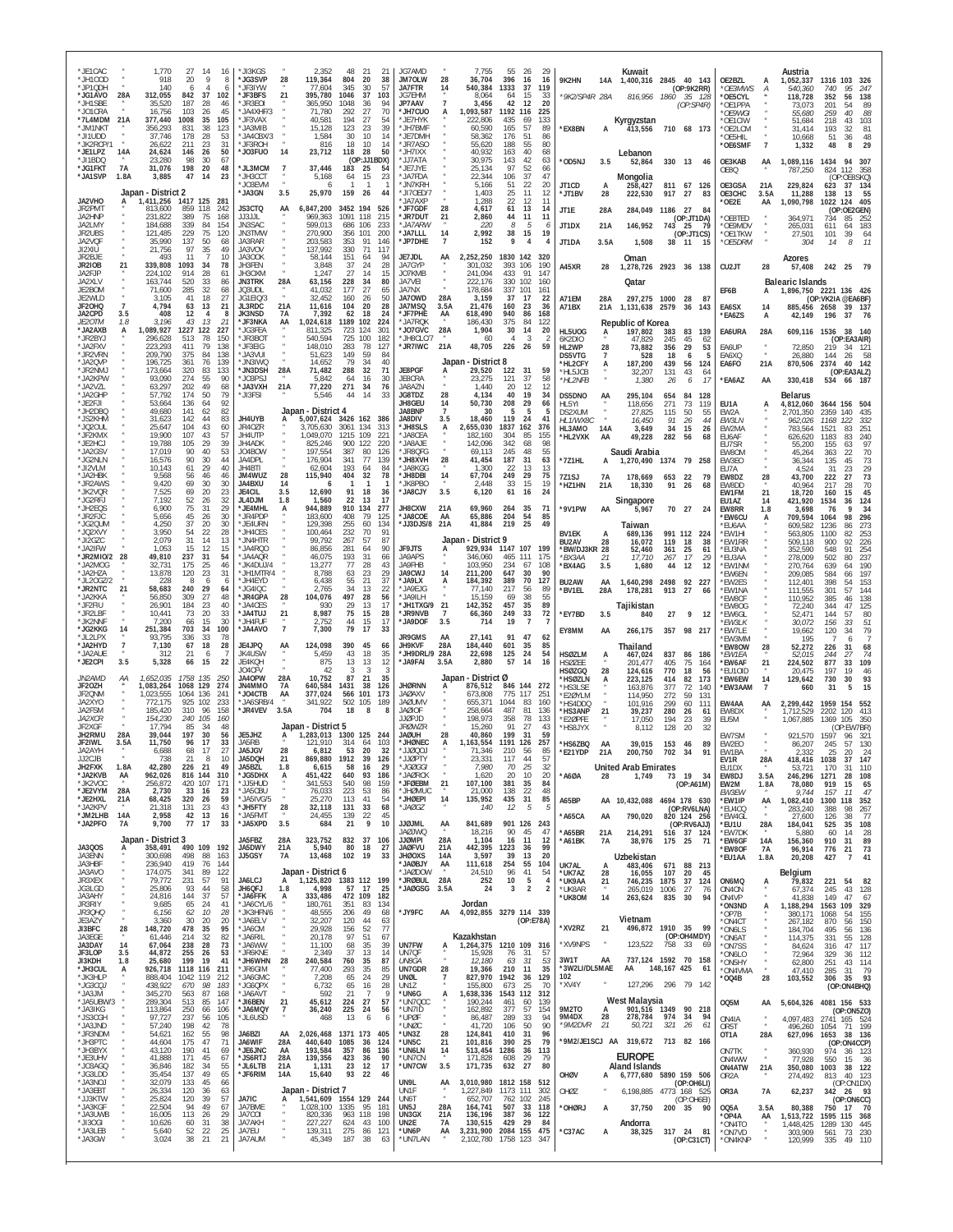| *JE1CAC<br>1,770<br>27<br>-14<br>16<br>9<br>*JH100D<br>918<br>20<br>8<br>*JP1QDH<br>140<br>6<br>Δ<br>6<br>37<br>*JG1AVO<br>28A<br>312,055<br>842<br>102<br>*JH1SBE<br>35,520<br>187<br>28<br>46<br>$*$ JO1CRA<br>16,756<br>103<br>45<br>26 | *JI3KGS<br>2,352<br>48<br>-21<br>21<br>*JG3SVP<br>119,364<br>28<br>804<br>-20<br>-38<br>'JF3IYW<br>77,604<br>345<br>30<br>57<br>*JF3BFS<br>37<br>21<br>395,780<br>1046<br>103<br>*JR3E0I<br>365,950<br>1048<br>-36<br>94<br>JA4XHF/3<br>71,780<br>292<br>27<br>70 | JG7AMD<br>7,755<br>55<br>26<br>29<br>JM70LW<br>36,704<br>28<br>396<br>16<br>-16<br>JA7FTR<br>540,384<br>1333<br>37<br>119<br>14<br>JG7FHM<br>8.064<br>64<br>15<br>-33<br><b>JP7AAV</b><br>7<br>3,456<br>42<br>12<br>20<br>1,093,587<br>*JH7CUO<br>1192<br>225<br>A<br>116 | Kuwait<br>9K2HN<br>14A<br>1,400,316 2845 40 143<br>(OP:9K2RR)<br><i>'9K2/SP4R 28A</i><br>816,956<br>35 128<br>1860<br>(OP:SP4R)                                                     | Austria<br>OE2BZL<br>1,052,337<br>1316 103<br>326<br>А<br>*OE3MWS<br>95<br>А<br>540.360<br>740<br>-247<br>*OE5CYL<br>118,728<br>352<br>56<br>138<br>*OE1PPA<br>73,073<br>201<br>54<br>89                           |
|--------------------------------------------------------------------------------------------------------------------------------------------------------------------------------------------------------------------------------------------|-------------------------------------------------------------------------------------------------------------------------------------------------------------------------------------------------------------------------------------------------------------------|---------------------------------------------------------------------------------------------------------------------------------------------------------------------------------------------------------------------------------------------------------------------------|-------------------------------------------------------------------------------------------------------------------------------------------------------------------------------------|--------------------------------------------------------------------------------------------------------------------------------------------------------------------------------------------------------------------|
| *7L4MDM<br>21A<br>377,440<br>1008<br>35<br>105<br>*JM1NKT<br>356,293<br>38<br>123<br>831<br>*JI1UDD<br>37,746<br>178<br>28<br>53<br>*JK2RCP/1<br>26,622<br>211<br>23<br>31<br>*JE1LPZ<br>146<br>26<br>50                                   | 'JF3VAX<br>40,581<br>194<br>27<br>54<br>JA3MIB<br>15,128<br>123<br>23<br>39<br>*JA4CBX/3<br>1,584<br>30<br>10<br>14<br>LIF3ROH<br>816<br>18<br>10<br>14<br>28<br>14<br>50                                                                                         | *JE7HYK<br>222,806<br>435<br>69<br>133<br>*JH7BMF<br>60,590<br>165<br>57<br>89<br>*JE7DMH<br>58,362<br>176<br>51<br>86<br>*JR7ASO<br>55,620<br>188<br>55<br>80<br>*JH7IXX<br>40.932<br>163<br>40                                                                          | Kyrgyzstan<br>*EX8BN<br>413,556<br>710 68 173<br>A                                                                                                                                  | *OE9WGI<br>55,680<br>259<br>40<br>88<br>OE1CIW<br>51.684<br>103<br>218<br>43<br>*OE2LCM<br>31.414<br>193<br>-32<br>81<br>OE5HIL<br>10,668<br>51<br>36<br>48<br>29<br>$\overline{7}$<br>*OE6SMF<br>1,332<br>48<br>8 |
| 14A<br>24,624<br>*JI1BDQ<br>23,280<br>98<br>30<br>67<br>7A<br>31,076<br>198<br>48<br>*JG1FKT<br>-20<br>*JA1SVP<br>1.8A<br>3,885<br>47<br>14<br>23                                                                                          | *J03FU0<br>23,712<br>118<br>(OP:JJ1BDX)<br>*JL3MCM<br>37,446<br>$\overline{7}$<br>183<br>-25<br>54<br>*JH3CCT<br>5,168<br>64<br>15<br>23                                                                                                                          | 68<br>*JJ7ATA<br>30,975<br>143<br>42<br>63<br>*JE7JYE<br>25,134<br>97<br>52<br>66<br>* JA7FDA<br>22,344<br>106<br>37<br>47                                                                                                                                                | Lebanon<br>*OD5NJ<br>3.5<br>330 13 46<br>52,864<br>Mongolia                                                                                                                         | OE3KAB<br>AA<br>1,089,116<br>1434<br>94<br>307<br>OE8Q<br>787,250<br>824 112<br>358<br>(OP:OE8SKQ)                                                                                                                 |
| Japan - District 2<br>JA2VHO<br>1417 125<br>1,411,256<br>281<br><b>JR2PMT</b><br>859<br>118<br>813.600<br>242                                                                                                                              | <b>'JO3FVM</b><br>6<br>*JA3GN<br>3.5<br>25,970<br>159<br>-26<br>44<br><b>JS3CTQ</b><br>6,847,200<br>3452 194<br>AA<br>526                                                                                                                                         | 22<br>20<br>* IN7KRH<br>5.166<br>51<br>*JI7OED/7<br>1,403<br>25<br>11<br>12<br><b>JA7AXF</b><br>1.288<br>22<br>12<br>11<br>*JF7GDF<br>28<br>4,617<br>61<br>13<br>14                                                                                                       | JT1CD<br>811 67<br>126<br>A<br>258.427<br>*JT1BV<br>28<br>917<br>27<br>222.530<br>83<br>JT1E<br>28A<br>284,049<br>1186<br>-27<br>84                                                 | 229,824<br>OE3GSA<br>21A<br>623<br>37 134<br>OE3CHC<br>3.5A<br>11,288<br>138<br>55<br>- 13<br>OE2E<br>1,090,798<br>1022 124<br>405<br>AA<br>(OP:OE2GEN)                                                            |
| JA2HNP<br>231,822<br>389<br>75<br>168<br>JA2LMY<br>339<br>84<br>184.688<br>154<br>JR2UBS<br>229<br>121.485<br>75<br>120<br>JA2VQF<br>35,990<br>137<br>50<br>68<br>JI2XIU<br>21,756<br>97<br>35<br>49                                       | JJ3JJL<br>969,363<br>1091<br>118<br>215<br><b>JN3SAC</b><br>599,013<br>686<br>106<br>233<br>JN3TMW<br>270.900<br>200<br>356<br>101<br>JA3RAR<br>203,583<br>353<br>91<br>146<br>137,992<br>JA3VOV<br>330<br>71<br>117                                              | *JR7DUT<br>21<br>11<br>2,860<br>44<br>11<br>*JA7ARW<br>220<br>8<br>5<br>6<br>2,992<br>*JA7LLL<br>14<br>38<br>15<br>19<br>*JP7DHE<br>$\overline{7}$<br>152<br>9<br>4                                                                                                       | (OP:JT1DA)<br>JT1DX<br>146,952<br>21A<br>743<br>25<br>- 79<br>(OP:JTICS)<br>JT1DA<br>1,508<br>3.5A<br>38 11<br>- 15                                                                 | OE8TED<br>364,971<br>734<br>85<br>252<br>*OE9MDV<br>183<br>265,031<br>611<br>-64<br>*OE1TKW<br>27,501<br>101<br>39<br>64<br>*OE5DRM<br>11<br>304<br>14<br>8                                                        |
| JR2BJE<br>493<br>11<br>10<br><b>JR2IOB</b><br>21<br>339,808<br>1093<br>34<br>78<br>914<br>JA2FJP<br>224,102<br>-28<br>61                                                                                                                   | JA3OOK<br>58,144<br>151<br>64<br>94<br>JH3FEN<br>3,848<br>37<br>24<br>28<br>1,247<br>27<br>JH3OXM<br>14<br>15                                                                                                                                                     | JE7JDL<br>2,252,250<br>1830 142<br>AA<br>320<br>JA7GYP<br>301,032<br>393<br>106<br>190<br>JO7KMB<br>91<br>241.094<br>433<br>147                                                                                                                                           | Oman<br>A45XR<br>1,278,726 2923 36 138<br>28                                                                                                                                        | Azores<br>CU <sub>2</sub> JT<br>28<br>242<br>25<br>79<br>57,408                                                                                                                                                    |
| JA2XLV<br>163,744<br>520<br>33<br>86<br>JE2BOM<br>71,600<br>285<br>-32<br>68<br>JE2WLD<br>3,105<br>41<br>18<br>27<br>21<br>$\overline{7}$<br>4,794<br>JF20HQ<br>63<br>13                                                                   | 28A<br><b>JN3TRK</b><br>63,156<br>228<br>34<br>80<br>JQ3UDL<br>41,032<br>177<br>-27<br>65<br>32,452<br>JG1EIQ/3<br>160<br>26<br>50<br>21A<br>11,616<br>104<br>20<br>JL3RDC<br>28                                                                                  | JA7VEI<br>222,176<br>330<br>102<br>160<br>JA7NX<br>178,684<br>337<br>101<br>161<br><b>JA70WD</b><br>28A<br>3,159<br>37<br>17<br>22<br>JA7MSO<br>3.5A<br>21,476<br>160<br>23<br>36                                                                                         | Qatar<br>A71FM<br>297,275<br>1000<br>28A<br>-28<br>-87<br>A71BX<br>1,131,638<br>2579<br>36<br>21A<br>143                                                                            | <b>Balearic Islands</b><br>EF6B<br>1,896,750 2221 136 426<br>A<br>(OP: VK2IA @EA6BF)<br>EA6SX<br>14<br>885,456 2658<br>39 137                                                                                      |
| JA2CPD<br>3.5<br>408<br>12<br>8<br>JE20TM<br>3,196<br>13<br>21<br>7.8<br>43<br>*JA2AXB<br>1,089,927<br>1227<br>122<br>227<br>A<br>*JR2BYJ<br>513<br>78<br>150<br>296,628                                                                   | <b>JK3NSD</b><br>7,392<br>62<br>18<br>7A<br>24<br>*JF3NKA<br>1189 102<br>AA<br>1,024,618<br>224<br>*JG3FEA<br>811,325<br>723<br>124<br>301<br>*JR3B01<br>540.594<br>725<br>100<br>182                                                                             | *JF7PHE<br>618,490<br>940<br>AA<br>86<br>168<br>*JA7ROK<br>375<br>84<br>122<br>186.430<br>*JO7GVC<br>28A<br>1,904<br>30<br>14<br>20<br>* JH8CLC/7<br>3<br>-60<br>$\Delta$                                                                                                 | Republic of Korea<br>HL5UOG<br>197,802<br>383<br>83<br>139<br>A<br>6K2DIO<br>47,829<br>245<br>45<br>62                                                                              | *EA6ZS<br>А<br>42,149<br>196<br>37 76<br>EA6URA<br>28A<br>609,116 1536<br>38<br>- 140<br>(OP:EA3AIR)                                                                                                               |
| *JA2FXV<br>223,293<br>411<br>79<br>138<br>*JR2VRN<br>209,790<br>375<br>84<br>138<br>*JA2QVP<br>361<br>76<br>139<br>196.725<br>*JR2NMJ<br>173,664<br>320<br>83<br>133                                                                       | *JF3EIG<br>148,010<br>283<br>78<br>127<br>149<br>* JA3VUI<br>51,623<br>84<br>-59<br>'JN3IWC<br>14,652<br>79<br>34<br>40<br>*JN3DSH<br>28A<br>32<br>71,482<br>288<br>71                                                                                            | *JR7IWC<br>21A<br>48,705<br>226<br>26<br>59<br>- District 8<br>Japan<br>JE8PGF<br>29,520<br>122<br>31<br>59<br>A                                                                                                                                                          | HL2WP<br>29<br>53<br>28<br>73,882<br>356<br>DS5VTG<br>18<br>528<br>6<br>-5<br>*HL2CFY<br>187,200<br>439<br>56<br>A<br>124<br>*HL5JCB<br>32,207<br>131<br>43<br>64                   | EA6UP<br>72.850<br>219<br>34 121<br>$\alpha$<br>EA6XQ<br>26,880<br>144<br>- 58<br>-26<br>21A<br>870,506<br>2374 40<br>EA6FO<br>142<br>(OP:EA3ALZ)                                                                  |
| *JA2KPW<br>93,090<br>274<br>-55<br>90<br>*JA2VZL<br>63,297<br>202<br>49<br>68<br>174<br>50<br>79<br>*JA2GHP<br>57.792<br>*JE2FJI<br>53,664<br>136<br>64<br>92                                                                              | *JO3PSJ<br>5,842<br>64<br>16<br>30<br>*JA3VXH<br>77,220<br>271<br>21A<br>34<br>76<br>*JI3FSI<br>5,546<br>44<br>14<br>33                                                                                                                                           | JE8CRA<br>23,275<br>121<br>37<br>58<br>JA8AZN<br>1,440<br>20<br>12<br>12<br>28<br>19<br>JG8TDZ<br>4,134<br>40<br>34<br><b>JH8GEU</b><br>50,730<br>208<br>29<br>66<br>14                                                                                                   | *HL2NFB<br>1,380<br>26<br>17<br>6<br>DS5DNO<br>AA<br>295,104<br>654<br>128<br>84<br>271<br>73<br>HL5YI<br>118,656<br>119                                                            | 330,418<br>*EA6AZ<br>AA<br>534 66 187<br><b>Belarus</b><br>4,812,060<br>EU1A<br>А<br>3644 156<br>504                                                                                                               |
| *JH2DBQ<br>49,680<br>141<br>62<br>82<br>*JS2KHM<br>31,623<br>142<br>44<br>83<br>25,647<br>104<br>43<br>60<br>*JQ2OUL<br>*JF2KMX<br>19,900<br>107<br>57<br>43                                                                               | Japan - District 4<br>JH4UYB<br>5,007,624<br>3426 162<br>386<br>А<br>134<br>JR40ZR<br>3061<br>3.705.630<br>313<br>JH4UTP<br>1,049,070<br>1215<br>109<br>$22^{\circ}$                                                                                              | JA8BNP<br>$\overline{7}$<br>30<br>5<br>5<br>5<br><b>JA8DIV</b><br>3.5<br>18,460<br>119<br>24<br>41<br>2,655,030<br>1837<br>376<br>*JH8SLS<br>A<br>162<br>* JA8CEA<br>182.160<br>304<br>85<br>155                                                                          | DS2XUM<br>27,825<br>115<br>50<br>55<br>HL1/WX8C<br>16,450<br>91<br>26<br>44<br>HL3AMO<br>14A<br>3,649<br>34<br>15<br>26<br>*HL2VXK<br>AA<br>282<br>-56<br>68                        | EW2A<br>2,701,350<br>2359<br>140<br>435<br>EW3LN<br>962.026<br>1168<br>122<br>332<br>EW2MA<br>783,564<br>1521<br>251<br>83<br>240<br>EU6AF<br>626,620<br>1183<br>83                                                |
| 39<br>*JE2HCJ<br>19,788<br>105<br>29<br>*JA2GSV<br>17,019<br>90<br>40<br>53<br>*JG2NLN<br>16,576<br>90<br>30<br>44                                                                                                                         | JH4ADK<br>825,246<br>900<br>122<br>220<br>J04BOW<br>197,554<br>387<br>80<br>126<br>JA4DPL<br>176,904<br>77<br>341<br>139                                                                                                                                          | * JA8AJE<br>142,096<br>342<br>98<br>68<br>*JR8QFG<br>69,113<br>245<br>48<br>55<br>*JH8XVH<br>28<br>41,454<br>187<br>31<br>63                                                                                                                                              | 49,228<br>Saudi Arabia<br>*7Z1HL<br>1,270,490<br>1374 79 258                                                                                                                        | EU7SR<br>55,200<br>97<br>155<br>63<br>EW80M<br>70<br>22<br>45.264<br>363<br>EW3EO<br>36,344<br>135<br>45<br>73                                                                                                     |
| *JI2VLM<br>10,143<br>61<br>29<br>40<br>*JA2HBK<br>9,568<br>56<br>46<br>46<br>*JR2AWS<br>9,420<br>69<br>30<br>30<br>*JK2VQR<br>7,525<br>69<br>20<br>23                                                                                      | JH4BTI<br>62,604<br>193<br>64<br>84<br>JM4WUZ<br>115,940<br>28<br>404<br>32<br>78<br>JA4BXU<br>14<br>12,690<br><b>JE4CIL</b><br>3.5<br>91<br>18<br>36                                                                                                             | *JA8KGG<br>1,300<br>22<br>13<br>13<br>*JH8DBI<br>67,704<br>249<br>14<br>29<br>75<br>*JK8PBO<br>2,448<br>33<br>15<br>19<br>*JA8CJY<br>3.5<br>6,120<br>61<br>16<br>24                                                                                                       | 7Z1SJ<br>7A<br>178,669<br>653<br>22<br>-79<br>*HZ1HN<br>91<br>21A<br>18,330<br>26<br>68                                                                                             | 23<br>29<br>31<br>FU7A<br>4.524<br>EW8DZ<br>43,700<br>222<br>27<br>73<br>28<br>70<br><b>FW8DD</b><br>28<br>40.964<br>217<br>45<br>21<br>EW1FM<br>18,720<br>160<br>15                                               |
| 32<br>*JG2RFJ<br>7.192<br>52<br>-26<br>29<br>*JH2EQS<br>6,900<br>75<br>31<br>45<br>30<br>*JR2FJC<br>5,656<br>-26<br>*JG2QUM<br>4,250<br>37<br>20<br>30                                                                                     | JL4DJM<br>1.8<br>1,560<br>22<br>13<br>17<br>944,889<br>*JE4MHL<br>910<br>134<br>277<br>А<br>408<br>79<br>*JR4PDF<br>183,600<br>125<br>*JE4URN<br>129,398<br>255<br>60<br>134                                                                                      | <b>JH8CXW</b><br>21A<br>69,960<br>264<br>35<br>71<br>*JA8COE<br>65,886<br>204<br>54<br>AA<br>85<br>*JJ3DJS/8<br>21A<br>41,884<br>219<br>25<br>49                                                                                                                          | Singapore<br>*9V1PW<br>AA<br>70 27<br>5,967<br>24<br>Taiwan                                                                                                                         | EU1AZ<br>421,920<br>1534<br>36<br>124<br>14<br>34<br>EW8RR<br>1.8<br>3,698<br>76<br>q<br>296<br><b>EW6CU</b><br>709,594<br>1064<br>98<br>А<br>273<br>'EU6AA<br>609.582<br>1236<br>86                               |
| 54<br>28<br>*JQ2XVY<br>3.950<br>22<br>31<br>*JI2GZC<br>2,079<br>14<br>13<br>15<br>15<br>12<br>* JA2IFW<br>1.053<br>*JR2MIO/2<br>28<br>49,810<br>237<br>31<br>54                                                                            | 232<br>*JH4CES<br>100,464<br>70<br>91<br>99,792<br>'JN4HTR<br>267<br>57<br>87<br>JA4RQ0<br>86,856<br>64<br>90<br>281<br>* JA4AQR<br>46,075<br>193<br>31<br>66                                                                                                     | Japan - District 9<br>JF9JTS<br>1147 107<br>929,934<br>199<br>A<br>JA9APS<br>346,060<br>465<br>111<br>175                                                                                                                                                                 | <b>BV1EK</b><br>689,136<br>991 112 224<br>A<br>BU2AV<br>28<br>16,072<br>119<br>18<br>38<br>*BW/DJ3KR 28<br>361<br>25<br>61<br>52,460<br>17<br>17,710<br>267<br>*BX3AA<br>-21<br>-29 | *EW1HI<br>563,805<br>1100<br>82<br>253<br>*EW1RR<br>226<br>509.118<br>900<br>92<br>'EU3NA<br>352,590<br>548<br>254<br>91<br>237<br><b>EU3AA</b><br>278,009<br>502<br>80                                            |
| *JA2MOG<br>175<br>25<br>46<br>32.731<br>*JA2HZA<br>120<br>23<br>31<br>13,878<br>*JL20GZ/2<br>-228<br>8<br>-6<br>6<br>*JR2NTC<br>21<br>58,683<br>240<br>29<br>64                                                                            | *JK4DUJ/4<br>77<br>13,277<br>28<br>43<br>*JH1MTR/4<br>8,788<br>63<br>23<br>29<br>6,438<br>21<br>37<br>* JH4FYD<br>55<br>*JG4IQC<br>2,765<br>34<br>13<br>22                                                                                                        | JA9FHB<br>234<br>103.950<br>108<br>67<br><b>JA9CWJ</b><br>211,200<br>647<br>90<br>14<br>30<br>*JA9LX<br>184,392<br>389<br>70<br>127<br>* JA9EJG<br>77,140<br>217<br>56<br>89                                                                                              | *BX4AG<br>3.5<br>12<br>12<br>1,680<br>44<br>BU2AW<br>AA<br>1,640,298<br>2498<br>92<br>227<br>*BV1EL<br>27<br>28A<br>178,281<br>913<br>66                                            | *EW1NM<br>270,764<br>190<br>639<br>64<br>197<br>'EW6EN<br>209,085<br>584<br>66<br>'EW2ES<br>112,401<br>398<br>153<br>54<br>'EW1NA<br>111.555<br>301<br>57<br>144                                                   |
| * JA2KKA<br>56,850<br>309<br>27<br>48<br>*JF2FIU<br>26,901<br>184<br>23<br>40<br>*JR2LBF<br>10,441<br>73<br>20<br>33<br>*JK2NNF<br>30<br>7,200<br>66<br>15                                                                                 | *JR4GPA<br>104,076<br>497<br>28<br>28<br>56<br>*JA4CES<br>930<br>29<br>13<br>17<br>*JA4TUJ<br>21<br>8,987<br>75<br>15<br>28<br>15<br>*JH4FUF<br>2,752<br>44<br>17                                                                                                 | * JA9II H<br>15.159<br>55<br>69<br>38<br>*JH1TXG/9<br>21<br>142,352<br>457<br>35<br>89<br>$\overline{7}$<br>*JR9NVB<br>66,360<br>249<br>33<br>72<br>*JA9DOF<br>3.5<br>714<br>19<br>$\overline{7}$                                                                         | <b>Iajikistan</b><br>*EY7BD<br>27<br>3.5<br>9<br>840<br>12                                                                                                                          | *EW8CF<br>110,952<br>138<br>385<br>46<br>EW80G<br>125<br>72,240<br>344<br>47<br>*EW6GL<br>52.471<br>144<br>57<br>80<br>*EW3LK<br>30,072<br>156<br>33<br>51                                                         |
| *JG2KKG<br>251,384<br>703<br>34<br>100<br>14<br>78<br>*JL2LPX<br>93,795<br>336<br>33<br>*JA2HYD<br>$\overline{7}$<br>7,130<br>67<br>18<br>28<br>*JA2AUE<br>312<br>21<br>6<br>7                                                             | $\overline{7}$<br>79<br>*JA4AVO<br>7,300<br>17<br>33<br>JE4JPQ<br>124,098<br>390<br>45<br>AA<br>66<br>JK4USW<br>5,459<br>43<br>18<br>35                                                                                                                           | <b>JR9GMS</b><br>27,141<br>91<br>47<br>AA<br>62<br>28A<br><b>JH9KVF</b><br>184,440<br>601<br>35<br>85<br>*JH9DRL/9 28A<br>22,698<br>54<br>125<br>24                                                                                                                       | EY8MM<br>266,175<br>357<br>98 217<br>AA<br>Thailand<br><b>HSØZLM</b><br>467,024<br>837<br>86 186                                                                                    | 79<br>*EW7LE<br>19,662<br>120<br>34<br>EW3MM<br>195<br>-6<br>*EW8OW<br>52,272<br>226<br>28<br>31<br>68<br>74<br>*EW1EA<br>52,015<br>244<br>27                                                                      |
| *JE2CPI<br>3.5<br>5,328<br>66<br>15<br>22<br><i>JN2AMD</i><br>1,652,035<br>1758 135<br>250<br>АA<br>JF20ZH<br>1,083,264<br>1068 129<br>274                                                                                                 | JE4KQH<br>875<br>13<br>13<br>12<br>JO4CEV<br>42<br>-3<br>-3<br>-3<br><b>JA40PW</b><br>28A<br>10,752<br>87<br>21<br>35<br>JN4MMO<br><b>7A</b><br>640,584<br>1431<br>38<br>126                                                                                      | * JA9FAI<br>3.5A<br>2,880<br>57<br>14<br>16<br>Japan - District Ø<br><b>JHØRNN</b><br>876,512<br>846 144 272<br>A                                                                                                                                                         | A<br><b>HSØZEE</b><br>201.477<br>405<br>75<br>164<br><b>HSØZGQ</b><br>28<br>124,616<br>770<br>18<br>56<br>*HSØZLN<br>82<br>A<br>223.125<br>414<br>173                               | *EW6AF<br>21<br>33<br>109<br>224,502<br>877<br>'EU1OID<br>19<br>20.475<br>197<br>46<br>*EW6EW<br>93<br>14<br>129,642<br>730<br>30<br>$\overline{7}$                                                                |
| JF2QNM<br>1,023,555<br>241<br>1064<br>136<br>JA2XYO<br>772,175<br>925<br>102<br>233<br>JA2FSM<br>185,420<br>310<br>158<br>96                                                                                                               | *JO4CTB<br>AA<br>377,024<br>566<br>101<br>173<br>*JA6SRB/4<br>341,922<br>502 105<br>189<br>*JR4VEV<br>3.5A<br>704<br>18<br>8                                                                                                                                      | <b>JAØAXV</b><br>775<br>117<br>673.808<br>$25^{\circ}$<br><b>JAØUMV</b><br>655,371<br>1044<br>83<br>160<br><b>JAØIOF</b><br>258,664<br>487<br>81<br>136<br>198.973<br><b>LIGPJD</b>                                                                                       | *HS3LSE<br>377<br>163.876<br>72<br>140<br>*E2ØYLM<br>114.950<br>272<br>59<br>131<br>*HS4DDQ<br>101,916<br>299<br>60<br>111<br>*HS3ANP<br>39,237<br>280<br>21<br>-26<br>-61          | *EW3AAM<br>31<br>15<br>660<br>EW4AA<br>2.299.442<br>1959<br>154<br>AA<br>552<br>413<br>EW8DX<br>1,712,529<br>2202<br>120                                                                                           |
| <i>JA2XCR</i><br>154,230<br>240<br>160<br>105<br>JF2XGF<br>17.794<br>85<br>48<br>197<br>JH2RMU<br>28A<br>39,044<br>30<br>56<br>JF2IWL<br>3.5A<br>11,750<br>96<br>17<br>33                                                                  | Japan - District 5<br>JE5JHZ<br>1,283,013<br>1300 125<br>244<br>А<br>JA5RB<br>121.910<br>314<br>64<br>103                                                                                                                                                         | 358<br>78<br>133<br><b>JRØWZR</b><br>91<br>27<br>15.260<br>43<br><b>HUBAL</b><br>28<br>40,860<br>199<br>31<br>59<br>*JHØNEC<br>A<br>1,163,554<br>1191 126<br>257                                                                                                          | *E2ØPFE<br>17,050<br>194<br>39<br>23<br>*HS8JYX<br>8,112<br>128<br>20<br>32<br>*HS6ZBQ<br>AA<br>39,015<br>153<br>46<br>89                                                           | EU5M<br>1,067,885<br>1369<br>105<br>350<br>(OP:EW7BR)<br>EW7SM<br>921,570<br>1597<br>96<br>321<br>EW2EO<br>86,207<br>245<br>57<br>130                                                                              |
| JA2AYH<br>6,688<br>68<br>17<br>27<br>JJ2CJB<br>738<br>21<br>21<br>JH2FXK<br>1.8A<br>42,280<br>226<br>49<br>*JA2KVB<br>816 144<br>310<br>AA<br>962,026                                                                                      | 20<br>JA5JGV<br>28<br>6,812<br>53<br>32<br>1912<br><b>JA5DQF</b><br>21<br>869,880<br>39<br>126<br>JA5BZL<br>1.8<br>58<br>29<br>6.615<br>16<br>*JG5DHX<br>640<br>А<br>451,422<br>93<br>186                                                                         | rodørr,<br>71,346<br>210<br>56<br>85<br>25<br>*JGØGGI<br>7,980<br>70<br>32<br>* JAØRCK<br>20<br>10<br>1,620<br>20                                                                                                                                                         | *E21YDP<br>21A<br>200.750<br>702<br>-34<br>91<br><b>United Arab Emirates</b><br>*A6ØA<br>28<br>1,749<br>73<br>19<br>34                                                              | EW1BA<br>2.332<br>25<br>20<br>-24<br>1038<br>147<br>28A<br>418.416<br><b>EVIR</b><br>31<br>EU1DX<br>53,721<br>170<br>31<br>110<br>EW8DJ<br>3.5A<br>246,296<br>1271<br>28<br>108                                    |
| 107<br>*JK2VOC<br>256,872<br>420<br>171<br>*JE2VYM<br>28A<br>23<br>2,730<br>33<br>16<br>*JE2HXL<br>21A<br>68,425<br>320<br>26<br>59<br>*JA2KPV<br>21,318<br>131<br>43<br>23                                                                | JJ5HUD<br>540<br>98<br>341,553<br>159<br>*JA5CBU<br>76,033<br>223<br>53<br>86<br>*JA5IVG/5<br>25,270<br>113<br>41<br>54<br>*JH5FTY<br>28<br>68<br>32,118<br>131<br>33                                                                                             | *JFØEBM<br>21<br>381<br>84<br>107,100<br>35<br>138<br>22<br>48<br>* JHØMUC<br>21,000<br>*JHØEPI<br>14<br>135,952<br>435<br>31<br>85<br>5<br>*JAØGZ<br>12<br>140<br>5                                                                                                      | (OP:A61M)<br>A65BP<br>4694 178 630<br>10,432,088<br>AA<br>(OP:RV6LNA)                                                                                                               | 65<br>EW2M<br>1.8A<br>78,080<br>919<br>15<br>47<br>EW3EW<br>157<br>11<br>9.744<br>*EW1IP<br>1300<br>352<br>AA<br>1,082,410<br>118<br>*EU4CQ<br>283,240<br>388<br>98<br>267                                         |
| *JM2LHB<br>14A<br>2,958<br>42<br>13<br>16<br>77<br>*JA2PFO<br>17<br>7A<br>9,700<br>33<br>Japan - District 3                                                                                                                                | * JA5FMT<br>24,455<br>139<br>22<br>45<br>9<br>*JA5XPD<br>3.5<br>21<br>10<br>684<br>JA5FBZ<br>323,752<br>28A<br>832<br>37<br>106                                                                                                                                   | <b>JJØJML</b><br>901 126<br>841,689<br>243<br>AA<br><b>DWL@AL</b><br>18,216<br>90<br>45<br>47<br><b>HOMBLE</b><br>28A<br>11<br>1,104<br>16<br>12                                                                                                                          | *A65CA<br>790,020<br>AA<br>820 124 256<br>(OP:RV6AJJ)<br>*A65BR<br>21A<br>214,291<br>516 37 124<br>*A61BK<br>7A<br>38,976<br>175 25<br>71                                           | *EW4GL<br>77<br>126<br>38<br>27.600<br>108<br>*EU1U<br>28A<br>184,041<br>525<br>35<br>*EW7DK<br>60<br>28<br>5,880<br>14<br>89<br>*EW6GF<br>14A<br>156,360<br>910<br>31                                             |
| JA3QOS<br>358,491<br>490 109<br>192<br>А<br>JA3ENN<br>300,698<br>498<br>88<br>163<br>JA3HBF<br>236,940<br>419<br>76<br>144<br>JA3AVO<br>341<br>89<br>174,075<br>122                                                                        | JA5DWY<br>21A<br>5,940<br>80<br>18<br>27<br>JJ5GSY<br>7A<br>13,468<br>102<br>19<br>33<br>Japan - District 6                                                                                                                                                       | <b>JAØFVU</b><br>21A<br>442,395<br>1223<br>36<br>99<br><b>JHØOXS</b><br>14A<br>3,597<br>39<br>13<br>20<br>254<br>*JAØBJY<br>104<br>AA<br>111,618<br>55<br>96<br>54<br>JAØDOW<br>24,510<br>41                                                                              | Uzbekistan<br>UK7AL<br>483,406<br>671<br>88 213<br>A<br>107<br>*UK7AZ<br>28<br>16,055<br>20<br>45                                                                                   | $\frac{73}{41}$<br><b>EW8OF</b><br>21<br>7A<br>96,914<br>776<br>427<br>$\overline{7}$<br>*EU1AA<br>1.8A<br>20,208<br>Belgium                                                                                       |
| 91<br>JR3XEX<br>79,772<br>231<br>57<br>44<br>JG3LGD<br>25,806<br>93<br>58<br>144<br>37<br>57<br>JA3AHY<br>24,816<br>JR3RIY<br>9,685<br>65<br>24<br>41                                                                                      | JA6LCJ<br>1,125,820 1383 112 199<br>А<br>4,998<br>57<br>JH6QFJ<br>1.8<br>17<br>25<br>*JA6FFK<br>333,486<br>472 109<br>182<br>А<br>*JA6CYL/6<br>180,761<br>351<br>83<br>134                                                                                        | *JRØBUL<br>28A<br>252<br>10<br>5<br>4<br>*JAØGSG<br>3.5A<br>24<br>3<br>$\overline{2}$<br>2<br>Jordan                                                                                                                                                                      | *UK9AA<br>37<br>21<br>746,235<br>1875<br>124<br>*UK8AR<br>1006<br>27<br>265,019<br>76<br>*UK80M<br>14<br>94<br>263,624<br>835<br>30                                                 | ON6MQ<br>79,832<br>221<br>54<br>А<br>82<br>43<br>245<br>128<br>ON4ON<br>67,374<br>$\alpha$<br>ON4VP<br>149<br>41,838<br>47<br>67                                                                                   |
| 10<br>28<br>JR30HO<br>6,156<br>62<br>JE3AZY<br>3,360<br>30<br>20<br>20<br>JI3BFC<br>478<br>35<br>95<br>28<br>148,720<br>214                                                                                                                | 206<br>*JK3HFN/6<br>49<br>68<br>48,555<br>*JA6ELV<br>32,207<br>120<br>44<br>63<br>*JA6CM<br>29,928<br>77<br>156<br>52<br>51<br>*JA6RIL<br>97<br>67                                                                                                                | *JY9FC<br>4,092,855 3279 114 339<br>AA<br>(OP:E78A)<br>Kazakhstan                                                                                                                                                                                                         | Vietnam<br>*XV2RZ<br>21<br>1910 35<br>496,872<br>99<br>(OP:OH4MDY)                                                                                                                  | 329<br>*ON3ND<br>А<br>1,188,294<br>109<br>1563<br>OP7B<br>380,171<br>1068<br>54<br>155<br>*ON4CT<br>870<br>56<br>150<br>267,182<br>*ON6LS<br>184,704<br>495<br>56<br>136                                           |
| JA3EGE<br>61,446<br>32<br>82<br>JA3DAY<br>67,064<br>238<br>28<br>73<br>14<br>JF3LOP<br>3.5<br>44,872<br>255<br>26<br>53<br>JI3KDH<br>199<br>19<br>41<br>1.8<br>25,680                                                                      | 20,178<br>*JA6WW<br>11,100<br>35<br>39<br>68<br>*JR6KNE<br>2,349<br>37<br>13<br>14<br>*JH6WHN<br>28<br>240,584<br>760<br>35<br>87                                                                                                                                 | UN7FW<br>1,264,375 1210 109 316<br>A<br>UN7QF<br>15,928<br>76<br>31<br>57<br>UN8GA<br>53<br>12,180<br>63<br>-31                                                                                                                                                           | *XV9NPS<br>123,522<br>758<br>33<br>-69<br>3W1T<br>AA<br>737,124 1592 70 158                                                                                                         | 'ON6AT<br>331<br>128<br>114,375<br>55<br>*ON7SS<br>84,624<br>316<br>47<br>117<br>'ON6LO<br>72,964<br>329<br>112<br>-36<br>'ON5HY<br>62,800<br>251<br>43<br>114                                                     |
| *JH3CUL<br>926,718<br>1118 116<br>211<br>A<br>*JK3HLP<br>888,404<br>1042 119<br>212<br>*JG3CQJ<br>98<br>438,922<br>670<br>183<br>MLEAL*<br>345,270<br>87<br>563<br>168                                                                     | * JR6GIM<br>77,400<br>293<br>35<br>85<br>24<br>29<br>*JA6GMC<br>7,208<br>65<br>*JG6QPX<br>65<br>16<br>6,732<br>28<br>"JA6AVT<br>21<br>592<br>$\overline{7}$<br>-9                                                                                                 | UN7GDR<br>28<br>19,366<br>210<br>11<br>35<br>$\overline{7}$<br>827,970<br>1942<br>UNØL<br>36<br>129<br>70<br>UN1Z<br>155,800<br>673<br>25<br>*UN6G<br>А<br>1,638,336<br>1543 112<br>312                                                                                   | *3W2LI/DL5MAE<br>AA<br>148,167 425<br>-61<br>102<br>*XV4Y<br>127,296 296 79 142                                                                                                     | ON4VMA<br>$\boldsymbol{\theta}$<br>47,410<br>79<br>285<br>-31<br>28<br>93<br>'OQ4B<br>103,552<br>306<br>- 35<br>(OP:ON4BHQ)                                                                                        |
| *JA5UBW/3<br>289,304<br>513<br>85<br>147<br>113,864<br>*JA3IKG<br>250<br>66<br>106<br>*JS3CGH<br>97,727<br>237<br>105<br>56<br>JA3JND<br>57,240<br>198<br>42<br>78                                                                         | 27<br>21<br>*JI6BEN<br>45,612<br>224<br>57<br>*JA6MQY<br>225<br>$\overline{7}$<br>36,240<br>24<br>56<br>*JL6USD<br>13<br>468<br>6<br>6                                                                                                                            | *UN7QCC<br>139<br>190,244<br>461<br>60<br>*UN7ID<br>162,892<br>377<br>57<br>154<br>94<br>*UPØF<br>289<br>86,487<br>33<br>106<br>90<br>*UNØC<br>41,720<br>50                                                                                                               | West Malaysia<br>9M2TO<br>901,516 1349<br>90 218<br>A<br>9M4DX<br>974<br>34<br>28<br>278,784<br>94<br>*9M2DVR<br>-21<br>50,721<br>321<br>26<br>61                                   | 4081 156 533<br>005M<br>AA<br>5,604,326<br>(OP:ON5ZO)<br>ON4IA<br>$\boldsymbol{\alpha}$<br>4,097,483<br>2741 165 524<br>$\boldsymbol{\pi}$<br>71 199<br>496,260<br>OR5T<br>1054                                    |
| 162<br>55<br>98<br>*JR3NDM<br>54,621<br>*JH3PTC<br>44,604<br>175<br>47<br>71<br>*JH3BYX<br>41<br>43,120<br>190<br>69<br>*JE3UHV<br>41,888<br>171<br>45<br>67                                                                               | JA6BZI<br>1371 173<br>AA<br>2,026,468<br>405<br>JA6WIF<br>28A<br>440,640<br>1085<br>36<br>124<br>*JE6JNC<br>357<br>86<br>AA<br>193,584<br>136<br>*JS6RTJ<br>28A<br>139,356<br>423<br>36<br>90                                                                     | 410<br>*UN3Z<br>28<br>31<br>96<br>124,841<br>*UN5C<br>21<br>101,816<br>390<br>25<br>79<br>*UN6LN<br>14<br>513,454<br>1286<br>36<br>113<br>*UN7CN<br>171,828<br>608<br>29<br>79                                                                                            | *9M2/JE1SCJ AA 319,672 713 82 166<br><b>EUROPE</b>                                                                                                                                  | OT1A<br>28A<br>627,096<br>1653<br>38 136<br>(OP:ON4CCP)<br>ON7TK<br>360,930<br>974<br>36 123<br>$\frac{1}{36}$<br>ON4WW<br>77,928<br>550<br>15                                                                     |
| *JO3AGQ<br>36,846<br>182<br>55<br>34<br>*JG3LDD<br>35,454<br>137<br>49<br>65<br>LOVEAL*<br>32,079<br>45<br>133<br>66<br>*JA3EBT<br>26,334<br>120<br>36<br>63                                                                               | *JL6LTB<br>21A<br>23<br>12<br>1,131<br>17<br>*JF6RIM<br>14A<br>15,640<br>93<br>22<br>46<br>Japan - District 7                                                                                                                                                     | *UN7CW<br>3.5<br>171,735<br>632<br>27<br>80<br>UN9L<br>3,010,980<br>1812 158 512<br>AA<br>UN1F<br>1,227,849<br>1173<br>111<br>302                                                                                                                                         | <b>Aland Islands</b><br>OHØV<br>6,777,680<br>5890 159 506<br>A<br>(OP:OH6LI)<br>OHØZ<br>4773 168 525<br>6,198,885                                                                   | 38 122<br>ON4ATW<br>21A<br>350,080<br>1003<br>40 123<br>OR <sub>2</sub> A<br>274,492<br>813<br>(OP:ON1DX)<br>OR3A<br>62,237<br>7A                                                                                  |
| 39<br>57<br>*JJ3KTW<br>25,824<br>120<br>*JA3KGF<br>49<br>22,504<br>94<br>67<br>*JA3UWB<br>113<br>16,005<br>26<br>29<br>*JI3OGI<br>31                                                                                                       | JA7IC<br>1,541,609 1554 129<br>244<br>A<br>JA7BME<br>1,028,100 1335<br>95<br>181<br>963 118<br>JA7COI<br>820,336<br>198<br>JA7AKH<br>624<br>43<br>100                                                                                                             | 762<br>245<br>UN6T<br>652,707<br>102<br>28A<br>UN5J<br>164,741<br>507<br>33<br>118<br>387<br>UN3GX<br>21A<br>136,196<br>36<br>122<br>UN2E<br>429<br>29<br>-84                                                                                                             | (OP:OH6EI)<br>*OHØRJ<br>37,750<br>200 35 90<br>A<br>Andorra                                                                                                                         | 342 26 93<br>(OP:ON6CC)<br>750 17 70<br>005A<br>80,388<br>3.5A<br>1595 115 368<br>1,513,722<br>*OP4A<br>AA                                                                                                         |
| 10,626<br>60<br>38<br>*JA3LEB<br>5,640<br>52<br>22<br>25<br>38<br>3,024<br>21<br>21<br>*JA3GW                                                                                                                                              | 227,227<br>275<br>JA7EU<br>139,311<br>86<br>121<br>JA7AUM<br>187<br>38<br>45,349<br>63                                                                                                                                                                            | 7A<br>130,515<br>3,231,900<br>2084 155<br>*UN6P<br>475<br>AA<br>*UN7LAN<br>2,102,780<br>1758 123<br>-347                                                                                                                                                                  | $*$ C37AC<br>317 24 81<br>А<br>38,325<br>(OP:C31CT)                                                                                                                                 | *ON4TO<br>1289 130 445<br>1,448,425<br>73 230<br>*ON7VD<br>303,909<br>561<br>*ON4KNP<br>120,999<br>49 110<br>335                                                                                                   |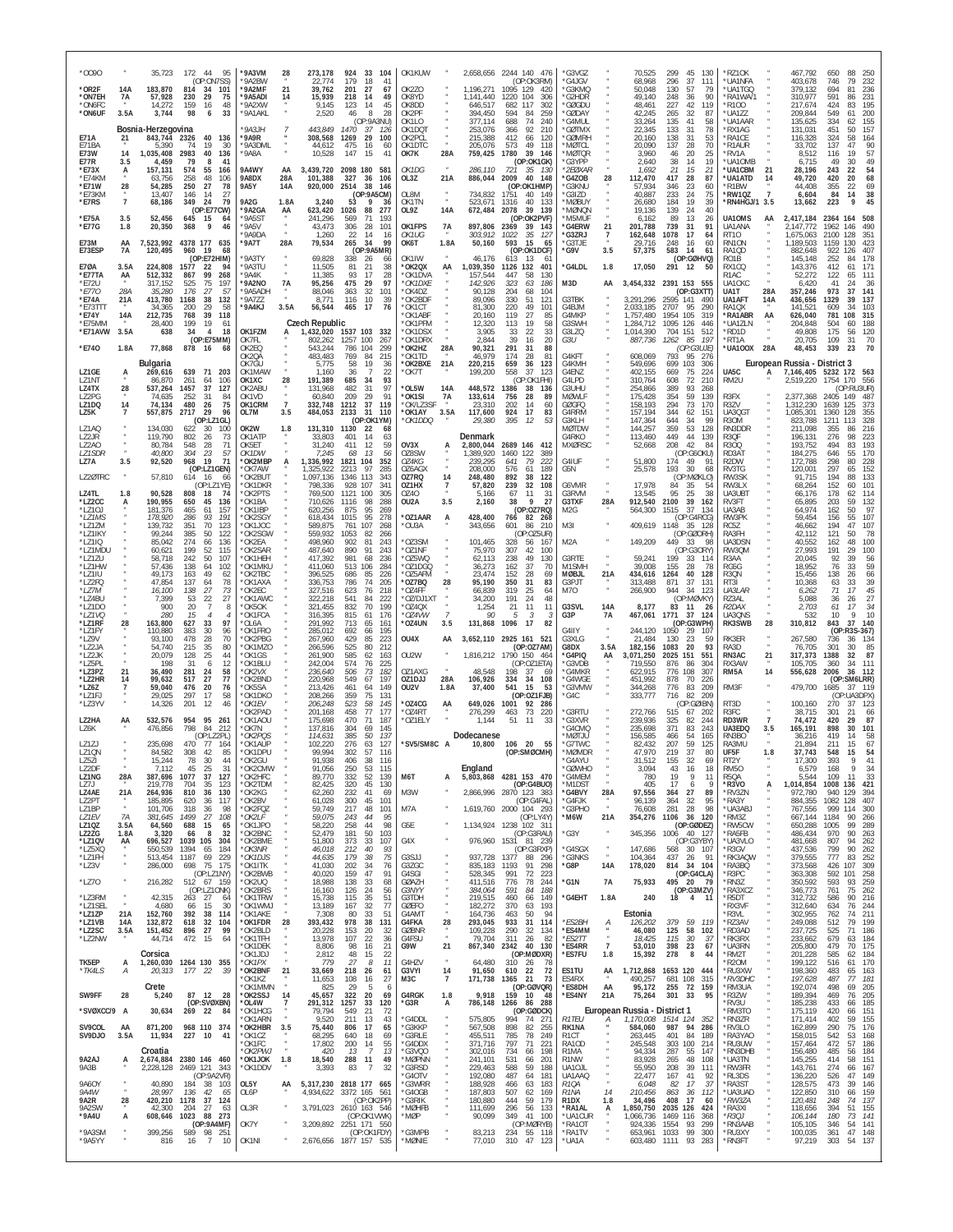| 0090*                                   |                    | 35,723                                   | 172 44<br>95<br>(OP:ON7SS)                                                   | *9A3VM<br>'9A2BW                         | 28                    | 273,178<br>22,774                             | 924<br>33<br>104<br>179<br>18<br>41                                            | OK1KUW                                   |                              |                                              | 2,658,656 2244 140 476<br>(OP:OK3RM)                                               | *G3VGZ<br>*G4JGV                                   |                              | 70,525<br>68,968                           | 299<br>45<br>130<br>37<br>296<br>111                                                       | *RZ10K<br>*UA1NFA                      |                       | 467,792<br>403,678                             | 650<br>746                   | 88<br>250<br>79<br>232                               |
|-----------------------------------------|--------------------|------------------------------------------|------------------------------------------------------------------------------|------------------------------------------|-----------------------|-----------------------------------------------|--------------------------------------------------------------------------------|------------------------------------------|------------------------------|----------------------------------------------|------------------------------------------------------------------------------------|----------------------------------------------------|------------------------------|--------------------------------------------|--------------------------------------------------------------------------------------------|----------------------------------------|-----------------------|------------------------------------------------|------------------------------|------------------------------------------------------|
| *OR2F<br>*ON7EH<br>*ON6FC<br>*ON6UF     | 14A<br>7A<br>3.5A  | 183,870<br>57,928<br>14,272<br>3,744     | 814<br>34<br>101<br>230<br>29<br>75<br>159<br>16<br>48<br>98<br>33           | *9A2MF<br>*9A5ADI<br>*9A2XW<br>*9A1AKL   | 21<br>14              | 39,762<br>15,939<br>9,145                     | 201<br>27<br>67<br>218<br>49<br>-14<br>123<br>14<br>45<br>8<br>28              | OK2ZO<br>OK8YD<br>OK8DD<br>OK2PF         |                              | 1,196,271<br>1,141,440<br>646,517<br>394,450 | 1095 129<br>420<br>1220<br>104<br>306<br>682<br>117<br>302<br>594<br>84<br>259     | 'G3KMQ<br>'G2HDR<br>*GØGDU<br><b>GØDAY</b>         |                              | 50,048<br>49,140<br>48,461<br>42,245       | 57<br>130<br>79<br>248<br>36<br>90<br>227<br>42<br>119<br>87                               | *UA1TGQ<br>*RA1WA/1<br>*R100<br>*UA1ZZ |                       | 379,132<br>310,977<br>217,674<br>209,844       | 694<br>591<br>424<br>549     | 81<br>236<br>231<br>86<br>195<br>83<br>200<br>61     |
| E71A                                    | 21                 | Bosnia-Herzegovina<br>843,744            | 6<br>2326<br>40<br>136                                                       | 9A3JH<br>*9A9R                           |                       | 2,520<br>443,849<br>308,568                   | 46<br>(OP:9A3NU)<br>1470<br>37<br>- 126<br>1269<br>29<br>100                   | OK1LO<br>OK1DQT<br>OK2PCL                |                              | 377,114<br>253,076<br>215,388                | 688<br>74<br>240<br>92<br>366<br>210<br>412<br>66<br>120                           | 'G4MUL<br><b>GØTMX</b><br>'GØMRH                   |                              | 33,264<br>22.345<br>20,160                 | 265<br>32<br>135<br>41<br>58<br>31<br>133<br>78<br>138<br>31<br>53                         | *UA1AAR<br>*RX1AG<br>*RA1CE            |                       | 135,625<br>131,031<br>116,328                  | 334<br>451<br>324            | 155<br>62<br>157<br>50<br>58<br>164                  |
| F71BA<br>E73W<br>E77R                   | 14<br>3.5          | 5.390<br>1,035,408<br>4,459              | 19<br>74<br>30<br>2983<br>40<br>136<br>79<br>41<br>-8                        | 9A3DMI<br>'9A8A                          |                       | 44,612<br>10,528                              | 475<br>16<br>60<br>147<br>15<br>41                                             | OK1DTC<br>OK7K                           | 28A                          | 205,076<br>759,425                           | 49<br>118<br>573<br>1780<br>39<br>146<br>(OP:OK1GK)                                | 'MØTCI<br>'MØTQR<br>'G3YPP                         |                              | 20,090<br>3,960<br>2,640                   | 137<br>28<br>70<br>46<br>20<br>25<br>19<br>14                                              | *R1AUR<br>'RV1A<br>*UA10MB             |                       | 33,702<br>8,512<br>6,715                       | 137<br>116<br>49             | 90<br>47<br>19<br>57<br>49<br>30                     |
| *E73X<br>*E74KM<br>*E71W                | 28                 | 157,131<br>63,756<br>54,285              | 574<br>55<br>166<br>258<br>48<br>106<br>250<br>27<br>78                      | 9A4WY<br>9A8DX<br><b>9A5Y</b>            | AA<br>28A<br>14A      | 3,439,720<br>101,388<br>920,000               | 2098 180<br>581<br>327<br>36<br>106<br>2514<br>38<br>146                       | OK1DG<br>OL3Z                            | 21A                          | 286,110<br>886,044                           | 721<br>35<br>130<br>2009<br>40<br>148<br>(OP:OK1HMP)                               | *2E0XAR<br>'G4ZOB<br>'G3KNU                        | 28                           | 1,692<br>112,470<br>57,934                 | $\begin{array}{c} 38 \\ 21 \end{array}$<br>15<br>21<br>417<br>28<br>87<br>346<br>-23<br>60 | *UA1CBM<br><b>UA1ATD</b><br>*R1BW      | 21<br>14              | 28.196<br>49,720<br>44,408                     | 243<br>420<br>355            | 22<br>54<br>68<br>20<br>22<br>69                     |
| *E73KM<br>*E7RS                         | $\overline{7}$     | 13,407<br>68,186                         | 146<br>14<br>27<br>349<br>24<br>79<br>(OP:E77CW)                             | 9A2G<br>*9A2GA                           | 1.8A<br>AA            | 3,240<br>623,420                              | (OP:9A5CM)<br>53<br>9<br>36<br>1026<br>88<br>277                               | OL8M<br>OK1TN<br>OL9Z                    | $\boldsymbol{\kappa}$<br>14A | 734,832<br>523,671<br>672,484                | 1751<br>40<br>149<br>40<br>133<br>1316<br>2078<br>39<br>139                        | 'G3IZD<br>'MØBUY<br>'MØNQN                         |                              | 40,887<br>26,680<br>19,136                 | 233<br>24<br>75<br>39<br>19<br>184<br>139<br>24<br>40                                      | *RW1QZ<br>*RN4HGJ/1 3.5                | $\overline{7}$        | 6,604<br>13,662                                | 84<br>223                    | 38<br>14<br>45<br>$\mathsf q$                        |
| *E75A<br>*E77G                          | 3.5<br>1.8         | 52,456<br>20,350                         | 645<br>15<br>64<br>368<br>9<br>46                                            | *9A5ST<br>*9A5V<br><b>9A9DA</b>          |                       | 241,296<br>43,473<br>1,260                    | 569<br>71<br>193<br>28<br>101<br>306<br>22<br>14<br>-16                        | OK1FPS<br>OK1UG                          | 7A                           | 897,806<br>303,912                           | (OP:OK2PVF)<br>2369<br>39<br>-143<br>1022<br>35<br>-127                            | *M5MUF<br>*G4ERW<br>*G3ZRJ                         | 21<br>7                      | 6,162<br>201,788<br>162,648                | 89<br>13<br>26<br>739<br>31<br>91<br>1078<br>17<br>64                                      | UA10MS<br>UA1ANA<br><b>RT10</b>        | AA                    | 2,417,184<br>2,147,772<br>1,675,063            | 2364<br>1962<br>2100         | 508<br>164<br>146<br>490<br>128<br>351               |
| E73M<br>E73ESP                          | AA<br>7A           | 7,523,992<br>120,495<br>224.808          | 4378 177<br>635<br>960<br>19<br>68<br>(OP:E72HIM)<br>1577<br>94              | *9A7T<br>'9A3TY<br>'9A3TU                | 28A                   | 79,534<br>69,828                              | 265<br>34<br>99<br>(OP:9A5MR)<br>338<br>-26<br>66<br>81<br>38                  | OK6T<br>OK1IW<br>*OK2QX                  | 1.8A                         | 50,160<br>46,176                             | 593<br>15<br>65<br>(OP:OK1DCF)<br>613<br>13<br>6<br>401                            | *G3TJE<br>*G9V                                     | 3.5<br>1.8                   | 29,716<br>57,375                           | 248<br>16<br>60<br>583<br>14<br>-61<br>(OP:GØHVQ)                                          | RN10N<br>RA1QD<br>RO1B                 |                       | 1,189,503<br>882,648<br>145,148                | 1159<br>922<br>252<br>412    | 130<br>423<br>407<br>126<br>178<br>84<br>171<br>61   |
| <b>E70A</b><br>*E77TA<br>*F72U<br>*E770 | 3.5A<br>AA<br>28A  | 512,332<br>317,152<br>35,280             | 22<br>867<br>99<br>268<br>525<br>75<br>197<br>57<br>176<br>27                | *9A4K<br><b>9A2NO</b><br>'9A5ADH         | <b>7A</b>             | 11,505<br>11,385<br>95,256<br>88,046          | 21<br>93<br>17<br>28<br>475<br>29<br>97<br>363<br>32<br>101                    | *OK1DVA<br>*OK1DXE<br>*OK4DZ             | AA                           | ,039,350<br>157,544<br>142,926<br>90,128     | 1126 132<br>447<br>58<br>130<br>323<br>63<br>186<br>204<br>68<br>104               | *G4LDL<br>M3D                                      | AA                           | 17,050<br>3,454,332                        | 291 12<br>-50<br>2391 153 555<br>(OP:G3XTT)                                                | RX1CQ<br>R1AC<br>UA1CKC<br>UA1T        | 28A                   | 143,376<br>52,272<br>6,420<br>357,246          | 122<br>41<br>973             | 111<br>65<br>24<br>-36<br>37<br>141                  |
| *E74A<br>*E73TTT<br>*E74Y               | 21A<br>14A         | 413,780<br>34,365<br>212,735             | 38<br>1168<br>132<br>200<br>29<br>58<br>768<br>39<br>118                     | *9A7ZZ<br>*9A4KJ                         | 3.5A                  | 8,771<br>56,544                               | 116<br>10<br>39<br>465<br>17<br>76                                             | *OK2BDF<br>*OK1CT<br>'OK1ABF             |                              | 89,096<br>81.300<br>20,160                   | 330<br>51<br>121<br>220<br>49<br>101<br>119<br>27<br>85                            | G3TBK<br>G4BJM<br>G4MKP                            |                              | 3,291,296<br>2,033,185<br>1,757,480        | 2595 141<br>490<br>95<br>2707<br>290<br>1954<br>105<br>319                                 | UA1AFT<br>RA1QX<br>*RA1ABR             | 14A<br>AA             | 436,656<br>141,521<br>626,040                  | 1329<br>609<br>781           | 39<br>137<br>34<br>103<br>108<br>315                 |
| *E75MM<br>*E71AVW                       | 3.5A               | 28,400<br>638                            | 199<br>19<br>61<br>34<br>$\overline{4}$<br>18<br>(OP:E75MM)                  | OK1FZM<br>OK7FL                          | A                     | <b>Czech Republic</b><br>1,432,020<br>802,262 | 1537 103<br>-332<br>1257 100<br>267                                            | 'OK1PFM<br>*OK1DSX<br>*OK1DRX            |                              | 12,320<br>3,905<br>2,844                     | 58<br>113<br>19<br>22<br>33<br>33<br>39<br>20<br>16                                | G3SWH<br>G3LZQ<br>G3U                              |                              | 1,284,712<br>1,014,390<br>887,736          | 1095<br>126<br>446<br>704 151<br>512<br>85<br>197<br>1262                                  | *UA1ZLN<br>*RD1D<br>*RT1A              |                       | 204.848<br>49,808<br>20,705                    | 504<br>175<br>109            | 60<br>188<br>56<br>120<br>31<br>70                   |
| *E740                                   | 1.8A               | 77,868<br><b>Bulgaria</b>                | 878<br>16<br>68                                                              | OK2EQ<br><b>OK20A</b><br>OK7GU           |                       | 543,244<br>483,483<br>5,775                   | 786<br>104<br>299<br>769<br>84<br>215<br>58<br>19<br>36                        | *OK2HZ<br>*OK1TD<br>*OK2BXE              | 28A<br>21A                   | 90,321<br>46,979<br>220,215                  | 291<br>88<br>31<br>174<br>81<br>28<br>659<br>36<br>123                             | G4KFT<br>G4KMH                                     |                              | 608,069<br>549,696                         | (OP:G3UJE)<br>793<br>95<br>276<br>699<br>103<br>306                                        | *UA100X                                | 28A                   | 48,453<br>European Russia - District 3         | 339                          | 23<br>70                                             |
| LZ1GE<br>LZ1NT<br>LZ4TX                 | A<br>28            | 269,616<br>86.870<br>537,264             | 639<br>71 203<br>261<br>106<br>64<br>1457<br>37<br>127                       | OK1MAW<br>OK1XC<br>OK2ABU                | 28                    | 1,160<br>191,389<br>131,968                   | 22<br>$\overline{7}$<br>36<br>685<br>34<br>93<br>97<br>482<br>31               | *OK7T<br>*OL5W                           | 14A                          | 199,200<br>448,572                           | 558<br>37<br>-123<br>(OP:OK1FHI)<br>1386<br>38<br>136                              | G4ENZ<br>G4LPD<br>G3UHU                            |                              | 402,155<br>310,764<br>254,866              | 669<br>75<br>224<br>608<br>72<br>210<br>93<br>389<br>268                                   | UA <sub>5</sub> C<br>RM2U              | A                     | 7,146,405 5232 172 563<br>2,519,220            | 1754 170                     | 556<br>(OP:RU3UR)                                    |
| LZ2PG<br>LZ1DQ<br>LZ5K                  | 14                 | 74.635<br>74,134<br>557,875              | 252<br>31<br>84<br>480<br>26<br>75<br>2717<br>-29<br>96<br>(OP: LZ1GL)       | OK1VD<br>OK1CRM<br>OL7M                  | $\overline{7}$<br>3.5 | 60,840<br>332,748<br>484,053                  | 29<br>209<br>91<br>1212<br>37<br>119<br>2133<br>- 31<br>110<br>(OP:OK1YM)      | *OK1SI<br>*OK/LZ3SF<br>*OK1AY<br>*OK1DDQ | 7A<br>3.5A                   | 133,614<br>23.310<br>117,600<br>29,380       | 756<br>28<br>89<br>202<br>14<br>60<br>924<br>83<br>17<br>395<br>12<br>53           | <b>MØWLF</b><br>GØGFQ<br>G4RRM<br>G3KLH            |                              | 175,428<br>158,193<br>157,194<br>147,364   | 354<br>59<br>139<br>294<br>73<br>170<br>344<br>62<br>151<br>644<br>34<br>99                | R3FX<br>R3ZV<br>UA3QGT<br>R30M         |                       | 2,377,368<br>1,312,230<br>1,085,301<br>823,788 | 2405<br>1639<br>1360<br>1211 | 149<br>487<br>125<br>373<br>128<br>355<br>113<br>328 |
| LZ1AQ<br>LZ2JR<br>LZ2AO                 | $\alpha$           | 134,030<br>119,790<br>80,784             | 622<br>-30<br>100<br>802<br>26<br>73<br>548<br>28<br>71                      | OK2W<br>OK1ATP<br>OK5ET                  | 1.8                   | 131,310<br>33,803<br>31,240                   | 1130<br>-22<br>68<br>401<br>14<br>63<br>411<br>59<br>12                        | OV3X                                     |                              | Denmark<br>2,800,044                         | 2689 146 412                                                                       | <b>MØTDW</b><br>G4RKO<br><b>MXØRSC</b>             |                              | 144,257<br>113,460<br>52,668               | 53<br>359<br>128<br>449<br>44<br>139<br>208<br>42<br>84                                    | RN3DDR<br>R3QF<br>R300                 |                       | 211,098<br>196,131<br>193,752                  | 355<br>276<br>494            | 216<br>86<br>98<br>223<br>83<br>193                  |
| <b>LZ1SDR</b><br>LZ7A                   | 3.5                | 40,800<br>92,520                         | 23<br>304<br>57<br>968<br>19<br>71<br>(OP:LZ1GEN)                            | OK1DW<br>*OK2MBP<br>*OK7AW               |                       | 7,245<br>1,336,992<br>1,325,922               | 13<br>68<br>56<br>1821<br>104<br>352<br>97<br>2213<br>285                      | OZ8SW<br>OZ4KG<br>OZ6AGX                 |                              | 1,389,920<br>239,295<br>208,000              | 1460<br>122<br>389<br>79<br>222<br>641<br>576<br>61<br>189                         | G4IUF<br>G5N                                       |                              | 51,800<br>25,578                           | (OP:G6OKU)<br>174<br>49<br>-91<br>193<br>30<br>68                                          | RD3AT<br>R <sub>2</sub> DW<br>RV3TG    |                       | 184,275<br>172,788<br>120,001                  | 646<br>298<br>297            | 55<br>170<br>80<br>228<br>152<br>65                  |
| LZ20TRC<br>LZ4TL                        | 1.8                | 57,810<br>90,528                         | 614<br>-16<br>-66<br>(OP: LZ1YE)<br>808<br>18<br>74                          | <b>OK2BUT</b><br>*OK1DKR<br>OK2PTS       |                       | 1,097,136<br>798.336<br>769,500               | 1346 113<br>343<br>928<br>107<br>34 <sup>′</sup><br>1121 100<br>305            | 0Z7RQ<br>OZ1HX<br>0740                   | 14<br>$\overline{7}$         | 248,480<br>57,820<br>5,166                   | 892<br>38<br>122<br>239<br>32<br>108<br>67<br>11<br>-31                            | G6VMR<br>G3RVM                                     |                              | 17,978<br>13,545                           | (OP:MØKLO)<br>84<br>35<br>25<br>95<br>-38                                                  | RW3SK<br>RW3LX<br>UA3UBT               |                       | 91,715<br>68,264<br>66,176                     | 194<br>152<br>178            | 133<br>88<br>101<br>60<br>62<br>114                  |
| *LZ2CC<br>*LZ10J<br>*LZ1MS              | А                  | 190,955<br>181,376<br>178,920            | 650<br>45<br>136<br>465<br>157<br>61<br>286<br>93<br>191                     | 'OK1BA<br>'OK1IBP<br>*OK2SGY             |                       | 710,626<br>620,256<br>618,434                 | 1116<br>98<br>288<br>95<br>875<br>269<br>1015<br>95<br>278                     | OU2A<br>*OZ1AAR                          | 3.5<br>A                     | 2,160<br>428,400                             | 38<br>9<br>27<br>(OP:OZ7RQ)<br>766<br>82<br>-268                                   | G3TXF<br>M2G                                       | 28A                          | 912,540<br>564,300                         | 2100<br>39<br>162<br>37<br>1515<br>134<br>(OP:G4RCG)                                       | RV3FT<br>UA3AB<br>RW3PK                |                       | 65,895<br>64.974<br>59,454                     | 203<br>162<br>156            | 132<br>59<br>50<br>97<br>55<br>107                   |
| *LZ1ZM<br>*LZ1IKY<br>*LZ1IQ<br>*LZ1MDU  |                    | 139.732<br>99,244<br>85,042              | 351<br>70<br>123<br>50<br>385<br>122<br>274<br>66<br>136<br>199<br>52<br>115 | 'OK1JOC<br>'OK2SGW<br>'OK2EA             |                       | 589.875<br>559.932<br>498,960                 | 761<br>107<br>268<br>1053<br>82<br>266<br>902<br>81<br>243<br>890<br>91<br>243 | *OU3A<br>'OZ3SM<br>*OZ1NF                |                              | 343,656<br>101,465                           | 210<br>601<br>86<br>(OP:0Z5UR)<br>328<br>56<br>167<br>307<br>42<br>10 <sup>c</sup> | M3I<br>M2A                                         |                              | 409,619<br>149,209                         | 1148 35 128<br>(OP:GØORH)<br>449<br>33<br>- 98<br>(OP:G30RY)                               | RC5Z<br>RA3FH<br>UA3DSN                |                       | 46,662<br>42,112<br>40,552<br>27,993           | 194<br>121<br>162<br>191     | 47<br>107<br>50<br>78<br>48<br>100<br>29<br>100      |
| *LZ1ZU<br>*LZ1HW<br>*LZ1IU              |                    | 60,621<br>58,718<br>57,436<br>49,173     | 242<br>50<br>107<br>138<br>64<br>102<br>163<br>49<br>62                      | 'OK2SAR<br>'OK1HEH<br>'OK1MKU<br>'OK2TBC |                       | 487,640<br>417,392<br>411,060<br>396,525      | 981<br>68<br>236<br>513<br>284<br>106<br>686<br>85<br>226                      | 'OZ5WQ<br>'OZ1DGQ<br>OZ5AFM              |                              | 75,970<br>62,113<br>36,273<br>23,474         | 238<br>49<br>130<br>37<br>162<br>-70<br>152<br>28<br>69                            | G3RTE<br>M1SMH<br><b>MØBJL</b>                     | 21A                          | 59,241<br>39,008<br>434,616                | 199<br>33<br>114<br>28<br>155<br>78<br>1264<br>40<br>128                                   | RW3QM<br>R3AA<br>RG5G<br>R3QN          |                       | 20,045<br>18,952<br>15,456                     | 92<br>76<br>138              | 39<br>56<br>59<br>33<br>26<br>66                     |
| *LZ2FQ<br>*LZ7M<br>*LZ4BU               |                    | 47,854<br>16,100<br>7,399                | 137<br>78<br>64<br>138<br>27<br>73<br>53<br>27<br>22                         | *OK1AXA<br>*OK2EC<br>'OK1AWC             |                       | 336,753<br>327,516<br>322,218                 | 786<br>74<br>205<br>623<br>76<br>218<br>541<br>84<br>222                       | *OZ7BQ<br>*OZ4FF<br>*OZ/DJ1XT            | 28                           | 95,190<br>66,839<br>34,200                   | 350<br>31<br>83<br>319<br>25<br>64<br>48<br>191<br>24                              | G3PJT<br>M7O                                       |                              | 313,488<br>266,900                         | 37<br>871<br>131<br>944<br>34<br>-123<br>(OP:MØVKY)                                        | RT3I<br>UA3LAR<br>RZ3AL                |                       | 10,368<br>6,262<br>5,088                       | 63<br>71<br>36               | 33<br>39<br>17<br>45<br>27<br>26                     |
| *LZ1DC<br>*LZ1VQ<br>*LZ1RF              | 28                 | 900<br>280<br>163,800                    | 20<br>$\overline{7}$<br>8<br>15<br>4<br>627<br>33<br>97                      | *OK5OK<br>'OK1FCA<br>*OL6A               |                       | 321,455<br>316,395<br>291,992                 | 832<br>70<br>199<br>815<br>61<br>176<br>713<br>65<br>161                       | *OZ4QX<br>*OZ4VW<br>*OZ4UN               | $\overline{7}$<br>3.5        | 1,254<br>90<br>131,868                       | 21<br>11<br>11<br>5<br>3<br>1096<br>17<br>82                                       | G3SVL<br>G3P                                       | 14A<br>7A                    | 8,177<br>467,061                           | 83 11<br>-26<br>1771<br>-37<br>124<br>(OP:G3WPH)                                           | R2DAX<br>UA30NS<br>RK3SWB              | 28                    | 2,703<br>532<br>310,812                        | 61<br>10<br>843              | 17<br>34<br>$\mathsf Q$<br>10<br>37<br>140           |
| *I 71FY<br>*LZ9V<br>*LZ2JA              |                    | 110,880<br>93,100<br>54.740              | 383<br>30<br>96<br>28<br>478<br>70<br>35<br>215<br>80                        | 'OK1FRO<br>*OK2PBG<br>'OK1MZO            |                       | 285,012<br>267,960<br>266.596                 | 692<br>195<br>66<br>429<br>85<br>223<br>525<br>80<br>212                       | OU4X                                     | AA                           | 3,652,110                                    | 2925 161 521<br>(OP:OZ7AM)                                                         | G4IIY<br>G3XLG<br><b>G8DX</b>                      | 3.5A                         | 244,120<br>21,484<br>182,156               | 29<br>1050<br>107<br>130<br>23<br>59<br>20<br>93<br>1083                                   | RK3ER<br>RA3D                          | $\overline{a}$        | 267,580<br>76,705                              | 736<br>301                   | (OP:R3S-367)<br>36<br>134<br>85<br>30                |
| *LZ2JK<br>*LZ5PL<br>*LZ3PZ<br>*LZ2HR    | 21<br>14           | 20.079<br>198<br>36,490<br>99,632        | 25<br>128<br>44<br>31<br>6<br>12<br>281<br>24<br>58<br>27<br>517<br>77       | *OK1GS<br>*OK1BLU<br>*OK2VX<br>'OK2BND   |                       | 261,900<br>242,004<br>236,640<br>220,968      | 585<br>62<br>163<br>574<br>76<br>225<br>73<br>182<br>506<br>549<br>67<br>197   | OU2W<br>OZ1AXG<br>OZ1DJJ                 | 28A                          | 1,816,212<br>48,548<br>106,926               | 1790 150 464<br>(OP:OZ1ETA)<br>198<br>37<br>-69<br>334 34 108                      | *G4PIQ<br>G3VDB<br>*G4MKR<br>'G4WGE                | AA                           | 3,071,250<br>719,550<br>622,915<br>451,992 | 551<br>2025<br>151<br>876<br>86<br>304<br>776<br>108<br>307<br>878<br>70<br>226            | RN3AC<br>RX3AW<br>RM5A                 | 21<br>14              | 317,373<br>105,705<br>556,628                  | 1388<br>360<br>2006          | 87<br>32<br>34<br>111<br>36<br>- 112<br>(OP:SM6LRR)  |
| *LZ6Z<br>*LZ1FJ<br>*LZ3YV               | 7                  | 59,040<br>29,025<br>14,326               | 476<br>20<br>76<br>297<br>17<br>58<br>201<br>12<br>46                        | 'OK5SA<br>*OK1DKO<br>*OK1EV              |                       | 213,426<br>208,266<br>206,248                 | 461<br>149<br>64<br>75<br>359<br>131<br>523<br>58<br>145                       | OU2V<br>*OZ4CG                           | 1.8A<br>AA                   | 37,400<br>649,026                            | 541<br>53<br>15<br>(OP:OZ1FJB)<br>1001<br>92<br>286                                | *G3VMW<br>'G4C                                     |                              | 344,268<br>333,777                         | 83<br>776<br>209<br>82<br>209<br>716<br>(OP:GØIBN)                                         | RM3F<br>RT3D                           |                       | 479,700<br>100,160                             | 1685<br>(OP<br>270           | 37 119<br>:UA3DPX)<br>37<br>123                      |
| LZ2HA<br>LZ6K                           | AA                 | 532,576<br>476,856                       | 954<br>95 261<br>798<br>84<br>212                                            | 'OK2PAD<br>'OK1AOU<br>*OK7N              |                       | 201,168<br>175,698<br>137,816                 | 458<br>77<br>177<br>470<br>71<br>187<br>304<br>69<br>145                       | *OZ4RT<br>*OZ1ELY                        |                              | 276,299<br>1,144                             | 73<br>220<br>463<br>51 11<br>33                                                    | *G3RTU<br>*G3XVR<br>'G4CMQ                         |                              | 272,766<br>239.936<br>235,698              | 515<br>67<br>-202<br>325<br>82<br>244<br>371<br>83<br>243                                  | R3FC<br>RD3WR<br>UA3EDQ                | $\overline{7}$<br>3.5 | 38,715<br>74,472<br>165,191                    | 301<br>420<br>898            | 21<br>66<br>29<br>87<br>30<br>101                    |
| LZ1ZJ<br>LZ1QN                          |                    | 235,698<br>84,582                        | (OP:LZ2PL)<br>470<br>77<br>164<br>308<br>42<br>85                            | *OK2POS<br>*OK1AUP<br>*OK1DPU            |                       | 114.631<br>102,220<br>99,994                  | 50<br>137<br>385<br>276<br>63<br>127<br>302<br>57<br>116                       | *SV5/SM8C A                              |                              | Dodecanese<br>10,800                         | 106 20 55<br>(OP:SMØCMH)                                                           | <b>MØTJU</b><br>*G7TWC<br>*MØMDR                   |                              | 156,585<br>82.432<br>47,970                | 466<br>54<br>165<br>207<br>59<br>125<br>37<br>219<br>80                                    | RN3BO<br>RA3MU<br>UF5F                 | 1.8                   | 36.216<br>21,894<br>37,743                     | 419<br>211<br>548            | 14<br>58<br>15<br>67<br>54<br>15                     |
| LZ5ZI<br>LZ2DF<br>LZ1NG                 | 28A                | 15,244<br>7.112<br>387,696               | 78<br>30<br>45<br>25<br>-31<br>1077<br>37<br>127                             | OK2GU<br>'OK2CMW<br>*OK2HFC              |                       | 91,938<br>91,056<br>89,770                    | 406<br>38<br>116<br>250<br>53<br>115<br>332<br>52<br>139<br>45                 | M6T                                      | A                            | England<br>5,803,868                         | 4281 153 470<br>(OP:G4BUO)                                                         | G4AYU<br>*GØWHO<br>*G4MEM                          |                              | 31.512<br>3,094<br>780                     | 69<br>32<br><b>CCI</b><br>43<br>18<br>16<br>19<br>-9<br>11                                 | RT2Y<br><b>RM50</b><br>R50A<br>*R3VO   |                       | 17.3UU<br>6,579<br>5.544                       | 393<br>168<br>109            | $\mathsf Q$<br>34<br>-11<br>-33                      |
| LZ7J<br>LZ4AE<br>LZ2PT<br>LZ1BP         | 21A<br>$\alpha$    | 219,778<br>264,936<br>185,895<br>101,706 | 704<br>35<br>123<br>810<br>36<br>130<br>620<br>36<br>117<br>98<br>318<br>36  | *OK2TDM<br>*OK2KG<br>'OK2BV<br>*OK2FQZ   |                       | 82,425<br>62,260<br>61,028<br>59,749          | 320<br>130<br>232<br>41<br>69<br>300<br>45<br>101<br>217<br>48<br>101          | M3W<br>M7A                               |                              | 2,866,996                                    | 2870 123 383<br>(OP:G4FAL)<br>1,619,760 2000 104 293                               | *M1DST<br>*G4BVY<br>*G4FJK<br>*G3PHO               | 28A<br>$\scriptstyle{N}$     | 405<br>97,556<br>96,139<br>76,608          | 17<br>6<br>27<br>89<br>364<br>364<br>32<br>95<br>28<br>98<br>281                           | *RV3ZN<br>*RA3Y<br>*UA3ABJ             | А                     | 1,014,854<br>972,780<br>884,355<br>767,556     | 1008<br>940<br>1082<br>999   | 136<br>421<br>394<br>129<br>128<br>407<br>300<br>114 |
| LZ1EV<br><b>LZ10Z</b><br>LZ2ZG          | 7A<br>3.5A<br>1.8A | 381,645<br>64,560<br>3,320               | 1499<br>27<br>108<br>688<br>15<br>65<br>66<br>32<br>-8                       | *OK2LF<br>*OK1JPO<br>*OK2BNC             |                       | 59,075<br>58,220<br>52,479                    | 243<br>44<br>95<br>258<br>44<br>98<br>181<br>50<br>103                         | G5E                                      |                              | 1,134,924                                    | (OP:LY4Y)<br>1238 102 311<br>(OP:G3RAU)                                            | *M6W<br>*G3Y                                       | 21A<br>$\boldsymbol{\kappa}$ | 354,276<br>345,356                         | 36<br>1106<br>120<br>(OP:GØDEZ)<br>1006 40 127                                             | *RM3Z<br>*RW5CW<br>*RA5FB              |                       | 667,144<br>650,288<br>486,434                  | 1184<br>1005<br>970          | 266<br>90<br>99<br>289<br>90<br>263                  |
| *LZ1QV<br>*LZ5XQ<br>*LZ1FH              | AA                 | 696,527<br>550,539<br>513,454 1187       | 1039 105<br>304<br>1394<br>65<br>184<br>69<br>229                            | *OK2BME<br>*OK3NR<br>*OK1DJS             |                       | 51,800<br>46,018<br>44,635                    | 373<br>33<br>107<br>212<br>40<br>93<br>179<br>75<br>38                         | G4X<br>G3SJJ                             |                              | 937.728 1377                                 | 976,960 1531 81 239<br>(OP:G3RXP)<br>88 296                                        | 'G4SGX<br>*G3NKS                                   | $\boldsymbol{\mathcal{N}}$   | 147,686<br>104,364                         | (OP:G3YBY)<br>568<br>30 107<br>437 26<br>- 91                                              | *UA3VLO<br>*R3GV<br>*RK3AQW            |                       | 481,668<br>437,536<br>379,555                  | 807<br>799<br>777            | 94<br>262<br>90<br>262<br>252<br>83                  |
| *LZ3V<br>*LZ70                          |                    | 286,000<br>216,282                       | 698<br>75 175<br>(OP:LZ1NY)<br>512 67 159                                    | *OK1ITK<br>*OK2BWB<br>*OK2UQ             |                       | 41,030<br>40,020<br>18,988                    | 202<br>34<br>76<br>159<br>47<br>91<br>138<br>33<br>68                          | G3ZGC<br>G4SGI<br>GØAZH                  |                              | 835,183<br>528,345<br>411,516                | 1193<br>91<br>298<br>991<br>72<br>-223<br>776<br>78<br>244                         | *G8P<br>*G1N                                       | 14A<br>7A                    | 178,020<br>75,933                          | 814 34 104<br>(OP:G4CLA)<br>495 20 79                                                      | *RA3BQ<br>R3PC<br>*RN3Z                |                       | 373,568<br>363,308<br>350,592                  | 426<br>592<br>593            | 107<br>309<br>258<br>101<br>93<br>259                |
| *LZ3RM<br>*LZ1SEL<br>*LZ1ZP             | 21A                | 42,315<br>4,680<br>152,760               | (OP:LZ1ONK)<br>263<br>27<br>64<br>66<br>15<br>30<br>392<br>38<br>114         | OK2BRS<br>*OK1TRW<br>*OK1WMJ<br>*OK1AKE  |                       | 16,160<br>15,738<br>13,189<br>7,308           | 126<br>24<br>56<br>35<br>115<br>51<br>32<br>167<br>77<br>33<br>-80<br>-51      | G3NYY<br>G3TDH<br>GØEFO<br>G4AMT         |                              | 384,064<br>219,515<br>182,272<br>164,736     | 591<br>84<br>188<br>460<br>66<br>149<br>370<br>63<br>193<br>463<br>50<br>94        | *G4EHT                                             | 1.8A                         | 240<br>Estonia                             | (OP:G3MZV)<br>18<br>4 11                                                                   | *RA3XCZ<br>*R5DT<br>*RX3VF<br>*R3VL    |                       | 346,773<br>312,732<br>312,640<br>302,955       | 761<br>586<br>634<br>762     | 75<br>262<br>90<br>216<br>76<br>244<br>211<br>74     |
| *LZ1VB<br>*LZ2SC<br>*LZ2NW              | 14A<br>3.5A        | 132,872<br>151,452<br>44,714             | 618<br>32<br>104<br>99<br>896<br>27<br>472<br>15<br>64                       | *OK1FDR<br>OK2BLD*<br>*OK1TFH            | 28                    | 393,432<br>20,228<br>13,978                   | 978<br>38<br>131<br>153<br>20<br>32<br>107<br>22<br>36                         | G4FKA<br>GØBNR<br>G4FSU                  | 28<br>$\overline{N}$         | 293,045<br>109,228<br>79,704                 | 933<br>31<br>114<br>290<br>32<br>134<br>311<br>26<br>82                            | *ES2BH<br>*ES4MM<br>*ES2TT                         | $\frac{A}{u}$                | 126,202<br>46,080<br>18,425                | 379<br>59<br>119<br>125<br>58<br>102<br>115<br>30<br>37                                    | *RZ3AV<br>*RD3AD<br>*RK3RX             |                       | 249,088<br>237,725<br>233,662                  | 512<br>525<br>679            | 199<br>79<br>186<br>71<br>63<br>184                  |
| TK5EP                                   | A                  | Corsica                                  | 1,260,030 1264 130 355                                                       | *OK1DEK<br>OK1JDJ<br>*OK1PX              |                       | 8,806<br>2,812<br>779                         | 16<br>98<br>21<br>48<br>15<br>22<br>27<br>8<br>11                              | G9W<br>G4HZV                             | 21<br>$\overline{N}$         | 867,340<br>64,480                            | 40<br>2342<br>130<br>(OP:MØDXR)<br>310 26<br>-78                                   | *ES4RR<br>*ES7FU                                   | $\overline{7}$<br>1.8        | 53,010<br>15,392                           | 398<br>23<br>67<br>278<br>8<br>44                                                          | *UA3RN<br>*RM2T<br>*R20M               |                       | 205,800<br>201,228<br>199,122                  | 479<br>585<br>516            | 175<br>70<br>184<br>62<br>170<br>61                  |
| *TK4LS                                  | A                  | 20,313<br>Crete                          | 177 22<br>39                                                                 | *OK2BNF<br>'OK1KZ<br>*OK1MMN             | 21                    | 33,669<br>11,653<br>825                       | 218<br>26<br>61<br>108<br>27<br>16<br>29<br>5<br>6                             | G3VYI<br>M3C                             | 14<br>$\overline{7}$         | 91,650<br>171,738                            | 610<br>22<br>72<br>73<br>1365<br>21<br>(OP:GØVQR)                                  | ES1TU<br><b>FS4RX</b><br>*ES8DH                    | AA<br>AA                     | 1,712,868<br>490,257<br>95,172             | 1653 120<br>444<br>681 108<br>315<br>255<br>72<br>159                                      | *RU3XW<br>*RV3DHC<br>*RM3UA            |                       | 198,360<br>197,628<br>192,074                  | 483<br>487<br>498            | 65<br>163<br>77<br>181<br>69<br>205                  |
| SW9FF<br>*SVØXCC/9 A                    | 28                 | 5,240<br>30,634                          | 87 12 28<br>(OP:SVØXBN)<br>269 22<br>-84                                     | *OK2SSJ<br>*OL4W<br>*OK1HCG              | 14<br>7               | 45,657<br>291,312<br>79,794                   | 20<br>322<br>69<br>1257<br>33<br>120<br>549<br>21<br>72                        | G4RGK<br>*G3R                            | 1.8<br>А                     | 9,918<br>786,148                             | 159 10<br>-48<br>1266 86 288<br>(OP:GØDCK)                                         | *ES4NY                                             | 21A                          | 75,264<br>European Russia - District 1     | 95<br>301<br>33                                                                            | *R3ZW<br>*RV3U<br>*RM3TO               |                       | 189,394<br>185,238<br>175,119                  | 469<br>433<br>420            | 205<br>76<br>66<br>185<br>151<br>66                  |
| SV9COL<br>SV9DJO                        | AA<br>3.5A         | 871,200<br>11,934                        | 968 110 374<br>227 10<br>- 41                                                | *OK1ARN<br>*OK2HBR<br>*OK1CZ<br>'OK1FC   | 3.5                   | 9,520<br>75,440<br>68,295<br>17,802           | 211<br>13<br>43<br>806<br>17<br>65<br>640<br>18<br>69<br>200<br>14<br>55       | *G4DDL<br>*G3KKP<br>*G3RLE<br>*G4DDX     |                              | 575,805<br>567,508<br>455,511<br>371,716     | 994<br>74 271<br>898<br>82<br>255<br>785<br>78<br>-249<br>797<br>71<br>221         | <b>R1TEU</b><br>RK1NA<br>R1CT<br>RA1OD             | A                            | 1,170,008<br>584,060<br>263,445<br>245,548 | 352<br>1514 124<br>987<br>94<br>286<br>401<br>-84<br>189<br>303 100<br>214                 | *RN3ZR<br>*RV3LO<br>*RA3YAO<br>*RU3UW  |                       | 171,414<br>162,899<br>158,015<br>157,464       | 402<br>290<br>542<br>472     | 155<br>59<br>75<br>176<br>168<br>53<br>57<br>186     |
| 9A2AJ<br>9A3B                           | A                  | Croatia<br>2,674,884<br>2,228,128        | 2380 146 460<br>2469 121 343                                                 | *OK2PWJ<br>*OK1JOK<br>*OK1DDV            | 1.8                   | 420<br>18,540<br>3,393                        | 13<br>-13<br>-7<br>288<br>11<br>49<br>83<br>7<br>32                            | *G3VQO<br>*MØPNN<br>*G3RSD               |                              | 302,016<br>241,101<br>229,463                | 734<br>66<br>198<br>531<br>66<br>201<br>588<br>59<br>188                           | R1MA<br>R1NW<br>UA10JL                             |                              | 94,334<br>83,928<br>55,950                 | 287<br>55<br>147<br>265<br>48<br>108<br>39<br>208<br>111                                   | *RN3DHB<br>*UA3TN<br>*RW3FR            |                       | 156,480<br>145,255<br>143,761                  | 485<br>414<br>274            | 184<br>56<br>58<br>151<br>167<br>66                  |
| 9A60Y<br>9A4W                           |                    | 40,890<br>28,997                         | (OP:9A2VR)<br>184 38 103<br>136<br>42<br>65                                  | OL5Y<br>OL6P                             | AA                    | 4,934,622                                     | 5,317,230 2818 177 665<br>3372 165 561                                         | *G4OTV<br>*G3WRR<br>*G4OGB               |                              | 192,080<br>188,928<br>187,803                | 487<br>64<br>181<br>466<br>63<br>183<br>507<br>169<br>62                           | UA1AAQ<br>R <sub>1</sub> QA<br>R <sub>1</sub> NA   | 14                           | 22,477<br>6,048<br>210,456                 | 167<br>41<br>92<br>17<br>37<br>82<br>863<br>36<br>112                                      | *RL3DS<br>*RA3ST<br>*UA3UAD            |                       | 136,220<br>128,575<br>122,850                  | 526<br>473<br>310            | 149<br>47<br>39<br>146<br>159<br>66                  |
| 9A2R<br>9A2SW<br>*9A4U                  | 28<br>А            | 420,210 1178<br>42,300<br>608,646        | 37<br>124<br>27<br>-204<br>- 63<br>1023<br>88 273                            | OL3R                                     |                       | 3,791,023                                     | (OP:OK2PP)<br>2610 163 546<br>(OP:OK1VWK)                                      | *G3RIK<br>*MØHFB<br>*MØP                 |                              | 180,880<br>111,699<br>90,099                 | 444<br>59<br>179<br>296<br>56<br>133<br>41 100<br>349                              | R <sub>1</sub> D <sub>X</sub><br>*RA1AL<br>*UA1CUR | 1.8<br>А                     | 34,496<br>1,850,750<br>1,066,736           | 408<br>17<br>60<br>2035 126<br>424<br>1469 116<br>368                                      | *RW3ZA<br>*RA3XI<br>R3QJ               |                       | 120,481<br>118,656<br>106,144                  | 248<br>394<br>180            | 137<br>74<br>51 155<br>141<br>73                     |
| *9A3SM<br>*9A5YY                        |                    | 399,256<br>816                           | (OP:9A4MF)<br>589<br>98<br>251<br>16<br>7<br>10                              | OK7Y<br>OK1NI                            |                       | 3,209,892                                     | 2251 171 550<br>(OP:OK1FDY)<br>2,676,656 1877 157 535                          | *G3MPB<br>*MØNIE                         |                              | 83,213<br>77,010                             | (OP:MØRYB)<br>55 118<br>234<br>47<br>310<br>123                                    | *RA10T<br>*RA1TV<br>*UA1A                          |                              | 924,336<br>653,961<br>603,480              | 1554<br>93<br>299<br>99<br>1033<br>300<br>93<br>1111<br>283                                | *RN3AAB<br>*RU3XY<br>*RN3FT            |                       | 105,105<br>100,035<br>97,219                   | 346<br>361<br>303            | 54<br>141<br>47<br>148<br>54 137                     |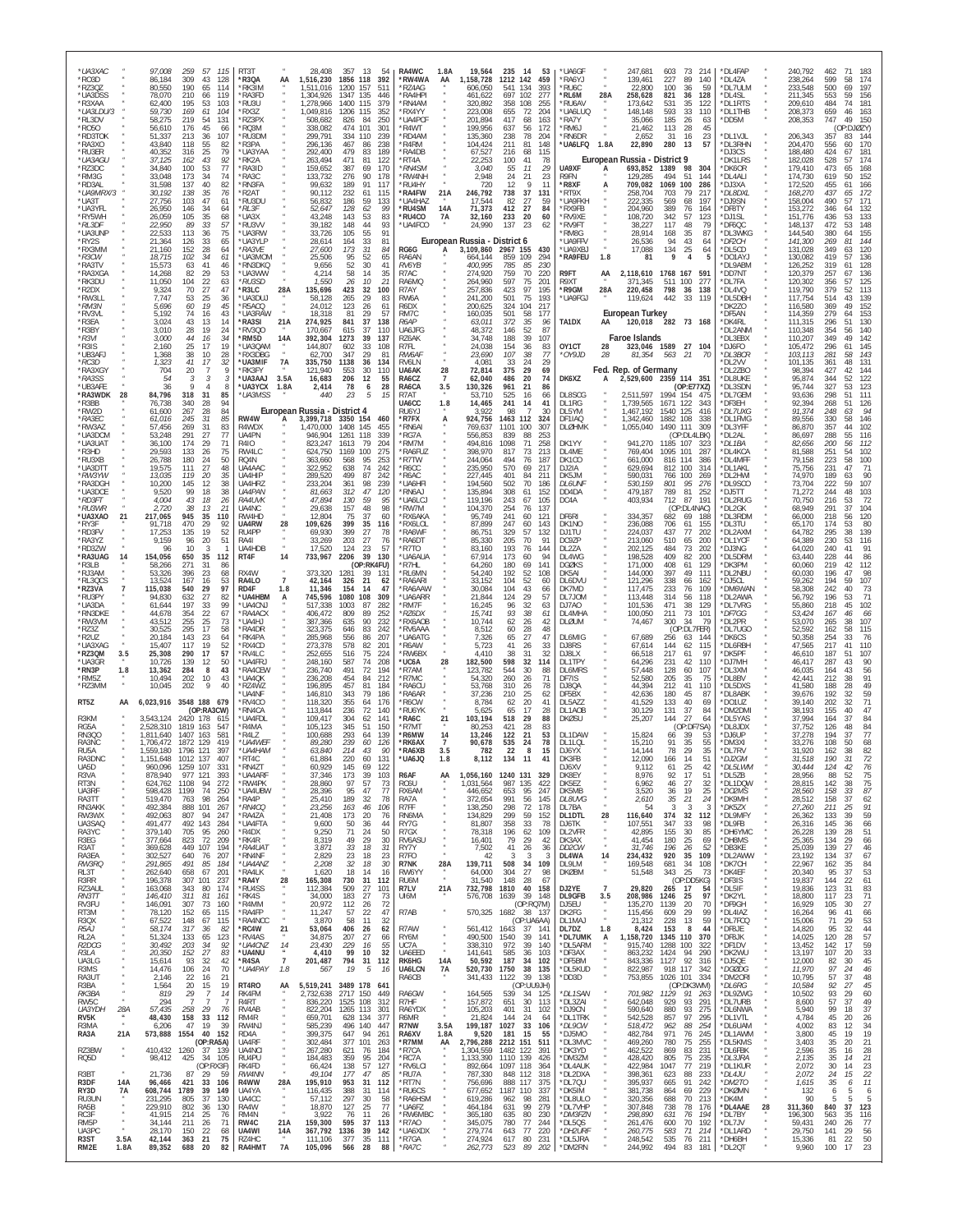| *UA3XAC<br>*RO3D                     |                       | 97,008<br>259<br>86,184<br>309                         | 57<br>115<br>43<br>128                          | RT3T<br>*R3QA                           | AA                     | 28,408<br>1,516,230                       | 357 13<br>54<br>392<br>1856 118                                               | RA4WC<br>*RW4WA                               | 1.8A<br>AA                            | 19,564<br>1,158,728                    | 235<br>- 14<br>1212 142                | 53<br>459                                      | *UA6GF<br>*RA6YJ                 |                                   | 247,681<br>139,461                           | 603<br>73<br>227<br>89                   | 214<br>140                  | *DL4FAP<br>*DL4ZA             |    | 240,792<br>238,264            | 462<br>71<br>599<br>58                                 | 174                                                 |
|--------------------------------------|-----------------------|--------------------------------------------------------|-------------------------------------------------|-----------------------------------------|------------------------|-------------------------------------------|-------------------------------------------------------------------------------|-----------------------------------------------|---------------------------------------|----------------------------------------|----------------------------------------|------------------------------------------------|----------------------------------|-----------------------------------|----------------------------------------------|------------------------------------------|-----------------------------|-------------------------------|----|-------------------------------|--------------------------------------------------------|-----------------------------------------------------|
| *RZ3QZ<br>*UA3DSS<br>*R3XAA          |                       | 80,550<br>190<br>210<br>78,070<br>62,400<br>195        | 65<br>114<br>66<br>11 <sup>c</sup><br>53<br>103 | 'RK3IM<br>*RA3FD<br>*RU3U               |                        | ,511,016<br>1.304.926<br>1,278,966        | 1200<br>157<br>511<br>1347<br>135<br>446<br>1400 115<br>379                   | RZ4AG<br>'RA4HPI<br>RN4AM                     |                                       | 606,050<br>461,622<br>320,892          | 541<br>134<br>697<br>102<br>358<br>108 | 393<br>277<br>255                              | *RU6C<br>*RL6M<br>*RU6AV         | 28A                               | 22,800<br>258,628<br>173,642                 | 100<br>36<br>821<br>36<br>531<br>35      | 59<br>128<br>122            | *DL7ULM<br>*DL4SL<br>*DL1RTS  |    | 233,548<br>211,345<br>209,610 | 500<br>553<br>59<br>484<br>74                          | 197<br>156<br>181                                   |
| *UA3LDU/3<br>*RL3DV<br>*R050         |                       | 59,730<br>169<br>58,275<br>219<br>56,610<br>176        | 61<br>104<br>54<br>131<br>45<br>-66             | *RX3Z<br>*RZ3PX<br>*RO3M                |                        | 1.049.816<br>508,682<br>338,082           | 1206 115<br>352<br>826<br>84<br>250<br>101<br>474<br>30 <sup>°</sup>          | 'RX4YY<br>'UA4PCF<br>R4WT                     |                                       | 223,008<br>201,894<br>199,956          | 655<br>-72<br>417<br>637               | 204<br>68<br>163<br>172<br>56                  | *UA6LUQ<br>*RA7Y<br>*RM6J        |                                   | 148,148<br>35,066<br>21,462                  | 593<br>-33<br>185<br>26<br>113<br>28     | 110<br>63<br>45             | *DL1THB<br>DD5M               |    | 208,373<br>208,353            | 659<br>46<br>747<br>(OP:DJØZY)                         | 163<br>150                                          |
| *RD3TOK<br>*RA3XO<br>*RU3ER          |                       | 51,337<br>213<br>43,840<br>118<br>40,352<br>316        | 36<br>107<br>$55\,$<br>82<br>25<br>79           | *RU3DM<br>R3PA<br>*UA3YAA               |                        | 299,791<br>296,136<br>292,400             | 334<br>239<br>110<br>467<br>238<br>-86<br>479<br>83<br>189                    | 'RD4AM<br>R4RM<br>RA4DB                       |                                       | 135,360<br>104,424<br>67,527           | 238<br>211<br>216                      | 78<br>204<br>81<br>148<br>68<br>115            | *RN6DR<br>*UA6LFQ 1.8A           |                                   | 2.652<br>22,890                              | 31<br>16<br>280<br>13                    | 23<br>57                    | *DL1VJL<br>*DL3RHN<br>*DJ3CS  |    | 206,343<br>204,470<br>188,480 | 357<br>556<br>-60<br>424                               | 144<br>170<br>181                                   |
| *UA3AGU<br>*RZ3DC                    |                       | 37,125<br>162<br>34,840<br>100                         | 43<br>92<br>53<br>77                            | *RK2A<br>*RA3ID                         |                        | 263,494<br>159,652                        | 471<br>81<br>122<br>387<br>69<br>170                                          | 'RT4A<br>*RN4SM                               |                                       | 22,253<br>3,040                        | 100<br>55                              | 41<br>78<br>11<br>29                           | UA9XF                            | A                                 | European Russia - District 9<br>693,852 1389 | 98                                       | 304                         | *DK1LRS<br>*DK6OR             |    | 182,028<br>179,410            | 528<br>57<br>473                                       | 174<br>168                                          |
| *RM3G<br>*RD3AL<br>*UA9MRX/3         |                       | 33.048<br>173<br>31,598<br>137<br>30,192<br>138        | 34<br>74<br>40<br>82<br>35<br>76                | *RA3C<br>*RN3FA<br>R2AT*                |                        | 133,732<br>99,632<br>90,112               | 276<br>90<br>178<br>91<br>189<br>117<br>232<br>61<br>115                      | 'RW4NH<br>RU4HY<br>'RA4FW                     | 21A                                   | 2,948<br>720<br>246,792                | $^{24}_{12}$<br>738                    | 21<br>23<br>q<br>11<br>37<br>131               | R9FN<br>*R8XF<br>*RT9X           | А                                 | 129,285<br>709,082<br>258,704                | 494<br>51<br>1069<br>100<br>703<br>79    | 144<br>286<br>217           | *DL4ALI<br>*DJ3XA<br>*DL8DXL  |    | 174,730<br>172,520<br>168,270 | 619<br>50<br>455<br>61<br>437<br>65                    | 152<br>166<br>172                                   |
| *UA3T<br>*UA3YFL<br>*RY5WH           |                       | 27,756<br>103<br>26,950<br>146<br>105<br>26,059        | 47<br>61<br>34<br>64<br>35<br>68                | *RU3DU<br>*RL3F<br>*UA3X                |                        | 56,832<br>52,647<br>43,248                | 186<br>59<br>133<br>128<br>62<br>99<br>143<br>53<br>83                        | UA4HAZ<br>'RU4SM<br>*RU4CO                    | 14A<br>7A                             | 17,544<br>71,373<br>32,160             | 82<br>412<br>233                       | 27<br>59<br>27<br>84<br>20<br>60               | *UA9FKH<br>*RX9FB<br>*RV9XE      |                                   | 222,335<br>204,960<br>108,720                | 68<br>569<br>389<br>76<br>342<br>57      | 197<br>164<br>123           | *DJ9SN<br>*DF8TY<br>*DJ1SL    |    | 158,004<br>153,272<br>151.776 | 490<br>57<br>346<br>64<br>436<br>53                    | 171<br>132<br>133                                   |
| *RL3DF<br>*UA3UNP<br>*RY2S           |                       | 22,950<br>89<br>22,533<br>113<br>21,364<br>126         | 33<br>57<br>75<br>36<br>33<br>65                | *RU3VV<br>*UA3RW<br>*UA3YLP             |                        | 39,182<br>33,726<br>28,614                | 148<br>44<br>93<br>55<br>91<br>105<br>164<br>81                               | 'UA4FCO                                       |                                       | 24,990<br>European Russia - District 6 | 137                                    | 23                                             | *RV9FT<br>*RM8G<br>*UA9FF\       |                                   | 38,227<br>28,914<br>26,536                   | 117<br>48<br>168<br>35<br>94<br>43       | 79<br>87<br>64              | *DF6QC<br>'DL3WKG<br>*DF2CH   |    | 148,137<br>144,540<br>141,300 | 472<br>53<br>380<br>269                                | 148<br>155<br>144                                   |
| *RX3MM<br>$*$ R3CW                   |                       | 21,160<br>152<br>18,715<br>102                         | 28<br>64<br>34<br>61                            | *RA3VF<br>*UA3MOM                       |                        | <i>27.600</i><br>25,506                   | $\frac{33}{31}$<br>173<br>84<br>95<br>52<br>65                                | RG6G<br>RA6AN                                 | A                                     | 3,109,860<br>664,144                   | 2967 155<br>859<br>109                 | 430<br>294                                     | *UA9XBJ<br>*RA9FEU               | 1.8                               | 17,088<br>81                                 | 25<br>134<br>9                           | 64<br>4                     | *DL5CD<br>*DO1AYJ             |    | 131,028<br>130,082            | 349<br>63<br>419<br>57                                 | 120<br>136                                          |
| *RA3TV<br>*RA3XGA<br>*RK3DU          |                       | 15,573<br>63<br>14,268<br>82<br>11,050<br>104          | 41<br>46<br>29<br>53<br>22<br>63                | *RN3DKO<br>*UA3WW<br>*RU3SD             |                        | 9,656<br>4,214<br>1,550                   | 52<br>30<br>41<br>58<br>14<br>35<br>26<br>21<br>10                            | RV6YB<br>R7AC<br>RA6MQ                        |                                       | 400,995<br>274,920<br>264,960          | 785<br>759<br>597                      | 85<br>230<br>70<br>220<br>75<br>201            | R9FT<br>R9XT                     | AA                                | 2,118,610<br>371,345                         | 1768 167<br>511 100                      | -591<br>277                 | DL9ABM<br>*DD7NT<br>*DL7FA    |    | 126,252<br>120,379<br>120,302 | 319<br>61<br>257<br>67<br>356<br>57                    | 128<br>136<br>125                                   |
| *R2DX<br>*RW3LL<br>*RM3N             |                       | 9,324<br>70<br>7.747<br>53<br>5,696<br>60              | 27<br>47<br>25<br>36<br>19<br>45                | *R3LC<br>*UA3DUJ<br>*R5ACQ              | 28A                    | 135,696<br>58,128<br>24,012               | 423<br>32<br>100<br>29<br>265<br>83<br>26<br>123<br>61                        | R7AY<br>RW6A<br>R6DX                          |                                       | 257,836<br>241,200<br>200,625          | 423<br>501<br>104<br>324               | 97<br>195<br>75<br>193<br>217                  | *R9GM<br>*UA9FGJ                 | 28A                               | 220,458<br>119,624                           | 798<br>36<br>33<br>442                   | 138<br>119                  | 'DL4VQ<br>*DL5DBH<br>`DK2ZO   |    | 119,790<br>117,754<br>116,580 | 379<br>52<br>514<br>43<br>369                          | 113<br>139<br>152                                   |
| *RV3VL<br>*R3EA<br>*R3BY             |                       | 5,192<br>74<br>43<br>3,024<br>3,010<br>28              | 16<br>43<br>13<br>14<br>19<br>24                | *UA3RAW<br>*RA3SI<br>RV3QO              | 21A                    | 18,318<br>274,925<br>170,667              | 81<br>29<br>57<br>841<br>37<br>138<br>615<br>37<br>110                        | RM7C<br>R6AP<br>UA6JFG                        |                                       | 160,035<br>63,011<br>48,372            | 501<br>372<br>146                      | 58<br>177<br>35<br>96<br>52<br>87              | TA1DX                            | AA                                | European Turkey<br>120,018                   | 282 73 168                               |                             | *DF5AN<br>*DK4RL<br>'DL2ANM   |    | 114,359<br>111,315<br>110,348 | 279<br>296<br>51<br>354<br>56                          | 153<br>130<br>140                                   |
| $*$ R3VI<br>*R3IS                    |                       | 3,000<br>44<br>2,160<br>25                             | 16<br>34<br>17<br>19                            | *RM5D<br>*UA3QAM<br>*RX3DBG             | 14A                    | 392,304<br>144,807                        | 39<br>1273<br>137<br>33<br>108<br>602<br>29<br>347<br>-81                     | RZ6AK<br>R7FL                                 |                                       | 34.748<br>24,038                       | 188<br>154                             | 39<br>107<br>36<br>83<br>38                    | OY1CT<br>*OY9JD                  | 28<br>28                          | <b>Faroe Islands</b>                         | 323,046 1589 27 104                      | - 70                        | *DL3EBX<br>*DJ6FO             |    | 110,207<br>105,472            | 349<br>49<br>296<br>61<br>281<br>58                    | 142<br>145<br>143                                   |
| *UB3AFJ<br>*RC3D<br>*RA3XGY          |                       | 1,368<br>38<br>41<br>1,323<br>704<br>20                | 10<br>28<br>17<br>32<br>$\overline{7}$          | *UA3MIF<br>*RK3FY                       | 7A                     | 62,700<br>335,750<br>121.940              | 1138<br>36<br>134<br>30<br>553<br>110                                         | RW6AF<br>RV6LN<br>UA6AK                       | 28                                    | 23,690<br>4,081<br>72,814              | 107<br>33<br>375                       | 77<br>24<br>29<br>29<br>69                     |                                  |                                   | 81,354<br>Fed. Rep. of Germany               | 563 21                                   |                             | *DL3BCR<br>DL2VV<br>*DL2ZBO   |    | 103,113<br>101,135<br>98,394  | 361<br>427                                             | 131<br>144                                          |
| *RA3SS<br>*UB3AFE<br>*RA3WDK         | 28                    | 54<br>36<br>$\circ$<br>84,796<br>318                   | $\overline{4}$<br>8<br>31<br>85                 | *UA3AAJ<br>*UA3YCX<br>*UA3MSS           | 3.5A<br>1.8A           | 16,683<br>2,414<br>440                    | 206<br>12<br>55<br>28<br>78<br>6<br>23<br>5<br>15                             | RA6CZ<br>RA6CA<br>R7AT                        | $\overline{7}$<br>3.5                 | 62,040<br>130,326<br>53.710            | 486<br>961<br>525                      | 20<br>74<br>21<br>86<br>16<br>66               | DK6XZ<br>DL8SCG                  | А                                 | 2,529,600 2359 114 351<br>2,511,597          | 1994 154                                 | (OP: E77XZ)                 | *DL8UKE<br>*DL3SDN<br>*DL7GEM |    | 95,874<br>95,744<br>93,636    | 344<br>52<br>327<br>53<br>298<br>51                    | 122<br>123<br>111                                   |
| *R3BB<br>*RW2D<br>$*RA3FC$           |                       | 340<br>76,738<br>61,600<br>267<br>61,016<br>245        | 28<br>94<br>84<br>28<br>31<br>85                | RW4W                                    | А                      | European Russia - District 4<br>3,399,718 | 3350 154<br>460                                                               | UA6CC<br>RU6YJ<br>*R7FX                       | 1.8<br>А                              | 14,465<br>3,922<br>924,756             | 241<br>98<br>1463<br>112               | 14<br>41<br>30<br>-324                         | DL1RG<br>DL5YM<br>DF1IAO         |                                   | 1,739,565<br>1,467,192<br>1,342,460          | 1671 122<br>1540 125<br>1882 108         | -343<br>416<br>338          | *DF3EH<br>*DL7UXG<br>*DL1FMG  |    | 92,394<br>91,374<br>89,556    | 51<br>268<br>248<br>63<br>330<br>58                    | 126<br>94<br>146                                    |
| *RW3AZ<br>*UA3DCM<br>*UA3UAT         |                       | 269<br>57.456<br>53,248<br>291<br>36,100<br>174        | 31<br>83<br>27<br>77<br>29<br>71                | R4WDX<br>UA4PN<br>R4I0                  |                        | 1,470,000<br>946,904<br>823,247           | 1408<br>145<br>455<br>1261<br>118<br>339<br>1613<br>79<br>204                 | 'RN6AI<br>'RG7A<br>RM7M                       |                                       | 769,637<br>556,853<br>494.816          | 1101<br>100<br>839<br>1098             | 307<br>88<br>253<br>258<br>71                  | DLØHMK<br>DK1YY                  |                                   | 1,055,040<br>941,270                         | 1490 111<br>1185 107                     | 309<br>(OP:DL4LBK<br>323    | *DL3YFF<br>*DL2AL<br>*DL 1BA  |    | 86,870<br>86,697<br>82,656    | 357<br>$\Delta\Delta$<br>288<br>55<br><i>200</i><br>56 | 102<br>116<br>112                                   |
| *R3HD<br>*RU3XB                      |                       | 29,593<br>133<br>26,788<br>180                         | 26<br>75<br>50<br>24                            | RW4LC<br>RQ4N                           |                        | 624,750<br>363,660                        | 1169<br>100<br>275<br>95<br>568<br>253                                        | RA6FUZ<br>'R7TW                               |                                       | 398,970<br>244,064                     | 817<br>494                             | 213<br>73<br>76<br>187                         | DL4ME<br>DK1CO                   |                                   | 769,404<br>661,000                           | 1095<br>101<br>816<br>114                | 287<br>386                  | DL4KCA<br>*DL4MFF             |    | 81,588<br>79,158              | 251<br>54<br>223<br>58                                 | 102<br>100                                          |
| *UA3DTT<br>*RW3YW<br>*RA3DGH         |                       | 19,575<br>111<br>13,035<br>119<br>10,200<br>145        | 27<br>48<br>20<br>35<br>12<br>38                | UA4AAC<br>UA4HIP<br>UA4HRZ              |                        | 322,952<br>289,520<br>233,204             | 638<br>74<br>242<br>87<br>499<br>242<br>361<br>98<br>239                      | R6CC<br>R6AC<br>UA6HFI                        |                                       | 235,950<br>227,445<br>194,560          | 570<br>401<br>84<br>502                | 69<br>217<br>211<br>70<br>186                  | DJ2IA<br>DK5JM<br><b>DL6UNF</b>  |                                   | 629,694<br>590,031<br>530,159                | 812 100<br>766 100<br>801<br>95          | 314<br>269<br>276           | *DL1AKL<br>*DL2HWI<br>DL9SCO  |    | 75,756<br>74,970<br>73,704    | 231<br>189<br>222                                      | 71<br>90<br>107                                     |
| *UA3DCE<br>*RD3FT<br>*RU3WR          |                       | 99<br>9.520<br>4,004<br>43<br>2,720<br>38              | 18<br>38<br>18<br>26<br>21<br>13                | <b>UA4PAN</b><br><b>RA4UVK</b><br>UA4NC |                        | 81.663<br>47,894<br>29,638                | 47<br>312<br>120<br>130<br>59<br>95<br>157<br>98<br>48                        | RN6AJ<br>'UA6LCJ<br>RW7M                      |                                       | 135,894<br>119,196<br>104,370          | 308<br>61<br>243<br>254                | 152<br>105<br>67<br>137<br>76                  | DD4DA<br>DC4A                    |                                   | 479,187<br>403,934                           | 789<br>81<br>712<br>87                   | 252<br>191<br>(OP:DL4NAC)   | *DJ5TT<br>*DL2RUG<br>*DI 2GK  |    | 71.272<br>70,750<br>68,949    | 244<br>48<br>216<br>53<br>291<br>37                    | 103<br>72<br>104                                    |
| *UA3XAO<br>*RY3F<br>*RD3FV           | 21                    | 217,065<br>945<br>91,718<br>470<br>17,253<br>135       | 35<br>110<br>29<br>-92<br>19<br>52              | RW4HD<br>UA4RW<br>RU4PP                 | 28                     | 12,804<br>109,626<br>69,930               | 75<br>37<br>60<br>399<br>35<br>116<br>399<br>27<br>78                         | RX6AKA<br>RX6LOL<br>RA6WF                     |                                       | 95,749<br>87,899<br>86,751             | 241<br>247<br>329                      | 60<br>121<br>60<br>143<br>57<br>132            | DF6RI<br>DK1NO<br>DJ1TU          |                                   | 334,357<br>236,088<br>224,037                | 682<br>69<br>706<br>61<br>437<br>77      | 188<br>155<br>202           | *DL3RDM<br>*DL3TU<br>*DL2AXM  |    | 66,000<br>65,170<br>64,782    | 218<br>56<br>174<br>53<br>295<br>38                    | 120<br>80<br>139                                    |
| *RA3YZ<br>*RD3ZW<br>*RA3UAG          | 14                    | 9,159<br>96<br>96<br>10<br>154,056<br>650              | 20<br>51<br>3<br>35<br>112                      | RA41<br>UA4HDB<br>RT4F                  | 14                     | 33,269<br>17,520<br>733,967               | 203<br>$\frac{27}{23}$<br>76<br>57<br>124<br>39<br>2206<br>130                | RA6DT<br>R7TO<br><b>UA6AUA</b>                |                                       | 85,330<br>83,160<br>67,914             | 205<br>193<br>173                      | 70<br>91<br>76<br>144<br>60                    | DC9ZP<br>DL2ZA<br>DL4WG          |                                   | 213,060<br>202,125<br>198,528                | 510<br>65<br>73<br>484<br>409<br>82      | 200<br>202<br>200           | *DI 1YCE<br>*DJ3NG<br>*DL5DRM |    | 64,389<br>64,020<br>63,440    | 230<br>53<br>240<br>228                                | 116<br>91<br>86                                     |
| *R3LB<br>*RJ3AM<br>*RL3QCS           |                       | 58,266<br>271<br>53,326<br>396<br>167<br>13,524        | 31<br>86<br>23<br>68<br>16<br>53                | RX4W<br>RA4LO                           | $\overline{7}$         | 373,320<br>42,164                         | (OP:RK4FU)<br>1281<br>39<br>13 <sup>′</sup><br>21<br>326<br>62                | R7HL<br>RL6MN<br>RA6ARI                       |                                       | 64,260<br>54,240<br>33,152             | 180<br>192<br>104                      | 69<br>141<br>52<br>108<br>52<br>60             | <b>DGØKS</b><br>DK5AI<br>DL6DVU  |                                   | 171,000<br>144,000<br>121,296                | 408<br>61<br>397<br>49<br>338<br>66      | 129<br>111<br>162           | *DK3PM<br>*DL2NBU<br>*DJ5CL   |    | 60,060<br>60,030<br>59,262    | 219<br>42<br>196<br>194<br>59                          | 112<br>98<br>107                                    |
| *RZ3VA<br>*RU3PY                     |                       | 115,038<br>540<br>632<br>94,830                        | 97<br>29<br>27<br>82                            | RD4F<br>*UA4HBM                         | 1.8<br>А               | 11,346<br>745,596                         | 154<br>14<br>47<br>1080<br>108<br>309                                         | RA6AAW<br>'UA6ARR                             |                                       | 30,084<br>21,844                       | 104<br>124                             | 43<br>66<br>29<br>57                           | DK7MD<br>DL7J0M                  |                                   | 117,475<br>113,448                           | 233<br>76<br>314<br>56                   | 109<br>118                  | *DM6WAN<br>*DL2AWA            |    | 58,308<br>56,792              | 242<br>196<br>53                                       | 73<br>71                                            |
| *UA3DA<br>*RN3DKE<br>*RW3VM          |                       | 197<br>61,644<br>354<br>44,678<br>43,512<br>255        | 33<br>99<br>22<br>67<br>25<br>73                | *UA4CNJ<br>*RA4ACX<br>*UA4HJ            |                        | 517,338<br>406,472<br>387,366             | 1003<br>87<br>282<br>89<br>809<br>252<br>635<br>90<br>232                     | RM7F<br>*RZ6DX<br>RX6AOB                      |                                       | 16,245<br>15,741<br>10,744             | 96<br>93<br>62                         | 32<br>63<br>38<br>-61<br>26<br>42              | DJ7A0<br>DL4MHA<br>DLØUM         |                                   | 101,536<br>100,050<br>74,467                 | 471<br>38<br>73<br>211<br>300<br>34      | 129<br>101<br>79            | 'DL7VRG<br>*DF7GG<br>'DL2PR   |    | 55,860<br>53,424<br>53,070    | 218<br>167<br>265<br>38                                | 102<br>66<br>107                                    |
| *RZ3Z<br>*R2UZ<br>*UA3XAG            |                       | 295<br>30,525<br>20,184<br>143<br>15,407<br>117        | 17<br>58<br>23<br>64<br>19<br>52                | <b>RA4DR</b><br>*RK4PA<br>*RX4CD        |                        | 323,375<br>285,968<br>273,378             | 83<br>646<br>242<br>556<br>86<br>207<br>578<br>82<br>201                      | RV6AAA<br>'UA6ATG<br>R6AW                     |                                       | 8,512<br>7,326<br>5,723                | 60<br>65<br>41                         | 28<br>48<br>27<br>47<br>26<br>33               | DL6MIG<br>DJ8RS                  |                                   | 67,689<br>67,614                             | 256<br>63<br>144<br>62                   | (OP:DL7FER)<br>144<br>115   | *DL7UGO<br>*DK6CS<br>*DL6RBH  |    | 52,592<br>50,358<br>47,565    | 58<br>162<br>254<br>33<br>217<br>41                    | 115<br>76<br>110                                    |
| *RZ3QM<br>*UA3GR<br>*RN3P            | 3.5<br>1.8            | 25,308<br>290<br>139<br>10.726<br>284<br>13,362        | 17<br>57<br>50<br>12<br>43<br>8                 | *RV4LC<br>*UA4FRJ<br>*RA4CEW            |                        | 252,655<br>248,160<br>236,740             | 516<br>75<br>224<br>587<br>74<br>208<br>491<br>72<br>194                      | RW6BX<br>'UC6A<br>'R7AM                       | 28                                    | 4,410<br>182,500<br>123,782            | 38<br>598<br>544                       | 31<br>32<br>32<br>114<br>30<br>88              | DJ8LX<br>DL1TPY<br><b>DL6MRS</b> |                                   | 66.518<br>64,296<br>57.448                   | 217<br>61<br>42<br>231<br>128<br>60      | 97<br>110<br>107            | *DK5PF<br>*DJ7MH<br>*DL3XM    |    | 46,610<br>46,417<br>46,035    | 187<br>51<br>287<br>43<br>164                          | 107<br>90<br>56                                     |
| *RM5Z<br>*RZ3MM                      |                       | 10,494<br>202<br>10,045<br>202                         | 10<br>43<br>9<br>40                             | *UA4QK<br>*RZ4WZ<br>'UA4NF              |                        | 236,208<br>196,895<br>146,810             | 454<br>84<br>212<br>457<br>81<br>184<br>79<br>343<br>186                      | R7MC<br>RA6CU<br>RA6AR                        |                                       | 54,320<br>53,768<br>37,236             | 260<br>310<br>210                      | 26<br>71<br>26<br>78<br>25<br>62               | DF7IS<br>DJ8QA<br>DF5BX          |                                   | 52,580<br>44,394<br>42,636                   | 205<br>35<br>41<br>212<br>180<br>45      | 75<br>110<br>87             | *DL8BV<br>*DL5DXS<br>DL8ABK   |    | 42,441<br>41,580<br>39,676    | 212<br>188<br>28<br>192<br>32                          | 91<br>49<br>59                                      |
| RT5Z<br>R3KM                         | ΑА                    | 6,023,916                                              | 3548 188 679<br>(OP:RA3CW)                      | *RV4CO<br>*RN4CA<br>*UA4FDL             |                        | 118,320<br>113,844                        | 355<br>64<br>176<br>236<br>72<br>140<br>304<br>141                            | 'R6CW<br>'RU6YK                               |                                       | 8,784<br>5,625                         | 62<br>65<br>29                         | 20<br>41<br>17<br>28<br>88                     | DL5AZZ<br>DL1AOB                 |                                   | 41,529<br>30,129                             | 40<br>133<br>131<br>37<br>144<br>-27     | 69<br>84<br>64              | *DO1UZ<br>*DM2DMI             |    | 39.140<br>38,193<br>37.994    | 202<br>-32<br>155<br>-37                               | 71<br>47<br>84                                      |
| RG5A<br><b>RN3QO</b>                 |                       | 3,543,124<br>2,528,310<br>1819<br>1,811,640<br>1407    | 2420 178<br>615<br>163<br>54<br>581<br>163      | 'R4MA<br>*R4I 7                         |                        | 109,417<br>105,123<br>100.688             | 62<br>345<br>51<br>150<br>293<br>-64<br>139                                   | 'RA6C<br>R7MT<br>R6MW                         | 21<br>14                              | 103,194<br>80,253<br>13.246            | 518<br>421<br>122                      | 28<br>83<br>21<br>53                           | <b>DKØSU</b><br>DL1DAW           |                                   | 25,207<br>15,824                             | 66<br>-39                                | (OP:DF7SA)<br>-53           | *DL5YAS<br>DL8JDX<br>*DJ6UP   |    | 37,752<br>37,278              | 164<br>126<br>194<br>-37                               | 84<br>77                                            |
| RA3NC<br>RU <sub>5</sub> A<br>RA3DNC |                       | 1.706.472<br>1,559,180<br>1796 121<br>.151.648<br>1012 | 1872 129<br>419<br>397<br>40                    | *UA4WEF<br>*UA4HAM<br>RT4C              |                        | 89,280<br>63,840<br>0 1.884               | 239<br>60<br>126<br>214<br>43<br>90<br>131<br>220<br>60                       | *RK6AX<br>*RA6XB<br>UA6JO                     | 7<br>3.5<br>ة. ا                      | 90,678<br>782<br>8,112                 | 535<br>22<br>134                       | 24<br>78<br>-8<br>15                           | DL1LQL<br>DJ6YX<br>DK3FB         |                                   | 15,210<br>14.144<br>12.090                   | 91<br>35<br>78<br>29<br>166              | 55<br>35                    | *DM3XI<br>*DL7RV<br>DJ2GM     |    | 33.276<br>31.920<br>31.518    | 108<br>50<br>38<br>162<br>190                          | 82                                                  |
| UA5D<br>R3VA<br>RT3N                 |                       | 1259<br>960,096<br>878,940<br>1108<br>624,762          | 107<br>331<br>977 121<br>393<br>94<br>272       | *RN4ZT<br>*UA4ARF<br>*RW4PK             |                        | 60,929<br>37,346<br>28,860                | 145<br>69<br>122<br>173<br>39<br>103<br>97<br>$\frac{57}{47}$<br>$^{73}_{77}$ | R6AF<br>RC6U                                  | AA                                    | 1,056,160<br>1,031,564                 | 1240 131<br>987<br>135                 | 329<br>422                                     | DJ6XV<br>DK8EY<br>DK5F7          |                                   | 9.112<br>8,976<br>6.962                      | 25<br>-61<br>92<br>17<br>27<br>46        | 42<br>51<br>$\frac{32}{25}$ | *DL5LWM<br>*DL5ZB<br>*DL1DQW  |    | 30.444<br>28,956<br>28,815    | 42<br>124<br>88<br>52<br>142<br>38                     | 76<br>75<br>$\begin{array}{c} 75 \\ 87 \end{array}$ |
| UA3RF<br>RA3TT<br>RN3AKK             |                       | 598,428<br>1199<br>519,470<br>763<br>492,384<br>888    | 74<br>250<br>98<br>264<br>101<br>267            | *UA4UBW<br>*RA4P<br>*RN4CQ              |                        | 28,396<br>25,410<br>23,256                | 95<br>189<br>32<br>78<br>106<br>163<br>46                                     | RX6AM<br>RA7A<br>R7FF                         |                                       | 446,652<br>372,654<br>138,250          | 653<br>991<br>298                      | 95<br>247<br>56<br>145<br>72<br>178            | DK5MB<br>DL8UVG<br>DL7BA         |                                   | 3,520<br>2,610<br>54                         | 19<br>36<br>35<br>21<br>3                | 24<br>-3<br>3               | *DO2MS<br>*DK9MH<br>*DK5ZX    |    | 28,560<br>28,512<br>27,260    | -33<br>158<br>158<br>37<br>211<br>-25                  | 62<br>91                                            |
| RW3WX<br>UA3SAQ<br>RA3YC             |                       | 492,063<br>807<br>491,477<br>492<br>379,140<br>705     | 94<br>247<br>143<br>284<br>95<br>260            | *RA4ZA<br>*UA4FTA<br>*R4DX              |                        | 21,408<br>9,600<br>9,250                  | 20<br>173<br>76<br>50<br>36<br>44<br>71<br>50<br>24                           | RN6MA<br>RY7G<br>R7GX                         |                                       | 134,829<br>81,807<br>78,318            | 299<br>358<br>196                      | 59<br>152<br>33<br>-78<br>62<br>109            | DL1DTL<br>DJ6TK<br>DL2VFR        | 28                                | 116,640<br>107,551<br>42,895                 | 374<br>32<br>347<br>33<br>30<br>155      | 112<br>98<br>85             | *DL9MFY<br>*DL9FB<br>*DH6YMC  |    | 26,362<br>26,316<br>26,228    | 133<br>39<br>145<br>36<br>139<br>28                    | 59<br>66<br>51                                      |
| R3EG<br>R3AT<br>RA3EA                |                       | 377,664<br>823<br>449<br>369,628<br>302,527<br>640     | 72<br>209<br>194<br>107<br>76<br>207            | *RK4R<br>*RA4UAT<br>*RN4NF              |                        | 8,319<br>3,871<br>2,829                   | 49<br>29<br>30<br>33<br>18<br>31<br>23<br>23<br>18                            | RV6ASU<br>RY7Y<br>R <sub>7FO</sub>            |                                       | 16,401<br>7,502<br>42                  | 79<br>41<br>-3                         | 29<br>42<br>26<br>36<br>-3<br>-3               | DK3AX<br>DD2CW<br>DL4WA          | 14                                | 41,454<br>31,746<br>234,432                  | 25<br>180<br>196<br>26<br>35<br>920      | 69<br>52<br>109             | *DH8MS<br>*DB3KE<br>*DL2AWW   |    | 25,365<br>25,039<br>23,192    | 134<br>-29<br>139<br>27<br>37<br>134                   | 66<br>$^{46}_{67}$                                  |
| RW3RQ<br>RL3T                        |                       | 291,865<br>491<br>262,640<br>658                       | 85<br>184<br>67<br>201                          | *UA4ANZ<br>*RA4LK                       |                        | 2,208<br>1,620                            | 32<br>18<br>30<br>18<br>14<br>16                                              | R7NK<br>RW6YY                                 | 28A                                   | 139,711<br>64,000                      | 508<br>304                             | 34<br>109<br>27<br>98                          | DL9LM<br><b>DKØBM</b>            | $\alpha$                          | 169,548<br>51,548                            | 681<br>- 34<br>343 25                    | 108<br>73                   | *DK7CH<br>*DK4EF              |    | 22,967<br>20,340              | 162<br>35<br>95<br>37                                  | 84<br>53                                            |
| R3RR<br>RZ3AUL<br>RN3TT              |                       | 196,378<br>307<br>343<br>163,068<br>146,410<br>311     | 101<br>237<br>80<br>174<br>81<br>161            | *RA4Y<br>*RU4SS<br>*RK4S                | 28<br>$\boldsymbol{s}$ | 165,308<br>112,384<br>34,000              | 730<br>31<br>112<br>27<br>509<br>101<br>183<br>27<br>73                       | RU6M<br>R7LV<br>UI6M                          | 21A                                   | 31,540<br>732,798<br>576,708           | 148<br>1810<br>1639                    | 28<br>67<br>40<br>158<br>39<br>148             | DJ2YE<br>DL9GFB                  | $\overline{7}$<br>3.5             | 29,820<br>208,986                            | 265<br>17<br>1246<br>25                  | (OP:DD5KG)<br>54<br>97      | *DF3IS<br>*DL5IF<br>*DK2YL    |    | 19,837<br>19,836<br>18,800    | 144<br>22<br>123<br>31<br>117<br>23                    | 61<br>83<br>71                                      |
| RV3FU<br>RT3M<br>R3QX                |                       | 146,091<br>307<br>78,120<br>152<br>67,522<br>148       | 73<br>160<br>65<br>115<br>67<br>115             | *R4MM<br>*RA4FP<br>*RA4NCC              | $\boldsymbol{\kappa}$  | 20,972<br>11,247<br>3,870                 | $\frac{112}{57}$<br>$^{26}_{22}$<br>$\frac{72}{47}$<br>58<br>11<br>32         | R7AB                                          |                                       | 570,325                                | 1682 38                                | (OP:RQ7M)<br>-137<br>(OP:UA6AA)                | DJ5FU<br>DK2FG<br>DL1MAJ         | $\boldsymbol{\sigma}$<br>$\alpha$ | 135,270<br>115,456<br>21,312                 | 1139<br>$^{20}_{29}$<br>609<br>228<br>13 | $\frac{70}{99}$<br>59       | *DF9GH<br>*DL4IAZ<br>*DL7FCQ  |    | 16,929<br>16,264<br>15,006    | 105<br>30<br>96<br>41<br>71<br>29                      | 27<br>66<br>53                                      |
| R5AJ<br>RL <sub>2</sub> A<br>R2DCG   |                       | 58,174<br>317<br>51,324<br>133<br>203<br>30,492        | 36<br>82<br>123<br>65<br>92<br>34               | *RC4W<br>*RV4AS<br>*UA4CNZ              | 21<br>14               | 53,064<br>34,875<br>23,430                | 62<br>406<br>-26<br>27<br>207<br>66<br>229<br>55<br>16                        | R7AW<br>RY6M<br>UC7A                          | $\cdot$                               | 561,412<br>490,500<br>338,310          | 1643<br>1540<br>972                    | 37<br>141<br>39<br>141<br>39<br>140            | DL7DZ<br>*DL7UMK<br>*DL5ARM      | 1.8<br>A                          | 8,424<br>1,158,720<br>915,740                | 153<br>1345 110<br>1288 100              | - 8<br>44<br>370<br>322     | *DF8JE<br>*DF8JK<br>*DF1DV    |    | 14,820<br>14,025<br>13,452    | 95<br>32<br>120<br>28<br>142<br>17                     | 44<br>57<br>59                                      |
| R3LA<br>UA3LG<br>R3MS                |                       | 20,350<br>152<br>15,614<br>93<br>14,476<br>106         | 27<br>83<br>32<br>42<br>24<br>70                | *UA4NU<br>*R4SA<br>*UA4PAY              | $\overline{7}$<br>1.8  | 4,410<br>201,487<br>567                   | 99<br>32<br>10<br>794<br>112<br>31<br>19<br>5<br>16                           | UA6EED<br>RK6HG<br>UA6LCN                     | $\overline{\phantom{a}}$<br>14A<br>7A | 141,641<br>50,592<br>520,730           | 585<br>187<br>1750                     | 36<br>103<br>34<br>102<br>38<br>135            | *DF3AX<br>*DF5BM<br>*DL5KUD      |                                   | 863,232<br>843,336<br>822,987                | 1424<br>94<br>92<br>1127<br>918 117      | 290<br>316<br>342           | *DK2WU<br>*DJ5QE<br>*DGØDG    |    | 13,197<br>12,000<br>11,970    | 107<br>20<br>82<br>30<br>97<br>24                      | 33<br>45<br>46                                      |
| RA3UT<br>R3BA<br>RK3BA               | $\boldsymbol{\alpha}$ | 2,146<br>22<br>1,564<br>20<br>29<br>819                | 21<br>16<br>15<br>19<br>$\overline{7}$<br>14    | RT4R0<br>RK4FM                          | AA                     | 5,519,241<br>2,732,638                    | 3489 178<br>641<br>2717 150<br>449                                            | RA6CB<br>RA6GW                                |                                       | 341,433<br>164,565                     | 1122<br>539                            | 39<br>138<br>(OP:UU9JH)                        | *DD3D<br>*DL1SAN                 |                                   | 753,855<br>701,982                           | 1026 101<br>1129<br>91                   | 334<br>(OP:DK3WM)           | *DM2ORI<br>*DL6RG<br>*DL9ZWG  |    | 10,795<br>10,584<br>10,502    | 57<br>37<br>92<br>27<br>93<br>29                       | 48<br>45<br>60                                      |
| RW <sub>5</sub> C<br>UA3YDH          | 28A                   | 294<br>7<br>57,435<br>258                              | $\overline{7}$<br>ū<br>29<br>76                 | R4RT<br>RV4AB                           |                        | 836,220<br>822,204                        | 108<br>312<br>1525<br>1265 113<br>301                                         | R7HF<br>RA6YDX                                | $\boldsymbol{\mu}$<br>$\bar{a}$       | 157,872<br>105,203                     | 651<br>401                             | 34<br>125<br>30<br>113<br>31<br>102            | *DL3ZAI<br>*DJ9CN                |                                   | 642,048<br>590,640                           | 929<br>93<br>880<br>93                   | 263<br>291<br>275           | *DL7URB<br>*DL6NWA            |    | 8,600<br>5,940                | 57<br>37<br>99<br>18                                   | 49<br>37                                            |
| RV5K<br>R3MA<br>RA3A                 | $\overline{N}$<br>21A | 48,430<br>158<br>47<br>6.206<br>1554<br>573,888        | 33<br>112<br>19<br>-39<br>40<br>152             | RM4R<br>RW4NJ<br>RD4A                   |                        | 659,701<br>585,239<br>399,375             | 628 134<br>377<br>496 140<br>447<br>647<br>- 94<br>261                        | R6MR<br>R7NW<br>RA6XV                         | 3.5A<br>1.8A                          | 21,824<br>199,187<br>9,520             | 144<br>1027<br>181                     | 24<br>64<br>$\frac{33}{1}$<br>106<br>15<br>-55 | *DL1TRK<br>*DL9CW<br>*DJ5MO      |                                   | 542,528<br>518,472<br>482,784                | 857<br>97<br>962<br>971<br>76            | 295<br>88<br>254<br>245     | *DL1VTL<br>*DL6UAM<br>*DL1AWM |    | 4,784<br>4,002<br>3,800       | 45<br>-20<br>83<br>12<br>45<br>19                      | 26<br>$\frac{34}{19}$                               |
| RZ3BW<br>RQ5D                        | $\overline{a}$        | 410,432<br>1260<br>98,412<br>425                       | (OP:RA5A)<br>37<br>139<br>34<br>105             | UA4RF<br>UA4NCI<br>RU4PU                |                        | 302,484<br>267,280<br>184,483             | 377 101<br>263<br>621<br>76<br>184<br>359<br>95<br>204                        | *R7MM<br>"R7CA<br>*RC7A                       | AA                                    | 2,796,288<br>1,304,559<br>1,133,390    | 2212<br>151<br>1482 122<br>1110 139    | 511<br>391<br>426                              | *DL3MVC<br>*DK3YD<br>*DM3ZM      |                                   | 469,260<br>462,522<br>428,420                | 780<br>75<br>869<br>83<br>75<br>805      | 255<br>231<br>235           | *DL5KMS<br>*DL6FBK<br>*DL3JRA |    | 3,403<br>2,596<br>2,135       | 35<br>20<br>35<br>16<br>35<br>14                       | 21<br>28<br>$\frac{27}{23}$                         |
| R3BT<br>R3DF                         | $\overline{N}$<br>14A | 21,736<br>87<br>96,466<br>421                          | (OP:RX3F)<br>29<br>59<br>33<br>106              | RK4FD<br>RW4NN<br>R4WW                  | 28A                    | 66,424<br>49,104<br>195,910               | 57<br>138<br>127<br>177<br>47<br>85<br>953<br>31<br>112                       | *RV6LCI<br>*RU7A<br>"RT7N                     |                                       | 892,664<br>787,330<br>756,696          | 1097 118<br>848 112<br>888 117         | 364<br>318<br>375                              | *DL4AUK<br>*DL2DXA<br>*DL7QU     |                                   | 422,984<br>398,361<br>395,937                | 77<br>1047<br>623<br>88<br>665<br>91     | 219<br>233<br>242           | *DL1KUR<br>*DL4JU<br>*DM2TO   |    | 2,072<br>2,072<br>1,615       | 30<br>14<br>24<br>15<br>35<br>6                        | 22<br>11                                            |
| RY3D<br>RU3UN<br>RA5B                | 7A                    | 608,744<br>1789<br>231.295<br>805<br>229,910<br>802    | 39<br>149<br>37<br>130<br>36<br>130             | UA4YA<br>UA4CC<br>RA4W                  | $\boldsymbol{s}$       | 116,435<br>57,112<br>18,870               | 388<br>31<br>114<br>30<br>297<br>58<br>127<br>25<br>77                        | RU <sub>6</sub> CS<br><b>RA6HSM</b><br>'UA6FZ |                                       | 677,652<br>619,286<br>464,184          | 1187 110<br>962<br>631                 | 337<br>281<br>98<br>99<br>279                  | *DK5IM<br>*DL8ULO<br>*DL7VHP     |                                   | 381,738<br>320,356<br>307,848                | 864<br>69<br>70<br>688<br>738<br>78      | 229<br>213<br>176           | *DKØMN<br>*DK4M<br>*DL4AAE    | 28 | 132<br>90<br>311,360          | 6<br>-5<br>840<br>37                                   | 6<br>5<br>123                                       |
| RC3F<br>RM <sub>5</sub> P<br>UA3PC   |                       | 41,915<br>214<br>34,144<br>211<br>28,170<br>150        | 25<br>76<br>26<br>71<br>22<br>68                | RM4N<br>RW4C<br>UA4WI                   | 21A<br>14A             | 3.922<br>159,300<br>367,792               | 11<br>76<br>26<br>595<br>37<br>113<br>39<br>142<br>1336                       | RW6MBC<br>R7AO<br>*UA6XDX                     |                                       | 365,180<br>345,075<br>279,774          | 635<br>780<br>643                      | 80<br>230<br>77<br>244<br>77<br>220            | *DM3FZN<br>*DL5QS<br>*DH2URF     |                                   | 298,890<br>261,476<br>260,775                | 631<br>76<br>600<br>70<br>583            | 194<br>192<br>71<br>214     | *DL7BY<br>*DL7JV<br>*DL1ARD   |    | 196,300<br>59,431<br>29,750   | 563<br>35<br>240<br>26<br>141<br>29                    | 116<br>77<br>56                                     |
| R3ST<br>RM2E                         | 3.5A<br>1.8A          | 42,144<br>363<br>89,352<br>688                         | 21<br>75<br>82<br>20                            | RZ4HC<br>RA4HMT                         | <b>7A</b>              | 111,106<br>105,096                        | 377<br>35<br>111<br>566 28<br>88                                              | *R7GA<br>$*RA7C$                              |                                       | 274,924<br>262,773                     | 617                                    | 80<br>231<br>523 89 202                        | *DL5JRA<br>*DM2RN                |                                   | 248,542<br>244,992                           | 535                                      | 76<br>211<br>494 83 181     | *DH6BH<br>*DL2QT              |    | 15,336<br>9,960               | 81<br>22<br>100<br>17                                  | 50<br>23                                            |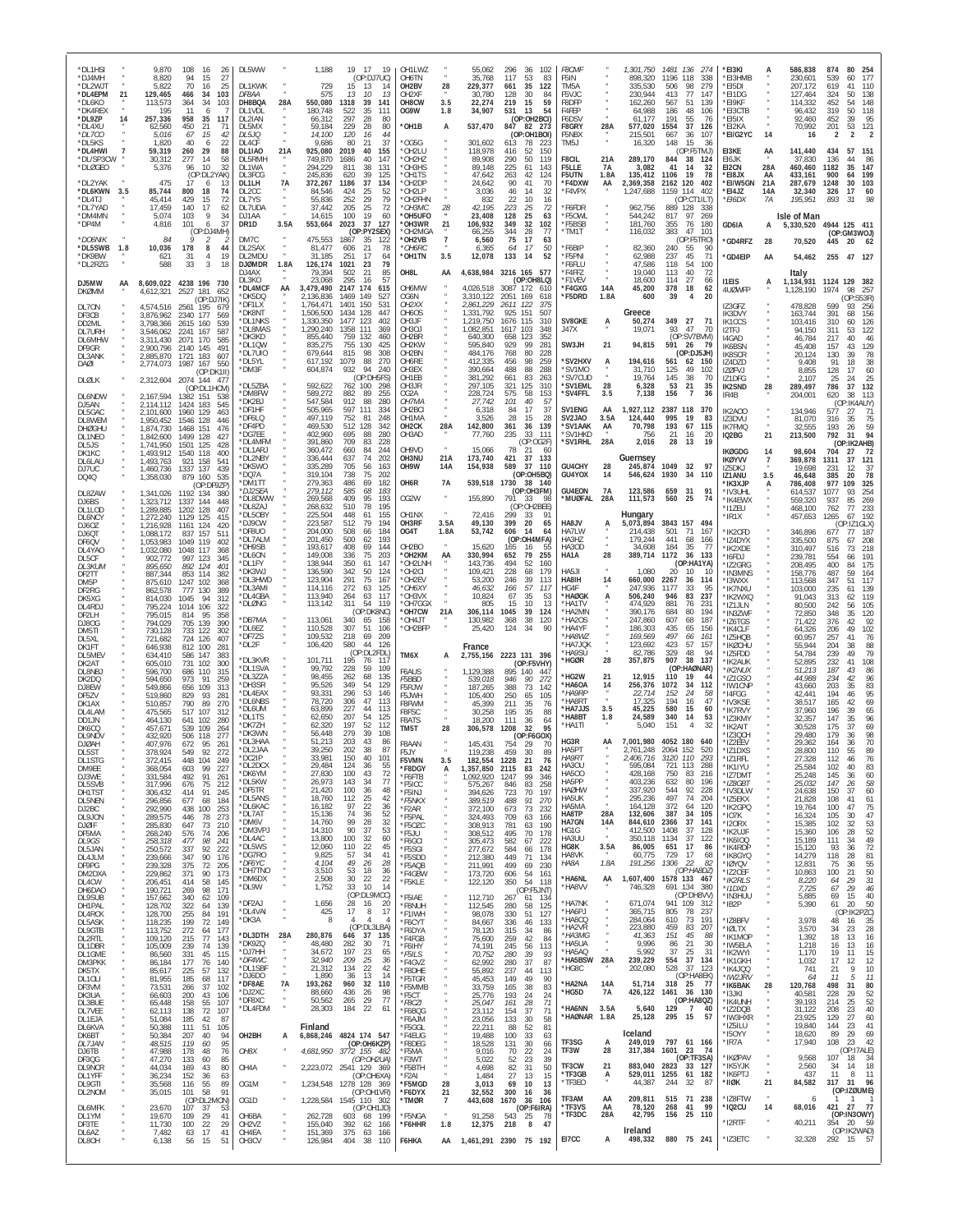| *DL1HSI<br>*DJ4MH<br>*DL2WJT<br>*DL4EPM<br>*DL6KO<br>*DK4REX | 21  | 9,870<br>8,820<br>5,822<br>129,465<br>113,573<br>195 | 108<br>94<br>70<br>466<br>364<br>11      | 16<br>-26<br>15<br>27<br>16<br>25<br>103<br>34<br>34<br>103<br>-6 | DL5WW<br>DL1KWK<br>DF8AA<br>DH8BQA<br>DI 1VDI    | 28A       | 1,188<br>729<br>575<br>550,080<br>180.748     | 19 17<br>19<br>(OP:DJ7UC)<br>15<br>13<br>14<br>13<br>10<br>-13<br>1318<br>39<br>141<br>522<br>-35<br>111 | OH1LWZ<br><b>OH6TN</b><br>OH <sub>2</sub> BV<br>OH <sub>2</sub> XF<br>OH8CW<br>OG9W | 28<br>3.5<br>1.8                 | 55,062<br>35,768<br>229,377<br>30.780<br>22,274<br>34,907 | 296<br>36<br>102<br>117<br>53<br>35<br>661<br>128<br>30<br>219<br>15<br>531<br>13 | 83<br>122<br>-84<br>59<br>54 | F8CMF<br>F5IN<br>TM5A<br>F5V.IC<br>F8DFP<br>F4FEP |                   | 1,301,750<br>898,320<br>335,530<br>230.944<br>162,260<br>64.988 | 1481 136<br>274<br>1196 118<br>338<br>506<br>98<br>279<br>77<br>413<br>147<br>51<br>567<br>139<br>186<br>48<br>106 | *EI3KI<br>*EI3HMB<br>*EI5DI<br>*FI1DG<br>*EI9KF<br>*EI3CTB |                                                      | 586,838<br>230,601<br>207,172<br>127.464<br>114,332<br>96,432 | 874<br>80<br>254<br>177<br>539<br>60<br>619<br>41<br>110<br>50<br>138<br>324<br>452<br>148<br>54<br>118<br>319<br>50 |
|--------------------------------------------------------------|-----|------------------------------------------------------|------------------------------------------|-------------------------------------------------------------------|--------------------------------------------------|-----------|-----------------------------------------------|----------------------------------------------------------------------------------------------------------|-------------------------------------------------------------------------------------|----------------------------------|-----------------------------------------------------------|-----------------------------------------------------------------------------------|------------------------------|---------------------------------------------------|-------------------|-----------------------------------------------------------------|--------------------------------------------------------------------------------------------------------------------|------------------------------------------------------------|------------------------------------------------------|---------------------------------------------------------------|----------------------------------------------------------------------------------------------------------------------|
| *DL9ZP<br>*DL4XU<br>*DL7CO<br>*DL5KS                         | 14  | 257,336<br>62,560<br>5,016<br>1,820                  | 958<br>450<br>67<br>40                   | 117<br>35<br>21<br>71<br>15<br>42<br>22<br>6                      | DL2IAN<br>DL5MX<br>DL5JQ<br>DL4CF                |           | 66,312<br>59,184<br>14,100<br>9,686           | 297<br>28<br>80<br>229<br>28<br>80<br>120<br>16<br>44<br>80<br>21<br>37                                  | OH1B<br>OG5G                                                                        | А                                | 537,470<br>301,602                                        | (OP:OH2BCI)<br>847 82 273<br>(OP:OH1BOI)<br>613<br>78<br>-223                     |                              | F6DSV<br>F8GRY<br>F5NBX<br>TM5J                   | 28A               | 61.177<br>577,020<br>215,501<br>16,320                          | 191<br>55<br>76<br>1554<br>37<br>126<br>667<br>36<br>107<br>15<br>148<br>36                                        | *EI5IX<br>*EI2KA<br>*EI/G2YC                               | 14                                                   | 92,460<br>70,992<br>16                                        | 95<br>452<br>39<br>121<br>201<br>53<br>2<br>2                                                                        |
| *DL4HWI<br>*DL/SP3CW<br>*DLØGEO                              |     | 59,319<br>30,312<br>5,376                            | 260<br>277<br>96                         | 29<br>88<br>14<br>58<br>10<br>32<br>(OP:DL2YAK)                   | DL1IA0<br>DL5RMH<br>DL1WA<br>DL3FCG              | 21A       | 925,080<br>749,870<br>294.229<br>245,836      | 2019<br>40<br>155<br>1686<br>40<br>147<br>811<br>38<br>131<br>620<br>39<br>125                           | *OH2LU<br>OH2HZ<br>*OH3HS<br>*OH1TS                                                 |                                  | 118,978<br>89,908<br>89.148<br>47.642                     | 416<br>52<br>150<br>290<br>50<br>225<br>61<br>263<br>42                           | 119<br>143<br>124            | F8CIL<br>F5LLE<br>F5UTN                           | 21A<br>7A<br>1.8A | 289,170<br>3,082<br>135,412                                     | (OP:F5TMJ)<br>844<br>38<br>124<br>41<br>14<br>32<br>1106<br>19<br>78                                               | EI3KE<br>EI6JK<br>EI2CN<br>*EI8JX                          | AA<br>28A<br>AA                                      | 141,440<br>37,830<br>460,460<br>433.161                       | 434<br>57<br>151<br>136<br>44<br>1182<br>35<br>147<br>900<br>64<br>199                                               |
| *DL2YAK<br>*DL6KWN<br>*DL4TJ<br>*DL7YAD                      | 3.5 | 475<br>85,744<br>45,414<br>17,459                    | 17<br>800<br>429<br>140                  | 6<br>-13<br>18<br>74<br>15<br>72<br>17<br>62                      | DL1LH<br>DL2CC<br>DI 7YS<br>DL7UDA               | <b>7A</b> | 372,267<br>84,546<br>55,836<br>37,442         | 1186<br>37<br>134<br>424<br>25<br>52<br>252<br>79<br>29<br>25<br>205<br>72                               | OH2DP<br>OH2LP*<br>*OH2FHN<br>*ОНЗМС                                                |                                  | 24,642<br>3,036<br>832<br>42,195                          | 90<br>41<br>46<br>14<br>22<br>10<br>223<br>25                                     | 70<br>32<br>16<br>72         | *F4DXW<br>*F4VPX<br>*F6FDR                        | AA                | 2,369,358<br>1,247,688<br>962,756                               | 2162 120<br>402<br>402<br>1159<br>114<br>(OP:CT1ILT)<br>889<br>128<br>338                                          | *EI/W5GN<br>*EI4JZ<br>*EI6DX                               | 21A<br>14A<br>7A                                     | 287,679<br>32,340<br>195,951                                  | 1248<br>$30^{\circ}$<br>103<br>17<br>60<br>326<br>98<br>893<br>31                                                    |
| *DM4MN<br>*DP4M<br>*DO6NIK                                   |     | 5,074<br>4,816<br>84                                 | 103<br>101                               | 9<br>-34<br>37<br>6<br>(OP:DJ4MH)<br>2                            | DJ1AA<br>DR <sub>1</sub> D<br>DM7C               | 3.5A      | 14,615<br>553,664<br>475,553                  | 100<br>19<br>60<br>2023<br>37<br>127<br>(OP:PY2SEX)<br>1867<br>35<br>122                                 | *OH5UFO<br>*OH3WR<br>*OH2MGA<br>*OH2VB                                              | 21<br>$\overline{7}$             | 23,408<br>106,932<br>66,255<br>6,560                      | 128<br>25<br>349<br>32<br>344<br>28<br>$\overline{17}$<br>75                      | 63<br>102<br>-77<br>63       | *F50WL<br>*F5BSB<br>TM1T                          |                   | 544,242<br>181,760<br>116,032                                   | 817<br>97<br>269<br>355<br>76<br>180<br>383<br>47<br>101<br>(OP:F5TRO)                                             | GD6IA<br>'GD4RFZ                                           | А<br>28                                              | Isle of Man<br>5,330,520<br>70,520                            | 4944 125 411<br>(OP:GM3WOJ)<br>445<br>20 62                                                                          |
| *DL5SWB<br>*DK9BW<br>*DL2RZG                                 | 1.8 | 10,036<br>621<br>588                                 | 178<br>31<br>33                          | 8<br>44<br>$\overline{4}$<br>19<br>3<br>18                        | DL2SAX<br>DL2MDL<br><b>DJØMDR</b><br>DJ4AX       | 1.8A      | 81,477<br>31,185<br>126,174<br>79.394         | 606<br>21<br>78<br>251<br>17<br>64<br>79<br>1021<br>23<br>502<br>21<br>85                                | *OH6RC<br>*OH1TN<br>OH8L                                                            | 3.5<br>AA                        | 6,365<br>12,078<br>4,638,984                              | 64<br>17<br>133<br>14<br>3216 165 577                                             | 50<br>52                     | *F6BIP<br>*F5PNI<br>'F6FLU<br>*F4FFZ              |                   | 82,360<br>62,988<br>47,586<br>19,040                            | 240<br>55<br>90<br>237<br>45<br>71<br>118<br>54<br>100<br>40<br>72<br>113                                          | <b>'GD4EIP</b>                                             | AA                                                   | 54,462<br>Italy                                               | 255 47 127                                                                                                           |
| DJ5MW<br><b>DKØMM</b>                                        | AA  | 8,609,022 4238 196 730<br>4,612,321                  | 2527                                     | 181<br>652<br>(OP:DJ7IK)                                          | DI 3KO<br>*DL4MCF<br>*DK5DO<br>'DF11 X           | AA        | 23,068<br>3,479,490<br>2.136.836<br>1.764.471 | 295<br>57<br>-16<br>2147 174<br>615<br>1469<br>149<br>527<br>1401<br>150<br>531                          | OH6MW<br>OG6N<br>OH2XX                                                              |                                  | 4,026,518<br>3,310,122<br>2,861,229                       | (OP:OH8LQ)<br>3087 172 610<br>2051<br>169<br>618<br>2611<br>122<br>375            |                              | *F1VEV<br>*F4GXG<br>*F5DRD                        | 14A<br>1.8A       | 18,600<br>45,200<br>600                                         | 27<br>114<br>66<br>378<br>62<br>18<br>39<br>20<br>4                                                                | <b>I1EIS</b><br>4UØWFP                                     | Α                                                    | 1,134,931<br>1,128,190                                        | 1124 129<br>382<br>1974<br>98<br>257<br>(OP:S53R)                                                                    |
| DL70N<br>DF3CB<br>DD2ML<br>DL7URH                            |     | 4,574,516<br>3,876,962<br>3,798,366<br>3,546,062     | 2561 195<br>2340<br>2615 160<br>2241     | 679<br>177<br>569<br>539<br>167<br>587                            | *DK8NT<br>*DL1NKS<br>*DL8MAS                     |           | 1,506,500<br>1,330,350<br>1,290,240           | 1434 128<br>447<br>1477 123<br>402<br>1358<br>111<br>369                                                 | OH6OS<br>OH3JF<br>OH3OJ                                                             |                                  | 1,331,792<br>1,219,750<br>1,082,851                       | 151<br>925<br>1676 115<br>103<br>1617                                             | 507<br>310<br>348            | SV8GKE<br>J47X                                    | А                 | Greece<br>50,274<br>19,071                                      | 349 27<br>-71<br>93<br>47<br>70                                                                                    | IZ3GFZ<br><b>IK3DVY</b><br><b>IK1CCS</b><br>I2TEJ          |                                                      | 478,828<br>163,744<br>103,416<br>94,150                       | 599<br>256<br>93<br>391<br>156<br>68<br>126<br>310<br>60<br>311<br>53<br>122                                         |
| <b>DL6MHW</b><br>DF9GR<br>DL3ANK<br><b>DAØI</b>              |     | 3.311.430<br>2,900,796<br>2,885,870<br>2,774,073     | 2071<br>2140<br>1721 183<br>1987 167     | 170<br>585<br>145<br>491<br>607<br>550                            | DK3KD<br>*DL1QW<br>*DI 7UIO<br>*DL5YL            |           | 855,440<br>835,275<br>679,644<br>617.192      | 759 132<br>460<br>755 130<br>425<br>815<br>98<br>308<br>1079<br>88<br>270                                | OH <sub>2</sub> BR<br>OH2KW<br>OH <sub>2</sub> BN<br>OH6RE                          |                                  | 640,300<br>595,840<br>484,176<br>412,335                  | 658<br>123<br>352<br>929<br>99<br>768<br>80<br>456<br>98                          | 281<br>228<br>259            | SW3JH<br>*SV2HXV                                  | 21<br>А           | 94,815<br>194,616                                               | (OP:SV7BVM)<br>591<br>- 26<br>79<br>(OP:DJ5JH)<br>561<br>62<br>-150                                                | 14GAD<br>IK6BSN<br><b>IK8SCR</b><br>IZ4DZD                 |                                                      | 46,784<br>45,408<br>20,124<br>9.408                           | 217<br>40<br>46<br>129<br>157<br>43<br>130<br>39<br>78<br>91<br>38<br>18                                             |
| DLØLK                                                        |     | 2,312,604 2074 144 47                                |                                          | (OP:DK1II)<br>(OP:DL1HCM)                                         | *DM3F<br>DL5ZBA<br>*DM8FW                        |           | 604,874<br>592,622<br>589,272                 | 932<br>94<br>240<br>(OP:DH5FS)<br>100<br>298<br>762<br>882<br>89<br>255                                  | OH3EX<br>OH1EB<br>OH3JR<br>OG2A                                                     |                                  | 390,664<br>381,292<br>297,105<br>228,724                  | 488<br>88<br>288<br>661<br>83<br>321<br>125<br>575<br>58                          | 263<br>310<br>153            | *SV1MO<br>*SV7CUD<br>*SV1EML<br>*SV4FFL           | 28<br>3.5         | 31,710<br>19,764<br>6,328<br>7,138                              | 125<br>49<br>102<br>145<br>38<br>70<br>53<br>21<br>35<br>156<br>-7<br>36                                           | <b>IZØFVJ</b><br>IZ1DFG<br>IK2SND<br>IR4B                  | 28                                                   | 8.855<br>2,107<br>289,497<br>204,001                          | 128<br>60<br>17<br>25<br>25<br>24<br>132<br>786<br>37<br>620<br>38<br>113                                            |
| DL6NDW<br>DJ5AN<br>DL5GAC<br>DL8WEM                          |     | 2,167,594<br>2.114.112<br>2,101,600<br>1,950,452     | 1382 151<br>1424<br>1960 129<br>1546 128 | 538<br>545<br>183<br>463<br>446                                   | 'DK2BJ<br>*DF1HF<br>*DF6LQ<br>*DF4PD             |           | 547,584<br>505,965<br>497,119<br>469,530      | 912<br>88<br>280<br>597<br>111<br>334<br>752<br>81<br>248<br>512<br>128<br>342                           | OH7MA<br>OH <sub>2</sub> BCI<br>OH1MA<br>OH <sub>2</sub> CK                         | 28A                              | 27,742<br>6,318<br>3,526<br>142,800                       | 101<br>40<br>84<br>17<br>28<br>15<br>361<br>36<br>139                             | 57<br>37<br>28               | SV1ENG<br>SV2JA0<br>*SV1AAK                       | AA<br>3.5A<br>AA  | 1,927,112<br>124,440<br>70,798                                  | 2387 118<br>370<br>995<br>19<br>83<br>193<br>67<br>115                                                             | IK2AOO<br>IZ3DVU                                           |                                                      | 134,946<br>81,070                                             | (OP:IK4AUY)<br>577<br>27<br>71<br>75<br>316<br>35                                                                    |
| <b>DHØGHU</b><br>DL1NEO<br>DL5JS<br>DK1KC                    |     | 1,874,730<br>,842,600<br>1,741,950<br>1,493,912      | 1468 151<br>1499<br>1501<br>1540 118     | 476<br>128<br>427<br>125<br>428<br>400                            | *DG7EE<br>*DL4MFM<br>*DL1ARJ                     |           | 402,960<br>391,860<br>360,472                 | 695<br>280<br>88<br>709<br>83<br>228<br>660<br>84<br>244                                                 | OH3AD<br>OH9VD                                                                      |                                  | 77,760<br>15,066                                          | 235<br>111<br>33<br>(OP:OG2F)<br>78<br>21                                         | 60                           | *SV1HKD<br>*SV1RHL                                | 28A               | 756<br>2,016                                                    | 21<br>16<br>-20<br>28<br>13<br>19                                                                                  | <b>IK7FMQ</b><br>IQ2BG<br><b>IKØGDG</b>                    | 21<br>14                                             | 32,555<br>213,500<br>98,604                                   | 193<br>26<br>59<br>94<br>792<br>31<br>(OP:IK2AHB)<br>704<br>-72<br>-27                                               |
| DL6LAU<br>DJ7UC<br>DQ4Q                                      |     | ,493,763<br>,460,736<br>1,358,030                    | 921 158<br>1337<br>879 160               | 541<br>137<br>439<br>535<br>(OP:DF9ZP)                            | DI 2NBY<br>*DK5WO<br>*DO7A<br>*DM1TT             |           | 336,444<br>335,289<br>319.104<br>279,363      | 637<br>74<br>202<br>705<br>56<br>163<br>738<br>75<br>202<br>486<br>69<br>182                             | OH3NU<br>OH <sub>9</sub> W<br>OH6R                                                  | 21A<br>14A<br>7A                 | 173,740<br>154,938<br>539,518                             | 421<br>37<br>133<br>589<br>37<br>110<br>(OP:OH5BQ)<br>1730<br>38 140              |                              | GU4CHY<br>GU4YOX                                  | 28<br>14          | Guernsey<br>245,874<br>546,624                                  | 1049<br>32<br>-97<br>1930<br>34<br>110                                                                             | IKØYVV<br>175DKJ<br>IZ1ANU<br><b>'IK3XJP</b>               | $\overline{7}$<br>Α                                  | 369,878<br>19,698<br>46.648<br>786,408                        | 1311<br>37<br>121<br>231<br>12<br>-37<br>78<br>385<br>20<br>977<br>109<br>325                                        |
| DL8ZAW<br>DJ6BS<br>DI 11 OD                                  |     | 1,341,026<br>1,323,712<br>1,289,885                  | 1192 134<br>1337<br>1202 128             | -380<br>144<br>448<br>407                                         | *DJ2SEA<br>DL8DWW<br>DL8ZAJ<br>*DL5OBY           |           | 279,112<br>269,568<br>268,632<br>225,504      | 585<br>68<br>183<br>409<br>95<br>193<br>78<br>510<br>195<br>448<br>61<br>155                             | OG2W<br>OH1NX                                                                       |                                  | 155,890<br>72,416                                         | (OP:OH3FM)<br>791<br>-33<br>(OP:OH2BEE)<br>299<br>33                              | -98<br>91                    | <b>GU4EON</b><br>*MUØFAL                          | 7A<br>28A         | 123,586<br>111,573<br>Hungary                                   | 659<br>31<br>91<br>560<br>25<br>74                                                                                 | *IV3UHL<br>*IK4EWX<br>*I1ZEU<br>'IR1X                      |                                                      | 614,537<br>559,320<br>468,100<br>457,653                      | 254<br>1077<br>93<br>937<br>85<br>269<br>233<br>762<br>77<br>1265<br>192<br>67                                       |
| DL6NCY<br>DJ60Z<br>DJ6QT<br>DF6QV                            |     | 1,272,240<br>1,216,928<br>1,088,172<br>1,053,983     | 1129 125<br>1161<br>837<br>1049 119      | 415<br>124<br>420<br>157<br>511<br>402                            | *DJ9CW<br>*DF8UO<br>*DL7ALM<br>'DH9SB            |           | 223,587<br>204,000<br>201,450<br>193,617      | 512<br>79<br>194<br>184<br>508<br>66<br>500<br>62<br>193<br>408<br>69<br>144                             | OH3RF<br>OG4T<br>OH <sub>2</sub> BO                                                 | 3.5A<br>1.8A                     | 49,130<br>53,742<br>15,620                                | 399<br>20<br>606<br>14<br>(OP:OH4MFA)<br>165<br>16                                | 65<br>64<br>55               | HA8JV<br>HA7LW<br>HA3HZ<br>HA30D                  | А                 | 5,073,894<br>214,438<br>179,244<br>34,608                       | 3843 157 494<br>501<br>71<br>167<br>441<br>68<br>166<br>184<br>35<br>77                                            | 'IK2CFD<br>'IZ4DYX                                         |                                                      | 346,896<br>335,500                                            | (OP:IZ1GLX)<br>677<br>77<br>187<br>208<br>875<br>67                                                                  |
| DL4YAO<br>DL5CF<br>DL3KUM<br>DF2TT                           |     | 1,032,080<br>902,772<br>895.650<br>887,344           | 1048 117<br>997<br>892 124<br>853        | 368<br>123<br>345<br>40<br>114<br>382                             | *DL6ON<br>'DI 1FY<br>DK3WJ                       |           | 149,008<br>138,944<br>136,590                 | 336<br>75<br>203<br>350<br>147<br>61<br>342<br>50<br>124                                                 | *OH2KM<br>*OH2LNH<br>OH2CI <sup>*</sup>                                             | AA                               | 330,994<br>143,736<br>109,421                             | 652<br>79<br>255<br>494<br>52<br>228<br>68                                        | 160<br>179                   | HA1A<br>HA5JI                                     | 28                | 389,714<br>1,080                                                | 1172<br>36<br>133<br>(OP:HA1YA)<br>10<br>20                                                                        | 'IK2XDE<br>'I6FDJ<br>'IZ2GRG<br>'IN3MNS                    |                                                      | 310,497<br>239,781<br>208,495<br>158,776                      | 218<br>516<br>73<br>191<br>554<br>66<br>400<br>175<br>84<br>487<br>59<br>164                                         |
| DM5P<br>DF2RG<br>DK5XG<br>DL4RDJ                             |     | 875,610<br>862.578<br>814,030<br>795,224             | 1247 102<br>777<br>1045<br>1014          | 368<br>130<br>389<br>94<br>312<br>106<br>322                      | DI 3HWD<br>*DL3AMI<br>*DL4GBA<br>*DLØNG          |           | 123.904<br>114,116<br>113.940<br>113,142      | 291<br>75<br>167<br>272<br>125<br>63<br>264<br>117<br>63<br>311<br>54<br>119                             | *OH2FV<br>*OH6XY<br>*OH3VX<br>*OH7GGX                                               |                                  | 53,200<br>46.632<br>10,824<br>805                         | 246<br>39<br>57<br>166<br>67<br>35<br>15<br>10                                    | 113<br>117<br>53<br>13       | HA8IH<br>HG4F<br>*HAØGK<br>*HA1TV                 | 14<br>A           | 660,000<br>247,936<br>506,240<br>474,929                        | 2267<br>36<br>114<br>1177<br>33<br>95<br>83<br>946<br>237<br>881<br>76<br>231                                      | 'I3WXX<br>'IK7NXU<br>*IK2WXQ<br>'IZ1JLN                    |                                                      | 113,568<br>103,000<br>91,043<br>80.500                        | 347<br>51<br>117<br>235<br>139<br>61<br>119<br>313<br>62<br>105<br>242<br>56                                         |
| DF <sub>2</sub> I H<br>DJ80G<br>DM5TI                        |     | 795,015<br>794,029<br>730.128                        | 814<br>705<br>733 122                    | 95<br>358<br>139<br>390<br>302                                    | DB7MA<br>*DL6EZ<br>*DF7ZS                        |           | 113,061<br>110,528<br>109,532                 | (OP:DK8NC)<br>340<br>65<br>158<br>307<br>51<br>106<br>218<br>69<br>209                                   | *OH7CW<br>*OH4JT<br>*OH2BFP                                                         | 21A                              | 306,114<br>130,982<br>25,420                              | 1045<br>39<br>368<br>38<br>124<br>34                                              | 124<br>120<br>90             | *HA2MN<br>*HA2OS<br>*HA4YF<br>*HA8W2              |                   | 390,176<br>247,860<br>186,303<br>169,569                        | 684<br>80<br>194<br>607<br>68<br>187<br>435<br>65<br>156<br>497<br>66<br>161                                       | ʻIN3ZWF<br>'IZ6TGS<br>'IK4CLF<br>'IZ5HQB                   |                                                      | 72,850<br>71,422<br>64,326<br>60,957                          | 120<br>348<br>35<br>376<br>42<br>92<br>102<br>206<br>49<br>257<br>41<br>76                                           |
| DL5XL<br>DK1FT<br>DL5MEV<br>DK2AT                            |     | 721,682<br>646,938<br>634,410<br>605,010             | 724 126<br>812 100<br>586 147<br>731     | 407<br>281<br>383<br>102<br>300                                   | *DL2F<br>*DL3KVR<br>DL1SVA                       |           | 106,420<br>101,711<br>99.792                  | 580<br>44<br>126<br>(OP:DL2FDL)<br>195<br>76<br>117<br>228<br>59<br>109                                  | TM6X                                                                                | A                                | France<br>2,755,156                                       | 2223 131 396<br>(OP:F5VHY)                                                        |                              | *HA7JQK<br>*HA9SU<br>*HGØR                        | 28                | 123,692<br>82,786<br>357,875                                    | 423<br>57<br>-157<br>329<br>48<br>94<br>907<br>38<br>137<br>(OP:HAØNAR)                                            | 'IKØCHU<br>'IZ5FDD<br>'IK2AUK                              |                                                      | 55.944<br>54,784<br>52,895                                    | 88<br>204<br>38<br>79<br>239<br>49<br>108<br>232<br>41                                                               |
| DL8NBJ<br>DK2DQ<br>DJ8EW<br>DF5ZV                            |     | 596,700<br>594,650<br>549,866<br>519,860             | 686 110<br>973<br>656<br>829             | 315<br>91<br>259<br>109<br>313<br>93<br>281                       | *DL3ZZA<br>*DH3SR<br>*DL4EAX                     |           | 98,455<br>95,526<br>93,331                    | 135<br>262<br>68<br>349<br>54<br>129<br>296<br>53<br>146                                                 | F6AUS<br>F5BBD<br>F5RJW<br>F5JWH                                                    |                                  | 1,129,388<br>539,018<br>187,265<br>105,400                | 895 140<br>-447<br>946<br>90<br>388<br>73<br>250<br>65                            | 272<br>142<br>105            | *HG2W<br>HA6OA<br>*HA9RP                          | 21<br>14          | 12,915<br>256,376<br>22,714                                     | 110<br>19<br>1072<br>34<br>112<br>152<br>24<br>-58                                                                 | *IK2NUX<br>*IZ1GSO<br>'IW1CNP<br>'I4FGG                    |                                                      | 51,213<br>44.988<br>43.660<br>42,441                          | 187<br>43<br>86<br>234<br>96<br>42<br>203<br>35<br>83<br>95<br>194<br>46                                             |
| DK1AX<br>DL4LAM<br>DD1.IN<br>DK6CC                           |     | 510.857<br>475,565<br>464,130<br>457,671             | 790<br>517<br>641 102<br>539 109         | 89<br>270<br>107<br>312<br>-280<br>264                            | *DL6NBS<br>*DL6UM<br>*DI 1TS<br>*DK7ZH           |           | 78,720<br>63,899<br>62,650<br>62.320          | 306<br>47<br>113<br>227<br>44<br>113<br>207<br>54<br>125<br>197<br>52<br>112                             | F8FWM<br>F8FSC<br>F8ATS<br>TM5T                                                     | 28                               | 45.399<br>30,258<br>18,200<br>306,578                     | 211<br>35<br>35<br>195<br>111<br>36<br>1208<br>32                                 | 76<br>88<br>64<br>95         | <b>HA8RT</b><br>*HA7JJS<br>*HA8BT<br>*HA1TI       | 3.5<br>1.8        | 17.325<br>45,225<br>24,589<br>5.040                             | 194<br>47<br>16<br>580<br>15<br>60<br>340<br>14<br>53<br>151<br>$\overline{4}$<br>32                               | 'IV3KSE<br>*IK7RVY<br>*IZ3KMY<br>'IK2AIT                   |                                                      | 38,517<br>37,960<br>32,357<br>30.528                          | 165<br>42<br>69<br>39<br>196<br>65<br>147<br>35<br>96<br>69<br>175<br>37                                             |
| DL9NDV<br><b>DJØAH</b><br>DI 5ST                             |     | 432,920<br>407,976<br>378,924                        | 506 118<br>672<br>549                    | 277<br>95<br>261<br>92<br>272                                     | *DK3WN<br>*DL3HAA<br>*DL2JAA                     |           | 56,448<br>51,213<br>39,250<br>33.981          | 279<br>39<br>108<br>203<br>43<br>86<br>202<br>38<br>87<br>150<br>40<br>101                               | F8AAN<br>F5JY                                                                       |                                  | 145,431<br>119,238                                        | (OP:F6GOX)<br>754<br>-29<br>459<br>30                                             | 70<br>89                     | HG3R<br>HA5PT<br>4A 9R T                          | AA                | 7,001,980<br>2,761,248                                          | 4052 180<br>640<br>2064 152<br>520                                                                                 | 'IZ3QCH<br>'IZ2EEV<br>*IZ1DXS                              |                                                      | 29.480<br>29,362<br>28,800                                    | 98<br>179<br>36<br>164<br>36<br>70<br>89<br>110<br>55<br>$\sqrt{2}$                                                  |
| DL1STG<br>DM9FF<br>DJ3WE<br>DL5SVB                           |     | 372.415<br>368,054<br>331,584<br>317,996             | 448<br>603<br>492<br>676                 | 104<br>249<br>99<br>227<br>91<br>261<br>75<br>212                 | *DL2DCX<br>*DK6YM<br>*DL5KW<br>*DE5TR            |           | 29,484<br>27,830<br>26,973                    | 124<br>36<br>55<br>100<br>43<br>72<br>143<br>34<br>77<br>100                                             | F5VMN<br>*F8DGY<br>*F6FTB<br>*F5ICC                                                 | 3.5<br>А                         | 182.554<br>,357,850<br>1,092,920<br>575,267               | 1228<br>21<br>2115<br>242<br>83<br>99<br>1247<br>846<br>83<br>258                 | 76<br>346                    | HA3OU<br><b>HA500</b><br>HA5PP<br><b>HAØHW</b>    |                   | 595,084<br>428,168<br>403,236                                   | 721 113<br>288<br>750<br>83<br>216<br>632<br>80<br>196<br>544                                                      | 'IZ I RFL<br>*IK1IYU<br>*IZ7DMT<br>*IZ8GBT                 |                                                      | 21.328<br>25,584<br>25,248<br>25,032                          | 112<br>40<br>102<br>40<br>83<br>145<br>36<br>60<br>$\frac{58}{60}$<br>147<br>26                                      |
| DH1TST<br>DL5NEN<br>DJ2BC<br>DL9JON                          |     | 306,432<br>296,856<br>292,990<br>289,575             | 414<br>677<br>438<br>446                 | 91<br>245<br>68<br>184<br>100<br>253<br>78<br>273                 | *DL5ANS<br>*DL6KAC<br>*DL7AT                     |           | 21,420<br>18,760<br>16,182<br>15,136          | 36<br>48<br>112<br>25<br>42<br>97<br>22<br>36<br>74<br>36<br>52                                          | *F5INJ<br>*F5NKX<br>*F2AR<br>*F5PAL                                                 |                                  | 394,626<br>389,519<br>372,100<br>324,493                  | 197<br>723<br>70<br>91<br>488<br>673<br>73<br>709<br>63<br>166                    | 270<br>232                   | HA5UK<br>HA5MA<br>HA8TP                           | 28A               | 337,920<br>295,236<br>164,128<br>132,606                        | 92<br>228<br>497<br>74<br>204<br>372<br>120<br>64<br>387<br>34<br>105                                              | *IV3DLW<br>*IZ5EKX<br>*IK2GPQ<br>*IO7K                     |                                                      | 24,638<br>21,828<br>19,764<br>16,324                          | 150<br>37<br>108<br>41<br>61<br>75<br>100<br>47<br>47<br>105<br>30                                                   |
| DJØIF<br>DF5MA<br>DL9GS<br>DL5JAN                            |     | 285,830<br>268,240<br>258,318<br>250,572             | 647<br>576<br>477<br>337                 | 73<br>210<br>74<br>206<br>98<br>241<br>92<br>222                  | *DM6V<br>*DM3VPJ<br>*DI 4AC<br>*DL5WS            |           | 14,760<br>14,310<br>13,800<br>12,060          | 99<br>28<br>32<br>90<br>37<br>53<br>100<br>$\frac{32}{22}$<br>60<br>110<br>45                            | *F5OZC<br>*F5JU<br>*F6GCI<br>*F5SGI                                                 | $\mu$                            | 308,913<br>308,512<br>305,473<br>277,672                  | 781<br>63<br>495<br>70<br>582<br>67<br>222<br>584<br>178<br>66                    | 190<br>178                   | HA7GN<br>HG1G<br>HA3UL<br>HG8K                    | 14A<br>3.5A       | 844,610<br>412,500<br>350.118<br>86,005                         | 37<br>2366<br>141<br>1408<br>37<br>128<br>1134<br>37<br>-122<br>17<br>651<br>86                                    | *I2ORX<br>*IK2UJF<br>*IK6IOQ<br>*IK4RDP                    |                                                      | 15,385<br>15,360<br>15,189<br>15,120                          | 102<br>32<br>53<br>52<br>49<br>28<br>106<br>111<br>34<br>93<br>36                                                    |
| DL4JLM<br>DF9PG<br>DM2DXA                                    |     | 239,666<br>239,328<br>229,862                        | 347<br>375<br>371                        | 90<br>176<br>72<br>205<br>90<br>173                               | *DG7RO<br>*DF6YC<br>*DH7TNO<br>*DM6DX            |           | 9,825<br>4,104<br>3,510<br>2,508              | 57<br>34<br>41<br>49<br>26<br>28<br>53<br>18<br>36<br>22<br>30<br>22                                     | *F5SDD<br>*F5AQB<br>*F4GBW                                                          | $\overline{u}$                   | 212,380<br>211,991<br>173,720                             | 449<br>71<br>134<br>499<br>69<br>230<br>606<br>54 161                             |                              | HA8VK<br>HA8A<br>*HA6NL                           | 1.8A<br>AA        | 60,775<br>191,256<br>607,400                                    | 729<br>17<br>68<br>1306<br>22<br>82<br>(OP:HA8DZ)<br>1578 133 467                                                  | *IK8GYQ<br>*IØYQV<br>*IZ2CEF<br>*IK2RLS                    |                                                      | 14,279<br>12,831<br>10,863<br>8,220                           | $\begin{array}{c} 72 \\ 81 \end{array}$<br>118<br>28<br>55<br>75<br>36<br>50<br>100<br>-21<br>31<br>64<br>29         |
| DL4CW<br>DH6DAO<br>DL9SUB<br>DH1PAL                          |     | 206,451<br>190,721<br>157,662<br>128,702             | 414<br>269<br>340<br>322                 | 58<br>145<br>171<br>98<br>62<br>109<br>64<br>139                  | *DL9W<br>*DF2AJ<br>*DI 4VAI                      |           | 1,752<br>1,656                                | 33<br>10<br>14<br>(OP:DL9MCC)<br>28<br>20<br>16<br>17<br>-8<br>-17                                       | *F5KLE<br>*F5IAE<br>*F8NUH                                                          |                                  | 122,120<br>112,710<br>112,545                             | 350<br>54 118<br>(OP:F5JNT)<br>267<br>61 134<br>280<br>58<br>125                  |                              | *HA8VV<br>*HA7NK<br>*HA6PJ                        |                   | 746,328<br>671,074<br>365,715                                   | 691 134 380<br>(OP:DH8VV)<br>941 109<br>-312<br>805<br>78<br>237                                                   | *I1DXD<br>*IN3HUU<br>*IB2P                                 | $\boldsymbol{\theta}$                                | 7,725<br>5,885<br>5,390                                       | 29<br>67<br>46<br>15<br>69<br>40<br>50<br>61<br>-20                                                                  |
| DL4RCK<br>DL5ASK<br>DL9GTB<br>DL2RTL                         |     | 128,700<br>118,235<br>113,752<br>109,120             | 255<br>199<br>272<br>215                 | 84<br>191<br>72<br>149<br>177<br>64<br>77<br>143                  | *DK3A<br>*DL3DTH                                 | 28A       | 425<br>8<br>280,876                           | 4<br>$\overline{4}$<br>(OP:DL3LBA)<br>37<br>135<br>646                                                   | *F1IWH<br>*F6CYT<br>*F6DYA<br>*F4FGB                                                | $\boldsymbol{\mu}$               | 98,078<br>84,667<br>78,120<br>75,600                      | 330<br>51<br>127<br>336<br>46<br>315<br>34<br>259<br>42                           | 133<br>86<br>84              | *HA8CQ<br>*HA2VR<br>*HA3MG                        |                   | 284,064<br>223,880<br>41,363                                    | 73<br>191<br>610<br>459<br>207<br>83<br>151<br>45<br>-88                                                           | *IZ8BFV<br>*IØLTX<br>*IK1MOP                               |                                                      | 3,978<br>3,570<br>1,392                                       | (OP:IK2PZC)<br>48<br>-16<br>35<br>28<br>34<br>23<br>18<br>13<br>16                                                   |
| DL1DBR<br>DL1GME<br>DM3PKK<br>DK5TX                          |     | 105,009<br>86,560<br>86,184<br>85,617                | 239<br>331<br>177<br>225                 | 74<br>139<br>45<br>115<br>76<br>140<br>57<br>132                  | *DK9ZQ<br>*DJ7HH<br>*DF4WC<br>*DL1SBI            |           | 48,480<br>34,672<br>32,940<br>21,312          | 282<br>$30^{\circ}$<br>-71<br>197<br>23<br>65<br>209<br>$\frac{25}{22}$<br>36<br>134<br>42               | *F6IHY<br>*F5ILS<br>*F4GVZ<br>*F8DHE                                                |                                  | 74,191<br>70,752<br>62,992<br>55,892                      | 245<br>56<br>280<br>39<br>37<br>280<br>237<br>44                                  | 113<br>93<br>87<br>113       | *HA5UA<br>*HA5AQ<br>*HA5BSW<br>*HG8C              | 28A               | 9,996<br>5,992<br>239,229<br>202,080                            | 21<br>86<br>30<br>37<br>25<br>31<br>37<br>554<br>134<br>37<br>528<br>123                                           | *IW5ELA<br>*IK2WYI<br>*IK1GKH<br>*IK4J00                   |                                                      | 1,218<br>1,170<br>1,032<br>741                                | 16<br>13<br>16<br>19<br>15<br>11<br>17<br>12<br>12<br>21<br>9<br>10                                                  |
| DL10LI<br>DF3VM<br>DK3UA                                     |     | 81,955<br>73,531<br>66,603                           | 185<br>266<br>200                        | 68<br>117<br>37<br>102<br>43<br>106                               | *DJ6DO<br>*DF8AE<br>*DJ2XC<br>*DF8XC             | 7A        | 1,890<br>193,262<br>88,660<br>50,562          | 36<br>13<br>14<br>960<br>32<br>110<br>436<br>26<br>98<br>265<br>- 29<br>77                               | *F5TGR<br>*F5MMB<br>*F5CT                                                           |                                  | 45,453<br>33,759<br>25,776                                | 149<br>49<br>165<br>38<br>193<br>24                                               | 90<br>83<br>24               | *HA2NA<br>*HG5D                                   | 14A<br>7A         | 51,714<br>426,122                                               | (OP:HA8EK)<br>318 25<br>- 77<br>1461<br>36 130<br>(OP:HA8QZ)                                                       | <i>*IW2JRV</i><br>'IK6BAK<br>*I3JKI<br>*IK4UNH             | 28                                                   | 64<br>120,768<br>40,581<br>39,193                             | 11<br>-5<br>11<br>498<br>31<br>80<br>52<br>228<br>29<br>25<br>52<br>214                                              |
| DL3BUE<br>DL7VEE<br>DL1EJA<br>DL6KVA                         |     | 65,448<br>62,113<br>51,084<br>50,388                 | 158<br>138<br>185<br>111                 | 55<br>107<br>72<br>107<br>87<br>42<br>51<br>105                   | *DL4FDM                                          |           | 28,303<br>Finland                             | 184<br>22<br>61                                                                                          | *F8CZI<br>*F6BOG<br>*F6AJM<br>*F5GGL                                                |                                  | 25,047<br>23,112<br>23,056<br>22,211                      | 161<br>28<br>154<br>37<br>30<br>133<br>88<br>52                                   | 71<br>71<br>58<br>81         | *HA6NN<br>*HAØNAR 1.8A                            | 3.5A              | 5,640<br>25,128                                                 | 129<br>$7\phantom{.0}$<br>40<br>57<br>295 15                                                                       | *IZ2DQB<br>*IW3HXR<br>*IZ5ILU                              |                                                      | 31,122<br>23,925<br>19,840                                    | 40<br>208<br>23<br>27<br>60<br>129<br>41<br>144<br>-23                                                               |
| DK6BT<br>DL7JAN<br>DJ6TB<br>DF3QG                            |     | 50,384<br>48,515<br>47,988<br>47,270                 | 207<br>119<br>178<br>133                 | 40<br>94<br>60<br>95<br>48<br>76<br>60<br>85                      | OH2BH<br>$O$ H $8X$                              | А         |                                               | 6,868,246 4824 174 547<br>(OP:OH6KZP)<br>4,681,950 3772 155 482<br>(OP:OH2UA)                            | *F4FUG<br>*F8DEG<br>*F5MA<br>*F3WT                                                  |                                  | 19,488<br>18,528<br>9,016<br>5,022                        | 100<br>33<br>131<br>30<br>70<br>22<br>52<br>23                                    | 63<br>66<br>24<br>39         | TF3SG<br>TF3W                                     | A<br>28           | Iceland<br>249.019<br>317,384                                   | 797 61 166<br>1601 23<br>74<br>(OP:TF3SA)                                                                          | * 150YY<br>*IR7A<br>*IKØPAV                                |                                                      | 18,620<br>17,940<br>9,568                                     | 89<br>29<br>69<br>108<br>23<br>42<br>(OP:17ALE)<br>107<br>34<br>-18                                                  |
| DL9NCR<br>DL1YFF<br>DL9GTI<br>DL2NOM                         |     | 44,034<br>36,234<br>35,568<br>35,015                 | 169<br>152<br>116<br>101                 | 43<br>80<br>36<br>63<br>55<br>89<br>58<br>91                      | OH4A<br>OG1M                                     |           | 1,234,548                                     | 2,223,072 2541 129 369<br>(OP:OH6XA)<br>1278 128 369<br>(OP:OH1VR)                                       | *F5BTH<br>*F2AI<br>*F5MGD<br>*F6DYX                                                 | 28<br>21                         | 4,698<br>1,484<br>3,013<br>32,552                         | 82<br>31<br>27<br>13<br>10<br>69<br>300<br>16                                     | 50<br>15<br>13<br>36         | TF3CW<br>*TF3GB<br>*TF3EO                         | 21<br>A           | 883,040<br>529,011<br>44,387                                    | 2823<br>33 127<br>1255<br>61<br>182<br>244<br>32<br>-87                                                            | *IK5YJK<br>*IK6PTJ<br>*IIØK                                | $\boldsymbol{\kappa}$<br>$\boldsymbol{\kappa}$<br>21 | 2,560<br>437<br>84,582                                        | 34<br>14<br>18<br>11<br>11<br>-8<br>317 31<br>96<br>(OP:IZØUME)                                                      |
| DL6MFK<br>DL1YM                                              |     | 23,670<br>19,670                                     | 107<br>109                               | (OP:DL2MON)<br>37<br>53<br>29<br>41                               | OG1D<br>OH6BA                                    |           | 1,228,584<br>262,728                          | 1545 110 302<br>(OP:OH1JD)<br>603 68 199                                                                 | *TMØR<br>*F5NGA                                                                     | $\overline{7}$<br>$\overline{u}$ | 443,608<br>91.258                                         | 1670<br>36 106<br>(OP:FOIRA)<br>543 25                                            | - 78                         | TF3AM<br>*TF3VS<br>*TF3DC                         | AA<br>AA<br>28A   | 209,811<br>78,120<br>42,795                                     | 515 71 238<br>268<br>41<br>- 99<br>156<br>25<br>110                                                                | *IZ8FTW<br>'iQ2CU<br>'I2RTF                                | 14                                                   | 6<br>68,016                                                   | -1.<br>421 27 77<br>(OP:IN3OWY)                                                                                      |
| DF3TE<br>DL6AZ<br>DL8OH                                      |     | 11,730<br>7,482<br>6,138                             | 100<br>63<br>56                          | 22<br>29<br>17<br>41<br>15<br>51                                  | OH <sub>2</sub> V <sub>Z</sub><br>OH4FA<br>OH3CV |           | 155,040<br>151,369<br>126,984                 | 392<br>166<br>62<br>375<br>166<br>-63<br>404<br>38<br>110                                                | *F6HHR<br>F6HKA                                                                     | 1.8<br>AA                        | 12,375                                                    | 218<br>8<br>1,461,291 2390 75 192                                                 | 47                           | EI7CC                                             | А                 | Ireland<br>498,332                                              | 880 75 241                                                                                                         | *IZ3ETC                                                    |                                                      | 40,211<br>32,328                                              | 354 20 59<br>(OP:IK2WAD)<br>292 15<br>57                                                                             |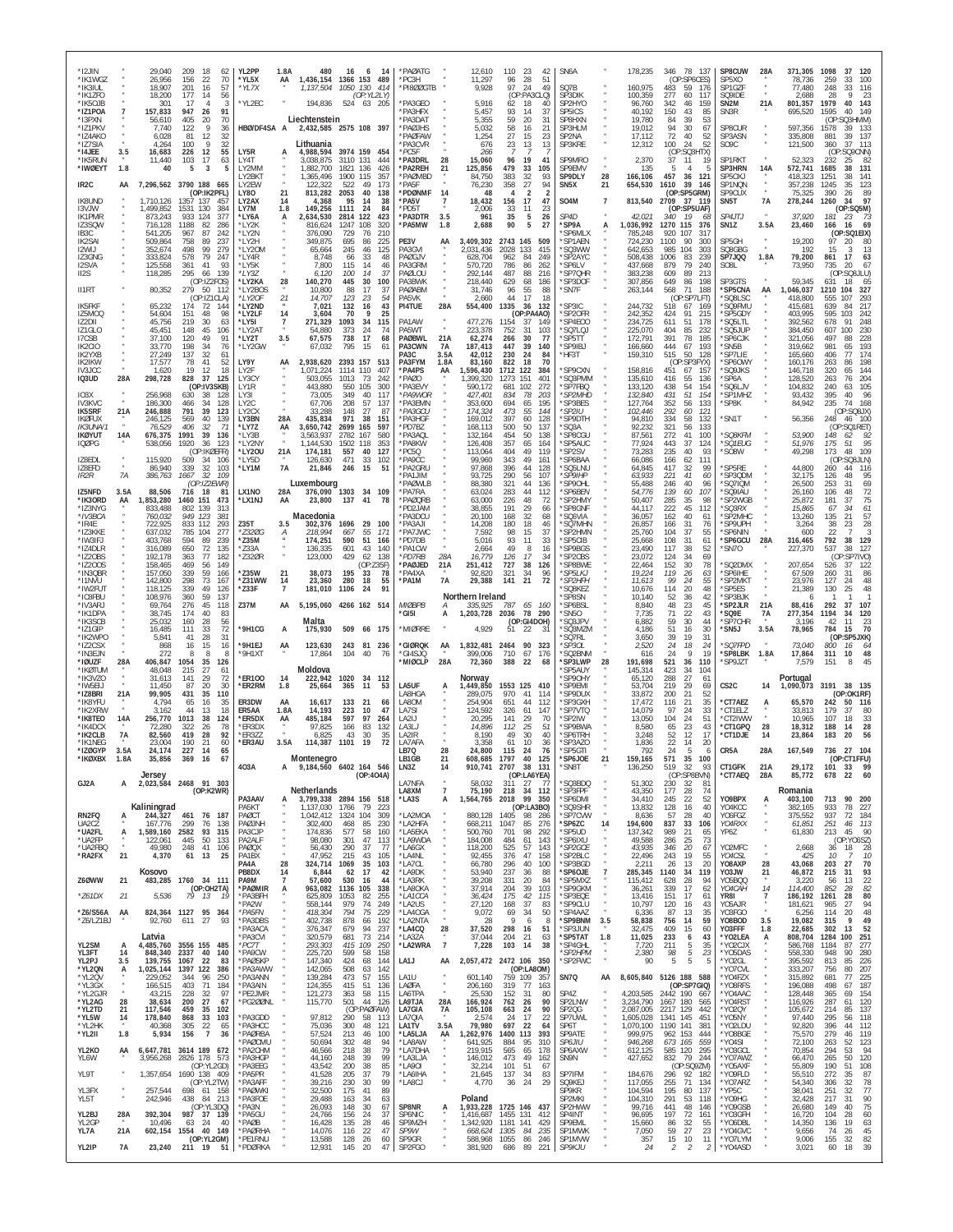| *12JIN<br>*IK1WGZ<br>*IK3IUL                             |                      | 29,040<br>26,956<br>18,907               | 209<br>18<br>62<br>70<br>156<br>22<br>201<br>16<br>57                         | YL2PP<br>'YL5X<br>*YL7X                    | 1.8A<br>AA           | 480<br>1,137,504                         | 16<br>6<br>14<br>1,436,154 1366 153 489<br>1050 130<br>414                          | *PAØATG<br>PC3H<br>*PI8ØØGTB             |                           | 12,610<br>11,297<br>9,928                 | 110<br>96<br>97                 | 23<br>42<br>28<br>51<br>24<br>49                   | SN6A<br>SQ7B                                               |                   | 178,235<br>160,975                             | 346<br>78<br>137<br>(OP:SP6CES)<br>483<br>59<br>176                               | SP8CUW<br>SP5XO<br>SP1GZF                            | 28A                                  | 371,305<br>78,736<br>77,480              | 1098<br>37<br>120<br>259<br>33<br>100<br>248<br>116<br>33                          |
|----------------------------------------------------------|----------------------|------------------------------------------|-------------------------------------------------------------------------------|--------------------------------------------|----------------------|------------------------------------------|-------------------------------------------------------------------------------------|------------------------------------------|---------------------------|-------------------------------------------|---------------------------------|----------------------------------------------------|------------------------------------------------------------|-------------------|------------------------------------------------|-----------------------------------------------------------------------------------|------------------------------------------------------|--------------------------------------|------------------------------------------|------------------------------------------------------------------------------------|
| *IK1ZFO<br>*IK5OJB<br>*IZ1POA                            | $\overline{7}$       | 18,200<br>301<br>157,833                 | 177<br>14<br>56<br>17<br>3<br>947<br>91<br>-26                                | *YL2EC                                     |                      | 194,836                                  | (OP:YL2LY)<br>524 63 205                                                            | *PA3GEO<br>PA3HFX                        |                           | 5,916<br>5,457                            | 62<br>93                        | (OP:PA3CLQ)<br>18<br>40<br>14<br>37                | SP3DIK<br>SP2HYO<br>SP5ICS                                 |                   | 100,359<br>96,760<br>40.192                    | 277<br>60<br>117<br>159<br>342<br>46<br>150<br>43<br>85                           | SQ9IDE<br>SN <sub>2</sub> M<br>SN3R                  | 21A                                  | 2,688<br>801,357<br>695,520              | -23<br>28<br>1979<br>40 143<br>1595<br>40<br>149                                   |
| *I3PXN<br>*IZ1PKV<br>*IZ4AKO<br>*IZ7SIA                  |                      | 56,610<br>7,740<br>6,028<br>4,264        | 405<br>70<br>20<br>122<br>36<br>81<br>12<br>32<br>32<br>100                   | HBØ/DF4SA A                                |                      | Liechtenstein<br>Lithuania               | 2,432,585 2575 108 397                                                              | PA3DAT<br>*PAØJHS<br>'PAØFAW<br>PA3CVR   |                           | 5,355<br>5,032<br>1,254<br>676            | 59<br>58<br>27<br>23            | 20<br>31<br>16<br>21<br>15<br>23<br>13<br>13       | SP8HXN<br>SP3HLM<br>SP2NA<br>SP3KRE                        |                   | 19,780<br>19,012<br>17.112<br>12,312           | 84<br>39<br>53<br>94<br>30<br>67<br>72<br>40<br>52<br>100<br>24<br>52             | SP8CUR<br>SP3ASN<br>SO <sub>9</sub> C                |                                      | 597,356<br>335,808<br>121,500            | (OP:<br><b>SQ3HMM</b><br>1578<br>133<br>39<br>39<br>881<br>137<br>360<br>37<br>113 |
| *I4JEE<br>*IK5RUN<br>*IWØEYT                             | 3.5<br>1.8           | 16,683<br>11,440<br>40                   | 226<br>55<br>12<br>103<br>17<br>63<br>3<br>5<br>5                             | LY5R<br>LY4T<br>LY2MM                      |                      | 4,988,594<br>3,038,875<br>1,882,700      | 3974 159<br>454<br>3110 131<br>444<br>1821 136<br>426                               | *PC5F<br>*PA3DRL<br>'PA2REH              | 28<br>21                  | 266<br>15,060<br>125,856                  | 96<br>479                       | 19<br>41<br>33<br>105                              | SP9MRO<br>SP9EMV                                           |                   | 2,370<br>135                                   | (OP:SQ3HTX)<br>37<br>11<br>19<br>5<br>$\overline{4}$<br>-5                        | SP1RKT<br>SP3HRN                                     | 14A                                  | 52,323<br>572,741                        | (OP<br>:SQ9CNN<br>232<br>25<br>-82<br>1685<br>38<br>131                            |
| IR <sub>2</sub> C                                        | AA                   |                                          | 7,296,562 3790 188 665<br>(OP:IK2PFL)                                         | LY2BKT<br>I Y2FW<br>LY80                   | 21                   | 1,365,496<br>122.322<br>813,282          | 1900 115<br>357<br>522<br>49<br>173<br>2053<br>40<br>138                            | <b>PAØMBD</b><br>PA5F<br>*PDØNMF         | 14                        | 84,750<br>76,230<br>48                    | 383<br>358<br>4                 | $\frac{32}{27}$<br>93<br>94<br>$\overline{2}$<br>2 | SP9DLY<br>SN <sub>5</sub> X                                | 28<br>21          | 166,106<br>654,530                             | 457<br>36<br>121<br>39<br>1610<br>146<br>(OP:SP5GRM)                              | SP50XJ<br>SP1NQN<br>SP9CUX                           |                                      | 418,323<br>357,238<br>75,325             | 1251<br>141<br>38<br>1245<br>123<br>35<br>390<br>89<br>26                          |
| IK8UND<br>I3VJW<br><b>IK1PMR</b>                         |                      | 1.710.126<br>1,499,852<br>873,243        | 1357 137<br>457<br>1531<br>130<br>384<br>933<br>124<br>377                    | LY <sub>2</sub> AX<br>LY7M<br>*LY6A        | 14<br>1.8<br>A       | 4,368<br>149,256<br>2,634,530            | 95<br>14<br>38<br>1111<br>24<br>84<br>2814 122<br>423                               | *PA5V<br>*PD5T<br>*PA3DTR                | $\overline{7}$<br>3.5     | 18,432<br>2,006<br>961                    | 156<br>33<br>35                 | 17<br>47<br>11<br>23<br>5<br>26                    | S04M<br>SP4D                                               | $\overline{7}$    | 813,540<br>42.021                              | 2709<br>37 119<br>(OP:SP5UAF)<br>19<br>340<br>-68                                 | SN <sub>5</sub> T<br>SP4JTJ                          | <b>7A</b>                            | 278,244<br>37.920                        | 1260<br>97<br>34<br>(OP:SQ5M)<br>181<br>23<br>73                                   |
| IZ3SQW<br>IB <sub>3</sub> C<br>IK2SAI<br>I2WIJ           |                      | 716,128<br>541,205<br>509,864<br>352,674 | 1188<br>82<br>286<br>87<br>242<br>967<br>758<br>89<br>237<br>279<br>498<br>99 | *LY2K<br>*I Y2N<br>'LY2H<br>*LY20M         |                      | 816,624<br>376,090<br>349,875<br>65,664  | 1247 108<br>320<br>729<br>76<br>210<br>695<br>86<br>225<br>245<br>46<br>125         | *PA5MW<br>PE3V<br>PA3GVI                 | 1.8<br>AA                 | 2,688<br>3,409,302<br>2,031,436           | 90<br>2743 145<br>2028          | 5<br>27<br>509<br>133<br>415                       | *SP9A<br>'SP6MLX<br>'SP1AEN<br>'SQ3WW                      | А                 | 1,036,992<br>785,248<br>724,230<br>642,653     | 1270<br>115<br>376<br>317<br>920<br>107<br>1100<br>90<br>300<br>985<br>104<br>303 | SN <sub>1</sub> Z<br>SP5GH<br>SQ8GBG                 | 3.5A<br>$\alpha$                     | 23,460<br>19,200<br>192                  | 166<br>16<br>69<br>(OP:SQ1EIX)<br>97<br>20<br>80<br>15<br>13                       |
| IZ3GNG<br>I2SVA<br>II2S                                  |                      | 333,824<br>125,558<br>118,285            | 79<br>578<br>247<br>41<br>361<br>93<br>295<br>66<br>139                       | *LY4R<br>*LY5K<br>*LY3Z                    |                      | 8,748<br>7,800<br>6,120                  | 66<br>33<br>48<br>115<br>14<br>46<br>100<br>14<br>37                                | PAØGJV<br>PA3GRM<br>PAØLOU               |                           | 628,704<br>570,720<br>292,144             | 962<br>786<br>487               | 249<br>84<br>86<br>262<br>88<br>216                | 'SP2AYC<br>'SP6LV<br>'SP7QHR                               |                   | 508,438<br>437,668<br>383,238                  | 1006<br>83<br>239<br>879<br>79<br>240<br>609<br>89<br>213                         | SP7JQQ<br>SO <sub>8</sub> L                          | 1.8A                                 | 79,200<br>73,950                         | 861<br>-17<br>63<br>735<br>20<br>67<br>(OP:SO8JLU)                                 |
| II1RT                                                    |                      | 80,352                                   | (OP:IZ2FOS)<br>279 50 112<br>(OP:IZ1CLA)                                      | *LY2KA<br>*LY2BOS<br>*LY2OF                | 28<br>21             | 140,270<br>10,800<br>14,707              | 445<br>30<br>100<br>88<br>17<br>37<br>123<br>23<br>54                               | PA3BWK<br>PAØABM<br>PA5VK                |                           | 218,440<br>31,746<br>2,660                | 629<br>96<br>44                 | 68<br>186<br>55<br>88<br>17<br>18                  | *SP3DOF<br>*SN7F                                           |                   | 307,856<br>263,144                             | 649<br>86<br>198<br>568<br>71<br>188<br>(OP:SP7LFT)                               | SP3GTS<br>*SP5CNA<br>'SQ8LSC                         | AA                                   | 59,345<br>1,046,037<br>418,800           | 631<br>18<br>65<br>1210<br>104<br>327<br>555<br>107<br>293                         |
| <b>IK5FKF</b><br>IZ5MOQ<br>IZ2DII                        |                      | 65,232<br>54,604<br>45.756               | 174<br>-72<br>144<br>151<br>48<br>98<br>219<br>30<br>63                       | *LY2ND<br>*LY2LF<br>*LY5I                  | 14<br>$\overline{7}$ | 7,021<br>3,604<br>271,329                | 132<br>43<br>16<br>70<br>9<br>25<br>1093<br>34<br>115                               | PI4TUE<br>PA1AW                          | 28A                       | 554,400<br>477,276                        | 1335<br>1154                    | 36<br>132<br>(OP:PA4AO)<br>-37<br>149              | 'SP3IC<br>'SP20FR<br>'SP4E00                               |                   | 244,732<br>242,352<br>234,725                  | 518<br>67<br>169<br>91<br>424<br>215<br>611<br>51<br>178                          | 'SQ9FMU<br>*SP5GDY<br>'SQ5LTL                        |                                      | 415,681<br>403,995<br>392,562            | 217<br>639<br>84<br>595<br>103<br>242<br>678<br>91<br>248                          |
| IZ1GLO<br>I7CSB<br>IK2CIO                                |                      | 45,451<br>37,100<br>33,770               | 148<br>45<br>106<br>120<br>49<br>91<br>198<br>34<br>76                        | *LY2AT<br>*LY2T<br>*LY2GW                  | 3.5                  | 54,880<br>67,575<br>67,032               | 373<br>24<br>74<br>738<br>17<br>68<br>795<br>15<br>61                               | PA5WT<br><b>PAØBWL</b><br>PA3CWN<br>PA3C | 21A<br>7A                 | 223,378<br>62,274<br>187,413              | 752<br>266<br>447               | 31<br>103<br>30<br>77<br>39<br>140<br>24<br>84     | 'SQ7LQJ<br>'SP5TT<br>'SP9IBJ                               |                   | 225,070<br>172,791<br>166,660                  | 404<br>85<br>232<br>391<br>78<br>185<br>444<br>67<br>193<br>515<br>50             | 'SQ5JUP<br>'SP6CJK<br>*SN5B<br>'SP7LIE               |                                      | 384,450<br>321,056<br>319,662            | 607<br>100<br>230<br>497<br>228<br>88<br>981<br>193<br>65<br>406<br>174<br>77      |
| IK2YXB<br>IK2IKW<br><b>IV3JCC</b><br>IQ3UD               | 28A                  | 27,249<br>17,577<br>1,620<br>298,728     | 137<br>32<br>61<br>78<br>52<br>41<br>18<br>19<br>12<br>828<br>125<br>37       | LY9Y<br>LY2F<br>LY3CY                      | AA                   | 2,938,620<br>1,071,224<br>503,055        | 2393 157<br>513<br>1114 110<br>407<br>1013<br>-73<br>242                            | PA3FYM<br>'PA4PS<br>'PAØO                | 3.5A<br>1.8A<br>AA        | 42,012<br>83,160<br>1,596,430<br>,399,320 | 230<br>822<br>1712<br>1273      | 70<br>18<br>122<br>384<br>151<br>401               | HF3T<br>'SP9CXN<br>'SQ3PMM                                 |                   | 159,310<br>158,816<br>135,610                  | 128<br>:SP3FYX<br>(OF<br>451<br>67<br>-157<br>416<br>55<br>136                    | 'SP60WY<br>'SQ9JKS<br>*SP6A                          |                                      | 165,660<br>160,176<br>146,718<br>128,520 | 263<br>198<br>320<br>144<br>65<br>263<br>76<br>204                                 |
| IO3X<br><b>IV3KVC</b>                                    |                      | 256,968<br>186,300                       | (OP:IV3SKB)<br>630<br>38<br>128<br>466<br>34<br>128                           | LY1R<br>LY31<br>LY <sub>2</sub> C          |                      | 443,880<br>73.005<br>67,706              | 550<br>105<br>300<br>349<br>40<br>117<br>208<br>57<br>137                           | 'PA3EVY<br>*PA9WOR<br><b>PA3EMN</b>      |                           | 590,172<br>427,401<br>353,600             | 681<br>834<br>694               | 102<br>272<br>78<br>203<br>65<br>195               | 'SP7FBQ<br><i><b>*SP2MHD</b></i><br>SP3BES                 |                   | 133,120<br>132,840<br>127,764                  | 438<br>54<br>154<br>51<br>431<br>154<br>352<br>56<br>133                          | 'SQ6LJV<br>*SP1MHZ<br>*SP8K                          |                                      | 104,832<br>93,432<br>84,942              | 240<br>105<br>63<br>395<br>96<br>40<br>235<br>74<br>168                            |
| <b>IK5SRF</b><br><b>IKØFUX</b><br><i><b>IK3UNA/1</b></i> | 21A                  | 246,888<br>246,125<br>76,529             | 791<br>39<br>123<br>569<br>40<br>139<br>406<br>71<br>32                       | LY <sub>2</sub> CX<br>LY3BN<br>*LY77       | 28A<br>AA            | 33.288<br>435,834<br>3,650,742           | 148<br>-27<br>87<br>971<br>38<br>151<br>2699 165<br>597                             | *PA3GCU<br><b>PA3HGF</b><br>PD7BZ        |                           | 174.324<br>169,012<br>168,113             | 473<br>397<br>500               | 55<br>144<br>60<br>128<br>50<br>137                | *SP2IU<br>'SP9DTH<br>SO3A                                  |                   | 102,446<br>94,810<br>92.232                    | 292<br>60<br>-121<br>334<br>58<br>132<br>321<br>56<br>133                         | *SN1T                                                |                                      | 56,356                                   | (OP:SO8JX)<br>248 46 100<br>(OP:SQ1RET)                                            |
| <b>IKØYUT</b><br><b>IQØPG</b>                            | 14A                  | 676,375<br>538,056                       | 1991<br>39<br>136<br>1920<br>36<br>123<br>(OP:IKØEFR)                         | *LY3B<br>*I Y2NY<br>*LY20U                 | 21A                  | 3,563,937<br>1,144,530<br>174,181        | 2782 167<br>580<br>1502 118<br>353<br>557<br>40<br>127                              | PA3AQL<br><b>PA8KW</b><br>PC5Q           |                           | 132,164<br>126,408<br>113,064             | 454<br>357<br>404               | 50<br>138<br>65<br>164<br>49<br>119                | 'SP8CGU<br>'SP5AUC<br>'SP2SV                               |                   | 87,561<br>77,924<br>73,283                     | 272<br>41<br>100<br>37<br>443<br>124<br>235<br>40<br>93                           | *SQ8KFM<br>*SQ1EUG<br>*SO8W                          |                                      | 53,900<br>51,976<br>49,298               | 148<br>92<br>175<br>51<br>95<br>173<br>48<br>109                                   |
| IZ8EDL<br>IZ8EFD<br>IR <sub>2</sub> R                    | $_{\rm \star}$<br>7A | 115.920<br>86,940<br>386,763             | 509<br>34<br>106<br>339<br>32<br>103<br>1667<br>32<br>109                     | *I Y5D<br>*LY1M                            | 7A                   | 126,630<br>21,846                        | 471<br>33<br>102<br>246<br>15<br>51                                                 | *PA9CC<br>*PA2GRU<br>PA1.JIM             |                           | 99,960<br>97,868<br>93,725                | 343<br>396<br>290               | 49<br>161<br>44<br>128<br>56<br>107                | 'SP6BAA<br>'SQ5LNU<br><i><b>SP9IHP</b></i>                 |                   | 66,086<br>64,845<br>63,933                     | 166<br>62<br>111<br>417<br>32<br>99<br>41<br>221<br>60                            | *SP5RE<br>*SP3QDM                                    |                                      | 44,800<br>32,175                         | (OP:SQ8JLN)<br>260<br>44<br>116<br>95<br>126<br>48                                 |
| IZ5NFD<br>*IK3ORD<br>*IZ3NYG                             | 3.5A<br>AA           | 88,506<br>1,853,280<br>833,488           | (OP:IZ2EWR)<br>716<br>18<br>81<br>473<br>1460 151<br>802<br>139<br>313        | LX1NO<br>*LX1NJ                            | 28A<br>AA            | Luxembourg<br>23,800                     | 376,090 1303 34 109<br>137 41<br>-78                                                | 'PAØWLB<br>*PA7RA<br>*PAØQRB<br>PD2JAM   |                           | 88,380<br>63,024<br>63,000<br>38,855      | 321<br>283<br>226<br>191        | 44<br>136<br>44<br>112<br>48<br>-72<br>29<br>66    | 'SP90HL<br><i><b>*SP6BEN</b></i><br>'SP2HMY<br>'SP8GNF     |                   | 55,488<br>54,776<br>50,407<br>44,117           | 246<br>40<br>96<br>139<br>60<br>107<br>285<br>35<br>98<br>222<br>45<br>112        | *SQ7IQM<br>'SQ9IAU<br>*SP2WGB<br><i><b>SQ3RX</b></i> |                                      | 26,500<br>26,160<br>25,872<br>15,865     | 253<br>69<br>72<br>106<br>48<br>75<br>181<br>37<br>67<br>34<br>61                  |
| *IV3BCA<br>*IR4E<br>*IZ3KKE                              |                      | 760,032<br>722,925<br>637,032            | 949<br>- 123<br>38<br>833<br>112<br>293<br>277<br>785<br>104                  | Z35T<br>*Z320G                             | 3.5                  | Macedonia<br>302,376<br>218,994          | 1696 29<br>100<br>667<br>-55<br>171                                                 | PA3DCU<br>*PA3AJI<br>'PA7JWC             |                           | 20,100<br>14,208<br>7.592                 | 168<br>180<br>98                | 32<br>68<br>18<br>46<br>37<br>15                   | 'SQ6VIA<br>'SQ7MHN<br>'SP2HMN                              |                   | 36,057<br>26,857<br>25,760                     | 162<br>40<br>61<br>166<br>31<br>76<br>37<br>104<br>55                             | *SP2MHC<br>*SP9UPH<br>*SP6NIN                        |                                      | 13,260<br>3,264<br>600                   | 57<br>135<br>21<br>38<br>23<br>28<br>22                                            |
| *IW3IFJ<br>*IZ4DLR<br>*IZ2OBS                            |                      | 403,768<br>316,089<br>192,178            | 594<br>89<br>239<br>650<br>72<br>135<br>77<br>182<br>363                      | *Z35M<br>'733A<br>*Z320R                   |                      | 174,251<br>136.335<br>123,000            | 590<br>51<br>166<br>601<br>43<br>140<br>429<br>62<br>138                            | *PD7DB<br>PA1CW<br>*PD7RB                | 28A                       | 5,016<br>2,664<br>16,779                  | 93<br>49<br>126                 | 11<br>33<br>8<br>16<br>17<br>34                    | 'SP5CIB<br>'SP9BGS<br>'SP2CBS                              |                   | 25,668<br>23,490<br>23,072                     | 108<br>31<br>61<br>117<br>38<br>52<br>124<br>34<br>69                             | 'SP6GCU<br>'SN7O                                     | 28A                                  | 316,465<br>227,370                       | 792<br>38<br>129<br>127<br>537<br>38<br>(OP:SP7IVO)                                |
| *IZ200S<br>*IN3QBR<br>*I1NVU                             |                      | 158.465<br>157,050<br>142,800            | 149<br>469<br>56<br>339<br>59<br>166<br>73<br>298<br>167                      | *Z35W<br>*Z31WW                            | 21<br>14             | 38,073<br>23,360                         | (OP:Z35F)<br>195<br>33<br>78<br>280<br>18<br>55                                     | *PAØJED<br>*PA4XA<br>*PA1M               | 21A<br><b>7A</b>          | 251,412<br>92,820<br>29,388               | 727<br>321<br>141               | 38<br>126<br>34<br>96<br>72<br>21                  | 'SP8BWE<br>*SP5LKJ<br><i><b>*SP2HFH</b></i>                |                   | 22,464<br>19,224<br>11,613                     | 30<br>152<br>78<br>119<br>26<br>63<br>99<br>24<br>55                              | *SQ2DMX<br>*SP6IHE<br>'SP2MKT                        |                                      | 207,654<br>67,509<br>23,976              | 37<br>526<br>122<br>260<br>86<br>31<br>127<br>48<br>24                             |
| *IW2FUT<br>*IC8FBU<br>*IV3ARJ<br>*IK1DPA                 |                      | 118.125<br>108,976<br>69,764<br>38,745   | 339<br>49<br>126<br>360<br>59<br>137<br>276<br>45<br>118<br>174<br>40<br>83   | $*$ Z33F<br>Z37M                           | $\overline{7}$<br>AA | 181,010                                  | 1106<br>24<br>91<br>5,195,060 4266 162 514                                          | <b>MIØBPB</b><br>*GI5I                   | А<br>А                    | Northern Ireland<br>335,925<br>1,203,728  | 787<br>2036                     | 65<br>- 160<br>78 290                              | 'SQ8KEZ<br>SP8SN<br>'SP6BSL<br>'SN50                       |                   | 10,676<br>10.140<br>8,840<br>7,735             | 114<br>20<br>48<br>36<br>52<br>42<br>48<br>23<br>45<br>71<br>22<br>43             | *SP5ES<br>'SP3BJK<br>*SP2JLR<br>*SQ9E                | 21A<br>7A                            | 21,389<br>6<br>88,416<br>277,354         | 130<br>25<br>48<br>292<br>107<br>37<br>1194<br>34<br>120                           |
| *IK3SCB<br>*IZ1GIP<br>*IK2WPO                            |                      | 25,032<br>16,485<br>5,841                | 160<br>28<br>56<br>72<br>111<br>33<br>28<br>31<br>41                          | *9H1CG                                     | A                    | Malta<br>175,930                         | 509 66 175                                                                          | <b>MIØRRE</b>                            |                           | 4,929                                     | 51                              | (OP:GI4DOH)<br>22<br>-31                           | 'SQ3JPV<br>'SQ3MZM<br>SQ7RL                                |                   | 6,882<br>4,186<br>3,650                        | 59<br>30<br>44<br>51<br>16<br>30<br>39<br>19<br>31                                | *SP7CHR<br>'SN5J                                     | 3.5A                                 | 3,196<br>78,965                          | 23<br>42<br>11<br>70<br>784<br>15<br>(OP:SP5JXK)                                   |
| *IZ2CSX<br>*IN3EJN<br>*IØUZF                             | 28A                  | 868<br>272<br>406,847                    | 16<br>15<br>16<br>8<br>8<br>1054<br>35<br>126                                 | *9H1EJ<br>*9H1XT                           | AA                   | 123,630<br>17,864                        | 243 81<br>236<br>104<br>40<br>76                                                    | <b>GIØRQK</b><br>*GI4SJQ<br>MIØCLP*      | AA<br>28A                 | 1,832,481<br>399,006<br>72,360            | 2464<br>710<br>388              | 90<br>323<br>67<br>176<br>22<br>68                 | <i><b>SP3OL</b></i><br>'SQ2BNM<br>*SP3LWP                  | 28                | 2,520<br>616<br>191,698                        | 24<br>18<br>24<br>19<br>24<br>-9<br>521<br>36<br>110                              | *SQ7FPD<br>*SP8LBK<br>*SP9JZT                        | 1.8A                                 | 73,040<br>17,864<br>7,579                | 800<br>16<br>-64<br>10<br>48<br>311<br>151<br>8                                    |
| *IKØTUM<br>*IK3VZO<br>*IW5FLI                            |                      | 48,048<br>31.613<br>11.450               | 27<br>215<br>61<br>141<br>29<br>72<br>87<br>20<br>30                          | *ER100<br>ER2RM                            | 14<br>1.8            | Moldova<br>222,942<br>25,664             | 1020<br>34<br>112<br>365<br>53<br>-11                                               | LA5UF                                    | A                         | Norway<br>1,449,850                       | 1553 125 410                    |                                                    | SP5AUY<br>SP90HY<br>'SP9EMI                                |                   | 145,314<br>65,120<br>53.704                    | 34<br>423<br>104<br>288<br>27<br>6<br>29<br>219<br>69                             | CS <sub>2</sub> C                                    | 14                                   | Portugal<br>1,090,073                    | 3191<br>38 135                                                                     |
| *IZ8BRI<br>*IK8YFU<br>*IK2XRW<br>*IK8TEO                 | 21A<br>14A           | 99,905<br>4,794<br>3.162<br>256,770      | 431<br>35<br>110<br>35<br>65<br>16<br>13<br>18<br>44<br>1013<br>38<br>124     | ER3DW<br>ER5AA<br>*ER5DX                   | AA<br>1.8A<br>AA     | 16,617<br>14,193<br>485,184              | 133<br>- 21<br>66<br>223<br>10<br>47<br>597<br>97<br>264                            | LA8HGA<br>I A8OM<br>LA7SI<br>LA2IJ       |                           | 289,075<br>254.904<br>124,592<br>20.295   | 970<br>651<br>326<br>141        | 41<br>114<br>44<br>112<br>61<br>147<br>29<br>70    | 'SP9DUX<br>'SP3GXH<br>'SP7VTQ<br>'SP2IW                    |                   | 33,872<br>17,472<br>14,079<br>13,050           | 21<br>200<br>52<br>21<br>35<br>116<br>97<br>24<br>33<br>104<br>24<br>51           | *CT7AEZ<br>*CT1ELZ<br>*CT2IWW                        |                                      | 65,570<br>33,813<br>10,965               | (OP:OK1RF)<br>242<br>50<br>116<br>179<br>80<br>37<br>33<br>107<br>18               |
| *IK4DCX<br>*IK2CLB<br>*IK1NEG                            | <b>7A</b>            | 72.280<br>82,560<br>23.004               | 78<br>322<br>26<br>92<br>419<br>28<br>60<br>190<br>21                         | *ER3DX<br>*ER3ZZ<br>*ER3AU                 | 3.5A                 | 97,825<br>6,825                          | 166<br>83<br>132<br>43<br>30<br>35<br>114,387 1101 19<br>72                         | LA3LJ<br>LA2IR<br>LA7AFA                 |                           | 14,896<br>8,190<br>3,358                  | 112<br>49<br>61                 | 25<br>51<br>30<br>40<br>10<br>36                   | 'SP9BWA<br>'SP6TRH<br>'SP3AZO                              |                   | 8,580<br>3,248<br>1,836                        | 65<br>23<br>43<br>52<br>12<br>17<br>22<br>14<br>20                                | *CT1GPQ<br>*CT1DJE                                   | 28<br>14                             | 18,312<br>23,864                         | 188<br>14<br>28<br>183<br>20<br>56                                                 |
| *IZØGYP<br>'IKØXBX                                       | 3.5A                 | 24,174<br>35,856                         | 227<br>14<br>65<br>369<br>16                                                  | 403A                                       | А                    | Montenegro                               | 9,184,560 6402 164 546                                                              | LB7Q<br>LB1GB<br>LN3Z                    | 28<br>14                  | 24,800<br>910,741                         | 115<br>1707<br>2707 38 131      | 76<br>24<br>125                                    | 'SP5GTI<br>SP6JOE<br>*SN8T                                 | 21                | 792<br>159,165<br>136,250                      | 24<br>5<br>6<br>571<br>35<br>100<br>519<br>32<br>93                               | CR5A<br>CT1GFK                                       | 28A<br>21A                           | 167,549<br>29,172                        | 736 27 104<br>CT1FFU)<br>101<br>33<br>99                                           |
| GJ2A                                                     | A                    | Jersey                                   | 2,023,584 2468 91 303<br>(OP:K2WR)                                            |                                            |                      | <b>Netherlands</b>                       | (OP:4O4A)                                                                           | LA7NFA<br>LA8XM                          | $\overline{7}$            | 58,032<br>75,190                          | 311<br>218                      | (OP:LA6YEA)<br>27<br>77<br>$34$ 112                | 'SQ3BDQ<br>*SP3FPF                                         |                   | 51,302<br>43,350                               | (OP:SP8BVN)<br>230<br>32<br>81<br>177<br>28<br>74                                 | *CT7AEQ                                              | 28A                                  | 85,772<br>Romania                        | 22<br>60<br>678                                                                    |
| RN2FQ<br>UA2CZ                                           | А                    | Kaliningrad<br>244,327<br>167,776        | 461<br>76 187<br>299<br>138<br>76                                             | PA3AAV<br>PA5KT<br>PAØCT<br>PAØJNH         |                      | 1,137,030<br>1,042,412<br>302,400        | 3,799,338 2894 156 518<br>1766<br>79<br>-223<br>1324 104<br>309<br>468<br>85<br>230 | *LA3S<br>LA2MOA*<br>*LA2HFA              | А                         | 1,564,765<br>880,128<br>668,211           | 2018 99 350<br>1405<br>1047     | (OP:LA3BO)<br>98<br>-286<br>85<br>276              | *SP6DMI<br>'SQ9SHR<br>'SP7CVW<br>*SP6ZC                    |                   | 34,410<br>13,832<br>8,636                      | 245<br>22<br>52<br>40<br>128<br>16<br>57<br>28<br>40<br>837<br>33<br>106          | YO9BPX<br>YO4KCC<br>YO6FGZ<br>YO4RXX                 | А                                    | 403,100<br>382,165<br>375,552<br>61,851  | 713<br>90 200<br>933<br>78 227<br>937<br>72<br>184<br>251<br>46 113                |
| *UA2FL<br>*UA2FP<br>*UA2FBQ                              | А                    | 1,589,160 2582<br>122.061<br>49,980      | 93 315<br>445<br>50<br>133<br>248<br>41<br>106                                | PA3CJP<br>PA2ALF<br>PAØQX                  |                      | 174,836<br>98,080<br>56,430              | 577<br>58<br>160<br>301<br>47<br>113<br>290<br>37<br>77                             | *LA5EKA<br>*LA9WDA<br>*LA6GX             |                           | 500,760<br>184,008<br>118,200             | 701<br>484<br>525               | 98<br>292<br>61<br>143<br>57<br>143                | *SP5UD<br>*SP6IXU<br>*SP2GCE                               | 14                | 194,600<br>137,342<br>49,588<br>43,935         | 989<br>21<br>65<br>25<br>286<br>73<br>346<br>20<br>67                             | YP6Z<br>YO2MFC                                       |                                      | 61,830<br>2,668                          | 213 45<br>- 90<br>(OP:YO6SZ)<br>36 18<br>28                                        |
| *RA2FX                                                   | 21                   | 4,370<br>Kosovo                          | 25<br>13<br>61                                                                | PA1BX<br>PA4A<br>PB8DX                     | 28<br>14             | 47,952<br>324,714 1069<br>6,844          | 215<br>43<br>105<br>35<br>103<br>62<br>17<br>42                                     | *LA4NL<br>*LA7CL<br>*LA9DK               |                           | 92,455<br>66,780<br>53,940                | 376<br>296<br>237               | 47<br>158<br>40<br>100<br>36<br>88                 | *SP2BLC<br>*SP3BGD<br>*SP6OJE                              | $\overline{7}$    | 22,496<br>2,211<br>285,345                     | 243<br>19<br>55<br>20<br>26<br>13<br>1140<br>34<br>119                            | YO4CSL<br>YO8AXP<br>YO3JW                            | $\boldsymbol{\varkappa}$<br>28<br>21 | 425<br>43,068<br>46,872                  | 10<br>10<br>27<br>70<br>203<br>215<br>31<br>93                                     |
| Z6ØWW<br>$*$ Z61DX                                       | 21<br>21             | 5,536                                    | 483,285 1760 34 111<br>(OP:OH2TA)<br>79 13<br>19                              | PA9M<br>*PAØMIR<br>*PA3BFH                 | $\overline{7}$<br>A  | 57,600<br>963,082<br>625,809             | 530<br>16<br>44<br>1136 105<br>338<br>1053<br>82<br>255                             | *LA3RK<br>*LA8OKA<br>*LA1CCA             |                           | 39,208<br>37,914<br>36,424                | 331<br>204<br>175               | 20<br>84<br>39<br>103<br>42<br>115                 | *SP5MXZ<br>*SP9GKM<br>*SP3EQE                              |                   | 115,412<br>36,261<br>13,416                    | 28<br>628<br>94<br>339<br>17<br>62<br>17<br>151<br>61                             | Y05BQQ<br>YO4CAH<br>YR8I                             | 14<br>7                              | 3,220<br>114,400<br>186,192              | 22<br>56<br>13<br>82<br>852<br>28<br>80<br>1261<br>-28                             |
| *Z6/S56A<br>*Z6/LZ1BJ                                    | AA                   | 92,760                                   | 824,364 1127 95 364<br>611 27<br>93                                           | PA2W<br>*PA5FN<br>*PA3DBS<br><b>PA3ACA</b> |                      | 558,144<br>418,304<br>402,738<br>376,347 | 979<br>74<br>249<br>75<br>794<br>229<br>878<br>192<br>66<br>679<br>237<br>94        | *LA2US<br>*LA4OGA<br>*LA2NTA<br>*LA4CQ   | 28                        | 27,120<br>9,072<br>28<br>37,520           | 168<br>69<br>9<br>298           | 37<br>83<br>34<br>50<br>8<br>6<br>51<br>16         | 'SP9CLU<br>*SP4AA7<br>*SP9BNM<br>'SP3JUN                   | 3.5               | 10,797<br>6.336<br>58,838<br>32,475            | 120<br>16<br>43<br>13<br>87<br>35<br>756<br>14<br>59<br>15<br>409<br>60           | Y05AJR<br>YO3FGO<br>Y08BOD<br>YO3FFF                 | $\alpha$<br>3.5<br>1.8               | 181,621<br>6,256<br>19,082<br>22,685     | 94<br>965<br>27<br>114<br>48<br>20<br>315<br>9<br>49<br>52<br>302<br>13            |
| YL2SM<br>YL3FT                                           | А<br>14              | Latvia<br>848,340 2337                   | 4,485,760 3556 155 485<br>40<br>140                                           | *PA3CVI<br>$*PC7T$<br>*PA9CW               |                      | 320,579<br>293,303<br>225,720            | 73<br>681<br>214<br>415<br>109<br>250<br>599<br>58<br>158                           | *LA3ZA<br>*LA2WRA                        | $\overline{7}$            | 37,044<br>7,228                           | 204<br>103                      | 21<br>63<br>14<br>38                               | *SP5TAT<br>*SP4GHL<br>*SP2HPM                              | 1.8<br>$_{\rm s}$ | 11,025<br>7,720<br>2,380                       | 233<br>6<br>43<br>211<br>-5<br>35<br>98<br>5<br>23                                | *YO2LEA<br>*YO2CJX<br>*Y05DAS                        | А                                    | 808,704<br>586,768<br>558,330            | 1284<br>100<br>251<br>277<br>1184<br>-87<br>948<br>90<br>280                       |
| YL2PJ<br>*YL2QN<br>*YL2QV                                | 3.5<br>А             | 139,755 1067<br>229,052                  | - 22<br>-83<br>1,025,144 1397 122<br>386<br>344<br>96<br>250                  | *PAØSKP<br>*PA3AWW<br>*PA3ANN              |                      | 147,340<br>142,065<br>139,284            | 424<br>144<br>68<br>508<br>63<br>142<br>473<br>57<br>155                            | LA1J<br>LA1U                             | AA<br>$\overline{u}$      | 2,057,472 2472 106 350<br>601,140         |                                 | (OP:LA8OM)<br>759 109 357                          | *SP2FWC<br>SN7Q                                            | AA                | 90                                             | 5<br>5<br>-5<br>8,605,840 5126 188 588                                            | *YO2GL<br>*YO7CVL<br>*YO4FZX                         |                                      | 395,592<br>333,207<br>315,892            | 813<br>85<br>226<br>756<br>80<br>207<br>77<br>225<br>681                           |
| *YL3GX<br>*YL2GJR<br>*YL2AG                              | 28                   | 166,515<br>43,215<br>38,634              | 403<br>71<br>184<br>97<br>228<br>32<br>200<br>27<br>67                        | *PA3AIN<br>PE2JMR<br>*PG200NL              |                      | 124,355<br>121,273<br>115,770            | 415<br>-51<br>136<br>363<br>58<br>115<br>501<br>44<br>126                           | LAØFA<br>LA6TPA<br>LA9TJA                | $\boldsymbol{\mu}$<br>28A | 206,160<br>25,530<br>166,924              | 319<br>152<br>762               | 77<br>163<br>31<br>80<br>26<br>90                  | SP4Z<br>SP2LNW                                             |                   | 4,203,585<br>3,234,790                         | (OP:SP7GIO)<br>2442 190<br>- 667<br>1667 180<br>565                               | *Y08RFS<br>*YO4AAC<br>*Y04RST                        |                                      | 196,088<br>128,448<br>116,926            | 187<br>498<br>67<br>365<br>69<br>154<br>287<br>120<br>61                           |
| *YL2TD<br>*YL5W<br>*YL2HK<br>*YL2II                      | 21<br>14             | 117,546<br>178,840<br>40,368             | 459<br>35<br>102<br>868<br>33<br>103<br>305<br>22<br>65<br>$\overline{7}$     | *PA3GDD<br>*PA3HCC<br>*PAØRBA              |                      | 97,812<br>75,036<br>57,524               | (OP:PAØFAW)<br>290<br>58<br>113<br>300<br>48<br>121<br>213<br>100                   | LA7GIA<br>LA7QIA<br>LA1TV                | 7A<br>3.5A                | 105,108<br>2,574<br>79,980                | 663<br>24<br>697<br>1400        | 24<br>90<br>22<br>17<br>22<br>64<br>113<br>393     | SP <sub>2</sub> Q <sub>G</sub><br>SP7UWL<br>SP6T<br>SP9ATE |                   | 2,087,005<br>1,605,028<br>1,070,100<br>999,975 | 2217 129<br>442<br>1341 145<br>451<br>1190 141<br>381<br>444                      | *Y02QY<br>*YO5NY<br>*YO2LDU<br>*YO8BGE               |                                      | 105,672<br>97,440<br>92,820<br>75,570    | 214<br>85<br>137<br>295<br>-56<br>118<br>396<br>44<br>112<br>279<br>119<br>46      |
| YL2KO<br>YL6W                                            | 1.8<br>AA            | 5,934<br>3,956,268                       | 156<br>36<br>6,647,781 3614 189 672<br>2826 178 573                           | *PAØCMU<br>*PA2CHM<br>*PA3HGP              |                      | 50,694<br>46,566<br>44,160               | 46<br>302<br>48<br>94<br>79<br>218<br>38<br>248<br>39<br>99                         | *LA5LJA<br>*LA8AW<br>*LA7DHA<br>*LA3LJA  | AA                        | ,262,976<br>641,925<br>219,915<br>146,012 | 884<br>565<br>473               | 95<br>310<br>178<br>65<br>49<br>162                | SP6JIU<br>SP6AXW<br>SN9N                                   |                   | 946,268<br>612,125<br>427,652                  | 962 153<br>673 165<br>559<br>295<br>585 120<br>832<br>79<br>244                   | *YO4SI<br>*Y03GCL<br>*YO7AWZ                         |                                      | 72,100<br>70,854<br>66,470               | 263<br>52<br>123<br>94<br>294<br>53<br>265<br>50<br>120                            |
| YL9T                                                     | $\scriptstyle{N}$    |                                          | (OP:YL2GD)<br>1,357,654 1690 138 409<br>(OP:YL2TW)                            | *PA3EEG<br>*PA5PR<br>*PA3AFF               |                      | 43,542<br>41,528<br>39,216               | 200<br>38<br>85<br>205<br>37<br>79<br>230<br>30<br>99                               | *LA90I<br>*LA6IHA<br>*LA8CJ              |                           | 32,214<br>21,645<br>4,770                 | 101<br>137<br>36                | 51<br>67<br>34<br>83<br>24<br>29                   | SP7IFM<br>SQ9KEJ                                           |                   | 184,676<br>117,055                             | (OP:SQ9ZM)<br>296<br>92<br>182<br>255<br>71<br>134                                | *YO5AXF<br>*YO9FLD<br>*YO7ARZ                        |                                      | 55,809<br>55,510<br>54,340               | 190<br>108<br>51<br>272<br>35<br>87<br>78<br>32<br>306                             |
| YL3FX<br>YL5T                                            | $\scriptstyle{N}$    | 257,544<br>242,946                       | 698 61 158<br>84 213<br>438<br>(OP:YL3DQ)                                     | *PAØWKI<br>*PA3FOE<br>*PA3N                |                      | 32,500<br>29,488<br>26,093               | 175<br>41<br>89<br>163<br>34<br>63<br>30<br>148<br>67                               | SP8NR                                    | A                         | Poland<br>1,933,228                       | 1725 146 437                    |                                                    | SP9KR<br>SP2MKI<br>SP2HWW                                  |                   | 104,594<br>104,310<br>99,716                   | 195<br>80<br>137<br>291<br>53<br>118<br>441<br>48<br>146                          | *YP5C<br>*YO9HG<br>*YO9GSB                           |                                      | 38,041<br>32,428<br>26,680               | 251<br>32<br>77<br>217<br>90<br>31<br>75<br>149<br>40                              |
| YL2BJ<br>YL2GP<br>YL7A                                   | 28A<br>21A           | 392,304<br>10,496<br>602,154 1554        | 987<br>37 139<br>63<br>-24<br>40<br>40 149                                    | *PA5GU<br>*PAØB<br>*PAØRHA                 |                      | 24,766<br>16,428<br>14,076               | 156<br>24<br>37<br>135<br>28<br>46<br>22<br>116<br>47                               | SP6NIC<br>SP9MZH<br>SP9W                 |                           | 1,416,687<br>1,342,920<br>668,624         | 1455 131<br>1181<br>141<br>1305 | 412<br>429<br>84<br>235                            | SP4INT<br>SP9EML<br>SP1MWK                                 |                   | 96,695<br>15,660<br>7,050                      | 197<br>72<br>161<br>32<br>55<br>86<br>27<br>59<br>23                              | *YO3GFH<br>*Y06DBL<br>*Y04GVC                        |                                      | 16,720<br>14,350<br>9,656                | 104<br>28<br>60<br>63<br>136<br>19<br>74<br>26<br>45                               |
| YL2IP                                                    | 7A                   |                                          | (OP:YL2GM)<br>23,240 211 19 51                                                | *PE1RNU<br>*PDØRKA                         |                      | 13,588<br>12,931                         | 128<br>-26<br>60<br>145<br>20<br>47                                                 | SP9GR<br>SP2FGO                          |                           | 588,968<br>381,920                        | 1055                            | 246<br>86<br>686 89 221   SP9KJU                   | SP1MVW                                                     |                   | 357<br>24                                      | 15<br>10<br>11<br>$\overline{2}$<br>$\overline{2}$<br>$\overline{2}$              | *YO7LYM<br>*Y04ASD                                   |                                      | 9,006<br>3,021                           | 155<br>82<br>-32<br>39<br>60 18                                                    |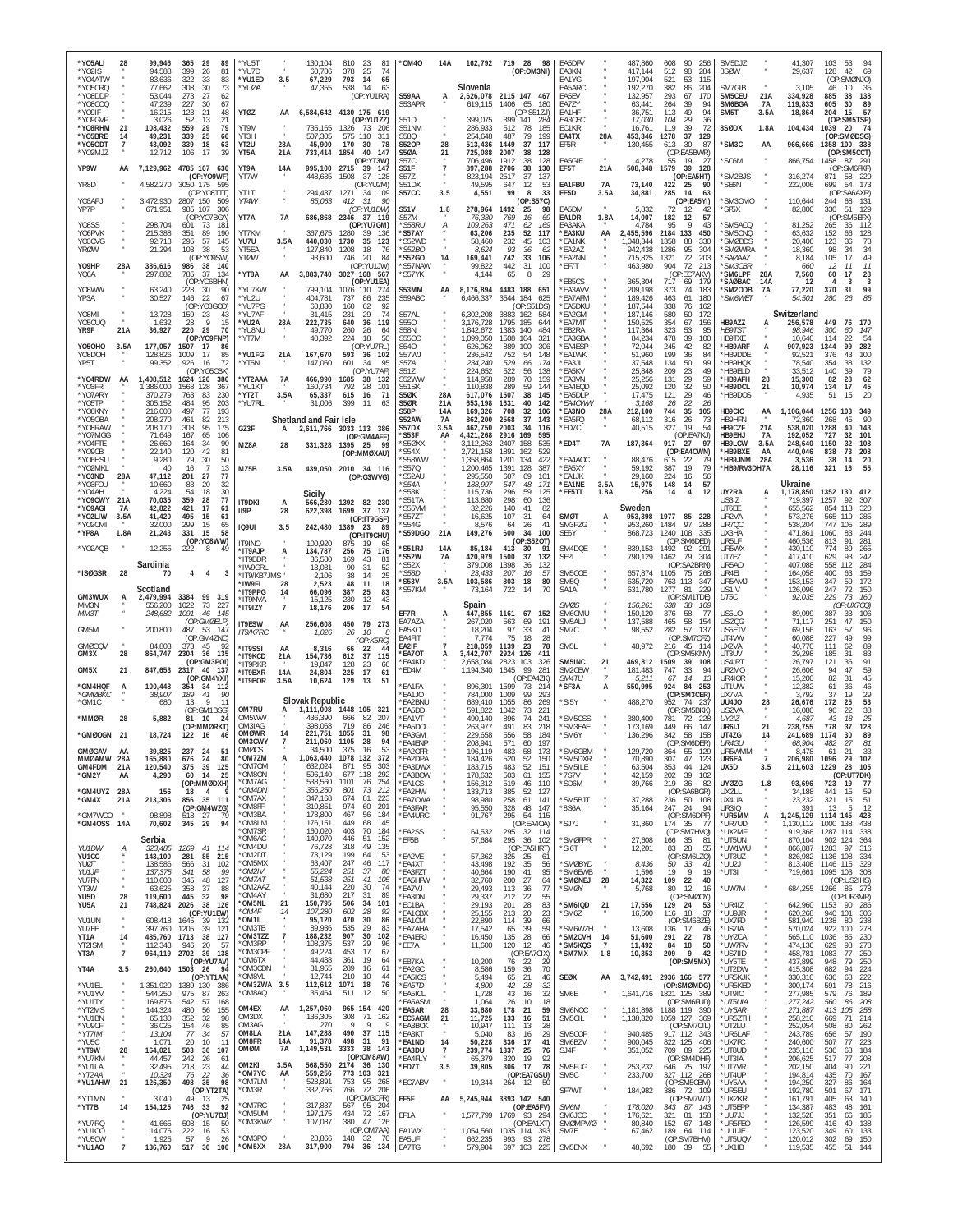| *Y05ALI<br>*Y02IS                 | 28                          | 99,946<br>94,588                        | 29<br>89<br>365<br>399<br>26<br>81                                | 'YU5T<br>'YU7D                       |                      | 130,104<br>60,786               | 810<br>81<br>23<br>378<br>25<br>74                             | *0M40                                   | 14A               | 162,792                             | 28<br>719<br>98<br>(OP:OM3NI)                                  | EA5DFV<br>EA3KN                     |                             | 487,860<br>417,144            | 90<br>608<br>256<br>512<br>98<br>284                             | SM5DJZ<br>8SØW                                    |                           | 41,307<br>29,637              | 103<br>53<br>94<br>128<br>42<br>69                           |
|-----------------------------------|-----------------------------|-----------------------------------------|-------------------------------------------------------------------|--------------------------------------|----------------------|---------------------------------|----------------------------------------------------------------|-----------------------------------------|-------------------|-------------------------------------|----------------------------------------------------------------|-------------------------------------|-----------------------------|-------------------------------|------------------------------------------------------------------|---------------------------------------------------|---------------------------|-------------------------------|--------------------------------------------------------------|
| *YO4ATW<br>*Y05CRQ<br>*Y08DDP     |                             | 83,636<br>77,662<br>53.044              | 322<br>83<br>33<br>73<br>308<br>30<br>27<br>273<br>62             | 'YU1ED<br>'YUØA                      | 3.5                  | 67,229<br>47,355                | 793<br>14<br>65<br>14<br>538<br>63<br>(OP:YU1RA)               | S59AA                                   | A                 | Slovenia                            | 2,626,078 2115 147 467                                         | EA1YG<br>EA5ARC<br>FA5FV            |                             | 197,904<br>192,270<br>132,957 | 115<br>521<br>53<br>382<br>86<br>204<br>293<br>67<br>170         | SM7GIB<br>SM5CEU                                  | 21A                       | 3,105<br>334,928              | (OP:SMØNJO)<br>46<br>10<br>35<br>138<br>885<br>38            |
| *Y08COQ<br>*Y09IF                 |                             | 47,239<br>16,215                        | 30<br>227<br>67<br>123<br>21<br>48                                | YTØZ                                 | AA                   |                                 | 6,584,642 4130 175 619                                         | S53APR                                  |                   | 619,115                             | 1406<br>65<br>- 180<br>(OP:SS1ZJ)                              | EA7ZY<br>FA1HF                      |                             | 63,441<br>36,751              | 264<br>39<br>94<br>49<br>94<br>113                               | SM6BGA<br>SM <sub>5</sub> T                       | <b>7A</b><br>3.5A         | 119,833<br>18,864             | 605<br>30<br>89<br>15<br>57<br>204                           |
| *Y09GVP<br>*Y08RHM<br>*Y05BRE     | 21<br>14                    | 3.026<br>108,432<br>49,231              | 52<br>13<br>21<br>559<br>79<br>29<br>339<br>25<br>66              | YT9M<br>YT3H                         |                      | 735.165<br>507,305              | (OP:YU1ZZ)<br>73<br>1326<br>-206<br>575 110<br>311             | S51DI<br>S51NM<br>S58Q                  |                   | 399,075<br>286,933<br>254,648       | 399<br>141<br>284<br>512<br>78<br>185<br>487<br>79<br>199      | EA3CEC<br>FC1KR<br>EA4TX            | 28A                         | 17,030<br>16,761<br>453,346   | 104<br>29<br>36<br>119<br>39<br>72<br>1278<br>37<br>129          | 8SØDX                                             | 1.8A                      | 104,434                       | (OP:SM5TSP)<br>1039<br>- 20<br>74<br>(OP:SMØDSG)             |
| *Y050DT<br>*YO2MJZ                | $\overline{7}$              | 43,092<br>12,712                        | 339<br>18<br>63<br>106<br>17<br>39                                | YT <sub>2U</sub><br>YT5A             | 28A<br>21A           | 45,900<br>733,414               | 170<br>$30^{\circ}$<br>-78<br>1854<br>40<br>147                | <b>S520P</b><br><b>S50A</b>             | 28<br>21          | 513,436<br>725,088                  | 1449<br>37<br>117<br>2007<br>38<br>128                         | EF5R                                |                             | 130,455                       | 30<br>613<br>87<br>(OP:EA5BWR)                                   | 'SM3C                                             | AA                        | 966,666                       | 1358 100 338<br>(OP:SM5CCT)                                  |
| YP9W                              | AA                          |                                         | 7,129,962 4785 167 630<br>(OP:YO9WF)                              | YT9A<br>YT7W                         | 14A                  | 995,100 2715<br>448,635         | (OP:YT3W)<br>39<br>- 147<br>37<br>1508<br>128                  | S57C<br>S51F<br>S57Z                    | $\overline{7}$    | 706,496<br>897,288<br>823,194       | 1912<br>38<br>128<br>2706<br>38<br>130<br>2517<br>37<br>137    | EA5GIE<br>EF5T                      | 21A                         | 4,278<br>508,348              | 55<br>19<br>$\mathcal{L}$<br>39<br>1579<br>128<br>(OP:EA5HT)     | 'SC6M<br>SM2BJS                                   |                           | 866,754<br>316,274            | 1458<br>87 291<br>(OP:SM6FKF)<br>871<br>58 229               |
| YR8D<br>Y03APJ                    |                             | 4,582,270<br>3,472,930                  | 3050 175 595<br>(OP:YO8TTT)<br>2807 150<br>509                    | YT1T<br>YT4W                         |                      | 294,437                         | (OP:YU2M)<br>1271<br>34 109<br>-31<br>90                       | S51DX<br>S57CC                          | 3.5               | 49,595<br>4,551                     | 647<br>12<br>53<br>99<br>8<br>33                               | EA1FBU<br>EE5D                      | 7A<br>3.5A                  | 73,140<br>34,881              | 422<br>25<br>90<br>285<br>14<br>63<br>(OP:EA5YI)                 | 'SE6N<br>'SM30MO                                  |                           | 222,006<br>110,644            | 699<br>54 173<br>(OP:SA6AXR)<br>244<br>68                    |
| YP7P                              |                             | 671,951                                 | 985<br>107<br>306<br>(OP:YO7BGA)                                  | YT7A                                 | 7A                   | 85,063                          | 412<br>(OP:YU1DW)<br>686,868 2346 37 119                       | <b>S51V</b><br>S57M                     | 1.8               | 278,964<br>76,330                   | (0P:S57C)<br>1492<br>25<br>98<br>769<br>16<br>69               | EA5DM<br>EA1DR                      | 1.8A                        | 5,832<br>14,007               | 72<br>12<br>42<br>182<br>12<br>57                                | 'SF5X                                             |                           | 82,800                        | 131<br>330<br>51<br>129<br>(OP:SM5EFX)                       |
| Y08SS<br>Y06PVK<br>Y03CVG         |                             | 298,704<br>215,388<br>92,718            | 601<br>73<br>$18^{\circ}$<br>351<br>190<br>89<br>295<br>57<br>145 | YT7KM<br>YU7U                        | 3.5A                 | 367,675<br>440,030              | (OP:YU7GM)<br>1280<br>-39<br>136<br>1730<br>35<br>123          | *S58RU<br>'S57AY<br>'S52WD              | А                 | 109,263<br>63,206<br>58,460         | 471<br>62<br>169<br>235<br>52<br>117<br>232<br>45<br>103       | EA3AKA<br>*EA3KU<br>*EA1NK          | AA                          | 4,784<br>455,596<br>,048,344  | 95<br>9<br>43<br>2184 133<br>450<br>1358<br>88<br>330            | 'SM5ACQ<br>'SM5CNQ<br>'SMØBDS                     |                           | 81,252<br>63,632<br>20,406    | 265<br>112<br>36<br>152<br>128<br>66<br>123<br>78<br>36      |
| <b>YRØW</b>                       |                             | 21,294                                  | 38<br>103<br>53<br>(OP:YO9SW)                                     | YT5FA<br>YTØW                        |                      | 127,840<br>93,600               | 1208<br>18<br>76<br>746<br>20<br>84                            | <i><b>S52BO</b></i><br>*S52GO           | 14                | 8,624<br>169,441                    | 93<br>36<br>-62<br>742<br>33<br>106                            | *EA2AZ<br>*EA2NN                    |                             | 942,438<br>715,825            | 1286<br>95<br>304<br>1321<br>72<br>203                           | *SMØWRA<br><i><b>SAØAAZ</b></i>                   |                           | 18,360<br>8,184               | 98<br>34<br>34<br>105<br>17<br>49                            |
| Y09HP<br>YQ6A                     | 28A                         | 386,616<br>297,882                      | 986 38 140<br>785<br>37<br>134<br>(OP:YO6BHN)                     | *YT8A                                | AA                   |                                 | (OP:YU1JW)<br>3,883,740 3027 168<br>567<br>(OP:YU1EA)          | 'S57NAW<br>*S57YK                       |                   | 99,822<br>4,144                     | 442<br>31<br>100<br>65<br>8<br>29                              | *EF7T<br><b>EB5CS</b>               |                             | 463,980<br>365,304            | 904<br>72<br>213<br>(OP:EC7AKV)<br>717<br>69<br>179              | <i><b>*SM3CBR</b></i><br>'SM6LPF<br><b>SAØBAC</b> | 28A<br>14A                | 660<br>7,560<br>12            | 11<br>11<br>12<br>60<br>17<br>28<br>3<br>3<br>$\overline{4}$ |
| Y08WW<br>YP3A                     |                             | 63,240<br>30,527                        | 228<br>30<br>90<br>146<br>22<br>67<br>(OP:YO3GOD)                 | 'YU7KW<br>'YU2U<br>*YU7PG            |                      | 404,781<br>60,830               | 799,104 1076 110<br>274<br>737<br>86<br>235<br>62<br>160<br>92 | S53MM<br>S59ABC                         | AA                | 8,176,894<br>6,466,337              | 4483 188 651<br>3544<br>184<br>625<br>(OP:S51DS)               | *EA3AVV<br><b>EA7AFM</b><br>*EA5DKU |                             | 209,198<br>189,426<br>187,544 | 373<br>74<br>183<br>463<br>61<br>180<br>76<br>338<br>162         | 'SM2ODB<br><i><b>SM6WET</b></i>                   | 7A                        | 77,220<br>54,501              | 99<br>370<br>31<br>85<br>280<br>26                           |
| Y08MI<br>Y05CUQ                   | $\boldsymbol{\kappa}$       | 13,728<br>1,632                         | 159<br>23<br>43<br>28<br><b>Q</b><br>15                           | *YU7AF<br>'YU2A                      | 28A                  | 31,415<br>222,735               | 231<br>29<br>74<br>640<br>36<br>119                            | S57AL<br>S550                           |                   | 6,302,208<br>3,176,728              | 3883 162<br>584<br>1795 185<br>644                             | *EA2GM<br>*EA7MT                    |                             | 187,146<br>150,525            | 580<br>50<br>172<br>354<br>67<br>156                             | HB9AZZ                                            | A                         | Switzerland<br>256,578        | 449<br>170<br>76                                             |
| YR9F<br>Y050HO                    | 21A<br>3.5A                 | 36,927<br>177,057                       | 220<br>29<br>70<br>(OP:YO9FNP)<br>1507<br>17<br>86                | 'YU8NU<br>'YT7M                      |                      | 49,770<br>40,392                | 260<br>26<br>64<br>18<br>224<br>50<br>(OP:YU7RL)               | <b>S58N</b><br>S5500<br>S540            |                   | 1,842,672<br>1,099,050<br>626,052   | 1383<br>140<br>484<br>1508<br>104<br>321<br>889<br>100<br>306  | *EB2RA<br>*EA3GBA<br>*EA4ESP        |                             | 117,364<br>84,234<br>72,044   | 323<br>53<br>95<br>39<br>478<br>100<br>245<br>42<br>82           | HB9TS <sub>1</sub><br>HB9TXE<br>*HB9ARF           | A                         | 98,946<br>10.640<br>907,923   | 300<br>60<br>147<br>114<br>22<br>54<br>1344<br>99<br>282     |
| Y08DOH<br>YP5T                    |                             | 128,826<br>99,352                       | 1009<br>17<br>85<br>926<br>16<br>72                               | 'YU1FG<br>'YT5N                      | 21A                  | 167,670<br>147,060              | 593<br>36 102<br>601<br>34<br>95                               | S57WJ<br>S57A                           |                   | 236,542<br>234,240                  | 752<br>54<br>148<br>529<br>66<br>174                           | *FA1WK<br>*EA3JI                    |                             | 51,960<br>37,548              | 199<br>36<br>84<br>134<br>50<br>99                               | *HB9DDE<br>*HB9HQX                                |                           | 92.521<br>78,540              | 376<br>43<br>100<br>354<br>38<br>132                         |
| *Y04RDW<br>*Y03FRI                | AA                          | 1,408,512<br>1,386,000                  | (OP:YO5CBX)<br>386<br>1624 126<br>1568<br>367<br>128              | 'YT2AAA<br>'YU1KT                    | 7A                   | 466,990<br>160,734              | (OP:YU7AF)<br>1685<br>38<br>132<br>792<br>28<br>101            | S517<br>S52WW<br>S51SK                  |                   | 224,652<br>114,958<br>110,838       | 522<br>138<br>56<br>289<br>70<br>159<br>289<br>59<br>144       | *EA5KV<br>*EA3VN<br>*EA4EQD         |                             | 25,848<br>25,256<br>25,092    | 209<br>23<br>49<br>131<br>29<br>59<br>32<br>50<br>120            | *HB9ELD<br>*НВ9АFН<br>*HB9DCL                     | 28<br>21                  | 33.512<br>15,300<br>10,974    | 140<br>39<br>79<br>82<br>28<br>62<br>17<br>45<br>134         |
| *Y07ARY<br>*Y05TP                 |                             | 370,279<br>305,152                      | 230<br>763<br>83<br>203<br>484<br>95<br>497<br>77<br>193          | 'YT2T<br>*YU7RL                      | 3.5A                 | 65,337<br>31,006                | 615<br>16<br>71<br>399<br>11<br>63                             | S5ØK<br><b>S50R</b><br>S58P             | 28A<br>21A<br>14A | 617,076<br>653,198                  | 1507<br>38<br>145<br>1631<br>40<br>142<br>708<br>106           | *EA5DLP<br>*EA4CWW<br>*EA3NO        | 28A                         | 17,475<br>3,168<br>212,100    | 121<br>29<br>46<br>22<br>26<br>26<br>35<br>744                   | *HB9DOS<br>HB9CIC                                 |                           | 4,935<br>1,106,044            | 51<br>15<br>20<br>1256<br>103<br>349                         |
| *YO6KNY<br>*Y050BA<br>*Y08RAW     |                             | 216,000<br>208,270<br>208,170           | 461<br>82<br>213<br>95<br>175<br>303                              | GZ3F                                 | A                    | Shetland and Fair Isle          | 2,611,766 3033 113 386                                         | S52AW<br>S57DX                          | 7A<br>3.5f        | 169,326<br>862,200<br>462,750       | 32<br>2568<br>37<br>143<br>2003<br>-34<br>116                  | *EA5FQ<br>*ED7C                     |                             | 68,112<br>40,515              | 105<br>316<br>26<br>73<br>327<br>19<br>54                        | HB9HFN<br>HB9CZF                                  | AA<br>21A                 | 72,360<br>538,020             | 268<br>45<br>90<br>40<br>1288<br>143                         |
| *YO7MGG<br>*YO4FTE<br>*YO9CB      |                             | 71,649<br>26,660<br>22,140              | 167<br>65<br>106<br>164<br>34<br>90<br>120<br>42<br>81            | MZ8A                                 | 28                   | 331,328                         | (OP:GM4AFF)<br>1395<br>25<br>(OP:MMØXAU)                       | *S53F<br>*S5ØXX<br>'S54X                | AA                | 4,421,268<br>3,112,263<br>2,721,158 | 2916<br>169<br>595<br>2407<br>158<br>535<br>1891<br>162<br>529 | *ED4T                               | 7A                          | 187,364                       | (OP:EA7KJ)<br>917<br>27<br>97<br>(OP:EA4CWN)                     | HB9EHJ<br>HB9LCW<br>'HB9BXE                       | <b>7A</b><br>3.5A<br>AA   | 192,052<br>248,640<br>440,046 | 727<br>32<br>101<br>108<br>1150<br>32<br>838<br>73<br>208    |
| *Y06HSU<br>*YO2MKL                |                             | 9,280<br>40                             | 79<br>30<br>50<br>13<br>16                                        | MZ5B                                 | 3.5A                 |                                 | 439,050 2010 34 116                                            | <b>S58WW</b><br>'S570                   |                   | 1,358,864<br>1,200,465              | 1201<br>422<br>134<br>1391<br>387<br>128                       | <b>FA4AOC</b><br>*EA5XY             |                             | 88,476<br>59,192              | 615<br>22<br>387<br>19<br>79                                     | <b>HB9JNM</b><br>*HB9/RV3DH7A                     | 28A                       | 3,536<br>28,116               | 14<br>20<br>38<br>321<br>16<br>55                            |
| *YO3ND<br>*Y03FOU<br>*YO4AH       | 28A                         | 47,112<br>10,660<br>4.224               | 201<br>27<br>77<br>83<br>20<br>32<br>30<br>54<br>18               |                                      |                      | Sicily                          | (OP:G3WVG)                                                     | 'S52AU<br>'S54A<br><b>S53K</b>          |                   | 295,550<br>188,997<br>115.736       | 161<br>607<br>69<br>547<br>48<br>171<br>296<br>59<br>125       | *FA1JK<br>*EA1NE<br>*EE5TT          | 3.5A<br>1.8A                | 29,160<br>15,975<br>256       | 224<br>16<br>56<br>148<br>14<br>57<br>14<br>$\overline{4}$<br>12 | UY2RA                                             | A                         | Ukraine<br>1,178,850          | 1352 130<br>412                                              |
| *Y09CWY 21A<br>*Y09AGI<br>*YO2LIW | <b>7A</b><br>3.5A           | 70,035<br>42,822<br>41,420              | 359<br>28<br>77<br>421<br>17<br>61<br>495<br>61<br>15             | <b>IT9DKI</b><br>II9P                | A<br>28              | 566,280<br>622,398              | 1392 82<br>230<br>1699<br>37<br>137                            | 'S51TA<br>'S55VM<br><i><b>S57ZT</b></i> |                   | 113,680<br>32,226<br>16,625         | 298<br>60<br>136<br>140<br>41<br>82<br>107<br>31<br>64         | SMØT                                | А                           | Sweden<br>953,398             | 1977<br>85<br>228                                                | US3IZ<br>UT6EE<br>UR2VA                           |                           | 719,397<br>655,562<br>573,276 | 92<br>307<br>1257<br>854<br>113<br>320<br>565<br>119<br>285  |
| *YO2CMI<br>*YP8A                  | 1.8A                        | 32,000<br>21,243                        | 299<br>15<br>65<br>15<br>58<br>331                                | <b>IQ9UI</b>                         | 3.5                  |                                 | (OP:IT9GSF)<br>242,480 1389 23<br>-89<br>(OP:IT9CHU)           | <i><b>S54G</b></i><br>'S59DGO           | 21A               | 8,576<br>149,276                    | 26<br>41<br>64<br>600<br>100<br>34                             | SM3PZG<br>SE6Y                      |                             | 953,260<br>868,723            | 1484<br>97<br>288<br>1240 108<br>-335                            | UR7QC<br>UX3HA                                    |                           | 538,204<br>471,861            | 289<br>747<br>105<br>1060<br>83<br>244                       |
| *YO2AQB                           |                             | 12,255                                  | (OP:YO8WW)<br>222<br>8<br>49                                      | <b>T9INO</b><br>*IT9AJP<br>'IT9BDR   | А                    | 100,920<br>134,787<br>36,580    | 875<br>19<br>75<br>256<br>176<br>169<br>43<br>81               | 'S51RJ<br>*S52W                         | 14A<br>7A         | 85,184<br>420,979                   | (0P:S520T)<br>413<br>30<br>91<br>1500<br>37<br>132             | SM4DQE<br>SE <sub>2</sub>           |                             | 839,153<br>790,129            | (OP:SM6DED)<br>92<br>1492<br>29'<br>1462<br>79<br>304            | UR5LF<br>UR5WX<br>UT7EZ                           |                           | 460,536<br>430,110<br>417,410 | 281<br>813<br>91<br>89<br>774<br>265<br>629<br>93<br>242     |
| *ISØGSR                           | 28                          | Sardinia<br>70                          | 4<br>4<br>3                                                       | 'IW9GRL<br>'IT9/KB7JMS *             |                      | 13,031<br>2,106                 | 31<br>52<br>90<br>25<br>38<br>14                               | 'S52X<br>*S58D<br>*S53V                 | 3.5A              | 379,008<br>23,433<br>103,586        | 1398<br>36<br>132<br>207<br>16<br>5<br>803<br>18<br>80         | SM5CCE<br>SM5Q                      |                             | 657,874<br>635,720            | (OP:SA2BRN)<br>1105<br>75<br>268<br>763 113<br>347               | UR5A0<br>UR4EI<br>UR5AMJ                          |                           | 407,088<br>164,058<br>153,153 | 284<br>558<br>112<br>400<br>63<br>159<br>172<br>347<br>59    |
| GM3WUX                            | A                           | Scotland<br>2,479,994                   | 3384<br>99 319                                                    | 'IW9FI<br>IT9PPG<br>'IT9NVA          | 28<br>14             | 2,523<br>66,096<br>15,125       | 48<br>11<br>18<br>387<br>$^{25}_{12}$<br>83<br>230<br>43       | *S57KM                                  |                   | 73,164                              | 722<br>14<br>70                                                | SA1A                                |                             | 631,780                       | 1277<br>81<br>229<br>(OP:SM1TDE)                                 | US1IV<br>UT5C                                     |                           | 126,096<br>92,035             | 247<br>72<br>150<br>229<br>73<br>160                         |
| MM3N<br>MM3T                      |                             | 556,200<br>248,682                      | 1022<br>73<br>227<br>1091<br>46<br>145<br>(OP:GMØELP)             | 'IT9IZY<br>IT9ESW                    | $\overline{7}$<br>AA | 18,176<br>256,608               | 206<br>17<br>54<br>450<br>79<br>273                            | EF7R<br>EA7AZA                          | А                 | Spain<br>447,855<br>267.020         | 1161<br>67<br>152<br>563<br>191<br>69                          | SMØS<br>SM6CMU<br>SM5ALJ            |                             | 156,261<br>150,120<br>137,588 | 38<br>638<br>- 109<br>376<br>58<br>-77<br>58<br>154<br>465       | US5LO<br><b>USØQG</b>                             |                           | 89.099<br>71,117              | (OP:UX7CQ)<br>387<br>33<br>106<br>251<br>47<br>150           |
| GM5M<br><b>GMØOQV</b>             |                             | 200,800<br>84,803                       | 487 53 147<br>(OP:GM4ZNC)<br>373<br>45<br>92                      | <b>IT9/K7RC</b>                      |                      | 1,026                           | 10<br>26<br>8<br>(OP:K5RC)                                     | EA5KO<br>EA4FIT<br>EA2IF                |                   | 18,204<br>7,774<br>218,059          | 97<br>33<br>41<br>75<br>18<br>28<br>1139<br>23<br>78           | SM7C<br>SM <sub>5</sub> L           |                             | 98,552<br>48,972              | 57<br>282<br>137<br>(OP:SM7CFZ)<br>216<br>45<br>114              | US5ETV<br>UT4VW<br>UX2VA                          |                           | 69.156<br>60,088<br>40,770    | 96<br>163<br>57<br>227<br>49<br>99<br>111<br>62<br>89        |
| GM3X                              | 28                          | 864,747                                 | 2304<br>36<br>135<br>(OP:GM3POI)                                  | 'IT9SSI<br><b>'IT9KCD</b><br>'IT9RKR | AA<br>21A            | 8,316<br>154,736<br>19,847      | 22<br>66<br>44<br>612<br>37<br>115<br>128<br>23<br>66          | *EA7OT<br><b>EA4KD</b>                  | А                 | 3,442,707<br>2,658,084              | 2924 126<br>411<br>2823<br>103<br>326                          | SM5INC                              | 21                          | 469,812                       | (OP:SM5KNV)<br>1509<br>39<br>108                                 | UT3UV<br>US4IRT                                   |                           | 29,298<br>26,797              | 83<br>185<br>-31<br>91<br>121<br>36                          |
| GM5X<br>*GM4HQF                   | 21<br>А                     | 847,653<br>100,448                      | 2317<br>40 137<br>(OP:GM4YXI)<br>354<br>34 112                    | 'IT9BXR<br>'IT9BOR                   | 14A<br>3.5A          | 24,804<br>10,624                | 17<br>225<br>61<br>129<br>13<br>51                             | *ED4M<br>*EA1FA                         |                   | 1,194,340<br>896,301                | 99<br>281<br>1645<br>(OP:EA4ZK)<br>1599<br>73<br>214           | SM2CEW<br>SM4TU<br>*SF3A            | A                           | 181,483<br>5,211<br>550,995   | 747<br>33<br>94<br>67<br>14<br>-13<br>84 253<br>924              | UR2MO<br>UR4IOR<br>UT1UW                          |                           | 26,606<br>15,200<br>12,382    | 59<br>94<br>47<br>45<br>82<br>31<br>61<br>36<br>46           |
| *GMØBKC<br>*GM1C                  |                             | 38,907<br>680                           | 189<br>41<br>90<br>11<br>13<br>(OP:GM1BSG)                        | OM7RU                                | А                    | Slovak Republic<br>1,111,008    | 1448 105<br>321                                                | 'EA1JO<br><b>EA2BNU</b><br><b>EA5DD</b> |                   | 784,000<br>689,410<br>591,822       | 1009<br>99<br>293<br>1055<br>86<br>269<br>1042<br>221<br>73    | *SI5Y                               |                             | 488,270                       | (OP:SM3CER)<br>952<br>74 23<br>(OP:SM5BKK)                       | UX7VA<br><b>UU4JO</b><br><b>USØVA</b>             | 28                        | 3,792<br>26,676<br>16.080     | 29<br>37<br>19<br>53<br>172<br>25<br>96<br>22<br>38          |
| *MMØR                             | 28                          | 5,882                                   | 81<br>- 10<br>- 24<br>(OP:MMØRKT)                                 | OM5WW<br>OM3IAG                      |                      | 436,390<br>398,068              | 666<br>82<br>207<br>719<br>86<br>-246                          | <b>EA1VT</b><br><b>EA5DCL</b>           |                   | 490.140<br>263,977                  | 241<br>896<br>74<br>491<br>83<br>218                           | 'SM5CSS<br>*SM3EAE                  |                             | 380.400<br>173,169            | 781<br>72 228<br>449<br>147<br>66                                | UY2IZ<br>UR6IJ                                    | 21                        | 4.687<br>238,755              | 43<br>18<br>25<br>778<br>37<br>128                           |
| *GMØOGN<br><b>GMØGAV</b>          | 21<br>AA                    | 18,724<br>39,825                        | 122 16<br>46<br>237<br>24<br>51                                   | OMØWR<br>OM3CWY<br>OMØCS             | 14<br>$\overline{7}$ | 221,751<br>211,060<br>34,500    | 1055<br>31<br>98<br>1105<br>28<br>94<br>375<br>16<br>53        | *EA3GM<br>*EA4ENP<br>*EA2CFR            |                   | 229,658<br>208,941<br>196,119       | 556<br>58<br>184<br>571<br>197<br>60<br>483<br>58<br>173       | *SM6Y<br><b>SM6GBM</b>              |                             | 136,296<br>129,720            | 342<br>158<br>-58<br>(OP:SM6DER)<br>55 129<br>364                | UT4ZG<br>UR4GU<br>UR5WMM                          | 14                        | 241,689<br>68,904<br>8,478    | 89<br>1174<br>30<br>27<br>81<br>482<br>21<br>33<br>61        |
| mmøamw<br>GM4FDM                  | 28A<br>21A                  | 165,880<br>120,540                      | 676<br>24<br>80<br>375<br>39<br>125                               | OM7ZM<br>OM70M<br>OM8ON'             | A                    | 1,063,440<br>632,024<br>596,140 | 1078<br>132<br>372<br>871<br>95<br>303<br>677 118<br>292       | <b>EA2DPA</b><br><b>EA3DWX</b>          |                   | 184,426<br>183,715                  | 520<br>52<br>150<br>483<br>52<br>151                           | 'SM5DXR<br>*SM5ILE                  |                             | 70.890<br>63,504              | 307<br>47<br>123<br>353<br>44<br>124                             | UR6EA<br>UX5D                                     | 7<br>3.5                  | 206,980<br>211,603            | 1096<br>29<br>102<br>1229<br>28<br>105                       |
| *GM2Y<br>*GM4UYZ 28A              | AA                          | 4,290<br>156                            | 60<br>- 14<br>25<br>(OP:MMØDXH)<br>18<br>$\overline{4}$<br>q      | 'OM7AG<br>*OM4DN                     |                      | 538,560<br>356,250              | 1101<br>254<br>76<br>801<br>73<br>212                          | EA3BOW<br>'EA1CS<br>*EA2HW              |                   | 178,632<br>156,312<br>133,713       | 503<br>61<br>155<br>519<br>46<br>110<br>385<br>127<br>52       | *7S7V<br>*SD6M                      |                             | 42,159<br>39,766              | 39<br>202<br>102<br>36<br>219<br>82<br>(OP:SA6BGR)               | <b>UYØZG</b><br>UXØLL                             | 1.8                       | 93,696<br>34,188              | (OP:UT7DK)<br>723<br>19<br>77<br>59<br>441<br>15             |
| *GM4X<br>*GM7WCO                  | 21A                         | 213,306<br>98,898                       | 856 35 111<br>(OP:GM4WZG)<br>518<br>27<br>79                      | 'OM7AX<br>OM8FF<br>OM3BA             |                      | 347,168<br>310,851<br>178,800   | 674<br>81<br>223<br>974<br>60<br>201<br>467<br>184<br>56       | *EA7CWA<br>*EA3FAR<br>*EA4URC           |                   | 98,980<br>95,550<br>91,767          | 258<br>61<br>141<br>328<br>48<br>147<br>295<br>54<br>115       | *SM5BJT<br>*8S6A                    |                             | 37,288<br>35,164              | 236<br>50 108<br>247<br>- 24<br>94<br>(OP:SM6DPF)                | UX4UA<br><b>UR3IQ</b><br>*UR5MM                   | $\alpha$<br>$\alpha$<br>А | 23,232<br>391<br>1,245,129    | 321<br>15<br>51<br>12<br>-13<br>-5<br>1114<br>145 428        |
| *GM40SS 14A                       |                             | 70,602                                  | 29<br>94<br>345                                                   | *OM8LM<br>'OM7SR<br>OM6AC            |                      | 176,151<br>160,020<br>140,070   | 449<br>68<br>145<br>403<br>70<br>184<br>446<br>51<br>152       | *EA2SS                                  |                   | 64,532                              | (OP:EA4OA)<br>295 32 114                                       | *SJ7J                               |                             | 31,360                        | $174$ 35<br>- 77<br>(OP:SM7HVQ)                                  | *UR7UD<br>*UX2MF                                  | $\alpha$                  | 1.130.112<br>919,368          | 438<br>1000<br>138<br>1287<br>338<br>114                     |
| YU1DW<br>YU1CC                    | А                           | Serbia<br>323,485<br>143,100            | 1269<br>41<br>114<br>281<br>85<br>215                             | *OM4DU<br>*OM2DT                     |                      | 76,728<br>73,129                | 318<br>49<br>135<br>199<br>64<br>153                           | *EF5B<br>*FA2VF                         |                   | 57,684<br>57,362                    | 295<br>36<br>102<br>(OP:EA5HRT)<br>325<br>-25<br>61            | <b>SMØFPR</b><br>*SI6T              |                             | 27,608<br>12,201              | 166 35<br>-81<br>83<br>28<br>55<br>(OP:SM6LZQ)                   | *UT5UN<br>*UW1WU<br>*UT3UZ                        |                           | 870,104<br>866,887<br>826,982 | 364<br>902<br>124<br>1283<br>97<br>316<br>1136 108<br>334    |
| YUØT<br>YU1F<br>YU7FN             |                             | 138.586<br>137,375<br>110,600           | 566<br>31<br>102<br>99<br>341<br>-58<br>345<br>48<br>127          | OM5MX<br>*OM2IV<br>*OM7AT            |                      | 63,407<br>55,224<br>51,538      | 247<br>46<br>117<br>251<br>37<br>80<br>251<br>41<br>105        | *EA4XT<br>*FA3F7T<br>*EA5HFW            |                   | 43,498<br>40,664<br>32,760          | 192<br>35<br>56<br>190<br>95<br>41<br>200<br>27<br>64          | *SMØBYD<br><b>SMAFWR</b><br>*SMØNEJ | $\boldsymbol{\theta}$<br>28 | 8,436<br>1,596<br>14,322      | 33<br>50<br>$\overline{4}$<br>19<br>9<br>19<br>109<br>22<br>40   | *UU2J<br>*UT3I                                    | $\alpha$<br>$\alpha$      | 813,408<br>719,661            | 1146 115 329<br>1095 103 308<br>(OP:US2IHS)                  |
| YT3W<br>YU5D                      | 28                          | 63,625<br>119,600                       | 358<br>37<br>88<br>445<br>98<br>32                                | *OM2AAZ<br>'OM4AY                    |                      | 40,144<br>31,680                | 220<br>30<br>74<br>217<br>31<br>89                             | *EA7VJ<br>*EA3DN                        |                   | 29,493<br>29,337                    | 113<br>77<br>36<br>212<br>22<br>55                             | *SMØY                               |                             | 5,768                         | 80<br>12<br>16<br>(OP:SMØOY)                                     | *UW7M                                             |                           | 684,255                       | 1266 85 278<br>(OP:UR3MP)                                    |
| YU5A<br>YU1UN                     | 21                          | 748,824 2026<br>608,418                 | 38<br>126<br>(OP:YU1EW)<br>1645<br>39<br>132                      | *OM5NL<br>*OM4F<br>*OM1II            | 21<br>14             | 150,795<br>107,280<br>95,120    | 34<br>506<br>101<br>602<br>28<br>92<br>470<br>30<br>86         | *EC1BA<br>*EA1CBX<br>*EA1CM             |                   | 29,193<br>25,155<br>22,890          | 83<br>201<br>28<br>213<br>20<br>23<br>114<br>39<br>66          | 'SM6IQD<br>*SM6Z                    | 21                          | 17,556<br>16,500              | 129 24<br>53<br>37<br>116<br>18<br>(OP:SM6BZE)                   | *UR4IZ<br>*UU9JR<br>*UX7FD                        |                           | 642,960<br>620,268<br>581,940 | 1153<br>90 286<br>940<br>101<br>- 306<br>1238<br>80<br>238   |
| YU7EE<br>YT1A<br>YT2ISM           | $\boldsymbol{\kappa}$<br>14 | 397,760 1205<br>485,760 1713<br>112.343 | 39<br>121<br>38<br>127<br>946<br>- 20<br>-57                      | 'OM3TB<br>*OM3TZZ<br>OM3RP           | $\overline{7}$       | 89,936<br>188,232<br>108,375    | 535<br>29<br>83<br>30<br>907<br>102<br>537<br>29<br>96         | *EA7AHA<br>*EA4ERJ<br>*EE7A             |                   | 17,542<br>16,450                    | 59<br>65<br>-39<br>135<br>28<br>66<br>120<br>12<br>46          | *SM6WZH<br><b>SM2CVH</b><br>*SM5KOS | 14<br>$\overline{7}$        | 13,608<br>51,600<br>11,492    | 136<br>17<br>46<br>291<br>22<br>78<br>18<br>50<br>84             | *US7IA<br>*UYØCA<br>*UW7RV                        |                           | 570,024<br>565,110<br>474,136 | 278<br>922<br>100<br>1036<br>85<br>230<br>278<br>98<br>629   |
| YT3A                              | $\overline{7}$              | 964,119 2702                            | 39 138<br>(OP:YU7AV)                                              | *OM3CPF<br>OM6TX*                    |                      | 49,224<br>44,488                | 17<br>453<br>67<br>361<br>19<br>64                             | *EB7KA                                  |                   | 11,600<br>10,200                    | (OP:EA7CIX)<br>76<br>-22<br>-29                                | *SM7MX                              | 1.8                         | 10,353                        | 209<br>9<br>42<br>(OP:SM5MX)                                     | *US7IID<br>*UY5TE                                 |                           | 458,781<br>437,899            | 1083<br>77<br>250<br>79<br>250<br>948                        |
| YT4A<br>*YU1EL                    | 3.5                         | 260,640 1503<br>1,351,920               | 26<br>94<br>(OP:YT1AA)<br>1389 130<br>386                         | OM3CDN<br>'OM8VL<br>OM3ZWA 3.5       |                      | 31,955<br>12,744<br>112,612     | 289<br>16<br>61<br>210<br>10<br>44<br>1071<br>18<br>76         | *EA2GC<br>*EA5ICS<br>*EA5TD             |                   | 8,586<br>5,494<br>4,800             | 159<br>36<br>70<br>21<br>46<br>65<br>42<br>28<br>32            | SEØX                                | AA                          | 3,742,491                     | 2936 166 577<br>(OP:SMØMDG)                                      | *UT2DW<br>*UR5KJK<br>*UR5KED                      |                           | 415,308<br>330,310<br>300,174 | 682<br>94<br>224<br>222<br>68<br>636<br>591<br>78<br>216     |
| *YU1YV<br>*YU1TY                  | $\scriptstyle{N}$           | 544,250<br>169,875                      | 975<br>87<br>263<br>542<br>57<br>168                              | OM8AQ*<br>OM4EX                      |                      | 35,464<br>1,257,060             | 511<br>12<br>50<br>965 154<br>420                              | *FA5ICI<br>EA5ASM                       |                   | 1,728<br>1.064                      | 43<br>32<br>16<br>26<br>10<br>18                               | SM6E                                |                             | 1,641,716                     | 1821 125 389<br>(OP:SM6FUD)                                      | OIPTLI*<br>*UT5UIA                                |                           | 277,985<br>277,242            | 579<br>189<br>76<br>560<br>208<br>86                         |
| *YT2MS<br>*YU1BN<br>*YU9CF        |                             | 144,324<br>65,130<br>36,025             | 56<br>480<br>155<br>98<br>352<br>-32<br>85<br>154<br>46           | OM3DX<br>OM3AG                       | AA                   | 136,305<br>270                  | 308<br>71<br>162<br>$\mathsf{Q}$<br><b>Q</b><br>- q            | *EA5AR<br>*EC5AGM<br><b>EA3BCK</b>      | 28<br>21          | 33,680<br>11,725<br>10,947          | 178<br>21<br>59<br>133<br>16<br>51<br>111<br>13<br>28          | SM6NOC<br>SM5CIL                    |                             | 1,181,898<br>1,138,320        | 1188 119 390<br>1059 127 369<br>(OP:SM7CIL)                      | *UY5AR<br>*UR5ZTH<br>*UT2LU                       |                           | 271,887<br>258,210<br>252,054 | 258<br>413<br>105<br>214<br>669<br>71<br>508<br>80<br>262    |
| *YT7IM<br>*YU5C<br>*YT9W          | 28                          | 13,104<br>1,071<br>164,021              | 77<br>57<br>-34<br>20<br>10<br>11<br>503<br>107<br>36             | OM8LA<br>OM8FR<br><b>OMØM</b>        | 21A<br>14A<br>7A     | 147,288<br>91,378<br>1,149,531  | 490 37 115<br>498<br>31<br>- 91<br>3333<br>38<br>143           | *EA3KT<br>*EA1ND<br>*EA3DU              | 14<br>7           | 5,040<br>50,228<br>239,774          | 29<br>83<br>16<br>17<br>41<br>336<br>1337<br>25<br>76          | SM5COP<br>SM6BZV<br>SJ4F            |                             | 940,485<br>900,045<br>351,052 | 917 112 343<br>822 125 406<br>709 89 225                         | *UR6LAF<br>*UX7FC<br>*UT8UD                       |                           | 243,789<br>240,600<br>235,116 | 57<br>190<br>656<br>77<br>507<br>223<br>184<br>536<br>68     |
| *YU7KM<br>*YU1LA                  |                             | 44,457<br>32,495                        | 242<br>26<br>-61<br>218<br>23<br>44                               | OM2KI<br>*OM7YC                      | 3.5A<br>AA           | 568,550 2174<br>559,256         | (OP:OM8AW)<br>36<br>130<br>- 321                               | *EA4FLY<br>*ED7T                        | 3.5               | 65,379<br>39,805                    | 92<br>320<br>19<br>306<br>17<br>78                             | SM5FUG                              |                             | 253,232                       | (OP:SM4DHF)<br>646 75 197                                        | *UT3IA<br>*UT7VR                                  |                           | 206,625<br>202,150            | 208<br>517<br>77<br>90<br>221<br>404                         |
| *YT2AA<br>*YU1AHW                 | 21                          | 10,324<br>126,350                       | 22<br>36<br>76<br>498<br>35<br>98<br>(OP:YT2TA)                   | OM7LM<br>*OM3R                       |                      | 528,891<br>332,766              | 773 103<br>753<br>95<br>268<br>72 206<br>766                   | *EC7ABV                                 |                   | 19,344                              | (OP:EA7GSU)<br>264 12<br>50                                    | SM5C<br>SF7WT                       |                             | 233,700<br>184,982            | 327 112 268<br>(OP:SM5CBM)<br>386<br>72 109                      | *UT4UP<br>*UY5AA<br>*UR5EU                        |                           | 194,814<br>194,250<br>192,780 | 435<br>70<br>167<br>327<br>164<br>86<br>501<br>67<br>171     |
| *YT1MN<br>*YT7B                   | 14                          | 3,040<br>154,125                        | 49<br>- 13<br>-25<br>746<br>33<br>92<br>(OP:YU7BJ)                | 'OM7RC<br>OM5UM                      |                      | 317,837<br>197,175              | (OP:OM3CFR)<br>567<br>95 204<br>434<br>72<br>167               | EF5F<br>EF1A                            | AA                | 1,577,799                           | 5,245,944 3893 142 540<br>(OP:EA5FV)<br>1769 93 294            | SM6M<br>SM6 ICC                     |                             | 178,020<br>176,621            | (OP:SM7WT)<br>343<br>87 143<br>321<br>158<br>-81                 | *UXØKR<br>*UT5EPP<br>*UU7JJ                       |                           | 161,791<br>134,387<br>132,528 | 140<br>405<br>63<br>483<br>161<br>48<br>351<br>185<br>66.    |
| *YU7RQ<br>*YU100                  |                             | 41,665<br>14,076                        | 508<br>15<br>50<br>53<br>222<br>16                                | OM3KWZ                               |                      | 107,087                         | 47<br>380<br>126<br>(OP:OM7AA)                                 | EA1WX                                   |                   | 1,054,560                           | (OP:EA1XT)<br>1035 114 393                                     | SMØMPV/Ø<br>SM7E                    |                             | 80,840<br>67,462              | 148<br>152<br>67<br>189<br>64 114                                | *UR5FEO<br>*UU1JE                                 |                           | 126,599<br>123,520            | 416<br>138<br>49<br>133<br>349<br>60                         |
| *YU5CW<br>*YU1AO                  | 7                           | 1,925<br>136,760                        | 57<br>- 9<br>26<br>517 30 100                                     | OM3PQ<br>*OM5XX                      | 28A                  | 28,866<br>317,900               | 148<br>32<br>70<br>794<br>36<br>134                            | EA5UF<br>EA7TG                          |                   | 662,235<br>579,904                  | 993 93 278<br>697 103 225                                      | SM5ENX                              |                             | 48,692                        | (OP:SM7BHM)<br>180 39 55                                         | *UT5UQV<br>*UX1IB                                 |                           | 120,012<br>119,535            | 150<br>302<br>69<br>455<br>51 144                            |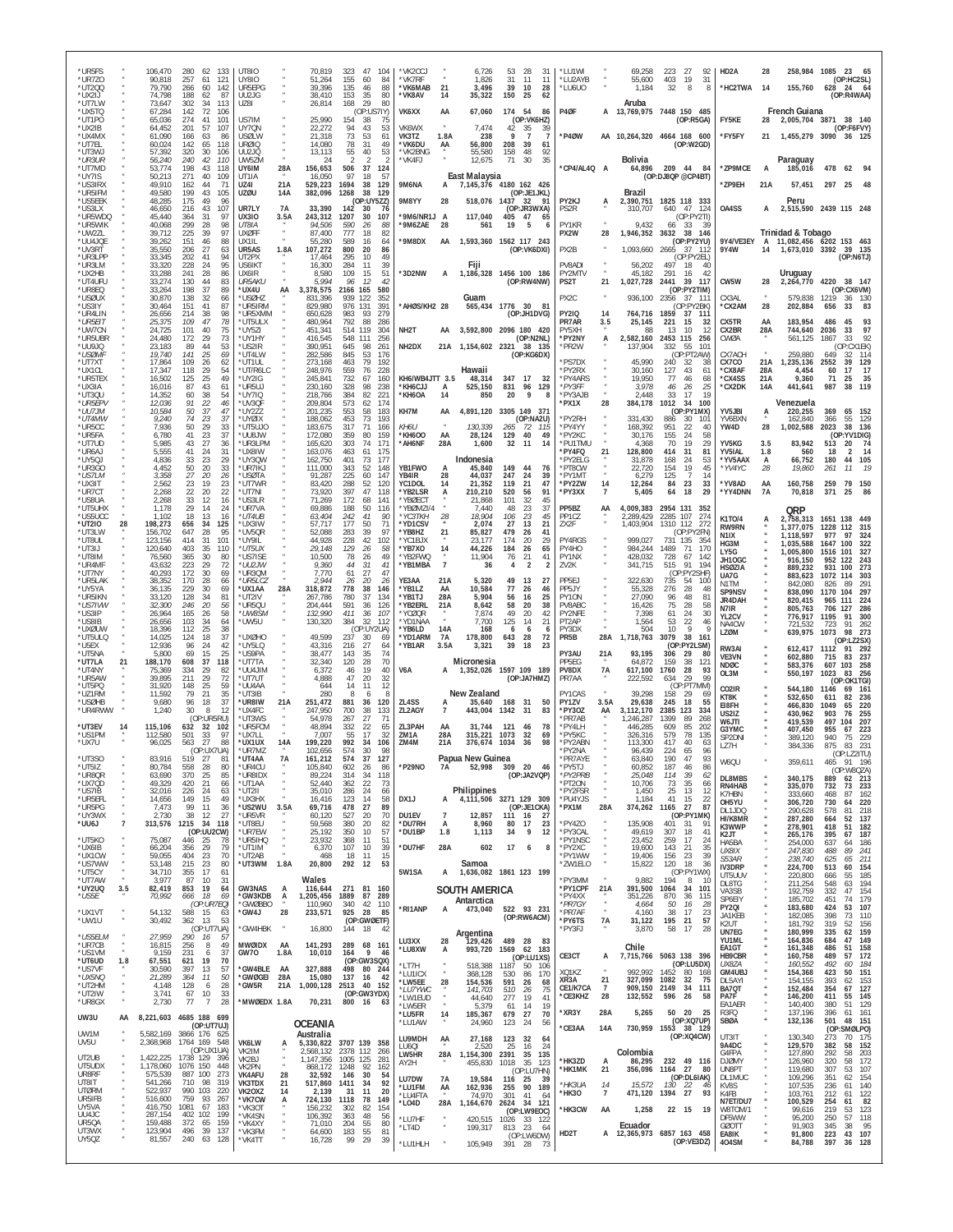| *UR5FS<br>*UR7ZO<br>*UT200<br>*UX2IJ<br>*UT7LW  |                       | 106,470<br>90,818<br>79.790<br>74.798<br>73,647 | 280<br>133<br>-62<br>257<br>61<br>121<br>266<br>60<br>142<br>188<br>62<br>-87<br>302<br>34<br>113 | UT8IO<br><b>UY8IO</b><br>UR5EPG<br>UU2JG<br>UZ8I |                  | 70,819<br>51,264<br>39,396<br>38.410<br>26,814 | 323<br>47<br>155<br>60<br>135<br>46<br>153<br>-35<br>168<br>29 | 104<br>84<br>88<br>80<br>80        | 'VK2CCJ<br>*VK7RF<br>*VK6MAB<br>*VK8AV | 21<br>14             | 6,726<br>1,826<br>3,496<br>35,322                           | 53<br>31<br>39<br>150       | 28<br>31<br>11<br>-11<br>10<br>28<br>25<br>62              | *LU1WI<br>*LU2AYB<br>*LU6U0         |                       | 69,258<br>55,600<br>1,184<br>Aruba                 | 223<br>27<br>403<br>-19<br>32           | 92<br>-31<br>8<br>8               | HD <sub>2</sub> A<br>*HC2TWA        | 28<br>14          | 155,760                             | 258,984 1085 23<br>65<br>(OP:HC2SL)<br>628 24<br>64<br>(OP:R4WAA) |
|-------------------------------------------------|-----------------------|-------------------------------------------------|---------------------------------------------------------------------------------------------------|--------------------------------------------------|------------------|------------------------------------------------|----------------------------------------------------------------|------------------------------------|----------------------------------------|----------------------|-------------------------------------------------------------|-----------------------------|------------------------------------------------------------|-------------------------------------|-----------------------|----------------------------------------------------|-----------------------------------------|-----------------------------------|-------------------------------------|-------------------|-------------------------------------|-------------------------------------------------------------------|
| *UX5TQ<br>*UT1PO<br>*UX2IB<br>*UX4MX<br>*UT7EL  |                       | 67,284<br>65,036<br>64,452<br>61,090<br>60,024  | 142<br>72<br>106<br>274<br>41<br>101<br>201<br>57<br>107<br>166<br>63<br>86<br>142<br>65<br>118   | US7IM<br><b>UY70N</b><br><b>USØLW</b><br>URØIO   |                  | 25,990<br>22,272<br>21,318<br>14,080           | 154<br>38<br>94<br>43<br>73<br>53<br>78<br>31                  | (OP:US7IY)<br>75<br>53<br>61<br>49 | VK6XX<br>VK6WX<br>VK3TZ<br>*VK6DU      | AA<br>1.8A<br>AA     | 67,060<br>7,474<br>238<br>56,800                            | 174 54<br>42<br>9<br>208    | 86<br>(OP:VK6HZ)<br>35<br>39<br>$\overline{7}$<br>39<br>61 | P4ØF<br>*P4ØW                       | А<br>AA               | 13,769,975 7448 150 485<br>10,264,320 4664 168 600 |                                         | (OP:RSGA)<br>(OP:W2GD)            | FY5KE<br>*FY5FY                     | 28<br>21          | French Guiana                       | 2,005,704 3871 38 140<br>(OP:F6FVY)<br>1,455,279 3090 36 125      |
| *UT3WJ<br>*UR3UR<br>*UT7MD<br>*UY7IS<br>*US3IRX |                       | 57,392<br>56,240<br>53,774<br>50,213<br>49.910  | 320<br>30<br>106<br>240<br>42<br>110<br>198<br>43<br>118<br>271<br>40<br>109<br>162<br>44<br>71   | UU2JQ<br>UW57M<br>UY6IM<br>UT1IA<br>UZ4I         | 28A<br>21A       | 13,113<br>-24<br>156,653<br>16.050<br>529,223  | 55<br>40<br>2<br>2<br>506<br>37<br>97<br>18<br>1694<br>38      | 53<br>124<br>57<br>129             | *VK2BNG<br>*VK4FJ<br>9M6NA             | А                    | 55,580<br>12,675<br>East Malaysia<br>7,145,376 4180 162 426 | 158<br>71                   | 48<br>92<br>35<br>30                                       | *CP4/AL4Q A                         |                       | Bolivia<br>64,896                                  | 209 44<br>(OP:DJ8QP @CP4BT)             | 84                                | *ZP9MCE<br>*ZP9EH                   | A<br>21A          | Paraguay<br>185,016<br>57,451       | 478<br>62<br>297 25                                               |
| *UR5IFM<br>*US5EEK<br>*US3LX                    |                       | 49,580<br>48,285<br>46,650                      | 199<br>43<br>105<br>175<br>49<br>96<br>216<br>43<br>107                                           | <b>UZØU</b><br>UR7LY                             | 14A<br><b>7A</b> | 382,096<br>33,390                              | 1268<br>38<br>142<br>30                                        | 129<br>(OP:UY5ZZ)<br>76            | 9M8YY                                  | 28                   | 518,076 1437                                                |                             | (OP:JE1JKL)<br>-32<br>91<br>(OP:JR3WXA)                    | PY2KJ<br>PS2R                       | А                     | <b>Brazil</b><br>2,390,751 1825 118 333<br>310,707 | 640<br>47                               | 124                               | 0A4SS                               | А                 | Peru                                | 2,515,590 2439 115 248                                            |
| *UR5WDQ<br>*UR5WIK<br>*UW2ZL                    |                       | 45,440<br>40,068<br>39.712                      | 364<br>97<br>-31<br>299<br>28<br>98<br>225<br>39<br>97                                            | <b>UX3IO</b><br>UT8IA<br><b>UXØFF</b>            | 3.5A             | 243,312<br>94,506<br>87,400                    | 1207<br>30<br>590<br>26<br>777<br>18                           | 107<br>88<br>82                    | *9M6/NR1J<br>*9M6ZAE                   | A<br>28              | 117,040<br>561                                              | 405<br>19                   | 47<br>65<br>5                                              | PY1KR<br>PX2W                       | 28                    | 9,432<br>1,946,352                                 | 33<br>66<br>3632<br>38                  | (OP:PY2TI)<br>39<br>146           |                                     |                   | Trinidad & Tobago                   |                                                                   |
| *UU4JQE<br>*UV3RT<br>*UR3LPP                    |                       | 39,262<br>35.550<br>33,345                      | 151<br>46<br>88<br>27<br>206<br>63<br>41<br>94<br>202                                             | UX1IL<br>UR5AS<br>UT2PX                          | 1.8A             | 55,280<br>107.272<br>17.464                    | 589<br>16<br>800<br>20<br>10<br>295                            | 64<br>86<br>49                     | *9M8DX                                 | AA                   | 1,593,360                                                   |                             | 1562 117 243<br>(OP:VK6DXI)                                | PX2B                                |                       | 1,093,660                                          | 2665<br>- 37                            | (OP:PY2YU)<br>- 112<br>(OP:PY2EL) | 9Y4/VE3EY<br>9Y4W                   | 14                |                                     | A 11.082.456 6202 153 463<br>1,673,010 3392 39 135<br>(OP:N6TJ)   |
| *UR3LM<br>*UX2HB<br>*UT4UFU                     |                       | 33,320<br>33,288<br>33,274                      | 95<br>228<br>24<br>241<br>28<br>86<br>83<br>130<br>44                                             | US6IKT<br>UX6IR<br><b>UR5AKU</b>                 |                  | 16,300<br>8,580<br>5.994                       | 284<br>11<br>109<br>15<br>12<br>96                             | 39<br>51<br>42                     | *3D2NW                                 | A                    | Fiji<br>1,186,328                                           |                             | 1456 100 186<br>(OP:RW4NW)                                 | PV8ADI<br>PY2MTV<br>PS2T            | 21                    | 56,202<br>45,182<br>1,027,728                      | 497<br>-18<br>291<br>16<br>2441<br>39   | 40<br>-42<br>- 117                | CW5W                                | 28                | Uruguay<br>2,264,770                | 4220 38 147                                                       |
| *UR8EQ<br>*USØUX<br>*US3IY                      |                       | 33,264<br>30,870<br>30,464                      | 198<br>37<br>89<br>138<br>32<br>66<br>41<br>151<br>87                                             | *UX4U<br>*USØH7<br>*UR5IRM                       | AA               | 3,378,575<br>831.396<br>829.980                | 165<br>2166<br>939<br>122<br>976<br>131                        | 580<br>352<br>391                  | *AHØS/KH2 28                           |                      | Guam<br>565,434 1776 30 81                                  |                             |                                                            | PX2C                                |                       | 936,100                                            | 2356<br>-37                             | (OP:PY2TIM)<br>-111<br>(OP:PY2BK  | CX3AL<br>*CX2AM                     | 28                | 579.838<br>202,884                  | (OP:CX6VM)<br>1219<br>36<br>130<br>83<br>656<br>33                |
| *UR4LIN<br>*UR5EIT<br>*UW7CN                    |                       | 26,656<br>25,375<br>24,725                      | 214<br>38<br>98<br>78<br>109<br>47<br>101<br>40<br>75                                             | *UR5XMM<br>*UT5ULX<br>*UY5ZI                     |                  | 650,628<br>480,964<br>451,341                  | 983<br>93<br>88<br>792<br>514<br>119                           | 279<br>286<br>304                  | NH <sub>2</sub> T                      | AA                   | 3,592,800 2096 180                                          |                             | (OP:JH1DVG)<br>420                                         | <b>PY2IQ</b><br>PR7AR<br>PY5XH      | 14<br>3.5             | 764,716<br>25,145<br>88                            | 1859<br>221<br>15<br>13<br>10           | 37 111<br>-32<br>12               | CX5TR<br>CX2BR                      | AA<br>28A         | 183,954<br>744,640                  | 486<br>45<br>93<br>97<br>2036<br>33                               |
| *UR5UBR<br>ANNO.<br>*USØMF                      |                       | 24.480<br>23,183<br>19,740                      | 172<br>29<br>73<br>89<br>44<br>53<br>141<br>-25<br>69                                             | *UY1HY<br>*US2IR<br>*UT4LW                       |                  | 416,545<br>390,951<br>282,586                  | 548<br>111<br>645<br>98<br>845<br>53                           | 256<br>261<br>176                  | NH <sub>2</sub> DX                     | 21A                  | 1,154,602 2321 38 135                                       |                             | (OP:N2NL)<br>(OP:KG6DX)                                    | *PY2NY<br>*PR2W                     | А                     | 2,582,160<br>137,904                               | 2453 115<br>332<br>55                   | 256<br>101<br>(OP:PT2AW)          | CWØA<br>CX7ACH                      |                   | 561,125<br>259,880                  | 92<br>33<br>1867<br>(OP:CX1EK)<br>649<br>32<br>11 <sup>2</sup>    |
| *UT7XT<br>*UX1CI<br>*UR5TEX                     |                       | 17,864<br>17,347<br>16,502                      | 109<br>26<br>62<br>29<br>118<br>54<br>125<br>25<br>49                                             | *UT1UL<br>*UT/R6LC<br>*UY2IG                     |                  | 273,168<br>248.976<br>245,841                  | 463<br>79<br>559<br>76<br>732<br>67                            | 192<br>228<br>160                  | KH6/WB4JTT 3.5                         |                      | Hawaii<br>48,314                                            | 347                         | 17<br>- 32                                                 | *PS7DX<br>*PY2RX<br>*PY4ARS         |                       | 45,990<br>30.160<br>19,950                         | 240<br>32<br>43<br>127<br>77<br>46      | 38<br>-61<br>68                   | CX7CO<br>*CX8AF<br>*CX4SS           | 21A<br>28A<br>21A | 1,235,136<br>4.454<br>9,360         | 2552<br>39<br>129<br>17<br>17<br>60<br>71<br>25<br>35             |
| *UX3IA<br>*UT3QU<br>*UR5EPV                     |                       | 16,016<br>14,352<br>12,036                      | 43<br>87<br>61<br>60<br>38<br>54<br>91<br>22<br>46                                                | *UR5UJ<br>*UY7IQ<br>*UV3QF                       |                  | 230,160<br>218,766<br>209,804                  | 328<br>98<br>384<br>82<br>573<br>62                            | 238<br>221<br>174                  | *KH6CJJ<br>*KH6OA                      | А<br>14              | 525,150<br>850                                              | 831<br>20                   | 96<br>129<br>9                                             | *PY3FF<br>*PY3AJB<br>*PX1X          | 28                    | 3,978<br>2,448<br>384,178                          | 46<br>26<br>33<br>17<br>1012<br>34      | 25<br>19<br>100                   | *CX2DK                              | <b>14A</b>        | 441,641<br>Venezuela                | 987<br>38<br>119                                                  |
| *UU7JM<br>*UT4MW<br>*UR5CC                      |                       | 10,584<br>9,240<br>7,936                        | 50<br>37<br>47<br>74<br>23<br>37<br>29<br>33<br>50                                                | *UY2ZZ<br>*UYØIX<br>*UT5UJ0                      |                  | 201,235<br>188.062<br>183,675                  | 553<br>58<br>453<br>73<br>317<br>71                            | 183<br>193<br>166                  | KH7M<br>KH6U                           | AA                   | 4,891,120<br>130,339                                        | 265                         | 3305 149 371<br>(OP:NA2U)<br>72<br>- 115                   | *PY2RH<br>*PY4YY                    |                       | 331.430<br>168,392                                 | 30<br>886<br>22<br>951                  | (OP:PY1MX)<br>101<br>40           | YV5JBI<br>YV6BXN<br>YW4D            | А<br>28           | 220,255<br>162,840<br>1,002,588     | 369<br>152<br>65<br>129<br>55<br>366<br>2023<br>38<br>136         |
| *UR5FA<br>*UT7UD                                |                       | 6,780<br>5.985                                  | 37<br>41<br>23<br>43<br>27<br>36<br>31                                                            | *UU8JW<br>*UR3LPM                                |                  | 172,080<br>165,620                             | 359<br>80<br>303<br>74                                         | 159<br>171                         | *KH6OO<br>*AH6NF                       | AA<br>28A            | 28,124<br>1,600                                             | 129<br>32                   | 40<br>49<br>14<br>-11                                      | *PY2KC<br>*PU1TMU                   |                       | 30,176<br>4.368                                    | 155<br>24<br>19<br>70                   | 58<br>29                          | YV5KG<br>YV5IAL                     | 3.5               | 83,942                              | (OP:YV1DIG)<br>513<br>-20<br>- 74                                 |
| *UR6AJ<br>*UY5QJ<br>*UR3GO                      |                       | 5,555<br>4,836<br>4,452                         | 41<br>24<br>33<br>23<br>29<br>50<br>20<br>33                                                      | *UX8IW<br>*UY3QW<br>*UR7IKJ                      |                  | 163,076<br>162,750<br>111,000                  | 463<br>61<br>401<br>73<br>343<br>52                            | 175<br>177<br>148                  | YB1FWO                                 | A                    | Indonesia<br>45,840                                         | 149                         | 44<br>76                                                   | *PY4FQ<br>*PY2ELG<br>*PT8CW         | 21                    | 128,800<br>31.878<br>22,720                        | 414<br>31<br>168<br>-24<br>154<br>19    | 81<br>53<br>45                    | *YV5AAX<br>*YV4YC                   | 1.8<br>А<br>28    | 560<br>66,752<br>19,860             | 18<br>$\overline{2}$<br>14<br>180<br>105<br>44<br>261<br>11       |
| *US7LM<br>*UX3IT<br>*UR7CT                      |                       | 3,358<br>2,562<br>2.268                         | 27<br>-20<br>26<br>23<br>23<br>19<br>22<br>22<br>20                                               | *USØTA<br>*UT7WR<br>*UT7NI                       |                  | 91,287<br>83,420<br>73,920                     | 225<br>60<br>288<br>52<br>397<br>47                            | 147<br>120<br>118                  | YB4IR<br>YC1DOL<br>'YB2LSR             | 28<br>14<br>А        | 44,037<br>21,352<br>210,210                                 | 247<br>119<br>520           | 24<br>39<br>21<br>47<br>91<br>56                           | *PY1MT<br>*PY2ZW<br>*PY3XX          | 14<br>7               | 6,279<br>12,264<br>5,405                           | 125<br>84<br>$\substack{23 \ 18}$<br>64 | -7<br>14<br>33<br>29              | *YV8AD<br>*YY4DNN                   | AA<br>7A          | 160,758<br>70,818                   | 259<br>79<br>150<br>371<br>25<br>86                               |
| *US8UA<br>*UT5UHX<br>*US5UCC                    |                       | 2.268<br>1,178<br>1,102                         | 33<br>12<br>16<br>29<br>24<br>14<br>18<br>13<br>16                                                | *US3LR<br>*UR7VA<br>*UT4UB                       |                  | 71,269<br>69,886<br>63,404                     | 172<br>68<br>50<br>188<br>242<br>41                            | 141<br>116<br>90                   | 'YBØECT<br>YBØMZI/4<br>*YC3TKH         | 28                   | 21,868<br>7.440<br>18,904                                   | 101<br>48<br>106            | 32<br>45<br>23<br>37<br>23<br>45                           | PP5BZ<br>PP1CZ                      | AA                    | 4,009,383<br>2,289,429                             | 2954 131<br>2285<br>107                 | -352<br>274                       | K1T0/4                              | A                 | QRP<br>2,758,313                    | 1651 138                                                          |
| *UT2IO<br>*UT3LW<br>*UT8UL                      | 28                    | 198,273<br>156,702<br>123.156                   | 34<br>125<br>656<br>647<br>28<br>95<br>31<br>101<br>414                                           | *UX3IW<br>*UV5QR<br>*UY9IL                       |                  | 57.717<br>52,088<br>44,928                     | 177<br>50<br>283<br>39<br>228<br>42                            | 71<br>97<br>102                    | *YD1CSV<br>*YB8HZ<br>'YC1BJX           | 21                   | 2,074<br>85,827<br>23.177                                   | 27<br>479<br>174            | 13<br>21<br>26<br>41<br>20<br>29                           | ZX2F<br>PY4RGS                      |                       | 1,403,904<br>999.027                               | 1310 112<br>731 135                     | 272<br>(OP:PY2FN)<br>354          | RW9RN<br>N1IX<br>HG3M               |                   | 1.377.075<br>1,118,597<br>1,035,588 | 1228 112<br>-315<br>977<br>97<br>324<br>100<br>1647<br>322        |
| *UT3IJ<br>*UT8IM<br>*UR4MF                      |                       | 120,640<br>76,560<br>43,632                     | 35<br>403<br>110<br>365<br>30<br>80<br>223<br>29<br>72                                            | *UT5UX<br>*US7ISE<br>*UU2JW                      |                  | 29,148<br>10,500<br>9,360                      | 129<br>26<br>78<br>26<br>44<br>31                              | 58<br>49<br>41                     | *YB7XO<br>*YB2FWQ<br>*YB1MBA           | 14<br>$\overline{7}$ | 44,226<br>11,904<br>36                                      | 184<br>76<br>$\overline{4}$ | 26<br>65<br>21<br>41<br>$\overline{2}$<br>2                | PY4HO<br>PY1NX<br>ZV2K              |                       | 984,244<br>428,032<br>341,715                      | 1489<br>-71<br>728<br>67<br>91<br>515   | 170<br>-142<br>194                | LY5G<br>JH10GC<br><b>HSØZIA</b>     |                   | 1,005,800<br>916,150                | 1516 101<br>327<br>952 122<br>243<br>100                          |
| *UT7NY<br>*UR5LAK<br>*UY5YA                     |                       | 40,293<br>38,352<br>36,135                      | 172<br>30<br>69<br>170<br>28<br>66<br>229<br>30<br>69                                             | *UR3QM<br>*UR5LCZ<br>*UX1AA                      | 28A              | 7,770<br>2,944<br>318,872                      | 61<br>27<br>20<br>26<br>778<br>38                              | 47<br>26<br>146                    | YE3AA<br>*YB1LZ                        | 21A<br>AA            | 5,320<br>10,584                                             | 49<br>77                    | 13<br>27<br>26<br>46                                       | PP5EJ<br>PP5JY                      |                       | 322,630<br>55,328                                  | 735<br>-54<br>276<br>28                 | (OP:PY2SHF)<br>100<br>48          | UA7G<br>N1TM                        |                   | 889,232<br>883,623<br>842,080       | 931<br>273<br>1072<br>303<br>826<br>89<br>29'                     |
| *UR5IKN<br>*US7IVW<br>*US3IP                    |                       | 33,120<br>32,300<br>26,964                      | 128<br>81<br>-34<br>246<br>20<br>56<br>58<br>165<br>26                                            | *UT2IV<br>*UR5QU<br>*UW8SM                       |                  | 267,786<br>204,444<br>132,990                  | 780<br>-37<br>591<br>36<br>411<br>36                           | 134<br>126<br>107                  | *YB1TJ<br>'YB2ERL<br>'YCØQR            | 28A<br>21A           | 5,904<br>8,642<br>7.874                                     | 56<br>58<br>49              | 16<br>25<br>20<br>38<br>42<br>20                           | PY10N<br>PV8ABC<br>PY2NFE           |                       | 27.090<br>16,426<br>7.398                          | 96<br>48<br>75<br>28<br>24<br>61        | 81<br>58<br>30                    | SP9NSV<br>JR4DAH<br>N7IR            |                   | 838,090<br>820,415<br>805,763       | 1170 104<br>297<br>965<br>111<br>224<br>706<br>127<br>286         |
| *US8IB<br>*UXØUW<br>*UT5ULQ                     |                       | 26,656<br>18,396<br>14,025                      | 103<br>34<br>64<br>25<br>38<br>112<br>37<br>124<br>18                                             | *UW5U<br>*UXØHO                                  |                  | 130,320<br>49,599                              | 384<br>32<br>237<br>30                                         | 112<br>(OP:UY2UA)<br>69            | *YD1NAA<br>*YB6LD<br>*YD1ARM           | 14A<br>7A            | 7,700<br>168<br>178,800                                     | 125<br>6<br>643             | 21<br>14<br>-6<br>-6<br>28<br>72                           | PT <sub>2</sub> AP<br>PY3DX<br>PR5B | 28A                   | 1,564<br>504<br>1,718,763                          | 53<br>22<br>10<br>3079<br>38            | 46<br>9<br>q<br>161               | YL2CV<br>NA4CW<br>LZØM              |                   | 776,917<br>721,532<br>639,975       | 1195<br>91<br>300<br>723<br>91<br>262<br>273<br>1073<br>98        |
| *U5EX<br>*UT5NA                                 |                       | 12,936<br>5,800                                 | 24<br>96<br>42<br>69<br>15<br>25                                                                  | *UY5LQ<br>*US9PA                                 |                  | 43,316<br>38,477                               | 216<br>27<br>143<br>35                                         | 64<br>74                           | *YB1AR                                 | 3.5A                 | 3,321                                                       | 39                          | 23<br>18                                                   | PY3AU                               | 21A                   | 93,195                                             | 29<br>306                               | (OP:PY2LSM)<br>80                 | RW3AI<br>VE3VN                      |                   | 612,417 1112<br>602,880             | (OP: LZ2SX)<br>292<br>-91<br>715<br>83<br>237                     |
| *UT7LA<br>*UT4NY<br>*UR5AW                      | 21                    | 188,170<br>75,369<br>39,895                     | 608<br>37<br>118<br>334<br>-29<br>82<br>211<br>29<br>72                                           | *UT7TA<br>*UU4JIN<br>*UT7UT                      |                  | 32.340<br>6,372<br>4,888                       | 120<br>28<br>19<br>46<br>47<br>20                              | 70<br>40<br>32                     | V6A                                    | A                    | Micronesia<br>1,352,026 1597 109 189                        |                             | (OP:JA7HMZ)                                                | PP5FG<br>PV8DX<br>PR7AA             | 7A                    | 64.872<br>617,100<br>222,592                       | 159<br>38<br>28<br>1760<br>634<br>29    | 121<br>93<br>99                   | <b>NDØC</b><br>OL3M                 |                   | 583,376<br>550,197                  | 607<br>103<br>258<br>1023<br>83<br>256<br>(OP:OK1TGI)             |
| *UT5PQ<br>*UZ1RM<br>*USØHB                      |                       | 31,920<br>11,592<br>9,680                       | 148<br>25<br>59<br>35<br>79<br>21<br>37<br>96<br>18                                               | *UU4AA<br>*UT3IB<br>*UR8IW                       | 21A              | 644<br>280<br>251,472                          | 14<br>11<br>8<br>6<br>881<br>36                                | 12<br>8<br>120                     | ZL4SS                                  |                      | New Zealand<br>35,640                                       | 168                         | 31<br>50                                                   | PY1CAS<br>PY1ZV                     | 3.5A                  | 39,298<br>29,638                                   | 158<br>29<br>245<br>18                  | (OP:PT7MM)<br>69<br>55            | CO <sub>2</sub> IR<br>KT8K<br>EI8FH |                   | 544,180<br>532,650<br>466,830       | 161<br>1146<br>69<br>82<br>236<br>611<br>1049<br>65<br>220        |
| *UR4RWW<br>*UT3EV                               | 14                    | 1,240<br>115,106                                | 30<br>8<br>12<br>(OP:UR5RU)<br>632<br>32<br>102                                                   | *UX4FC<br>*UT3WS<br>*UR5FCM                      |                  | 247,950<br>54,978<br>48,894                    | 700<br>38<br>267<br>27<br>332<br>22                            | 133<br>-71<br>65                   | ZL2AGY<br>ZL3PAH                       | AA                   | 443,004<br>31,744                                           | 1342<br>121                 | 31<br>83<br>46<br>78                                       | *PY3OZ<br>*PR7AB<br>*PY4LH          | AA                    | 3.112.170<br>1,246,287<br>446,285                  | 2385<br>123<br>1399<br>89<br>609<br>85  | 334<br>268<br>202                 | US2IZ<br>W6JTI<br>G3YMC             |                   | 430,962<br>419,539<br>407,450       | 903<br>255<br>76<br>497<br>207<br>104<br>223<br>955<br>67         |
| *US1PM<br>*UX7U                                 |                       | 112,580<br>96,025                               | 33<br>501<br>97<br>563<br>27<br>88<br>(OP:UX7UA)                                                  | *UX7LL<br>*UX1UX<br>*UR7M7                       | 14A              | 7,007<br>199,220<br>102.656                    | 17<br>55<br>992<br>34<br>574<br>30                             | 32<br>106<br>98                    | 7M <sub>1</sub> A<br>ZM4M              | 28A<br>21A           | 315,221<br>376,674                                          | 1073<br>1034                | 32<br>69<br>98<br>-36                                      | *PY5KC<br>*PY2ABN<br>*PY2NA         |                       | 326.316<br>113.300<br>96.439                       | 579<br>78<br>417<br>40<br>224<br>65     | 135<br>63<br>96                   | SP2DNI<br>LZ7H                      |                   | 389,120<br>384,336                  | 940<br>75<br>229<br>231<br>875<br>83                              |
| *UT3SO<br>*UT5IZ<br>*UR8QR                      |                       | 83,916<br>80,784<br>63,690                      | 519<br>$\mathcal{L}$<br>ŏ<br>558<br>28<br>80<br>370<br>25<br>85                                   | 'UT4AA<br>*UR4CU<br>*UR8IDX                      | <b>7A</b>        | 161.212<br>105,840<br>89,224                   | 574<br>37<br>602<br>26<br>314<br>34                            | 127<br>-86<br>118                  | *P29NO                                 | 7A                   | Papua New Guinea<br>52,998                                  | 309 20                      | 46<br>(OP:JA2VQP)                                          | PR7AYE<br>*PY5TJ<br>*PY2PRB         |                       | 63.840<br>60,852<br>25,048                         | 190<br>47<br>187<br>46<br>39<br>114     | 93<br>86<br>62                    | W6QU                                |                   | 359,611                             | (OP:LZ2ITU)<br>465<br>91 196<br>(OP:W8QZA)                        |
| *UX7QD<br>*US7IB<br>*UR5EFL                     |                       | 49,329<br>32,016<br>14,656                      | 21<br>420<br>66<br>24<br>226<br>63<br>15<br>149<br>49                                             | *UT1AA<br>*UT2II<br>*UX3HX                       |                  | 52,440<br>35,010<br>16,416                     | $\frac{362}{286}$<br>$^{22}_{24}$<br>123<br>14                 | 73<br>66<br>58                     | DX1J                                   | A                    | Philippines<br>4,111,506 3271 129 309                       |                             |                                                            | *PT2ON<br>*PY2FSR<br>*PU4YJS        |                       | 10,706<br>1,450<br>1,184                           | $\frac{35}{13}$<br>73<br>25<br>41<br>15 | 66<br>-12<br>22                   | <b>DL8MBS</b><br>RN4HAB<br>K7HBN    |                   | 340,175<br>335,070<br>333,660       | 889<br>62 213<br>732<br>73<br>233<br>468<br>87<br>162             |
| *UR5PG<br>*UY3WX                                | $\overline{7}$        | 7,473<br>2,730                                  | 99<br>11<br>36<br>38<br>27<br>12<br>34                                                            | *US2WU<br>*UR5VR                                 | 3.5A             | 69,716<br>60,120                               | 478<br>27<br>527<br>20                                         | 89<br>70                           | DU1EV                                  | $\overline{7}$       | 12,857                                                      | 111 16                      | (OP:JE1CKA)<br>- 27                                        | *PX1M                               | 28A                   | 374,262                                            | 27<br>1165                              | 87<br>(OP:PY1MK)                  | OH5YU<br>DL1JDQ<br>HI/K8MR          |                   | 306,720<br>290,628<br>287,280       | 730<br>220<br>64<br>218<br>578<br>81<br>137<br>664<br>52          |
| *UU6J<br>*UT5KO                                 |                       | 313,576<br>75,087                               | 1215<br>118<br>(OP:UU2CW)<br>446<br>-25<br>78                                                     | *UT8EU<br>*UR7EW<br>*UR5IHQ                      |                  | 59,568<br>25,192<br>23,932                     | 380<br>20<br>350<br>10<br>368<br>11                            | 82<br>57<br>51                     | *DU7RH<br>*DU1BP                       | А<br>1.8             | 8,960<br>1,113                                              | 80<br>34                    | 23<br>17<br>9<br>12                                        | *PY4ZO<br>*PY3CAL<br>*PY1NSC        |                       | 135,908<br>49,619<br>23,452                        | 401<br>-31<br>18<br>307<br>259<br>17    | 91<br>41<br>24                    | K3WWP<br>K2JT<br>HA5BA              |                   | 278,901<br>265,176<br>254,000       | 418<br>182<br>51<br>187<br>395<br>67<br>637<br>64<br>186          |
| *UX6IB<br>*UX1CW<br>*US7WW                      |                       | 66,204<br>59,055<br>53,148                      | 356<br>29<br>79<br>23<br>404<br>70<br>215<br>23<br>80                                             | *UT1IM<br>*UT2AB<br>*UT3WM                       | 1.8A             | 6,370<br>468<br>20,800                         | 107<br>10<br>18<br>11<br>292 12                                | 39<br>15<br>53                     | *DU7HF                                 | 28A                  | 602<br>Samoa                                                | 17                          | 6<br>8                                                     | *PY2XC<br>*PY1WW<br>*ZW1ELO         |                       | 19,600<br>19,406<br>15,822                         | 143<br>$^{21}_{23}$<br>156<br>120<br>18 | 35<br>39<br>36                    | UX8IX<br>S53AR<br>IV3DRP            |                   | 247,830<br>238,740<br>224,700       | 89<br>488<br>241<br>625<br>65<br>211<br>513<br>60<br>154          |
| *UT5CY<br>*UT7AW<br>*UY2UQ                      | 3.5                   | 34,710<br>3,977<br>82,419                       | 17<br>355<br>-61<br>87<br>10<br>31<br>19<br>853<br>64                                             | GW3NAS                                           | A                | Wales<br>116,644                               | 271 81 160                                                     |                                    | 5W1SA                                  | А                    | 1,636,082 1861 123 199<br>SOUTH AMERICA                     |                             |                                                            | *PY3MM<br>*PY1CPF                   | 21A                   | 9,882<br>391,500                                   | 194<br>1064<br>34                       | (OP:PY1WX)<br>8<br>10<br>101      | UT5UUV<br>DL8TG<br>VA3SB            |                   | 220,800<br>211,254<br>192,759       | 185<br>666<br>55<br>548<br>63<br>194<br>154<br>332<br>47          |
| *US5E<br>*UX1VT                                 |                       | 70,992<br>54,132                                | 666<br>18<br>69<br>(OP:UR7EO)<br>588<br>15<br>63                                                  | *GW3KDB<br>*GWØBBO<br>*GW4J                      | A<br>28          | 1,205,456<br>110,960<br>233,571                | 1889<br>340<br>42<br>925<br>-28                                | 87 289<br>110<br>-85               | *RI1ANP                                | A                    | Antarctica<br>473,040                                       |                             | 522 93 231<br>(OP:RW6ACM)                                  | *PY4XX<br>*PR7GY<br>*PR7AF          | $\boldsymbol{\theta}$ | 351,226<br>4,664<br>4,160                          | 870<br>36<br>50<br>16<br>17<br>38       | 115<br>28<br>23                   | SP6EIY<br>PY2QI<br>JA1KEB           |                   | 185,702<br>183,680<br>182,085       | 179<br>451<br>74<br>424<br>107<br>53<br>398<br>73<br>110          |
| *UW1U<br>*US5ELM                                |                       | 30,492<br>27,959                                | 362<br>13<br>53<br>(OP:UT7UA)<br>290<br>16<br>57                                                  | *GW4HBK                                          |                  | 16,800                                         | (OP:GWØETF)<br>144<br>18                                       | - 42                               |                                        |                      | Argentina                                                   |                             |                                                            | *PY6TS<br>*PY3FJ                    | <b>7A</b>             | 31,122<br>3,870                                    | 195<br>21<br>58<br>17                   | 57<br>28                          | K2UT<br>UN7EG<br>YU1ML              |                   | 181,792<br>180,999<br>164,836       | 319<br>52 156<br>159<br>335<br>62<br>149<br>684<br>47             |
| *UR7CB<br>*US1VM<br>*UT6UD                      | $\overline{N}$<br>1.8 | 16,815<br>9,159<br>67,551                       | 8<br>49<br>256<br>231<br>37<br>6<br>621<br>19<br>70                                               | <b>MWØIDX</b><br>GW70                            | AA<br>1.8A       | 141,293<br>10,010                              | 289 68 161<br>164<br>(OP:GW3SQX)                               | 9 46                               | LU3XX<br>*LU8XW                        | 28<br>А              | 129,426<br>993,720                                          |                             | 489 28 83<br>1569 62 183<br>(OP:LU1XS)                     | CE3CT                               | А                     | Chile<br>7,715,766 5063 138 396                    |                                         | (OP:LU5DX)                        | EA1GT<br>HB9CBR                     |                   | 161,348<br>160,758                  | 486<br>158<br>51<br>489<br>57 172<br>492<br>60                    |
| *US7VF<br>*UX5NQ<br>*UT2HM                      |                       | 30,590<br>21,289<br>4,148                       | 397<br>13<br>57<br>11<br>50<br>364<br>128<br>6<br>28                                              | *GW4BLE<br>*GWØGEI<br>*GW5R                      | AA<br>28A<br>21A | 327,888<br>15,080<br>1,000,128                 | 498<br>137<br>16<br>2513                                       | 80 244<br>- 42<br>40 152           | *LT7H<br>*LU1ICX<br>*LW5EE             | 28                   | 518,388<br>368,128<br>154,536                               | 1187<br>530<br>591          | 50<br>106<br>86<br>170<br>26<br>68                         | XQ1KZ<br>XR3A                       | 21                    | 992.992<br>327,099                                 | 1452 80 168<br>1082<br>32               | - 75                              | UX8ZA<br>GM4UBJ<br>DL5AYI           |                   | 160,552<br>154,368<br>154,155       | 184<br>423<br>151<br>50<br>393<br>153<br>62                       |
| *UT2IW<br>*UR8GX                                |                       | 3,741<br>2,730                                  | 10<br>33<br>67<br>77<br>$\overline{7}$<br>28                                                      | *MWØEDX 1.8A                                     |                  | 70,231                                         | (OP:GW3YDX)<br>800 16 63                                       |                                    | *LU7YWC<br>*LW1EUD<br>*LW5ER           |                      | 141,703<br>44,640<br>5,379                                  | 510<br>277<br>61            | 75<br>26<br>19<br>41<br>14<br>19                           | CE1/K7CA<br>*CE3KHZ                 | $\overline{7}$<br>28  | 909,150 2149<br>132,552                            | 596<br>26                               | 34<br>111<br>58                   | BA7QT<br>PA7F<br>EA1AER             |                   | 152,484<br>146,200<br>140,400       | 127<br>354<br>67<br>411<br>55<br>145<br>380<br>51 129             |
| UW3U<br>UW1M                                    | AA                    |                                                 | 8,221,603 4685 188 699<br>(OP:UT7UJ)<br>5,582,169 3866 176 625                                    |                                                  |                  | <b>OCEANIA</b>                                 |                                                                |                                    | *LU5FR<br>*LU1AW                       | 14                   | 185,367<br>24,960                                           | 679<br>123                  | 27<br>70<br>24<br>56                                       | *XR3Y<br>CE3AA                      | 28A<br>14A            | 5,265                                              | 20<br>50<br>730,959 1553 38 129         | 25<br>(OP:XQ7UP)                  | R3FQ<br>SBØA                        |                   | 137,196<br>132,136                  | 396<br>61 161<br>501<br>48 151<br>(OP:SMØLPO)                     |
| UV5U<br>UT2UB                                   |                       | 2,368,968<br>1,422,225                          | 1764 169 548<br>(OP:UX1UA)<br>1738 129 396                                                        | VK6LW<br>VK2IM                                   | А                | Australia<br>5,330,822<br>2,568,132            | 3707 139 358<br>2378 112                                       | -266                               | LU9MDH<br>LU601<br>LW5HR               | AA<br>28A            | 27,168<br>2,520<br>,154,300<br>-1                           | 123<br>25<br>2391           | 32<br>64<br>16<br>24<br>35<br>135                          |                                     |                       | Colombia                                           |                                         | (OP:XQ4CW)                        | UT3IT<br>9A4DC<br>G4FPA             |                   | 130,340<br>129,570<br>127,890       | 273<br>70 175<br>58 152<br>382<br>292<br>58<br>203                |
| UT5UDX<br>UR8RF                                 |                       | 1,178,060<br>575,539                            | 1076 150<br>448<br>887 100<br>273                                                                 | VK2BJ<br>VK2PN<br>VK4AFU                         | 28               | 1,147,356<br>868,172<br>32,592                 | 1005 125<br>1248<br>92<br>30<br>146                            | 281<br>162<br>54                   | AY2H<br>LU7DW                          | 7A                   | 455,830<br>19,584                                           | 1018<br>116 25              | 35<br>123<br>(OP:LU7HN)<br>39                              | *HK3ZD<br>*HK1MK                    | A<br>21               | 86,295<br>356,096                                  | 232 49 116<br>1164 27                   | -80<br>(OP:DL6IAK)                | <b>DJØMY</b><br>UN8PT<br>DL1MUC     |                   | 126,960<br>119,680<br>109,296       | 320<br>172<br>58<br>307<br>53<br>107<br>351<br>154<br>62          |
| UT8IT<br><b>UTØRM</b><br>UR5IFB                 |                       | 541,266<br>522,937<br>516,600                   | 710<br>- 98<br>319<br>990 103<br>220<br>759<br>93<br>267                                          | VK3TDX<br><b>VK20X7</b><br>*VK7CW                | 21<br>14<br>А    | 517,860<br>2,139<br>724,130                    | 1411<br>34<br>31<br>11<br>1118<br>78                           | 92<br>20<br>149                    | *LU1FM<br>*LU4FTA<br>*LO4D             | AA<br>28A            | 162,936<br>74,970<br>1,164,670                              | 255<br>301<br>2624          | 90<br>189<br>41<br>64<br>34 121                            | *HK3UA<br>*HK30                     | 14<br>$\overline{7}$  | 15,572<br>471,120                                  | 130<br>-22<br>1394 27                   | 46<br>93                          | KV8S<br>K4FB<br>N7ET/DU7            |                   | 107,535<br>103,761<br>100,529       | 236<br>140<br>61<br>122<br>212<br>61<br>254<br>82<br>61           |
| UY5VA<br>UU4JC<br>UR50A                         |                       | 416,750<br>287,154<br>159,488                   | 1081<br>67<br>183<br>402 102<br>199<br>372<br>65<br>159                                           | *VK30T<br>*VK4SN<br>*VK4XY                       |                  | 156,232<br>106,392<br>71,010                   | 302<br>-82<br>363<br>48<br>204<br>$\frac{55}{55}$              | 154<br>56<br>80                    | *LU7HF<br>*LT4D                        |                      | 420,515<br>199,317                                          | 813                         | (OP:LW9EOC)<br>1026 33 122<br>23<br>64                     | *HK3CW                              | AA                    | 1,258<br>Ecuador                                   | 22 15                                   | 19                                | W8TOM/1<br>DF5WW<br><b>GØOTT</b>    |                   | 99,616<br>95,200<br>91,903          | $\frac{123}{118}$<br>219<br>53<br>250<br>57<br>345<br>38<br>95    |
| UT3WX<br>UY50Z                                  |                       | 123,904<br>81,557                               | 39<br>137<br>496<br>240<br>63<br>128                                                              | *VK3FM<br>*VK4TT                                 |                  | 64,600<br>16,728                               | 183<br>99<br>29                                                | 81<br>39                           | *LU1HLH                                |                      | 105,949                                                     | 391 28                      | (OP:LW6DW)<br>73                                           | HD2T                                | A                     | 12,365,973                                         | 6857 163 458                            | (OP:VE3DZ)                        | EA8IK<br>404SM                      |                   | 91,800<br>84,788                    | 223<br>43 107<br>397<br>36 128                                    |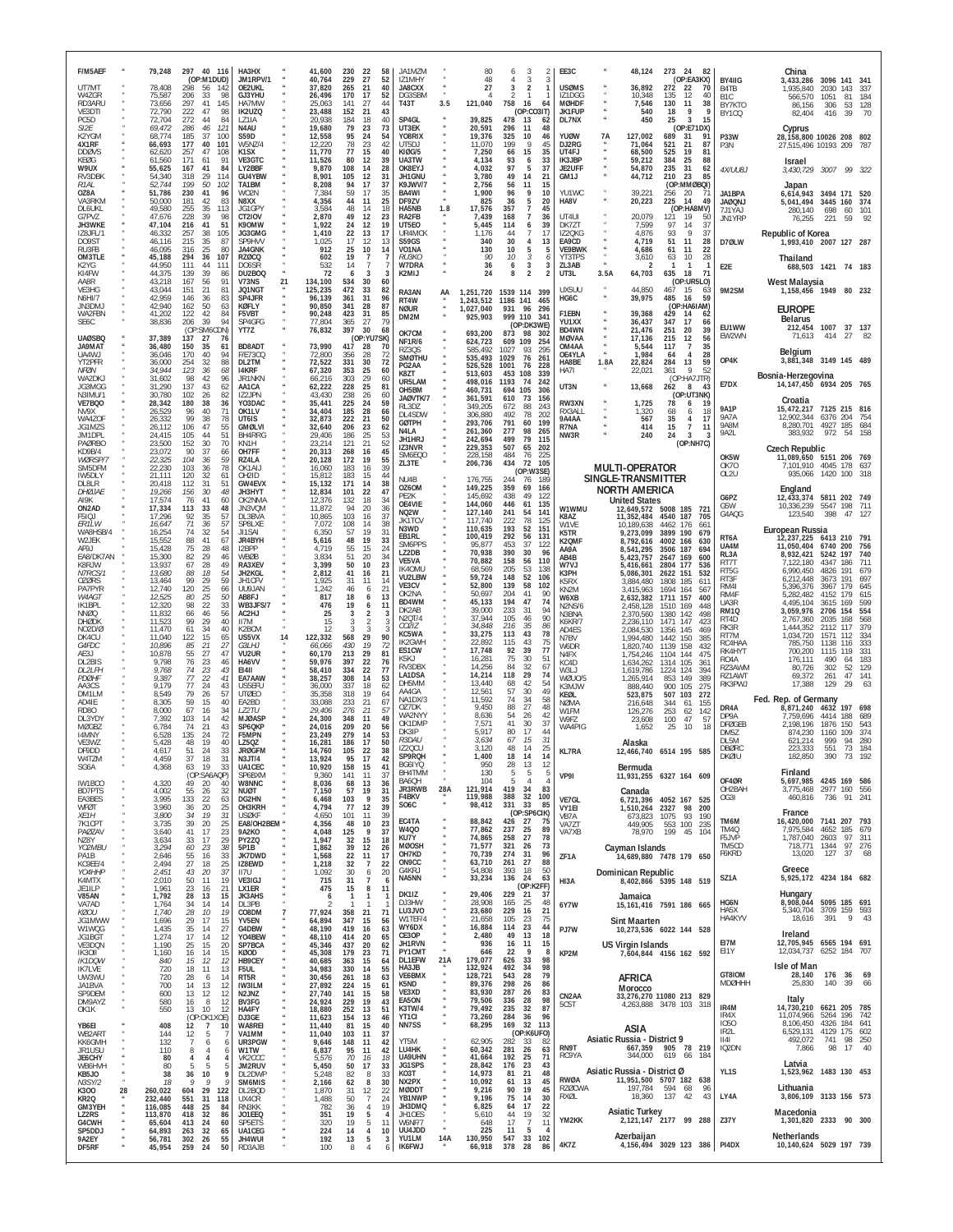| F/M5AEF<br>UT7MT                                   | 79,248<br>78,408                        | 297<br>40 116<br>(OP:M1DUD)<br>298<br>56<br>142                                 | HA3HX<br>JM1RPV/1<br>OE2UKL                                 | 41,600<br>40,764<br>37,820            | 230<br>229<br>265              | -22<br>27<br>21                            | 58<br>52<br>40                   | JA1MZM<br>171MHY<br>JA8CXX                        |     | 80<br>48<br>27                                      | 3<br>4<br>3<br>3<br>$\overline{2}$                                                               |                                 | EE3C<br><b>USØMS</b>                         |      | 48,124<br>36,892                                                   | 273 24<br>-82<br>(OP:EA3KX)<br>272<br>22<br>70                              |    | BY4IIG<br>B <sub>4</sub> T <sub>B</sub> | China<br>3,433,286<br>1,935,840                                                 | 3096 141<br>2030 143            |                          | - 341<br>-337            |
|----------------------------------------------------|-----------------------------------------|---------------------------------------------------------------------------------|-------------------------------------------------------------|---------------------------------------|--------------------------------|--------------------------------------------|----------------------------------|---------------------------------------------------|-----|-----------------------------------------------------|--------------------------------------------------------------------------------------------------|---------------------------------|----------------------------------------------|------|--------------------------------------------------------------------|-----------------------------------------------------------------------------|----|-----------------------------------------|---------------------------------------------------------------------------------|---------------------------------|--------------------------|--------------------------|
| W47GR<br>RD3ARU<br>VE3DTI<br>PC5D                  | 75,587<br>73,656<br>72,790<br>72,704    | 206<br>98<br>-33<br>297<br>41<br>145<br>222<br>47<br>98<br>272<br>44<br>84      | GJ3YHU<br>HA7MW<br>IK2UZQ<br>LZ1IA                          | 26,496<br>25,063<br>23,488<br>20,938  | 170<br>141<br>152<br>184       | 17<br>27<br>-21<br>18                      | 52<br>44<br>43<br>40             | DG3SBM<br><b>T43T</b><br>SP4GL                    | 3.5 | 121,040<br>39,825                                   | 2<br>-1<br>758<br>-16<br>(OP:CO3IT)<br>478<br>13                                                 | 64<br>62                        | IZ1DGG<br><b>MØHDF</b><br>JK1FUP<br>DL7NX    |      | 10.348<br>7,546<br>540<br>450                                      | 135<br>12<br>40<br>130<br>11<br>38<br>18<br>- 9<br>25<br>3<br>15            | g  | B <sub>1</sub> C<br>BY7KTO<br>BY1CQ     | 566,570<br>86,156<br>82,404                                                     | 1051<br>306<br>416              | 81<br>53<br>39           | 184<br>128<br>70         |
| SI2E<br>K2YGM<br>4X1RF                             | 69,472<br>68,774<br>66,693              | 286<br>46<br>121<br>185<br>-37<br>100<br>177<br>40<br>101<br>47<br>108          | N4AU<br><b>S59D</b><br>W5NZ/4                               | 19,680<br>12,558<br>12,220            | 79<br>95<br>78<br>77           | 23<br>24<br>23                             | 73<br>54<br>42<br>40             | UT3EK<br>YO8RIX<br>UT5DJ                          |     | 20,591<br>19,376<br>11,070                          | 296<br>11<br>325<br>10<br>199<br>9<br>66                                                         | 48<br>46<br>45<br>35            | <b>YUØW</b><br>DJ2RG<br>UT4FJ                | 7A   | 127,002<br>71,064<br>68,500                                        | (OP:E71DX)<br>689<br>31<br>91<br>521<br>21<br>87<br>525<br>19<br>81         |    | P33W<br>P3N                             | Cyprus<br>28,158,800 10026 208<br>27,515,496 10193 209                          |                                 |                          | 802<br>-787              |
| <b>DDØVS</b><br>KEØG<br>W9UX<br>RV3DBK             | 62,620<br>61,560<br>55,625<br>54,340    | 257<br>171<br>61<br>91<br>167<br>41<br>84<br>318<br>29<br>114                   | K <sub>1</sub> SX<br>VE3GTC<br>LY2BBF<br>GU4YBW             | 11,770<br>11,526<br>9,870<br>8,901    | 80<br>108<br>105               | 15<br>12<br>14<br>12                       | 39<br>28<br>31                   | <b>KIØG/5</b><br>UA3TW<br>OK8EYJ<br>JH1GNU        |     | 7,250<br>4,134<br>4,032<br>3,780                    | 15<br>93<br>6<br>97<br>5<br>49<br>14                                                             | 33<br>37<br>21                  | IK3JBP<br>JE2UFF<br>GM1J                     |      | 59,212<br>54,870<br>44,712                                         | 384<br>25<br>88<br>235<br>31<br>62<br>210<br>23<br>85                       |    | 4X/UU8J                                 | Israel<br>3,430,729 3007 99 322                                                 |                                 |                          |                          |
| R1AI<br>OZ8A<br>VA3RKM<br><b>DL6UKL</b>            | 52.744<br>51,786<br>50,000<br>49,580    | 199<br>50<br>102<br>230<br>41<br>96<br>181<br>42<br>83<br>255<br>35<br>113      | TA1BM<br>WO2N<br>N8XX<br>JG1GP\                             | 8,208<br>7,384<br>4,356<br>3,584      | 94<br>59<br>44<br>48           | 17<br>17<br>11<br>14                       | 37<br>35<br>25<br>18             | K9.JWV/7<br>BA4WI<br>DF97V<br>HA5NB               | 1.8 | 2.756<br>1,900<br>825<br>17,576                     | 11<br>56<br>9<br>96<br>36<br>5<br>357<br>$\overline{7}$                                          | 15<br>10<br>20<br>45            | YU1WC<br>HA8V                                |      | 39,221<br>20,223                                                   | (OP:MMØBQI)<br>256<br>20<br>71<br>225<br>49<br>14<br>(OP:HA8MV)             |    | JA1BPA<br><b>JAØQNJ</b>                 | Japan<br>6,614,943<br>5,041,494                                                 | 3494 171 520<br>3445 160        |                          | 374                      |
| G7PVZ<br>JH3WKE<br>IZ8JFL/1                        | 47,676<br>47,104<br>46,332              | 39<br>228<br>98<br>216<br>41<br>51<br>38<br>105<br>257                          | CT <sub>2</sub> IOV<br>K90MW<br>JG3GMG                      | 2,870<br>1,922<br>1,410               | 49<br>24<br>22                 | 12<br>12<br>13                             | 23<br>19<br>17                   | RA2FB<br>UT5E0<br>UR4MCK                          |     | 7.439<br>5,445<br>1.176                             | 168<br>$\overline{7}$<br>114<br>6<br>44<br>7                                                     | 36<br>39<br>17                  | UT4UI<br>DK7ZT<br>IZ2QKG                     |      | 20,079<br>7,599<br>4,876                                           | 19<br>121<br>50<br>97<br>14<br>37<br>93<br>9<br>37                          |    | 7.11YAJ<br>JN1YRP                       | 280,140<br>76,255<br>Republic of Korea                                          | 698<br>221                      | -60<br>59                | 101<br>92                |
| <b>DO9ST</b><br>RU3FB<br><b>OM3TLE</b>             | 46.116<br>46,095<br>45,188              | 215<br>35<br>87<br>25<br>316<br>80<br>36<br>107<br>294                          | SP9HVV<br><b>JA4GNK</b><br><b>RZØCQ</b>                     | 1,025<br>912<br>602                   | 17<br>25<br>19                 | 12<br>10<br>7                              | 13<br>14<br>-7                   | <b>S59GS</b><br>VO1NA<br><i>RU3KO</i>             |     | 340<br>130<br>90                                    | 30<br>4<br>10<br>5<br>10<br>3                                                                    | 13<br>h<br>6                    | EA9CD<br>VE9BWK<br>YT3TPS                    |      | 4,719<br>4,686<br>3,610                                            | 51<br>11<br>28<br>22<br>61<br>11<br>63<br>10<br>28                          |    | D7ØLW                                   | 1,993,410 2007 127 287<br>Thailand                                              |                                 |                          |                          |
| K2YG<br>KI4FW<br>AA8R<br>VE3HG                     | 44,950<br>44,375<br>43,218<br>43,044    | 111<br>44<br>111<br>139<br>39<br>86<br>167<br>56<br>91<br>81<br>151<br>21       | DO6SR<br>DU2BOQ<br>V73NS<br>JQ1NG1                          | 532<br>72<br>21<br>134,100<br>125,235 | 14<br>-6<br>534<br>472         | 3<br>30<br>33                              | 3<br>60<br>82                    | W7DRA<br>K2MIJ<br>RA3AN                           | AA  | 36<br>24<br>1,251,720                               | 6<br>3<br>$\overline{2}$<br>8<br>1539 114<br>399                                                 | 3<br>$\overline{2}$             | ZL3AB<br>UT3L<br>UX5UL                       | 3.5A | 64,703<br>44,850                                                   | $\mathbf{1}$<br>л.<br>635<br>18<br>71<br>(OP:UR5LO)<br>467<br>15<br>63      |    | E2E<br>9M2SM                            | 688,503 1421 74 183<br>West Malaysia<br>1,158,456 1949 80 232                   |                                 |                          |                          |
| <b>N6HI/7</b><br>JN3DMJ<br>WA2FBN                  | 42,959<br>42,940<br>41,202              | 146<br>36<br>83<br>50<br>63<br>162<br>122<br>42<br>84<br>39<br>94               | SP4JFR<br>KØFLY<br>F5VBT<br>SP4GFG                          | 96,139<br>90,850<br>90,248            | 361<br>341<br>423<br>365       | 31<br>28<br>31<br>27                       | 96<br>87<br>85<br>79             | RT4W<br>NØUR<br>DM2M                              |     | 1,243,512<br>1,027,040<br>925,903                   | 1186 141<br>465<br>931<br>96<br>296<br>999 110<br>341                                            |                                 | HG6C<br>F1EBN<br>YU1XX                       |      | 39,975<br>39,368                                                   | 485<br>16<br>59<br>(OP:HA6IAM)<br>429<br>14<br>62<br>17<br>347              |    |                                         | <b>EUROPE</b><br><b>Belarus</b>                                                 |                                 |                          |                          |
| SE6C<br><b>UAØSBO</b><br><b>JA9MAT</b>             | 38,836<br>37,389<br>36,480              | 206<br>(OP:SM60<br>CDN)<br>137<br>27<br>76<br>150<br>61<br>-35                  | YT7Z<br>BD8AD1                                              | 77,804<br>76,832<br>73,990            | 397<br>417                     | 30<br>(OP:YU7SK)<br>28                     | 68<br>70                         | OK7CM<br><b>NF1R/6</b><br>RZ3QS                   |     | 693,200<br>624,723<br>585,492                       | (OP:DK3WE)<br>873<br>98<br>302<br>109<br>609<br>254<br>1027<br>93<br>295                         |                                 | BD4WN<br><b>MØVAA</b><br>OM4AA               |      | 36,437<br>21,476<br>17.136<br>5,544                                | 66<br>251<br>20<br>39<br>215<br>12<br>56<br>117<br>7                        | 35 | EU1WW<br>EW2WN                          | 212,454 1007<br>71,613                                                          | 414                             | 37 137<br>27 82          |                          |
| UA4WJ<br>YT2PFR<br>NFØN                            | 36,046<br>36,000<br>34,944              | 170<br>40<br>94<br>254<br>32<br>88<br>123<br>-36<br>68                          | <b>F/E73CQ</b><br>DL2TM<br>14KRF                            | 72,800<br>72,522<br>67,320            | 356<br>331<br>353              | 28<br>30<br>25                             | -72<br>72<br>60                  | <b>SMØTHU</b><br>PG2AA<br>K8ZT                    |     | 535,493<br>526,528<br>513,603                       | 1029<br>76<br>261<br>1001<br>76<br>228<br>453<br>108<br>339                                      |                                 | OF4YLA<br>HA8BE<br>HA7I                      | 1.8A | 1,984<br>22,824<br>22,021                                          | 28<br>64<br>$\overline{4}$<br>284<br>13<br>59<br>9<br>52<br>361             |    | OP4K                                    | Belgium<br>3,881,348 3149 145 489<br>Bosnia-Herzegovina                         |                                 |                          |                          |
| WA2DKJ<br>JG3MGG<br>N3IMU/1<br>VE7BQ0              | 31,602<br>31,290<br>30,780<br>28,342    | 98<br>42<br>96<br>137<br>43<br>62<br>102<br>26<br>82<br>180<br>38<br>36         | JR1NKN<br>AA1CA<br>IZ2JPN<br>YO3DAC                         | 66,216<br>62,222<br>43,430<br>35,441  | 303<br>228<br>238<br>225       | 29<br>25<br>26<br>24                       | 60<br>81<br>60<br>59             | UR5LAM<br>OH5BM<br>JAØVTK/7                       |     | 498,016<br>460,731<br>361,591                       | 1193<br>74<br>242<br>105<br>694<br>306<br>610<br>73<br>156                                       |                                 | UT3N<br>RW3XN                                |      | 13,668<br>1,725                                                    | (OP:HA7JTR)<br>262<br>8<br>43<br>(OP:UT3NK)<br>78<br>6<br>19                |    | E7DX                                    | 14, 147, 450 6934 205 765<br>Croatia                                            |                                 |                          |                          |
| NV9X<br>WA4ZOF<br>JG1MZS<br>JM1DPL                 | 26,529<br>26,332<br>26.112<br>24,415    | 71<br>96<br>40<br>78<br>99<br>38<br>55<br>47<br>106<br>105<br>44<br>51          | OK1LV<br>UT6IS<br><b>GMØLVI</b><br>BH4RRG                   | 34,404<br>32,873<br>32,640<br>29,406  | 185<br>222<br>206<br>186       | 28<br>$^{21}_{23}$<br>25                   | 66<br>50<br>62<br>53             | RL3DZ<br>DL4SDW<br><b>GØTPH</b><br>N4LA<br>JH1HRJ |     | 349,205<br>306,880<br>293,706<br>261,360<br>242,694 | 672<br>88<br>243<br>492<br>78<br>202<br>791<br>60<br>199<br>277<br>98<br>265<br>79<br>499<br>115 |                                 | RX3ALL<br>9A4AA<br>R7NA<br>NW3R              |      | 1,320<br>567<br>414<br>240                                         | 68<br>6<br>-18<br>35<br>4<br>17<br>$\overline{7}$<br>15<br>-11<br>24<br>3   |    | <b>9A1P</b><br>9A7A<br>9A8M<br>9A2L     | 15,472,217 7125 215 816<br>12,902,344 6376 204<br>8,280,701 4927 185<br>383.932 | 972                             | 54                       | 754<br>684<br>158        |
| PAØRBO<br>KD9B/4<br>WØRSP/7<br>SM5DFM              | 23,500<br>23,072<br>22,325<br>22,230    | 30<br>70<br>152<br>90<br>37<br>66<br>59<br>104<br>-36<br>103<br>36<br>78        | KN <sub>1</sub> H<br>OH7FF<br>RZ4LA<br>OK1AIJ               | 23,214<br>20,313<br>20,128<br>16,060  | 121<br>268<br>172<br>183       | 21<br>16<br>19<br>16                       | 52<br>45<br>55<br>39             | IZ3NVR<br>SM6EQO<br>ZL3TE                         |     | 229,353<br>228,158<br>206,736                       | 507<br>65<br>202<br>484<br>76<br>225<br>434<br>72<br>105<br>(OP:W3SE)                            |                                 |                                              |      | <b>MULTI-OPERATOR</b>                                              | (OP:NH7C)                                                                   |    | OK5W<br><b>OK70</b>                     | <b>Czech Republic</b><br>11,089,650 5151 206 769<br>7.101.910 4045 178          |                                 |                          | 637                      |
| IW5DLY<br>DL8LR<br><b>DHØJAE</b><br>AI9K           | 21,111<br>20,418<br>19,266<br>17,574    | 120<br>32<br>61<br>112<br>31<br>51<br>30<br>156<br>48<br>60<br>76<br>41         | OH <sub>2</sub> ID<br><b>GW4EVX</b><br>JH3HYT<br>OK2NMA     | 15,812<br>15,132<br>12,834<br>12,376  | 183<br>171<br>101<br>132       | 15<br>14<br>22<br>18                       | 44<br>38<br>47<br>34             | NU4B<br>0Z60M<br>PE2K                             |     | 176,755<br>149,225<br>145,692                       | 244<br>76<br>189<br>359<br>69<br>166<br>438<br>49                                                | 122                             |                                              |      | SINGLE-TRANSMITTER<br><b>NORTH AMERICA</b><br><b>United States</b> |                                                                             |    | OL2U<br>G6PZ                            | 935,066 1420 100 318<br>England<br>12,433,374                                   | 5811 202 749                    |                          |                          |
| ON2AD<br>F5IQJ<br>ER1LW                            | 17,334<br>17,296<br>16,647              | 113<br>33<br>48<br>92<br>35<br>57<br>71<br>57<br>36                             | JN3VQM<br>DL3BVA<br>SP8LXE                                  | 11,872<br>10,865<br>7,072             | 94<br>103<br>108               | 20<br>16<br>14                             | 36<br>37<br>38                   | OE4VIE<br>NQ2W<br>JK1TCV<br>N3WD                  |     | 144,060<br>127,140<br>117.740<br>110,635            | 446<br>135<br>61<br>241<br>54<br>141<br>222<br>78<br>125<br>193<br>52<br>151                     |                                 | W1WMU<br>K8AZ<br>W1VF                        |      | 12,649,572 5008 185<br>11,352,484<br>10,189,638                    | 721<br>4540 187<br>705<br>4462 176<br>661                                   |    | G5W<br>G4AQG                            | 10,336,239<br>123.540                                                           | 5547<br>398                     | 198<br>47 127            | 711                      |
| WA8HSB/4<br>W2JEK<br>AF9.I<br>EA8/DK7AN            | 16,254<br>15,552<br>15,428<br>15,300    | 74<br>32<br>54<br>88<br>41<br>67<br>75<br>28<br>48<br>82<br>29<br>46            | JI1SAI<br><b>JR4BYH</b><br>12 <sub>BPP</sub><br><b>WBØB</b> | 6,350<br>5,616<br>4.719<br>3,834      | 57<br>48<br>55<br>51           | 19<br>19<br>15<br>20                       | 31<br>33<br>24<br>34             | EB1RL<br>SM6PPS<br><b>L72DB</b>                   |     | 100,419<br>95,877<br>70.938                         | 292<br>131<br>56<br>453<br>37<br>390<br>30                                                       | 122<br>96                       | K5TR<br>K2QMF<br>AA9A<br>AB4B                |      | 9,273,099<br>8,792,616<br>8,541,295<br>5,423,757                   | 3899 190<br>679<br>4002 166<br>630<br>3506<br>187<br>694<br>2647 169<br>600 |    | RT <sub>6</sub> A<br>UA4M<br>RL3A       | European Russia<br>12,237,225 6413 210 791<br>11.050.404<br>8,932,421           | 6740 200<br>5242                | 197                      | 756<br>740               |
| K8R JW<br>N7RCS/1<br><b>OZØRS</b>                  | 13,937<br>13,680<br>13,464              | 49<br>67<br>28<br>88<br>18<br>54<br>99<br>59<br>29                              | RA3XFV<br>JH2KGL<br>JH1CFV                                  | 3,399<br>2,812<br>1,925               | 50<br>41<br>31                 | 10<br>16<br>11                             | 23<br>21<br>-14                  | VE5VA<br>IK40MU<br>VU2LBW<br>VE3CV                |     | 70,882<br>68,569<br>59,724<br>52,800                | 158<br>56<br>205<br>53<br>148<br>52<br>106<br>139<br>58                                          | 110<br>138<br>102               | W7VJ<br>K3PH<br>K5RX                         |      | 5,416,661<br>5,086,301<br>3,884,480                                | 2804 177<br>536<br>2622 151<br>532<br>1808<br>185<br>611                    |    | RT7T<br>RT5G<br>RT3F                    | 7.122.180<br>6,990,450<br>6,212,448                                             | 4347<br>4826<br>3673            | 186<br>191<br>191        | 711<br>679<br>697        |
| PA7PYR<br>W4AG1<br>IK1BPL<br><b>NNØQ</b>           | 12,740<br>12,525<br>12,320<br>11,832    | 120<br>25<br>66<br>50<br>80<br>25<br>98<br>22<br>33<br>46<br>56<br>66           | UU9JAN<br>AB8FJ<br>WB3JFS/7<br>AC2HJ                        | 1,242<br>817<br>476<br>25             | 46<br>18<br>19<br>3            | 6<br>6<br>6<br>$\overline{2}$              | 21<br>13<br>-3                   | OK2NA<br>BD4WM<br>DK2AB                           |     | 50,697<br>45,133<br>39,000                          | 204<br>41<br>47<br>194<br>233<br>31                                                              | 90<br>74<br>94                  | KN <sub>2</sub> M<br>W6XB<br>N2NS/6<br>N3BNA |      | 3,415,963<br>2,632,382<br>2,458,128<br>2,370,560                   | 1694 164<br>567<br>1711 157<br>400<br>1510 169<br>448<br>1380 142<br>498    |    | RM41<br>RM4F<br>UA3R<br><b>RM10</b>     | 5,396,376<br>5,282,482<br>4,495,104<br>3,059,976                                | 3967<br>4152<br>3615<br>2706    | 179<br>179<br>169<br>154 | 645<br>615<br>599<br>554 |
| <b>DHØDK</b><br>NO2D/Ø<br>DK4CU                    | 11,523<br>11,470<br>11,040              | 29<br>40<br>99<br>40<br>61<br>34<br>122<br>15<br>65                             | II7M<br>K2BCM<br>US5VX                                      | 15<br>12<br>122,332<br>14             | 3<br>568                       | 2<br>3<br>29                               | 3<br>3<br>90                     | N2QT/4<br>CO2IZ<br>KC5WA                          |     | 37,944<br>34,848<br>33,275                          | 105<br>46<br>35<br>216<br>113<br>43<br>115<br>43                                                 | 90<br>86<br>78<br>75            | K6KR/7<br>AD4FS<br>N7BV                      |      | 2,236,110<br>2,084,530<br>1,994,480                                | 1471 147<br>423<br>1356 145<br>469<br>1442<br>150<br>385                    |    | RT4D<br>RK3R<br>RT7M                    | 2,767,360<br>1,444,352<br>1,034,720                                             | 2035<br>2112<br>1571            | 168<br>117<br>112        | 568<br>379<br>334        |
| G4FDC<br>AE3J<br>DL2BIS<br>DI 21 FH                | 10,896<br>10,878<br>9,798<br>9.768      | 85<br>21<br>27<br>55<br>27<br>47<br>76<br>23<br>46<br>74<br>23<br>43            | G3LHJ<br>VU2UR<br>HA6VV<br>F1411                            | 66,066<br>60,170<br>59,976<br>58.410  | 430<br>213<br>397<br>334       | 19<br>29<br>22<br>22                       | 72<br>81<br>76<br>77             | IK2GWH<br>ES1CW<br>K5KJ<br>RV3DBX                 |     | 22,892<br>17,748<br>16,281<br>14,256                | 92<br>39<br>75<br>30<br>32<br>84                                                                 | 77<br>51<br>67                  | W6DR<br>N4FX<br>KCAD<br>W3LJ                 |      | 1,820,740<br>1,754,246<br>1,634,262<br>1,619,786                   | 1139 158<br>432<br>1104 144<br>475<br>1314 105<br>361<br>1224<br>124<br>394 |    | RC4HAA<br>RK4HYT<br>RO4A<br>RZ3AWM      | 785,750<br>700.200<br>176,111<br>80.726                                         | 1138<br>1115<br>490<br>302      | 116<br>119<br>64<br>52   | 333<br>331<br>183<br>129 |
| <b>PDØHF</b><br>AA3CS<br>DM1LM                     | 9.387<br>9.179<br>8,549                 | 77<br>22<br>41<br>77<br>24<br>43<br>79<br>26<br>57                              | EA7AAW<br>US5EFU<br><b>UTØEO</b>                            | 38,257<br>36,000<br>35,358            | 308<br>337<br>318              | 14<br>18<br>19                             | 53<br>62<br>64                   | LA1DSA<br>DH5MM<br>AA4GA                          |     | 14,214<br>13,440<br>12,561                          | 29<br>118<br>68<br>42<br>57<br>30                                                                | 74<br>54<br>49                  | WØU0/5<br>K3MJW<br>KEØL                      |      | 1,265,914<br>888,440<br>523,875                                    | 853 149<br>389<br>900 105<br>275<br>507<br>103<br>272                       |    | RZ1AWT<br>RK3PWJ                        | 69,372<br>17.388                                                                | 261<br>129                      | 47<br>29                 | 141<br>-63               |
| AD4IF<br><b>RD80</b><br>$DI$ $3YD$<br><b>MØGBZ</b> | 8,305<br>8,000<br>7,392<br>6.784        | 40<br>59<br>15<br>67<br>34<br>16<br>103<br>42<br>-14<br>21<br>43<br>74          | EA2BD<br>LZ2TU<br><b>MJØASF</b><br>SP6QKP                   | 33,088<br>29,406<br>24,300<br>24,016  | 233<br>276<br>348<br>209       | 21<br>21<br>-11<br>20                      | 67<br>-57<br>49                  | NA1DX/3<br>OZ7DK<br>WA2NYY<br>OK1DMP              |     | 11,592<br>9.450<br>8,636<br>7,571                   | 74<br>34<br>27<br>88<br>54<br>26<br>41<br>30                                                     | 58<br>48<br>42<br>37            | <b>NØMA</b><br>W1FM<br>W9FZ                  |      | 216,648<br>126,276<br>23,608                                       | 344<br>61<br>155<br>253<br>62<br>142<br>100<br>-47<br>-57                   |    | DR4A<br>DP9A<br><b>DFØGEB</b>           | Fed. Rep. of Germany<br>8,871,240<br>7.759.696<br>2,198,196                     | 4632<br>4414<br>1876            | 197<br>188<br>150        | 698<br>689<br>543        |
| 14MNY<br>VE3WZ<br>DF9DD                            | 6,528<br>5,428<br>4,617                 | 72<br>135<br>24<br>40<br>48<br>19<br>51<br>24<br>33                             | F5MPN<br>LZ50Z<br><b>JRØGFM</b>                             | 23,249<br>16,281<br>14,760            | 279<br>186<br>105              | 14<br>-17<br>22                            | 56<br>53<br>50<br>38             | DK3IP<br>R3DAU<br>IZ2QCU                          |     | 5,917<br>3,634<br>3,120                             | 80<br>17<br>15<br>67<br>48<br>14                                                                 | 44<br>31<br>25                  | WA4PIG<br>KL7RA                              |      | 1,652<br>Alaska                                                    | 25<br>10<br>18<br>12,466,740 6514 195 585                                   |    | <b>DM57</b><br>DI 5M<br><b>DBØRC</b>    | 874.230<br>621.214<br>223,333                                                   | 1160<br>999<br>551              | 109<br>94<br>73          | 374<br>280<br>184        |
| W4TZM<br>SG6A<br>IW1BCO                            | 4.459<br>4,368<br>4,320                 | 37<br>18<br>19<br>63<br>33<br>(OP:SA6AQP)<br>49<br>20<br>40                     | UA1CEC<br>SP6BXM<br>W8NNC                                   | 10,920<br>9,360<br>8,036              | 95<br>158<br>141<br>68         | 15<br>11<br>13                             | 41<br>37<br>36                   | SP9RQH<br>BG6IYQ<br>BH4TMM<br>BA6QH               |     | 1,400<br>950<br>130<br>104                          | 18<br>14<br>28<br>13<br>5<br>5<br>5<br>4                                                         | 14<br>12<br>5<br>$\overline{4}$ | VP9I                                         |      | Bermuda                                                            | 11,931,255 6327 164 609                                                     |    | DKØIU<br>OF4ØR                          | 182,850<br>Finland<br>5,697,985 4245 169 586                                    | 390                             | 73                       | 192                      |
| <b>BD7PTS</b><br>EA3BES<br>WFØT                    | 4,002<br>3,995<br>3,960                 | 55<br>32<br>26<br>133<br>22<br>63<br>20<br>$\frac{25}{31}$<br>36                | <b>NUØT</b><br>DG2HN<br>OH3KRH                              | 7,150<br>6,468<br>4,794               | 57<br>103<br>77                | 19<br>9<br>12                              | 31<br>35<br>39                   | JR3RWB<br>F4BKV<br>SO <sub>6</sub> C              | 28A | 121,914<br>119,988<br>98,412                        | 419<br>34<br>32<br>388<br>331<br>33<br>(OP:SP6CIK)                                               | 83<br>100<br>85                 | VE7GL<br>VY1EI                               |      | Canada<br>1,510,264 2327 98                                        | 6,721,396 4052 167 525<br>200                                               |    | OH2BAH<br>OG3I                          | 3,775,468 2977 160 556<br>460,816                                               | 736                             | 91                       | 241                      |
| XE1H<br>7K1CPT<br>PAØZAV<br>NZ8Y                   | 3,800<br>3,735<br>3,640<br>3,634        | 34<br>19<br>$25\,$<br>39<br>20<br>41<br>17<br>23<br>$\frac{29}{29}$<br>33<br>17 | <b>USØKF</b><br>EA8/OH2BEM<br><b>9A2KO</b><br>PY2ZQ         | 4,650<br>4,356<br>4,048<br>1,947      | 101<br>48<br>125<br>32         | 11<br>10<br>9<br>15                        | 39<br>23<br>37<br>18             | EC4TA<br>W4Q0<br>KU7Y                             |     | 88,842<br>77,862<br>74,865                          | 426 27<br>25<br>237<br>258<br>27                                                                 | 75<br>89<br>78                  | VB7A<br>VA7ZT<br>VA7XB                       |      | 673,823<br>449,905<br>78,970                                       | 1075<br>93<br>190<br>553 100<br>235<br>199 45<br>104                        |    | TM6M<br>TM4Q<br>F5JVP                   | France<br>16,420,000<br>7,975,584<br>1,787,040                                  | 7141 207 793<br>4652<br>2603    | 185<br>97 311            | 679                      |
| YO2MBU<br>PA1B<br>KC9EE/4                          | 3,294<br>2,646<br>2,494                 | 38<br>60<br>23<br>55<br>16<br>33<br>$25\,$<br>27<br>18                          | 5P1B<br>JK7DWD<br>IZ8EWD                                    | 1,862<br>1,568<br>1,218               | 39<br>22<br>32                 | 12<br>11<br>$\overline{7}$                 | 26<br>17<br>22                   | <b>MØOSH</b><br>OH7KD<br>ON <sub>9</sub> CC       |     | 71,577<br>70,739<br>63,710                          | 321<br>26<br>274<br>31<br>261<br>27                                                              | 73<br>96<br>88                  | ZF1A                                         |      | Cayman Islands                                                     | 14.689.880 7478 179 650                                                     |    | TM5CD<br>F6KRD                          | 718,771<br>13,020<br>Greece                                                     | 1344<br>127                     | 97 276<br>37             | 68                       |
| YO4HHP<br>K4MTX<br>JE1ILP<br>V85AN                 | 2,451<br>2,010<br>1,961<br>1,792        | 37<br>43<br>20<br>19<br>50<br>11<br>23<br>21<br>16<br>28<br>13<br>15            | II7U<br>VE3IGJ<br>LX1ER<br><b>JK3AHS</b>                    | 1,092<br>715<br>475<br>6              | 30<br>31<br>15<br>$\mathbf{1}$ | $\boldsymbol{6}$<br>7<br>8<br>$\mathbf{1}$ | 20<br>6<br>11<br>-1              | G4KRJ<br>NA5NN<br>DK1IZ                           |     | 54,808<br>33,234<br>29,406                          | 393<br>18<br>136<br>24<br>(OP:K2FF)<br>229<br>21                                                 | 50<br>63<br>37                  | HI3A                                         |      | Dominican Republic<br>Jamaica                                      | 8,402,866 5395 148 519                                                      |    | SZ1A                                    | 5,925,172 4234 184 682<br>Hungary                                               |                                 |                          |                          |
| VA7AD<br><b>KØOU</b><br>JG1MWW                     | 1,764<br>1,740<br>1,696                 | 34<br>14<br>14<br>$28\,$<br>19<br>10<br>29<br>17<br>15                          | DL3PB<br>CO8DM<br>YV5EN                                     | 77,924<br>64,894                      | 358<br>347                     | 21<br>15                                   | 71<br>56                         | DJ3HW<br>LU3JVO<br>W1TEF/4                        |     | 28,908<br>23,680<br>21,658                          | 165<br>25<br>229<br>16<br>105<br>$\frac{23}{23}$                                                 | 48<br>21<br>$\frac{75}{44}$     | 6Y7W                                         |      | <b>Sint Maarten</b>                                                | 15, 161, 416 7591 186 665                                                   |    | HG6N<br>HA5X<br>HA4KYV                  | 8,908,044 5095 185 691<br>5,340,704 3709 159 593<br>18,616                      | 391                             | 9                        | - 43                     |
| W1WQG<br>JG1BGT<br>VE3DON<br>IK30II                | 1,435<br>1,274<br>1,190<br>1,160        | $35\,$<br>$27\,$<br>14<br>17<br>14<br>12<br>20<br>25<br>15<br>16<br>14<br>15    | G4DBW<br>YO4BEW<br>SP7BCA<br>KØOD                           | 48,190<br>48,110<br>45,346<br>45,308  | 419<br>414<br>437<br>179       | 16<br>20<br>20<br>23                       | 63<br>65<br>62<br>71             | WY6DX<br>CE3OP<br>JH1RVN<br>PY1CMT                |     | 16,884<br>2,480<br>936<br>646                       | 114<br>49<br>13<br>11<br>16<br>22<br>9                                                           | 18<br>15<br>8                   | PJ7W<br>KP2M                                 |      | <b>US Virgin Islands</b>                                           | 10,273,536 6022 144 528<br>7,604,844 4156 162 592                           |    | EI7M<br>EI1Y                            | Ireland<br>12,705,945 6565 194 691<br>12,034,737 6252 184 707                   |                                 |                          |                          |
| <b>IK1DOW</b><br><b>IK7LVE</b><br>UW3WU            | 840<br>720<br>720                       | $\frac{12}{13}$<br>15<br>12<br>18<br>11<br>28<br>14<br>- 6                      | HB9CEY<br>F5UL<br>RT5R                                      | 40,685<br>34,983<br>30,456            | 363<br>330<br>261              | 15<br>14<br>18                             | 64<br>55<br>63                   | DL1EFW<br>HA3JB<br>VE6BMX<br>K5ND                 | 21A | 179,077<br>132,924<br>128,721<br>89,376             | 626<br>33<br>492<br>34<br>28<br>543<br>298<br>26                                                 | 98<br>98<br>79<br>86            |                                              |      | AFRICA                                                             |                                                                             |    | GT8IOM<br><b>MDØHHH</b>                 | Isle of Man<br>28,140<br>25,830                                                 | 176<br>140                      | 36<br>39                 | 69<br>66                 |
| JA1BVA<br>SP9DEM<br>DM9AYZ<br>OK1K                 | 700<br>600<br>580<br>550                | 12<br>14<br>13<br>13<br>12<br>$\frac{12}{12}$<br>8<br>16<br>10<br>12<br>13      | <b>IW3ILM</b><br>N2JNZ<br><b>BV3FG</b><br>HA4FY             | 27,892<br>27,740<br>24,924<br>18,880  | 224<br>141<br>229<br>252       | 15<br>15<br>19<br>13                       | 61<br>58<br>43<br>51             | VE3XD<br>EA5ON<br><b>K3TW/4</b>                   |     | 83,930<br>79,506<br>79,492                          | 287<br>26<br>336<br>28<br>32<br>235                                                              | 83<br>98<br>87                  | CN <sub>2</sub> AA<br>5C5T                   |      | Morocco                                                            | 33,276,270 11080 213 829<br>4,263,888 3478 103 318                          |    | IR4M                                    | Italy<br>14,730,210 6621 205 785                                                |                                 |                          |                          |
| YB6EI<br>WB2ART                                    | 408<br>144                              | (OP:OK1XOE)<br>$\overline{7}$<br>10<br>12<br>12<br>5<br>-7                      | DJ3GE<br>WA8REI<br>VA1MM                                    | 11,623<br>11,440<br>11,040            | 154<br>81<br>103               | 13<br>$\frac{15}{11}$                      | 46<br>40<br>37                   | YT1CI<br>NN7SS<br>YT5M                            |     | 73,260<br>68,295                                    | 284<br>36<br>169<br>32<br>113<br>(OP:K6UFO)                                                      | 96                              |                                              |      | ASIA<br>Asiatic Russia - District 9                                |                                                                             |    | IR4X<br>1050<br>IR2L<br>II4I            | 11,074,966<br>8,106,450<br>6,529,131 4129 175<br>492,072                        | 5264 196<br>4326 184 641<br>741 | 98                       | 742<br>602<br>250        |
| KK6GMH<br>JR1USU<br>JE6CHY<br>WB6HVH               | 132<br>110<br>80<br>80                  | 7<br>6<br>6<br>8<br>6<br>4<br>4<br>4<br>4<br>5<br>-5<br>5                       | UR3PGW<br>W1TW<br>VK2CCC<br>JM2RUV                          | 9,646<br>6,837<br>5,576<br>5,450      | 148<br>95<br>70<br>50          | 11<br>11<br>16<br>17                       | 42<br>42<br>18<br>33             | LU4HK<br>UA9UHN<br>JG1SPS                         |     | 62,905<br>60,342<br>41,664<br>28,842                | 282<br>33<br>281<br>26<br>25<br>192<br>176<br>23                                                 | 82<br>63<br>71<br>43            | RN9T<br>RC9YA                                |      | 667,359<br>344,000                                                 | 905 78 219<br>619 66<br>184                                                 |    | IQ2DN                                   | 7,866<br>Latvia                                                                 | 98                              | 17                       | 40                       |
| KB5JO<br>N3SY/2<br>K300<br>28                      | 38<br>18<br>260,022                     | 9<br>36<br>10<br>$\overline{Q}$<br>9<br>$\overline{Q}$<br>604<br>29<br>122      | DL2DWP<br>SM6MIS<br>DL2BQD                                  | 5,248<br>2,166<br>1,870               | 82<br>62<br>31                 | 8<br>8<br>12                               | 33<br>30<br>22                   | KO3T<br>NX2PX<br><b>MØDDT</b>                     |     | 14,973<br>10,092<br>9,216                           | 21<br>81<br>61<br>13<br>90<br>19                                                                 | 48<br>45<br>45                  | <b>RWØA</b><br><b>RZØCWA</b><br>RXØL         |      | Asiatic Russia - District Ø<br>197,784<br>18,360                   | 11,951,500 5707 182 638<br>594 68<br>96<br>137<br>43<br>42                  |    | YL1S<br>LY4A                            | 1,523,962 1483 130 453<br>Lithuania<br>3,806,109 3133 156 573                   |                                 |                          |                          |
| KR <sub>20</sub><br>GM3YEH<br>LZ2RS<br>G4CWH       | 232,440<br>116,085<br>113,870<br>65,604 | 551<br>31<br>118<br>448<br>25<br>84<br>418<br>32<br>86<br>24<br>60<br>413       | UX4CR<br>RN3KK<br>JO1EEQ<br>SP5ETS                          | 1,488<br>782<br>351<br>320            | 50<br>36<br>19<br>19           | $\overline{4}$<br>5<br>5                   | 24<br>19<br>$\overline{4}$<br>11 | YB1NWP<br>JH3DMQ<br>JH10ES<br>W6NF/7              |     | 9,196<br>6,825<br>5,610<br>648                      | 75<br>14<br>17<br>64<br>44<br>19<br>17<br>$\overline{7}$                                         | 30<br>22<br>32<br>11            | YM2KK                                        |      | <b>Asiatic Turkey</b>                                              | 2,121,147 2177 99 288                                                       |    | Z37Y                                    | Macedonia<br>1,301,820 2333 90 300                                              |                                 |                          |                          |
| SP5DDJ<br>9A2EY<br>DF5RF                           | 64,893<br>56,781<br>45,954              | 32<br>65<br>263<br>302<br>26<br>55<br>259<br>24<br>50                           | UA1CEG<br>JH4WUI<br>RD3AJB                                  | 224<br>192<br>100                     | 14<br>13<br>8                  | $\overline{4}$<br>5<br>$\sqrt{4}$          | 10<br>3<br>6                     | UU4JDD<br>YU1LM<br><b>IK6FWJ</b>                  | 14A | 225<br>130,950<br>66,918                            | 11<br>5<br>547<br>33<br>378<br>28                                                                | $\overline{4}$<br>102<br>86     | <b>4K7Z</b>                                  |      | Azerbaijan                                                         | 4,156,494 3029 123 386                                                      |    | PI4DX                                   | Netherlands<br>10,140,624 5029 197 739                                          |                                 |                          |                          |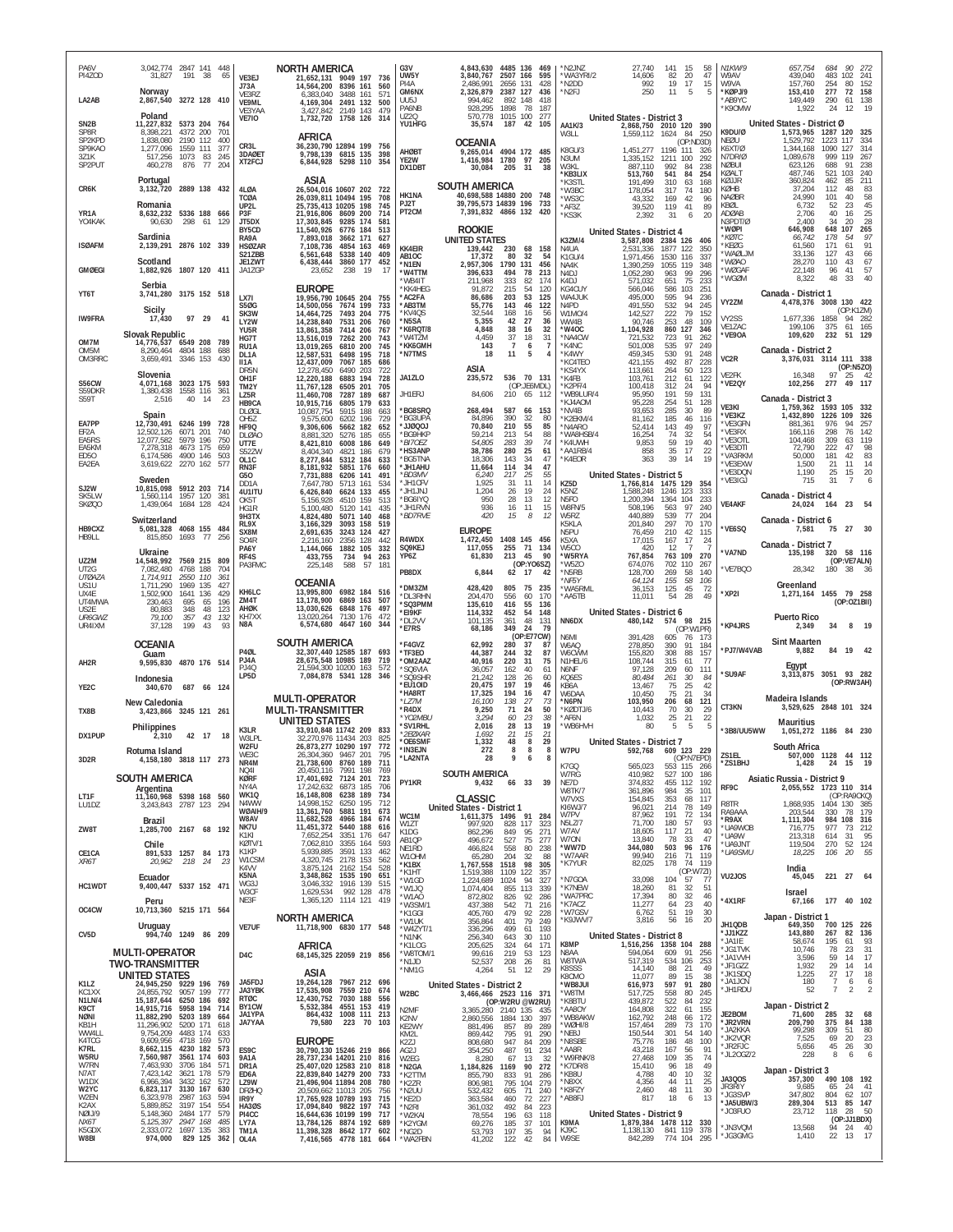| PA6V<br>PI4ZOD                          | 3,042,774 2847 141 448<br>31,827<br>191<br>38<br>65                                                                                                    | VE3EJ                                             | <b>NORTH AMERICA</b><br>21,652,131 9049 197 736<br>14.564.200<br>8396 161                                                    | G3V<br>UW5Y<br>PI4A                      | 4,843,630<br>3,840,767<br>2,486,991                            | 2507 166<br>2656 131        | 4485 136 469<br>595<br>428                        | 'N2JNZ<br>*WA3YRI/2<br>*N2DD              |                            | 27,740<br>14,606<br>992                                                           | 141<br>82<br>19                   | 15<br>58<br>47<br>20<br>17<br>15                  | N1KW/9<br>W9AV<br>W9VA                          | 657,754<br>439,040<br>157,760                             | 684<br>90<br>483 102<br>254<br>80                                  | 272<br>241<br>152           |
|-----------------------------------------|--------------------------------------------------------------------------------------------------------------------------------------------------------|---------------------------------------------------|------------------------------------------------------------------------------------------------------------------------------|------------------------------------------|----------------------------------------------------------------|-----------------------------|---------------------------------------------------|-------------------------------------------|----------------------------|-----------------------------------------------------------------------------------|-----------------------------------|---------------------------------------------------|-------------------------------------------------|-----------------------------------------------------------|--------------------------------------------------------------------|-----------------------------|
| LA2AB                                   | Norway<br>2,867,540 3272 128 410                                                                                                                       | J73A<br>VE3RZ<br>VE9ML<br>VF3YAA                  | 560<br>3488 161<br>6.383.040<br>571<br>4, 169, 304 2491 132<br>500<br>3,427,842<br>2149 143<br>479                           | GM6NX<br>UU5J<br>PA6NB                   | 2,326,879<br>994,462<br>928,295                                | 2387 127<br>892 148<br>1898 | 436<br>418<br>78<br>187                           | *N2FJ                                     |                            | 250                                                                               | 11                                | 5<br>- 5                                          | *KØPJ/9<br>AB9YC<br>K90MW                       | 153,410<br>149,449<br>1,922                               | 277<br>72<br>61 138<br>290<br>12<br>24                             | 158<br>19                   |
| SN <sub>2</sub> B<br>SP8R<br>SP2KPD     | Poland<br>11,227,832 5373 204 764<br>8,398,221<br>4372 200<br>701<br>1,838,080<br>2190 112<br>400                                                      | <b>VE7IO</b>                                      | 1,732,720<br>1758 126<br>314<br><b>AFRICA</b>                                                                                | <b>UZ20</b><br>YU1HFG                    | 570,778<br>35,574                                              | 1015 100                    | 277<br>187 42 105                                 | AA1K/3<br>W3LL                            | United States - District 3 | 2,868,750 2010 120 390<br>1,559,112                                               | 1624                              | 250<br>-84                                        | K9DU/Ø<br>NEØU                                  | United States - District Ø<br>1,573,965<br>1,529,792      | 1287 120<br>117<br>1223                                            | 325<br>334                  |
| SP9KAO<br>3Z1K<br>SP2PUT                | 1,277,096<br>1559 111 377<br>517,256<br>1073 83 245<br>460,278<br>876<br>77<br>204                                                                     | CR3L<br>3DAØET<br>XT2FCJ                          | 36,230,790 12894 199 756<br>9,798,139 6815 135 398<br>6,844,928 5298 110 354                                                 | AHØBT<br>YE2W<br>DX1DBT                  | <b>OCEANIA</b><br>9.265.014<br>1,416,984 1780<br>30,084        | 205                         | 4904 172 485<br>97<br>205<br>31<br>38             | K8GU/3<br>N3UM<br>W3KL                    |                            | 1.451.277<br>1,335,152<br>887.110                                                 | 1196 111<br>1211<br>992           | (OP:ND3D)<br>-326<br>100<br>292<br>238<br>84      | K6XT/Ø<br>N7DR/Ø<br><b>NØBUI</b>                | 1,344,168<br>1,089,678<br>623,126                         | 1090<br>127<br>999<br>119<br>688<br>91                             | 314<br>267<br>238           |
| CR6K                                    | Portugal<br>3,132,720 2889 138 432                                                                                                                     | 4LØA                                              | ASIA<br>26,504,016 10607 202<br>-722                                                                                         | HK1NA                                    | <b>SOUTH AMERICA</b><br>40,698,588 14880 200 748               |                             |                                                   | *KB3LIX<br>*K3STL<br>'W3BC                |                            | 513,760<br>191.499<br>178,054                                                     | 541<br>310<br>317                 | 84<br>254<br>63<br>168<br>74<br>180               | KØALT<br>KØJJR<br>KØHB                          | 487,746<br>360,824<br>37,204                              | 521<br>103<br>85<br>462<br>112<br>48                               | 240<br>211<br>83            |
| YR1A<br>YO4KAK                          | Romania<br>8,632,232 5336 188 666<br>90,630<br>298 61 129                                                                                              | TCØA<br>UP2L<br>P3F<br>JT5DX                      | 26,039,811 10494 195<br>708<br>25,735,413 10205 198<br>745<br>21,916,806 8609 200<br>714<br>17,303,845<br>9285 174<br>581    | <b>P.I2T</b><br>PT <sub>2</sub> CM       | 39,795,573 14839 196<br>7,391,832 4866 132                     |                             | 733<br>420                                        | *WS3C<br>*AF3Z<br>*KS3K                   |                            | 43,332<br>39,520<br>2,392                                                         | 169<br>119<br>31                  | 42<br>96<br>89<br>41<br>20<br>6                   | <b>NAØBR</b><br>KBØL<br>ADØAB<br>N3PDT/Ø        | 24,990<br>6,732<br>2,706<br>2,400                         | 101<br>40<br>52<br>23<br>40<br>16<br>34<br>20                      | 58<br>45<br>25<br>28        |
| <b>ISØAFM</b>                           | Sardinia<br>2876 102 339<br>2,139,291                                                                                                                  | BY5CD<br>RA9A<br><b>HSØZAR</b>                    | 11,540,926 6776 184<br>513<br>7,893,018<br>3662 171<br>627<br>7,108,736<br>4854 163<br>469                                   | <b>KK4EIR</b>                            | <b>ROOKIE</b><br><b>UNITED STATES</b><br>139,442               | 230                         | 68 158                                            | K3ZM/4<br>N4UA                            |                            | United States - District 4<br>3,587,808<br>2,531,336                              | 2384 126<br>1877 122              | 406<br>350                                        | 'WØPI<br>*KØTC<br>KEØG <sup>*</sup>             | 646,908<br>66,742<br>61,560                               | 648<br>107<br>178<br>54<br>171<br>61                               | 265<br>97<br>91             |
| <b>GMØEGI</b>                           | Scotland<br>1,882,926 1807 120 411                                                                                                                     | S21ZBB<br>JE1ZWT<br>JA1ZGP                        | 6,561,648<br>5338 140<br>409<br>6,438,444<br>3860 177<br>452<br>23,652<br>238<br>-19<br>17                                   | AB1OC<br>*N1EN<br>*W4TTM                 | 17,372<br>2,957,306<br>396,633                                 | 80<br>1790 131<br>494       | 32<br>54<br>456<br>78<br>213                      | K1GU/4<br>NA4K<br>N4DJ                    |                            | 1.971,456<br>1,390,259<br>1,052,280                                               | 1530 116<br>1055 119<br>963       | 337<br>348<br>99<br>296                           | 'WAØLJM<br>'WØAO<br>'WØGAF<br>'WGØM             | 33,136<br>28,270<br>22,148<br>8,322                       | 127<br>43<br>43<br>110<br>96<br>41<br>48<br>33                     | 66<br>67<br>57<br>40        |
| YT6T                                    | Serbia<br>3,741,280 3175 152 518                                                                                                                       | LX7I<br><b>S50G</b>                               | <b>EUROPE</b><br>19,956,790 10645 204<br>14,500,056 7674 199<br>733                                                          | *WB4IT<br>*KK4HEG<br>*AC2FA<br>*AB3TM    | 211.968<br>91,872<br>86,686<br>55,776                          | 333<br>215<br>203<br>143    | 82<br>174<br>54<br>120<br>53<br>125<br>46<br>122  | K4DJ<br>KG4CUY<br>WA4JUK<br>N4PD          |                            | 571,032<br>566,046<br>495,000<br>491,550                                          | 651<br>586<br>595<br>532          | 75<br>233<br>103<br>251<br>94<br>236<br>94<br>245 | VY2ZM                                           | Canada - District 1<br>4,478,376                          | 3008 130 422                                                       |                             |
| <b>IW9FRA</b>                           | Sicily<br>97 29<br>17,430<br>41                                                                                                                        | SK3W<br>LY2W<br>YU5R                              | 7493 204<br>775<br>14,464,725<br>14,238,840<br>7531 206<br>760<br>13,861,358<br>7414 206<br>767                              | *KV4QS<br>*N5SA<br>*K6RQT/8              | 32.544<br>5,355<br>4,848                                       | 168<br>42<br>38             | 16<br>56<br>27<br>36<br>16<br>32                  | W1MO/4<br>WW4B<br>*W4OC                   |                            | 142.527<br>90,746<br>1,104,928                                                    | 222<br>253<br>860                 | 79<br>152<br>48<br>109<br>127<br>346              | VY2SS<br>VE1ZAC                                 | 1,677,336<br>199,106                                      | (OP:K1ZM)<br>1858<br>94 282<br>61<br>375                           | 165                         |
| OM7M<br>OM5M<br>OM3RRC                  | <b>Slovak Republic</b><br>14,776,537 6549 208 789<br>4804 188<br>8,290,464<br>688<br>3,659,491<br>3346 153<br>430                                      | HG7T<br>RU1A<br>DL1A<br>II1A                      | 13,516,019<br>7262 200<br>743<br>13,019,265<br>6810 200<br>745<br>12,587,531<br>6498 195<br>718<br>7067 185                  | *W4TZM<br>*KK6GMH<br>*N7TMS              | 4,459<br>143<br>18                                             | 37<br>$\overline{7}$<br>11  | 18<br>31<br>6<br>$\overline{7}$<br>5<br>4         | *NA4CW<br>*K4NC<br>*K4WY                  |                            | 721,532<br>501.008<br>459,345                                                     | 723<br>535<br>530<br>492          | 91<br>262<br>97<br>249<br>91<br>248<br>87         | *VE9OA<br>VC2R                                  | 109,620<br>Canada - District 2<br>3,376,031 3114 111 338  | 232<br>51 129                                                      |                             |
| S56CW                                   | Slovenia<br>3023 175 593<br>4,071,168                                                                                                                  | DR5N<br>OH <sub>1</sub> F<br>TM2Y                 | 12,437,009<br>686<br>12,278,450<br>6490 203<br>722<br>12,220,188<br>6883 194<br>728<br>11,767,128<br>6505 201<br>705         | JA1ZLO                                   | ASIA<br>235,572                                                |                             | 536 70 131<br>(OP:JE6MDL)                         | *KC4TEO<br>*KS4YX<br>*K4FB<br>*K2PF/4     |                            | 421,155<br>113,661<br>103,761<br>100,418                                          | 264<br>212<br>312                 | 228<br>50<br>123<br>61<br>122<br>24<br>94         | VE2FK<br>'VE2QY                                 | 16,348<br>102,256                                         | (OP:N5ZO)<br>97<br>25<br>49 117<br>277                             | - 42                        |
| S59DKR<br>S59T                          | 1,380,438<br>1558 116<br>361<br>2.516<br>40<br>14<br>23<br>Spain                                                                                       | LZ5R<br>HB9CA<br>DI ØGI                           | 11,460,708<br>7287 189<br>687<br>10,915,716<br>6805 179<br>633<br>10,087,754<br>5915 188<br>663                              | JH1ERJ<br>*BG8SRQ                        | 84,606<br>268,494                                              | 587                         | 210 65 112<br>66<br>153                           | *WB9LUR/4<br>'KJ4AOM<br>*NV4B             |                            | 95,950<br>95,228<br>93,653                                                        | 191<br>254<br>285                 | 59<br>131<br>51<br>128<br>30<br>89                | VE3KI<br>'VE3KZ                                 | Canada - District 3<br>1,759,362<br>1,432,890             | 1593<br>105<br>1226<br>109                                         | 332<br>326                  |
| EA7PP<br>EF2A<br>EA5RS                  | 12,730,491 6246 199 728<br>12,502,126<br>6071 201<br>740<br>5979 196<br>750<br>12,077,582                                                              | OH <sub>5</sub> Z<br>HF9Q<br><b>DLØAO</b><br>UT7E | 9,575,600<br>6202 196<br>729<br>9,306,606<br>5662 182<br>652<br>8,881,320<br>5276 185<br>655<br>8,421,810<br>6008 186<br>649 | *BG3UPA<br>rooørr*<br>*BG9HKP<br>*BI7OEZ | 84,896<br>70,840<br>59,214<br>54,805                           | 390<br>210<br>213<br>283    | 32<br>80<br>55<br>85<br>54<br>88<br>39<br>74      | *K2EKM/4<br>N4ARO*<br>*WA8HSB/4<br>*K4UWH |                            | 81.162<br>52,414<br>16,254<br>9,853                                               | 185<br>143<br>74<br>59            | 46<br>116<br>49<br>97<br>32<br>54<br>19<br>40     | *VE3GFN<br>*VE3RX<br>*VE3OTL                    | 881,361<br>166,116<br>104,468                             | 976<br>94<br>76<br>298<br>309<br>63                                | 257<br>142<br>119           |
| EA5KM<br>ED50<br>EA2EA                  | 7.278.318<br>4673 175<br>659<br>503<br>6,174,586<br>4900 146<br>3,619,622 2270 162 577                                                                 | S52ZW<br>OL1C<br>RN3F                             | 8,404,340<br>4821 186<br>679<br>8,277,844<br>5312 184<br>633<br>8,181,932<br>5851 176<br>660                                 | *HS3ANP<br>*BG5TNA<br>*JH1AHU            | 38,786<br>18,306<br>11,664                                     | 280<br>143<br>114           | 25<br>61<br>34<br>47<br>34<br>47                  | *AA1RB/4<br>*K4EOR                        |                            | 858<br>363                                                                        | 35<br>39                          | 17<br>22<br>14<br>19                              | *VE3DTI<br>*VA3RKM<br>*VE3EXW<br>VE3DON         | 72,790<br>50,000<br>1,500                                 | 222<br>47<br>42<br>181<br>11<br>$^{21}_{25}$                       | 98<br>83<br>14              |
| SJ2W<br>SK5LW                           | Sweden<br>10,815,098<br>5912 203 714<br>1.560.114<br>1957 120<br>381                                                                                   | G50<br>DD <sub>1</sub> A<br>4U1ITU                | 7,731,888<br>6206 141<br>491<br>7,647,780<br>5713 161<br>534<br>6,426,840<br>6624 133<br>455<br>513                          | *BD3MV<br>*JH1CFV<br>*JH1JNJ<br>*BG6IYQ  | 6,240<br>1,925<br>1.204<br>950                                 | 217<br>31<br>26<br>28       | 25<br>55<br>14<br>11<br>19<br>24<br>13<br>12      | KZ5D<br>K5NZ<br>N <sub>5FO</sub>          |                            | <b>United States - District 5</b><br>1,766,814 1475 129<br>1,588,248<br>1,200,394 | 1246<br>1364                      | 354<br>123<br>333<br>233<br>104                   | 'VE3IGJ                                         | 1,190<br>715<br>Canada - District 4                       | 15<br>31<br>7                                                      | 20                          |
| SKØQ0                                   | 1,439,064<br>1684 128<br>424<br>Switzerland                                                                                                            | OK5T<br>HG1R<br>9H3TX<br>RL9X                     | 5,156,928<br>4510 159<br>5,100,480<br>5120 141<br>435<br>4,824,480<br>5071 140<br>468<br>3,166,329<br>3093 158<br>519        | *JH1RVN<br>*BD7RVE                       | 936<br>420                                                     | 16<br>15                    | 11<br>15<br>8<br>12                               | W8FN/5<br>W5RZ<br>K5KLA                   |                            | 508,196<br>440,889<br>201,840                                                     | 563<br>539<br>297                 | 97<br>240<br>77<br>204<br>70<br>170               | <b>VE4AKF</b>                                   | 24,024<br>Canada - District 6                             | 23<br>164                                                          |                             |
| HB9CXZ<br>HB9LL                         | 5,081,328 4068 155 484<br>77<br>815,850<br>1693<br>256<br>Ukraine                                                                                      | SX8M<br>S04R<br>PA6Y                              | 2,691,635<br>3243 124<br>427<br>2,216,160<br>2356 128<br>442<br>1,144,066<br>1882 105<br>332                                 | R4WDX<br>SQ9KEJ                          | <b>EUROPE</b><br>1,472,450<br>117,055                          |                             | 1408 145 456<br>255 71 134                        | N5PU<br>K5XA<br>W5CO                      |                            | 76,459<br>17,015<br>420                                                           | 210<br>167<br>12                  | 42<br>115<br>17<br>-24                            | *VE6SQ<br>*VA7ND                                | 7,581<br>Canada - District 7<br>135,198                   | 75<br>27<br>58 116<br>320                                          | 30                          |
| UZ2M<br>UT2G<br>UTØAZA                  | 14,548,992 7569 215 809<br>7,082,480<br>4768 188<br>704<br>1,714,911<br>2550 110<br>- 361                                                              | RF4S<br>PA3FMC                                    | 433,755<br>734<br>94<br>263<br>225,148<br>588<br>57<br>181                                                                   | YP6Z<br>PB8DX                            | 61,830<br>6,844                                                | 213<br>62 17                | 45<br>90<br>(OP:YO6SZ)<br>42                      | *W5RYA<br>*W5ZO<br>'N5RB<br>*NF5Y         |                            | 767,854<br>674,076<br>128,700<br>64,124                                           | 763 109<br>702 110<br>269<br>155  | 270<br>267<br>58<br>140<br>58<br>106              | VE7BQO                                          | 28,342                                                    | (OP:VE7ALN)<br>180<br>38                                           | 36                          |
| US1U<br>UX4F<br>UT4MWA<br><b>US2F</b>   | 1,711,290<br>1969<br>135<br>427<br>1,502,900<br>1641 136<br>429<br>230,463<br>695<br>196<br>65<br>80.883<br>348<br>48<br>123                           | KH6LC<br>ZM4T<br>AHØK                             | <b>OCEANIA</b><br>13,995,800 6982 184 516<br>13,178,900<br>6869 163<br>507<br>13,030,626<br>6848 176<br>497                  | *DM3ZM<br>*DL3RHN<br>*SQ3PMM             | 428,420<br>204,470<br>135,610                                  | 805<br>556<br>416           | 75 235<br>60<br>170<br>55<br>136                  | 'WA5RML<br>*AA5TB                         |                            | 36,153<br>11,011                                                                  | 125<br>54                         | 45<br>72<br>28<br>49                              | 'XP2I                                           | Greenland<br>1,271,164 1455 79 258                        | (OP:OZ1BII)                                                        |                             |
| UR6GWZ<br>UR4IXM                        | 79,100<br>357<br>43<br>132<br>37,128<br>199<br>43<br>93                                                                                                | KH7XX<br>N8A                                      | 13,020,264<br>7130 176<br>472<br>6,574,680 4647 160<br>344                                                                   | *EI9KF<br>*DL2VV<br>*E7RS                | 114,332<br>101,135<br>68,186                                   | 452<br>361<br>349           | 148<br>54<br>48<br>131<br>24<br>79<br>(OP:E77CW)  | NN6DX<br>N6MI                             |                            | United States - District 6<br>480,142<br>391,428                                  | 605                               | 574 98 215<br>(OP:W1PR)<br>76<br>173              | <b>*KP4JRS</b>                                  | <b>Puerto Rico</b><br>2,349                               | 34<br>8                                                            | <b>19</b>                   |
| AH <sub>2</sub> R                       | <b>OCEANIA</b><br>Guam<br>9,595,830 4870 176 514                                                                                                       | P4ØL<br>PJ4A                                      | SOUTH AMERICA<br>32,307,440 12585 187 693<br>28,675,548 10985 189<br>719                                                     | *F4GVZ<br>*TF3EO<br>*OM2AAZ              | 62.992<br>44,387<br>40,916                                     | <b>280</b><br>244<br>220    | 37<br>-87<br>32<br>87<br>31<br>75                 | W6AQ<br>W6CWM<br>N1HEL/6                  |                            | 278,850<br>155,820<br>108,744                                                     | 390<br>308<br>315                 | 91<br>184<br>88<br>157<br>77<br>61                | *PJ7/W4VAB                                      | <b>Sint Maarten</b><br>9,882                              | 84<br>19                                                           |                             |
| YE2C                                    | Indonesia<br>687 66 124<br>340,670                                                                                                                     | P.I40<br>LP5D                                     | 21,594,300 10200 163<br>572<br>7,084,878 5341 128<br>346                                                                     | *SQ6VIA<br>*SQ9SHR<br>*EU1OID            | 36,057<br>21.242<br>20,475                                     | 162<br>128<br>197<br>194    | 40<br>61<br>26<br>60<br>19<br>46<br>47            | N6NF<br>KQ6ES<br>KB6A<br>W6DAA            |                            | 97,128<br>80,484<br>13,467<br>10.450                                              | 209<br>261<br>75<br>75            | 60<br>111<br>$30^{\circ}$<br>84<br>25<br>42<br>34 | 'SU9AF                                          | Egypt<br>$3.313.875$ 3051                                 | 93 282<br>(OP:RW3AH)                                               |                             |
| TX8B                                    | New Caledonia<br>3,423,866 3245 121 261                                                                                                                |                                                   | <b>MULTI-OPERATOR</b><br><b>MULTI-TRANSMITTER</b>                                                                            | *HA8RT<br>*LZ7M<br>*R4DX<br>*YO2MBU      | 17,325<br>16,100<br>9,250<br>3,294                             | 138<br>71<br>60             | 16<br>27<br>73<br>24<br>50<br>23<br>38            | *N6PN<br>KØDTJ/6<br>*AF6N                 |                            | 103,950<br>10,443<br>1,032                                                        | 206<br>70<br>25                   | 21<br>68<br>121<br>30<br>29<br>22<br>21           | CT3KN                                           | Madeira Islands<br>3,529,625 2848 101 324                 |                                                                    |                             |
| DX1PUP                                  | Philippines<br>2,310<br>42 17 18                                                                                                                       | K3LR<br>W3LPL<br>W2FU                             | UNITED STATES<br>33,910,848 11742 209<br>833<br>32,270,976 11434 203<br>825<br>26,873,277 10290 197<br>772                   | *SV1RHL<br>*2EØXAR<br>*OE6SMF            | 2,016<br>1,692<br>1,332                                        | 28<br>21<br>48              | 19<br>13<br>15<br>21<br>8<br>29                   | *WB6HVH                                   |                            | 80<br><b>United States - District 7</b>                                           | 5                                 | 5<br>5                                            | *3B8/UU5WW                                      | <b>Mauritius</b><br>1,051,272 1186 84 230<br>South Africa |                                                                    |                             |
| 3D <sub>2</sub> R                       | Rotuma Island<br>4,158,180 3818 117 273                                                                                                                | WE3C<br>NR4M<br><b>NO41</b>                       | 26,304,360 9467 201<br>795<br>21,738,600 8760 189<br>711<br>20,450,116 7991 198<br>769                                       | *IN3EJN<br>*LA2NTA                       | 272<br>28<br>SOUTH AMERICA                                     | 8                           | 8<br>8                                            | W7PU<br>K7GQ<br>W7RG                      |                            | 592,768 609 123 229<br>565,023<br>410,982                                         | 527 100                           | (OP:N7EPD)<br>553 115 266<br>186                  | ZS1EL<br>*ZS1BHJ                                | 507,000 1128 44 112<br>1,428                              | 24 15                                                              | 19                          |
| LT1F                                    | <b>SOUTH AMERICA</b><br>Argentina<br>11,160,968 5398 168 560                                                                                           | <b>KØRF</b><br>NY4A<br>WK1Q<br>N4WW               | 17,401,692 7124 201<br>723<br>17,242,632 6873 185<br>706<br>16, 148, 808 6238 189<br>734<br>14,998,152 6250 195<br>712       | PY1KR                                    | <b>CLASSIC</b>                                                 |                             | 9,432 66 33 39                                    | NE7D<br>W8TK/7<br>W7VXS                   |                            | 374,832<br>361,896<br>154,845                                                     | 455 112<br>984<br>353             | 192<br>35<br>101<br>68<br>117                     | RF9C                                            | Asiatic Russia - District 9<br>2,055,552 1723 110 314     | (OP:RA9CKQ)                                                        |                             |
| LU1DZ<br>ZW8T                           | 3,243,843 2787 123 294<br>Brazil<br>1,285,700 2167 68 192                                                                                              | WØAIH/9<br>W8AV<br>NK7U                           | 13,361,760 5881 191<br>673<br>11,682,528 4966 184<br>11,451,372 5440 188<br>674<br>616                                       | WC1M<br>W1ZT                             | United States - District 1<br>1,611,375 1496 91 284<br>997,920 | 828                         | 117<br>323                                        | KI6WJ/7<br>W7PV<br>N5LZ/7<br>W7AV         |                            | 96,021<br>87,962<br>71,700                                                        | 214<br>191<br>180<br>117          | 78<br>149<br>72<br>134<br>57<br>93<br>21<br>40    | R8TR<br>RA9AAA<br>*R9AX<br>UA9WOB               | 1,868,935<br>203,544<br>1,111,304<br>716,775              | 1404 130 385<br>78<br>330<br>984 108 316<br>977<br>73              | 179<br>212                  |
| CE1CA                                   | Chile<br>891,533 1257 84 173                                                                                                                           | K1KI<br>KØTV/1<br>K1KP                            | 7,652,254<br>3351 176<br>647<br>7,062,810 3355 164<br>593<br>5,939,885<br>3591 133<br>462<br>4,320,745 2178 153              | K1DG<br>AB1QP<br>NE1RD<br>W10HM          | 862,296<br>496,672<br>466,824<br>65,280                        | 849<br>527<br>558<br>204    | 95<br>271<br>75<br>277<br>80<br>238<br>32<br>88   | W70N<br>*WW7D<br>*W7AAR                   |                            | 18,605<br>13,840<br>344,080<br>99,940                                             | 78<br>503<br>216                  | 33<br>47<br>96<br>176<br>71<br>119                | UA9W<br>UA9JNT<br>*UA9SMU                       | 213,318<br>119,504<br>18,225                              | 614<br>31<br>270<br>52 124<br>20<br>106                            | 95<br>55                    |
| XR6T<br>HC1WDT                          | 20,962<br>218 24<br>23<br>Ecuador<br>9,400,447 5337 152 471                                                                                            | W1CSM<br>K4VV<br>K5NA<br>WG3J                     | 562<br>3,875,124 2162 154<br>528<br>3,348,862 1535 190<br>651<br>3,046,332<br>1916 139<br>515                                | *K1BX<br>*K1HT<br>*W1GD                  | 1,767,558<br>1.519.388<br>1,224,689                            | 1518<br>1109<br>1024        | 98<br>305<br>122<br>357<br>94<br>327              | *K7YUR<br>*N7GOA                          |                            | 82,025<br>33,098                                                                  | 178<br>104                        | 74<br>119<br>(OP:W7ZI)<br>57<br>77                | VU2JOS                                          | India<br>45,045                                           | 221<br>27                                                          | - 64                        |
| OC4CW                                   | Peru<br>10,713,360 5215 171 564                                                                                                                        | W3CF<br>NE3F                                      | 1,629,534 992 128<br>478<br>1,365,120 1114 121 419                                                                           | *W1JQ<br>*W1AO<br>*W3SM/1<br>*K1GGI      | 1.074.404<br>872,802<br>437,388<br>405,760                     | 855<br>826<br>542<br>479    | 113<br>339<br>92<br>286<br>71<br>216<br>92<br>228 | *K7NEW<br>*WA7PRC<br>*K7ACZ<br>*W7GSV     |                            | 18,260<br>17,394<br>11,277<br>6,762                                               | 81<br>80<br>64<br>51              | 32<br>51<br>32<br>46<br>23<br>40<br>19<br>30      | *4X1RF                                          | Israel<br>67,166                                          | 177 40 102                                                         |                             |
| CV <sub>5</sub> D                       | Uruguay                                                                                                                                                | <b>VE7UF</b>                                      | <b>NORTH AMERICA</b>                                                                                                         | *W1UK<br>*W4ZYT/1                        | 356,864<br>336,296                                             | 401<br>499<br>643           | 79<br>249<br>193<br>61<br>30<br>110               | *K9JWV/7                                  |                            | 3,816                                                                             | 56                                | 20<br>16                                          | JH1QDB<br>*JJ1KZZ                               | Japan - District 1<br>649,350<br>143,880                  | 700 125<br>267<br>82<br>195<br>61                                  | 226<br>136<br>93            |
|                                         | 994,740 1249 86 209                                                                                                                                    |                                                   | 11,718,900 6830 177 548                                                                                                      | *N1NK                                    | 256,340                                                        |                             |                                                   |                                           | United States - District 8 |                                                                                   |                                   |                                                   |                                                 |                                                           |                                                                    |                             |
|                                         | <b>MULTI-OPERATOR</b>                                                                                                                                  | D <sub>4</sub> C                                  | <b>AFRICA</b><br>68, 145, 325 22059 219 856                                                                                  | *K1I OG<br>*W8TOM/1<br>*N1JD             | 205,625<br>99,616<br>52,537                                    | 324<br>219<br>208           | 171<br>64<br>53<br>123<br>26<br>81                | K8MP<br>N8AA<br>W8TWA                     |                            | 1,516,256<br>594,064<br>517,319                                                   | 1358 104 288<br>609 91<br>534 106 | 256<br>253                                        | *JA1IE<br>*JG1TVK<br>*JA1VVH                    | 58,674<br>10,746<br>3,596                                 | 78<br>23<br>59<br>14                                               | $\frac{31}{17}$             |
| K1LZ<br>KC1XX                           | <b>TWO-TRANSMITTER</b><br><b>UNITED STATES</b><br>24,945,250 9229 196 769<br>777                                                                       | JA5FDJ<br>JA3YBK                                  | ASIA<br>19,264,128 7967 212 696<br>17,535,908 7559 210 674                                                                   | *NM1G                                    | 4,264<br>United States - District 2                            | 51                          | 29<br>12                                          | K8SSS<br>K8CMO<br>*WB8JUI                 |                            | 14,140<br>11,077<br>616,973                                                       | 88<br>89<br>597                   | 21<br>49<br>15<br>38<br>91<br>280                 | *JF1GZZ<br>*JK1SDQ<br>*JA1JCN<br>*JH1RDU        | 1,932<br>1,225<br>180<br>52                               | 29<br>14<br>27<br>17<br>$\overline{7}$<br>6<br>$\overline{7}$<br>2 | 14<br>18<br>6<br>$\sqrt{2}$ |
| N1LN/4<br>K9CT<br>NØNI                  | 24,855,792 9057 199<br>15, 187, 644 6250 186<br>692<br>14,915,716 5958 194<br>714<br>11,882,290 5203 189<br>664                                        | RTØC<br>BY1CW<br><b>JA1YPA</b>                    | 12,430,752 7030 188<br>556<br>5,532,384 4551 153<br>419<br>864,432 1008 111<br>213                                           | W2BC<br>N <sub>2</sub> MF<br>K2NV        | 3,466,466 2523 116 371<br>3,365,280 2140 135<br>2,860,556      | 1884 130                    | (OP:W2RU @W2RU)<br>435<br>397                     | *W8TM<br>*K8BTU<br>*AA8OY<br>*WB8AKW      |                            | 517,725<br>439,872<br>164,808<br>162,792                                          | 558<br>522<br>322<br>248          | 80<br>245<br>84<br>232<br>61<br>155<br>66<br>172  | JE2BOM                                          | Japan - District 2<br>71,600                              | 32<br>285                                                          | 68                          |
| KB1H<br>WW4LL<br>K4TCG                  | 11,296,902<br>5200 171 618<br>9,754,209<br>4483 174<br>633<br>9,609,956<br>4718 169<br>570<br>573                                                      | JA7YAA                                            | 223 70<br>79,580<br>103<br><b>EUROPE</b>                                                                                     | KE2WY<br>KM <sub>21</sub><br>K2ZJ        | 881,496<br>869,442<br>808,680                                  | 857<br>795<br>947           | 89<br>289<br>91<br>290<br>84<br>209               | *WØHI/8<br>*NE8J<br>*N8SBE                |                            | 157,464<br>150,544<br>75,776                                                      | 289<br>301<br>186                 | 170<br>73<br>54<br>140<br>48<br>100               | 'JR2VRN<br>* JA2KKA<br>*JK2VQR<br>*JR2FJC       | 209,790<br>99,298<br>7,525<br>5,656                       | 375<br>84<br>51<br>309<br>69<br>20<br>45<br>26                     | 138<br>80<br>23<br>30       |
| K7RL<br>W5RU<br>W7RN<br>N7AT            | 8,662,115 4230 182<br>7,560,987<br>3561 174<br>603<br>3706 184<br>7,463,930<br>571<br>7,423,142 3621 178<br>579                                        | ES9C<br>9A1A<br>DR1A<br>ED6A                      | 30,790,130 15246 219 866<br>28,737,234 14201 210 816<br>25,407,020 12583 210<br>818<br>22,839,840 14279 200<br>733           | AG2J<br>W2EG<br>*N2GA<br>*K2TTM          | 354,250<br>8,280<br>1,184,826 1169<br>855,790                  | 487<br>67<br>833            | 91<br>234<br>13<br>32<br>90<br>272<br>91<br>286   | *AA8R<br>*W9RNK/8<br>*K7DR/8<br>*KB8U     |                            | 43,218<br>27,468<br>15,410<br>4,788                                               | 167<br>109<br>96<br>40            | 56<br>91<br>35<br>74<br>18<br>49<br>10<br>32      | *JL20GZ/2                                       | 228<br>Japan - District 3                                 | 8<br>6                                                             | 6                           |
| W1DX<br>W2YC<br>W2EN                    | 6,966,394<br>3432 162<br>572<br>6,823,117 3130 167<br>630<br>6,323,978<br>2987 163<br>594                                                              | LZ9W<br><b>DEGHO</b><br>IR9Y                      | 21,496,904 11894 208<br>20,509,662 11013 205<br>780<br>756<br>17,765,928 10789 193<br>715                                    | *K2ZR<br>*N2UU<br>*KE2D                  | 806,981<br>532,432<br>363,584                                  | 795<br>605<br>460           | 104<br>279<br>71<br>240<br>227<br>72              | *N8XX<br>*K8FZY<br>*AB8FJ                 |                            | 4,356<br>2,460<br>817                                                             | 44<br>48<br>18                    | 11<br>25<br>11<br>30<br>13<br>6                   | <b>JA300S</b><br>JR3RIY<br>*JG3SVP<br>*JA5UBW/3 | 357,300<br>9,685<br>347,802                               | 490<br>108 192<br>65<br>24<br>804<br>62                            | 41<br>107                   |
| K2AX<br>NØIJ/9<br>NX6T<br>K5GDX<br>W8BI | 5,889,852<br>3197 154<br>554<br>2484 177<br>579<br>5,148,360<br>5,125,397<br>2947 168<br>485<br>2,333,072 1697 135<br>383<br>974,000<br>829 125<br>362 | <b>HA30S</b><br>PI4CC<br>LY7A<br>TM1A             | 17,094,840 9822 197<br>743<br>16,644,636 10199 199<br>717<br>13,784,126 8874 192<br>689<br>11,398,328 8642 177<br>602        | *N2RI<br>*W2KAI<br>*K2YGM<br>*NG2D       | 361,032<br>78,554<br>69,276<br>53,793                          | 492<br>196<br>185<br>197    | 84<br>223<br>63<br>118<br>37<br>101<br>35<br>94   | K9MA<br>KJ9C                              |                            | United States - District 9<br>1,879,384 1478 112 330<br>1,138,130                 | 841 119                           | 378<br>774 104 295                                | *JO3FUO<br>*JN3VOM<br>*JG3GMG                   | 289,304<br>23,712<br>13,568<br>1,410                      | 513<br>85 147<br>118 28<br>(OP:JJ1BDX)<br>94 24 40<br>22 13        | 50<br>17                    |